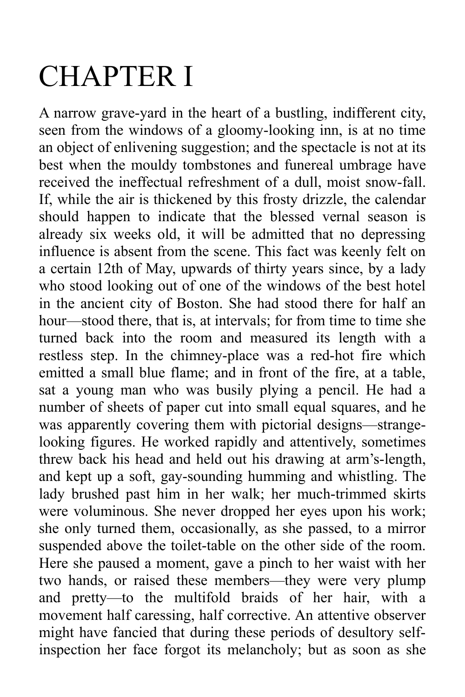## CHAPTER I

A narrow grave-yard in the heart of a bustling, indifferent city, seen from the windows of a gloomy-looking inn, is at no time an object of enlivening suggestion; and the spectacle is not at its best when the mouldy tombstones and funereal umbrage have received the ineffectual refreshment of a dull, moist snow-fall. If, while the air is thickened by this frosty drizzle, the calendar should happen to indicate that the blessed vernal season is already six weeks old, it will be admitted that no depressing influence is absent from the scene. This fact was keenly felt on a certain 12th of May, upwards of thirty years since, by a lady who stood looking out of one of the windows of the best hotel in the ancient city of Boston. She had stood there for half an hour—stood there, that is, at intervals; for from time to time she turned back into the room and measured its length with a restless step. In the chimney-place was a red-hot fire which emitted a small blue flame; and in front of the fire, at a table, sat a young man who was busily plying a pencil. He had a number of sheets of paper cut into small equal squares, and he was apparently covering them with pictorial designs—strangelooking figures. He worked rapidly and attentively, sometimes threw back his head and held out his drawing at arm's-length, and kept up a soft, gay-sounding humming and whistling. The lady brushed past him in her walk; her much-trimmed skirts were voluminous. She never dropped her eyes upon his work; she only turned them, occasionally, as she passed, to a mirror suspended above the toilet-table on the other side of the room. Here she paused a moment, gave a pinch to her waist with her two hands, or raised these members—they were very plump and pretty—to the multifold braids of her hair, with a movement half caressing, half corrective. An attentive observer might have fancied that during these periods of desultory selfinspection her face forgot its melancholy; but as soon as she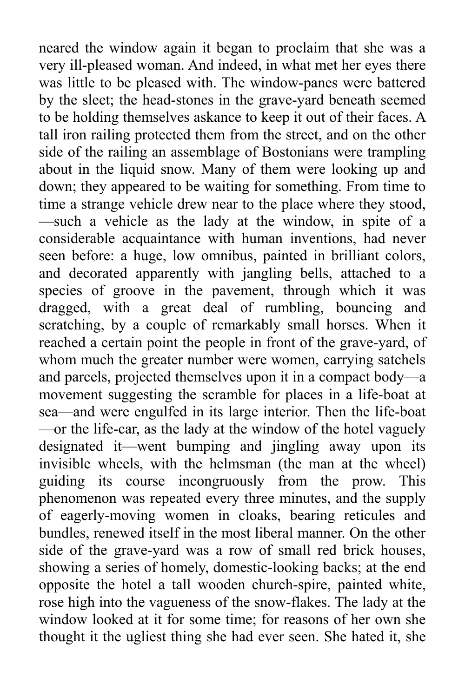neared the window again it began to proclaim that she was a very ill-pleased woman. And indeed, in what met her eyes there was little to be pleased with. The window-panes were battered by the sleet; the head-stones in the grave-yard beneath seemed to be holding themselves askance to keep it out of their faces. A tall iron railing protected them from the street, and on the other side of the railing an assemblage of Bostonians were trampling about in the liquid snow. Many of them were looking up and down; they appeared to be waiting for something. From time to time a strange vehicle drew near to the place where they stood, —such a vehicle as the lady at the window, in spite of a considerable acquaintance with human inventions, had never seen before: a huge, low omnibus, painted in brilliant colors, and decorated apparently with jangling bells, attached to a species of groove in the pavement, through which it was dragged, with a great deal of rumbling, bouncing and scratching, by a couple of remarkably small horses. When it reached a certain point the people in front of the grave-yard, of whom much the greater number were women, carrying satchels and parcels, projected themselves upon it in a compact body—a movement suggesting the scramble for places in a life-boat at sea—and were engulfed in its large interior. Then the life-boat —or the life-car, as the lady at the window of the hotel vaguely designated it—went bumping and jingling away upon its invisible wheels, with the helmsman (the man at the wheel) guiding its course incongruously from the prow. This phenomenon was repeated every three minutes, and the supply of eagerly-moving women in cloaks, bearing reticules and bundles, renewed itself in the most liberal manner. On the other side of the grave-yard was a row of small red brick houses, showing a series of homely, domestic-looking backs; at the end opposite the hotel a tall wooden church-spire, painted white, rose high into the vagueness of the snow-flakes. The lady at the window looked at it for some time; for reasons of her own she thought it the ugliest thing she had ever seen. She hated it, she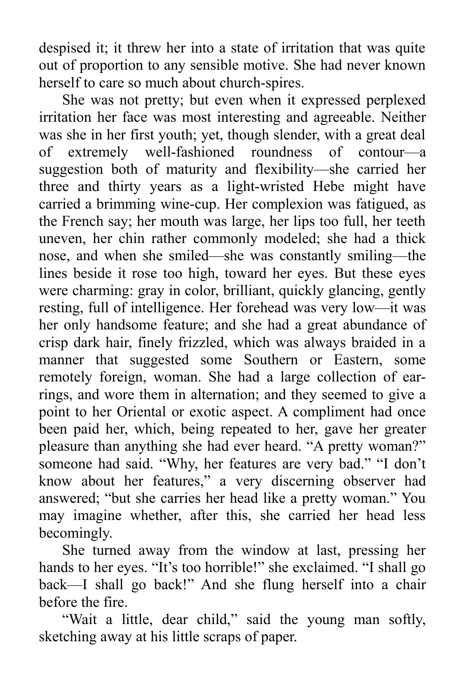despised it; it threw her into a state of irritation that was quite out of proportion to any sensible motive. She had never known herself to care so much about church-spires.

She was not pretty; but even when it expressed perplexed irritation her face was most interesting and agreeable. Neither was she in her first youth; yet, though slender, with a great deal of extremely well-fashioned roundness of contour—a suggestion both of maturity and flexibility—she carried her three and thirty years as a light-wristed Hebe might have carried a brimming wine-cup. Her complexion was fatigued, as the French say; her mouth was large, her lips too full, her teeth uneven, her chin rather commonly modeled; she had a thick nose, and when she smiled—she was constantly smiling—the lines beside it rose too high, toward her eyes. But these eyes were charming: gray in color, brilliant, quickly glancing, gently resting, full of intelligence. Her forehead was very low—it was her only handsome feature; and she had a great abundance of crisp dark hair, finely frizzled, which was always braided in a manner that suggested some Southern or Eastern, some remotely foreign, woman. She had a large collection of earrings, and wore them in alternation; and they seemed to give a point to her Oriental or exotic aspect. A compliment had once been paid her, which, being repeated to her, gave her greater pleasure than anything she had ever heard. "A pretty woman?" someone had said. "Why, her features are very bad." "I don't know about her features," a very discerning observer had answered; "but she carries her head like a pretty woman." You may imagine whether, after this, she carried her head less becomingly.

She turned away from the window at last, pressing her hands to her eyes. "It's too horrible!" she exclaimed. "I shall go back—I shall go back!" And she flung herself into a chair before the fire.

"Wait a little, dear child," said the young man softly, sketching away at his little scraps of paper.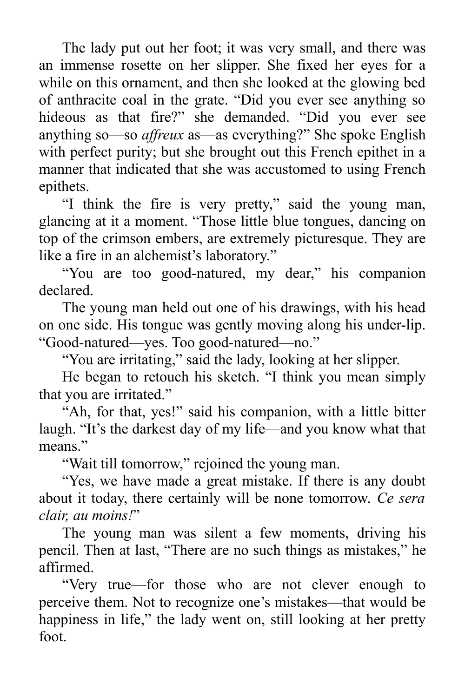The lady put out her foot; it was very small, and there was an immense rosette on her slipper. She fixed her eyes for a while on this ornament, and then she looked at the glowing bed of anthracite coal in the grate. "Did you ever see anything so hideous as that fire?" she demanded. "Did you ever see anything so—so *affreux* as—as everything?" She spoke English with perfect purity; but she brought out this French epithet in a manner that indicated that she was accustomed to using French epithets.

"I think the fire is very pretty," said the young man, glancing at it a moment. "Those little blue tongues, dancing on top of the crimson embers, are extremely picturesque. They are like a fire in an alchemist's laboratory."

"You are too good-natured, my dear," his companion declared.

The young man held out one of his drawings, with his head on one side. His tongue was gently moving along his under-lip. "Good-natured—yes. Too good-natured—no."

"You are irritating," said the lady, looking at her slipper.

He began to retouch his sketch. "I think you mean simply that you are irritated."

"Ah, for that, yes!" said his companion, with a little bitter laugh. "It's the darkest day of my life—and you know what that means."

"Wait till tomorrow," rejoined the young man.

"Yes, we have made a great mistake. If there is any doubt about it today, there certainly will be none tomorrow. *Ce sera clair, au moins!*"

The young man was silent a few moments, driving his pencil. Then at last, "There are no such things as mistakes," he affirmed.

"Very true—for those who are not clever enough to perceive them. Not to recognize one's mistakes—that would be happiness in life," the lady went on, still looking at her pretty foot.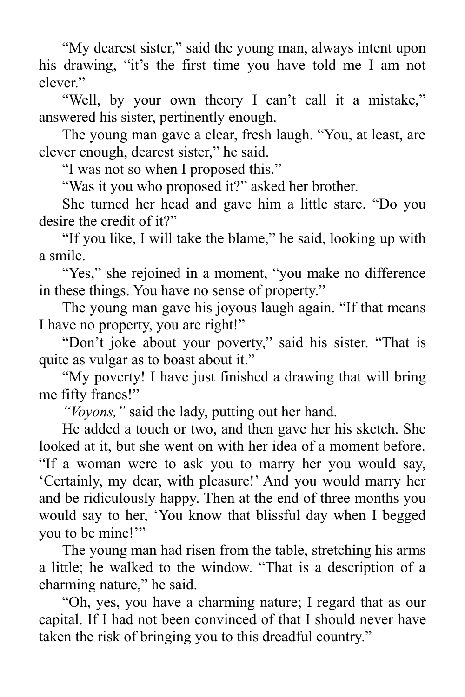"My dearest sister," said the young man, always intent upon his drawing, "it's the first time you have told me I am not clever."

"Well, by your own theory I can't call it a mistake," answered his sister, pertinently enough.

The young man gave a clear, fresh laugh. "You, at least, are clever enough, dearest sister," he said.

"I was not so when I proposed this."

"Was it you who proposed it?" asked her brother.

She turned her head and gave him a little stare. "Do you desire the credit of it?"

"If you like, I will take the blame," he said, looking up with a smile.

"Yes," she rejoined in a moment, "you make no difference in these things. You have no sense of property."

The young man gave his joyous laugh again. "If that means I have no property, you are right!"

"Don't joke about your poverty," said his sister. "That is quite as vulgar as to boast about it."

"My poverty! I have just finished a drawing that will bring me fifty francs!"

*"Voyons,"* said the lady, putting out her hand.

He added a touch or two, and then gave her his sketch. She looked at it, but she went on with her idea of a moment before. "If a woman were to ask you to marry her you would say, 'Certainly, my dear, with pleasure!' And you would marry her and be ridiculously happy. Then at the end of three months you would say to her, 'You know that blissful day when I begged you to be mine!"

The young man had risen from the table, stretching his arms a little; he walked to the window. "That is a description of a charming nature," he said.

"Oh, yes, you have a charming nature; I regard that as our capital. If I had not been convinced of that I should never have taken the risk of bringing you to this dreadful country."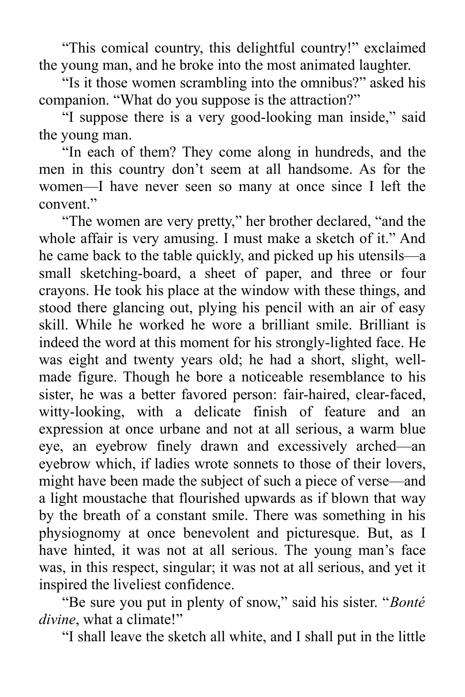"This comical country, this delightful country!" exclaimed the young man, and he broke into the most animated laughter.

"Is it those women scrambling into the omnibus?" asked his companion. "What do you suppose is the attraction?"

"I suppose there is a very good-looking man inside," said the young man.

"In each of them? They come along in hundreds, and the men in this country don't seem at all handsome. As for the women—I have never seen so many at once since I left the convent."

"The women are very pretty," her brother declared, "and the whole affair is very amusing. I must make a sketch of it." And he came back to the table quickly, and picked up his utensils—a small sketching-board, a sheet of paper, and three or four crayons. He took his place at the window with these things, and stood there glancing out, plying his pencil with an air of easy skill. While he worked he wore a brilliant smile. Brilliant is indeed the word at this moment for his strongly-lighted face. He was eight and twenty years old; he had a short, slight, wellmade figure. Though he bore a noticeable resemblance to his sister, he was a better favored person: fair-haired, clear-faced, witty-looking, with a delicate finish of feature and an expression at once urbane and not at all serious, a warm blue eye, an eyebrow finely drawn and excessively arched—an eyebrow which, if ladies wrote sonnets to those of their lovers, might have been made the subject of such a piece of verse—and a light moustache that flourished upwards as if blown that way by the breath of a constant smile. There was something in his physiognomy at once benevolent and picturesque. But, as I have hinted, it was not at all serious. The young man's face was, in this respect, singular; it was not at all serious, and yet it inspired the liveliest confidence.

"Be sure you put in plenty of snow," said his sister. "*Bonté divine*, what a climate!"

"I shall leave the sketch all white, and I shall put in the little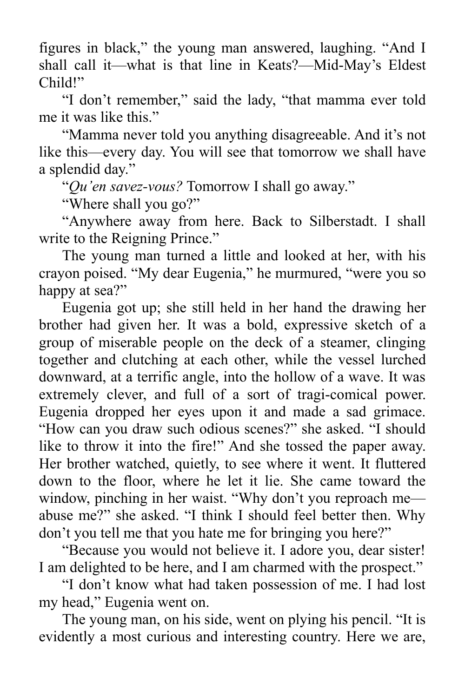figures in black," the young man answered, laughing. "And I shall call it—what is that line in Keats?—Mid-May's Eldest Child!"

"I don't remember," said the lady, "that mamma ever told me it was like this."

"Mamma never told you anything disagreeable. And it's not like this—every day. You will see that tomorrow we shall have a splendid day."

"*Qu'en savez-vous?* Tomorrow I shall go away."

"Where shall you go?"

"Anywhere away from here. Back to Silberstadt. I shall write to the Reigning Prince."

The young man turned a little and looked at her, with his crayon poised. "My dear Eugenia," he murmured, "were you so happy at sea?"

Eugenia got up; she still held in her hand the drawing her brother had given her. It was a bold, expressive sketch of a group of miserable people on the deck of a steamer, clinging together and clutching at each other, while the vessel lurched downward, at a terrific angle, into the hollow of a wave. It was extremely clever, and full of a sort of tragi-comical power. Eugenia dropped her eyes upon it and made a sad grimace. "How can you draw such odious scenes?" she asked. "I should like to throw it into the fire!" And she tossed the paper away. Her brother watched, quietly, to see where it went. It fluttered down to the floor, where he let it lie. She came toward the window, pinching in her waist. "Why don't you reproach me abuse me?" she asked. "I think I should feel better then. Why don't you tell me that you hate me for bringing you here?"

"Because you would not believe it. I adore you, dear sister! I am delighted to be here, and I am charmed with the prospect."

"I don't know what had taken possession of me. I had lost my head," Eugenia went on.

The young man, on his side, went on plying his pencil. "It is evidently a most curious and interesting country. Here we are,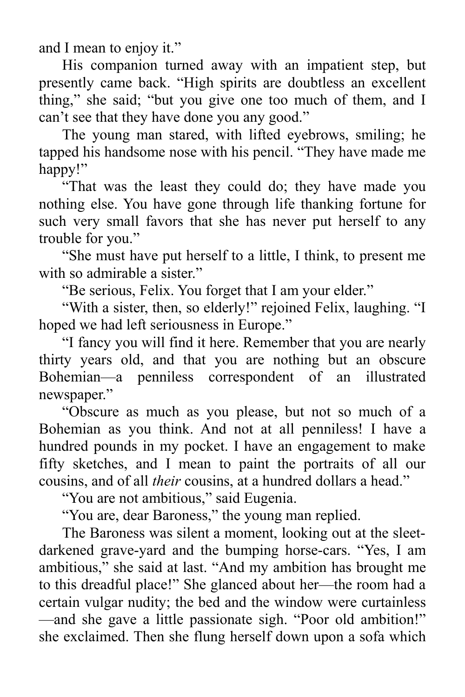and I mean to enjoy it."

His companion turned away with an impatient step, but presently came back. "High spirits are doubtless an excellent thing," she said; "but you give one too much of them, and I can't see that they have done you any good."

The young man stared, with lifted eyebrows, smiling; he tapped his handsome nose with his pencil. "They have made me happy!"

"That was the least they could do; they have made you nothing else. You have gone through life thanking fortune for such very small favors that she has never put herself to any trouble for you."

"She must have put herself to a little, I think, to present me with so admirable a sister."

"Be serious, Felix. You forget that I am your elder."

"With a sister, then, so elderly!" rejoined Felix, laughing. "I hoped we had left seriousness in Europe."

"I fancy you will find it here. Remember that you are nearly thirty years old, and that you are nothing but an obscure Bohemian—a penniless correspondent of an illustrated newspaper."

"Obscure as much as you please, but not so much of a Bohemian as you think. And not at all penniless! I have a hundred pounds in my pocket. I have an engagement to make fifty sketches, and I mean to paint the portraits of all our cousins, and of all *their* cousins, at a hundred dollars a head."

"You are not ambitious," said Eugenia.

"You are, dear Baroness," the young man replied.

The Baroness was silent a moment, looking out at the sleetdarkened grave-yard and the bumping horse-cars. "Yes, I am ambitious," she said at last. "And my ambition has brought me to this dreadful place!" She glanced about her—the room had a certain vulgar nudity; the bed and the window were curtainless —and she gave a little passionate sigh. "Poor old ambition!" she exclaimed. Then she flung herself down upon a sofa which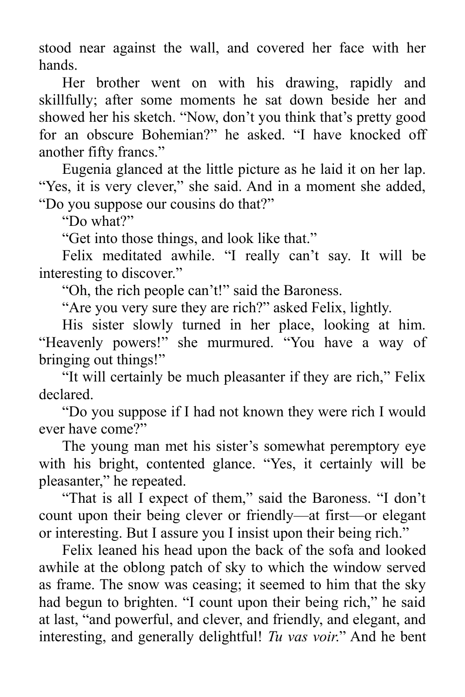stood near against the wall, and covered her face with her hands.

Her brother went on with his drawing, rapidly and skillfully; after some moments he sat down beside her and showed her his sketch. "Now, don't you think that's pretty good for an obscure Bohemian?" he asked. "I have knocked off another fifty francs."

Eugenia glanced at the little picture as he laid it on her lap. "Yes, it is very clever," she said. And in a moment she added, "Do you suppose our cousins do that?"

"Do what?"

"Get into those things, and look like that."

Felix meditated awhile. "I really can't say. It will be interesting to discover."

"Oh, the rich people can't!" said the Baroness.

"Are you very sure they are rich?" asked Felix, lightly.

His sister slowly turned in her place, looking at him. "Heavenly powers!" she murmured. "You have a way of bringing out things!"

"It will certainly be much pleasanter if they are rich," Felix declared.

"Do you suppose if I had not known they were rich I would ever have come?"

The young man met his sister's somewhat peremptory eye with his bright, contented glance. "Yes, it certainly will be pleasanter," he repeated.

"That is all I expect of them," said the Baroness. "I don't count upon their being clever or friendly—at first—or elegant or interesting. But I assure you I insist upon their being rich."

Felix leaned his head upon the back of the sofa and looked awhile at the oblong patch of sky to which the window served as frame. The snow was ceasing; it seemed to him that the sky had begun to brighten. "I count upon their being rich," he said at last, "and powerful, and clever, and friendly, and elegant, and interesting, and generally delightful! *Tu vas voir*." And he bent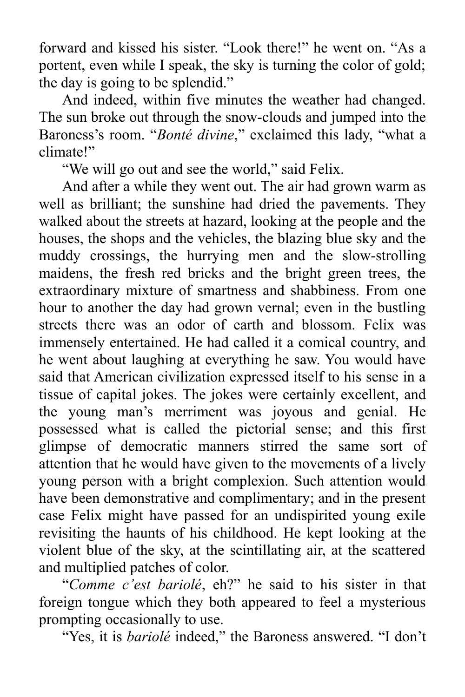forward and kissed his sister. "Look there!" he went on. "As a portent, even while I speak, the sky is turning the color of gold; the day is going to be splendid."

And indeed, within five minutes the weather had changed. The sun broke out through the snow-clouds and jumped into the Baroness's room. "*Bonté divine*," exclaimed this lady, "what a climate!"

"We will go out and see the world," said Felix.

And after a while they went out. The air had grown warm as well as brilliant; the sunshine had dried the pavements. They walked about the streets at hazard, looking at the people and the houses, the shops and the vehicles, the blazing blue sky and the muddy crossings, the hurrying men and the slow-strolling maidens, the fresh red bricks and the bright green trees, the extraordinary mixture of smartness and shabbiness. From one hour to another the day had grown vernal; even in the bustling streets there was an odor of earth and blossom. Felix was immensely entertained. He had called it a comical country, and he went about laughing at everything he saw. You would have said that American civilization expressed itself to his sense in a tissue of capital jokes. The jokes were certainly excellent, and the young man's merriment was joyous and genial. He possessed what is called the pictorial sense; and this first glimpse of democratic manners stirred the same sort of attention that he would have given to the movements of a lively young person with a bright complexion. Such attention would have been demonstrative and complimentary; and in the present case Felix might have passed for an undispirited young exile revisiting the haunts of his childhood. He kept looking at the violent blue of the sky, at the scintillating air, at the scattered and multiplied patches of color.

"*Comme c'est bariolé*, eh?" he said to his sister in that foreign tongue which they both appeared to feel a mysterious prompting occasionally to use.

"Yes, it is *bariolé* indeed," the Baroness answered. "I don't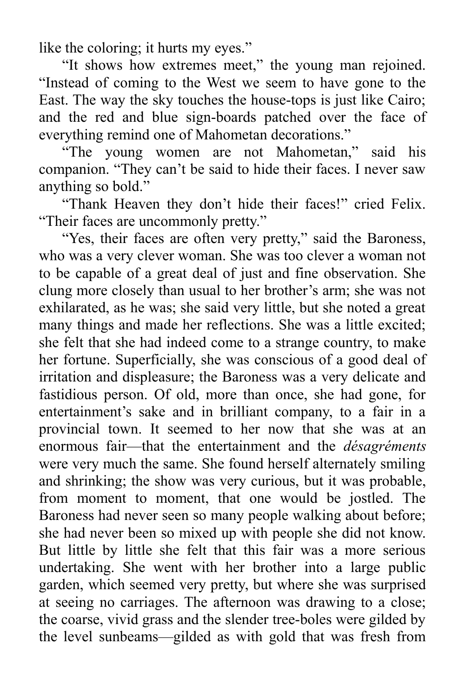like the coloring; it hurts my eyes."

"It shows how extremes meet," the young man rejoined. "Instead of coming to the West we seem to have gone to the East. The way the sky touches the house-tops is just like Cairo; and the red and blue sign-boards patched over the face of everything remind one of Mahometan decorations."

"The young women are not Mahometan," said his companion. "They can't be said to hide their faces. I never saw anything so bold."

"Thank Heaven they don't hide their faces!" cried Felix. "Their faces are uncommonly pretty."

"Yes, their faces are often very pretty," said the Baroness, who was a very clever woman. She was too clever a woman not to be capable of a great deal of just and fine observation. She clung more closely than usual to her brother's arm; she was not exhilarated, as he was; she said very little, but she noted a great many things and made her reflections. She was a little excited; she felt that she had indeed come to a strange country, to make her fortune. Superficially, she was conscious of a good deal of irritation and displeasure; the Baroness was a very delicate and fastidious person. Of old, more than once, she had gone, for entertainment's sake and in brilliant company, to a fair in a provincial town. It seemed to her now that she was at an enormous fair—that the entertainment and the *désagréments* were very much the same. She found herself alternately smiling and shrinking; the show was very curious, but it was probable, from moment to moment, that one would be jostled. The Baroness had never seen so many people walking about before; she had never been so mixed up with people she did not know. But little by little she felt that this fair was a more serious undertaking. She went with her brother into a large public garden, which seemed very pretty, but where she was surprised at seeing no carriages. The afternoon was drawing to a close; the coarse, vivid grass and the slender tree-boles were gilded by the level sunbeams—gilded as with gold that was fresh from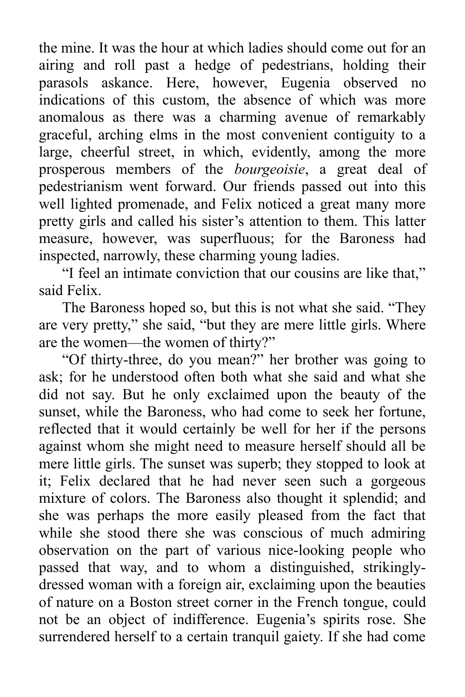the mine. It was the hour at which ladies should come out for an airing and roll past a hedge of pedestrians, holding their parasols askance. Here, however, Eugenia observed no indications of this custom, the absence of which was more anomalous as there was a charming avenue of remarkably graceful, arching elms in the most convenient contiguity to a large, cheerful street, in which, evidently, among the more prosperous members of the *bourgeoisie*, a great deal of pedestrianism went forward. Our friends passed out into this well lighted promenade, and Felix noticed a great many more pretty girls and called his sister's attention to them. This latter measure, however, was superfluous; for the Baroness had inspected, narrowly, these charming young ladies.

"I feel an intimate conviction that our cousins are like that," said Felix.

The Baroness hoped so, but this is not what she said. "They are very pretty," she said, "but they are mere little girls. Where are the women—the women of thirty?"

"Of thirty-three, do you mean?" her brother was going to ask; for he understood often both what she said and what she did not say. But he only exclaimed upon the beauty of the sunset, while the Baroness, who had come to seek her fortune, reflected that it would certainly be well for her if the persons against whom she might need to measure herself should all be mere little girls. The sunset was superb; they stopped to look at it; Felix declared that he had never seen such a gorgeous mixture of colors. The Baroness also thought it splendid; and she was perhaps the more easily pleased from the fact that while she stood there she was conscious of much admiring observation on the part of various nice-looking people who passed that way, and to whom a distinguished, strikinglydressed woman with a foreign air, exclaiming upon the beauties of nature on a Boston street corner in the French tongue, could not be an object of indifference. Eugenia's spirits rose. She surrendered herself to a certain tranquil gaiety. If she had come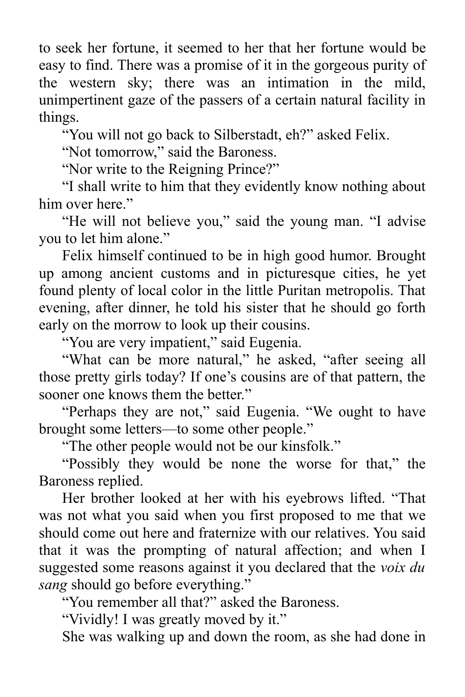to seek her fortune, it seemed to her that her fortune would be easy to find. There was a promise of it in the gorgeous purity of the western sky; there was an intimation in the mild, unimpertinent gaze of the passers of a certain natural facility in things.

"You will not go back to Silberstadt, eh?" asked Felix.

"Not tomorrow," said the Baroness.

"Nor write to the Reigning Prince?"

"I shall write to him that they evidently know nothing about him over here."

"He will not believe you," said the young man. "I advise you to let him alone."

Felix himself continued to be in high good humor. Brought up among ancient customs and in picturesque cities, he yet found plenty of local color in the little Puritan metropolis. That evening, after dinner, he told his sister that he should go forth early on the morrow to look up their cousins.

"You are very impatient," said Eugenia.

"What can be more natural," he asked, "after seeing all those pretty girls today? If one's cousins are of that pattern, the sooner one knows them the better."

"Perhaps they are not," said Eugenia. "We ought to have brought some letters—to some other people."

"The other people would not be our kinsfolk."

"Possibly they would be none the worse for that," the Baroness replied.

Her brother looked at her with his eyebrows lifted. "That was not what you said when you first proposed to me that we should come out here and fraternize with our relatives. You said that it was the prompting of natural affection; and when I suggested some reasons against it you declared that the *voix du sang* should go before everything."

"You remember all that?" asked the Baroness.

"Vividly! I was greatly moved by it."

She was walking up and down the room, as she had done in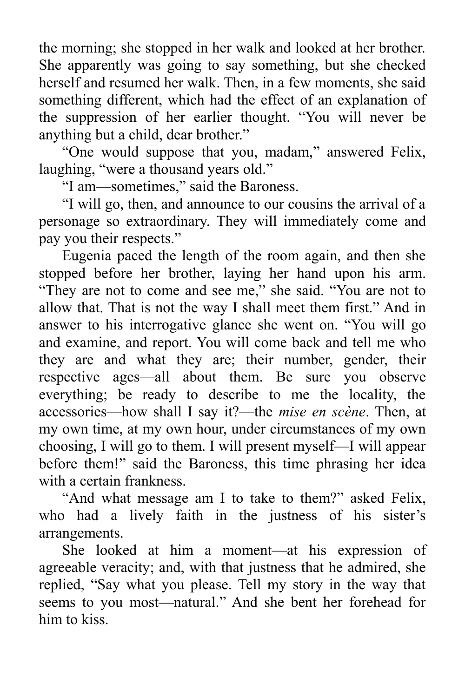the morning; she stopped in her walk and looked at her brother. She apparently was going to say something, but she checked herself and resumed her walk. Then, in a few moments, she said something different, which had the effect of an explanation of the suppression of her earlier thought. "You will never be anything but a child, dear brother."

"One would suppose that you, madam," answered Felix, laughing, "were a thousand years old."

"I am—sometimes," said the Baroness.

"I will go, then, and announce to our cousins the arrival of a personage so extraordinary. They will immediately come and pay you their respects."

Eugenia paced the length of the room again, and then she stopped before her brother, laying her hand upon his arm. "They are not to come and see me," she said. "You are not to allow that. That is not the way I shall meet them first." And in answer to his interrogative glance she went on. "You will go and examine, and report. You will come back and tell me who they are and what they are; their number, gender, their respective ages—all about them. Be sure you observe everything; be ready to describe to me the locality, the accessories—how shall I say it?—the *mise en scène*. Then, at my own time, at my own hour, under circumstances of my own choosing, I will go to them. I will present myself—I will appear before them!" said the Baroness, this time phrasing her idea with a certain frankness.

"And what message am I to take to them?" asked Felix, who had a lively faith in the justness of his sister's arrangements.

She looked at him a moment—at his expression of agreeable veracity; and, with that justness that he admired, she replied, "Say what you please. Tell my story in the way that seems to you most—natural." And she bent her forehead for him to kiss.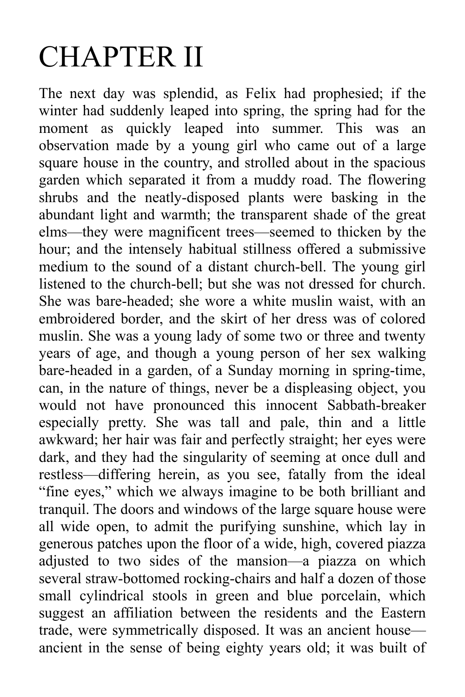## CHAPTER II

The next day was splendid, as Felix had prophesied; if the winter had suddenly leaped into spring, the spring had for the moment as quickly leaped into summer. This was an observation made by a young girl who came out of a large square house in the country, and strolled about in the spacious garden which separated it from a muddy road. The flowering shrubs and the neatly-disposed plants were basking in the abundant light and warmth; the transparent shade of the great elms—they were magnificent trees—seemed to thicken by the hour; and the intensely habitual stillness offered a submissive medium to the sound of a distant church-bell. The young girl listened to the church-bell; but she was not dressed for church. She was bare-headed; she wore a white muslin waist, with an embroidered border, and the skirt of her dress was of colored muslin. She was a young lady of some two or three and twenty years of age, and though a young person of her sex walking bare-headed in a garden, of a Sunday morning in spring-time, can, in the nature of things, never be a displeasing object, you would not have pronounced this innocent Sabbath-breaker especially pretty. She was tall and pale, thin and a little awkward; her hair was fair and perfectly straight; her eyes were dark, and they had the singularity of seeming at once dull and restless—differing herein, as you see, fatally from the ideal "fine eyes," which we always imagine to be both brilliant and tranquil. The doors and windows of the large square house were all wide open, to admit the purifying sunshine, which lay in generous patches upon the floor of a wide, high, covered piazza adjusted to two sides of the mansion—a piazza on which several straw-bottomed rocking-chairs and half a dozen of those small cylindrical stools in green and blue porcelain, which suggest an affiliation between the residents and the Eastern trade, were symmetrically disposed. It was an ancient house ancient in the sense of being eighty years old; it was built of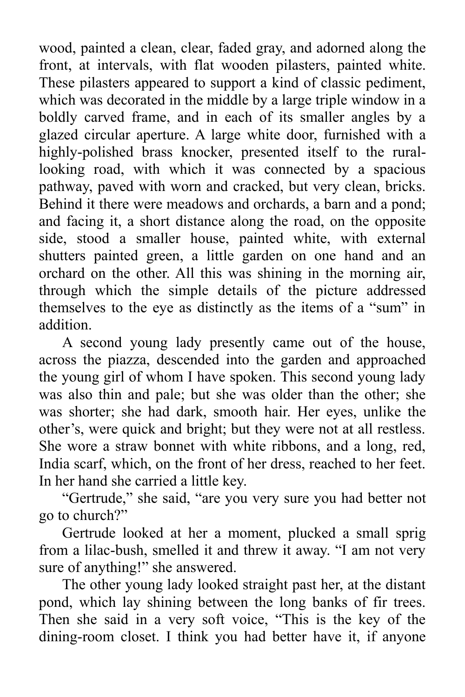wood, painted a clean, clear, faded gray, and adorned along the front, at intervals, with flat wooden pilasters, painted white. These pilasters appeared to support a kind of classic pediment, which was decorated in the middle by a large triple window in a boldly carved frame, and in each of its smaller angles by a glazed circular aperture. A large white door, furnished with a highly-polished brass knocker, presented itself to the rurallooking road, with which it was connected by a spacious pathway, paved with worn and cracked, but very clean, bricks. Behind it there were meadows and orchards, a barn and a pond; and facing it, a short distance along the road, on the opposite side, stood a smaller house, painted white, with external shutters painted green, a little garden on one hand and an orchard on the other. All this was shining in the morning air, through which the simple details of the picture addressed themselves to the eye as distinctly as the items of a "sum" in addition.

A second young lady presently came out of the house, across the piazza, descended into the garden and approached the young girl of whom I have spoken. This second young lady was also thin and pale; but she was older than the other; she was shorter; she had dark, smooth hair. Her eyes, unlike the other's, were quick and bright; but they were not at all restless. She wore a straw bonnet with white ribbons, and a long, red, India scarf, which, on the front of her dress, reached to her feet. In her hand she carried a little key.

"Gertrude," she said, "are you very sure you had better not go to church?"

Gertrude looked at her a moment, plucked a small sprig from a lilac-bush, smelled it and threw it away. "I am not very sure of anything!" she answered.

The other young lady looked straight past her, at the distant pond, which lay shining between the long banks of fir trees. Then she said in a very soft voice, "This is the key of the dining-room closet. I think you had better have it, if anyone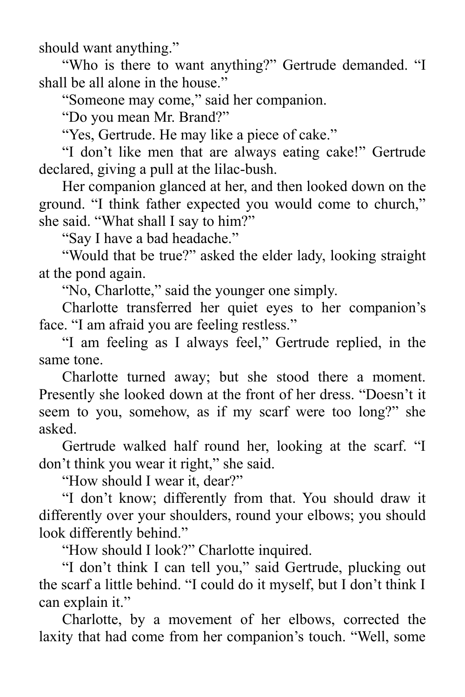should want anything."

"Who is there to want anything?" Gertrude demanded. "I shall be all alone in the house."

"Someone may come," said her companion.

"Do you mean Mr. Brand?"

"Yes, Gertrude. He may like a piece of cake."

"I don't like men that are always eating cake!" Gertrude declared, giving a pull at the lilac-bush.

Her companion glanced at her, and then looked down on the ground. "I think father expected you would come to church," she said. "What shall I say to him?"

"Say I have a bad headache."

"Would that be true?" asked the elder lady, looking straight at the pond again.

"No, Charlotte," said the younger one simply.

Charlotte transferred her quiet eyes to her companion's face. "I am afraid you are feeling restless."

"I am feeling as I always feel," Gertrude replied, in the same tone.

Charlotte turned away; but she stood there a moment. Presently she looked down at the front of her dress. "Doesn't it seem to you, somehow, as if my scarf were too long?" she asked.

Gertrude walked half round her, looking at the scarf. "I don't think you wear it right," she said.

"How should I wear it, dear?"

"I don't know; differently from that. You should draw it differently over your shoulders, round your elbows; you should look differently behind."

"How should I look?" Charlotte inquired.

"I don't think I can tell you," said Gertrude, plucking out the scarf a little behind. "I could do it myself, but I don't think I can explain it."

Charlotte, by a movement of her elbows, corrected the laxity that had come from her companion's touch. "Well, some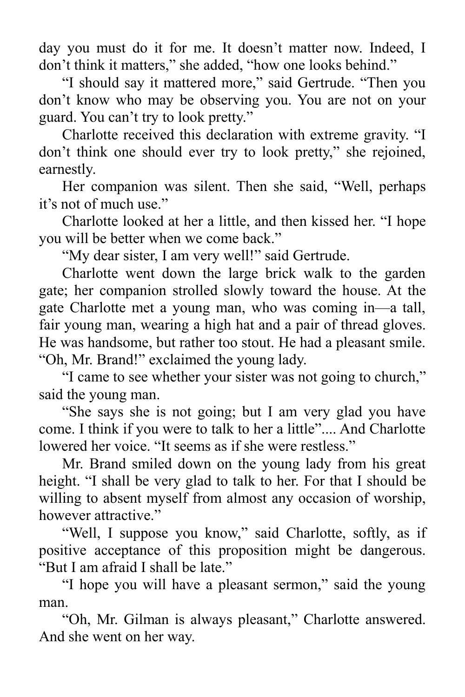day you must do it for me. It doesn't matter now. Indeed, I don't think it matters," she added, "how one looks behind."

"I should say it mattered more," said Gertrude. "Then you don't know who may be observing you. You are not on your guard. You can't try to look pretty."

Charlotte received this declaration with extreme gravity. "I don't think one should ever try to look pretty," she rejoined, earnestly.

Her companion was silent. Then she said, "Well, perhaps it's not of much use."

Charlotte looked at her a little, and then kissed her. "I hope you will be better when we come back."

"My dear sister, I am very well!" said Gertrude.

Charlotte went down the large brick walk to the garden gate; her companion strolled slowly toward the house. At the gate Charlotte met a young man, who was coming in—a tall, fair young man, wearing a high hat and a pair of thread gloves. He was handsome, but rather too stout. He had a pleasant smile. "Oh, Mr. Brand!" exclaimed the young lady.

"I came to see whether your sister was not going to church," said the young man.

"She says she is not going; but I am very glad you have come. I think if you were to talk to her a little".... And Charlotte lowered her voice. "It seems as if she were restless."

Mr. Brand smiled down on the young lady from his great height. "I shall be very glad to talk to her. For that I should be willing to absent myself from almost any occasion of worship, however attractive."

"Well, I suppose you know," said Charlotte, softly, as if positive acceptance of this proposition might be dangerous. "But I am afraid I shall be late."

"I hope you will have a pleasant sermon," said the young man.

"Oh, Mr. Gilman is always pleasant," Charlotte answered. And she went on her way.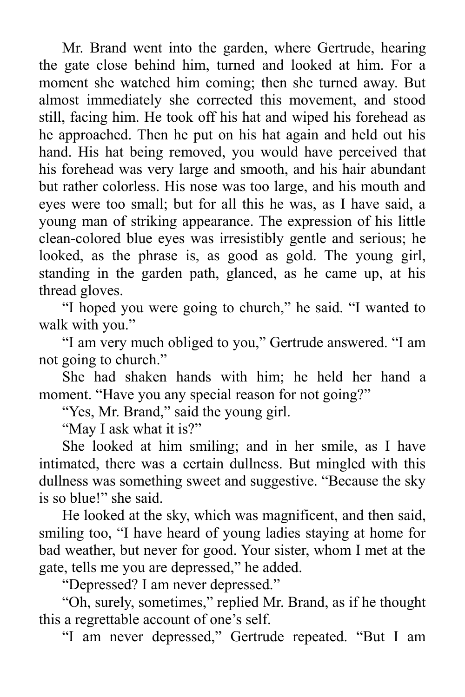Mr. Brand went into the garden, where Gertrude, hearing the gate close behind him, turned and looked at him. For a moment she watched him coming; then she turned away. But almost immediately she corrected this movement, and stood still, facing him. He took off his hat and wiped his forehead as he approached. Then he put on his hat again and held out his hand. His hat being removed, you would have perceived that his forehead was very large and smooth, and his hair abundant but rather colorless. His nose was too large, and his mouth and eyes were too small; but for all this he was, as I have said, a young man of striking appearance. The expression of his little clean-colored blue eyes was irresistibly gentle and serious; he looked, as the phrase is, as good as gold. The young girl, standing in the garden path, glanced, as he came up, at his thread gloves.

"I hoped you were going to church," he said. "I wanted to walk with you."

"I am very much obliged to you," Gertrude answered. "I am not going to church."

She had shaken hands with him; he held her hand a moment. "Have you any special reason for not going?"

"Yes, Mr. Brand," said the young girl.

"May I ask what it is?"

She looked at him smiling; and in her smile, as I have intimated, there was a certain dullness. But mingled with this dullness was something sweet and suggestive. "Because the sky is so blue!" she said.

He looked at the sky, which was magnificent, and then said, smiling too, "I have heard of young ladies staying at home for bad weather, but never for good. Your sister, whom I met at the gate, tells me you are depressed," he added.

"Depressed? I am never depressed."

"Oh, surely, sometimes," replied Mr. Brand, as if he thought this a regrettable account of one's self.

"I am never depressed," Gertrude repeated. "But I am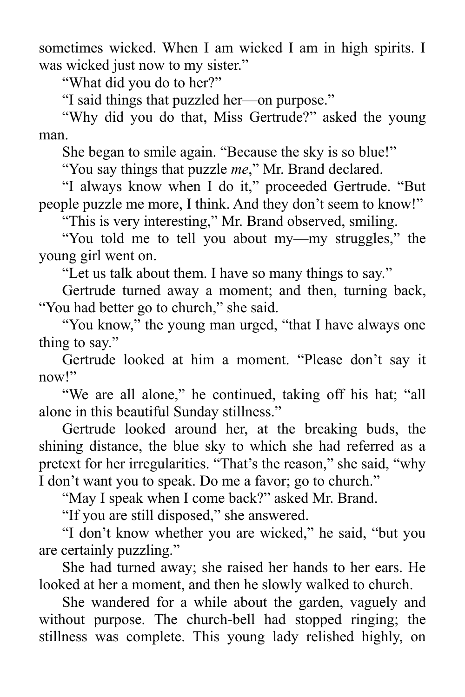sometimes wicked. When I am wicked I am in high spirits. I was wicked just now to my sister."

"What did you do to her?"

"I said things that puzzled her—on purpose."

"Why did you do that, Miss Gertrude?" asked the young man.

She began to smile again. "Because the sky is so blue!"

"You say things that puzzle *me*," Mr. Brand declared.

"I always know when I do it," proceeded Gertrude. "But people puzzle me more, I think. And they don't seem to know!"

"This is very interesting," Mr. Brand observed, smiling.

"You told me to tell you about my—my struggles," the young girl went on.

"Let us talk about them. I have so many things to say."

Gertrude turned away a moment; and then, turning back, "You had better go to church," she said.

"You know," the young man urged, "that I have always one thing to say."

Gertrude looked at him a moment. "Please don't say it now!"

"We are all alone," he continued, taking off his hat; "all alone in this beautiful Sunday stillness."

Gertrude looked around her, at the breaking buds, the shining distance, the blue sky to which she had referred as a pretext for her irregularities. "That's the reason," she said, "why I don't want you to speak. Do me a favor; go to church."

"May I speak when I come back?" asked Mr. Brand.

"If you are still disposed," she answered.

"I don't know whether you are wicked," he said, "but you are certainly puzzling."

She had turned away; she raised her hands to her ears. He looked at her a moment, and then he slowly walked to church.

She wandered for a while about the garden, vaguely and without purpose. The church-bell had stopped ringing; the stillness was complete. This young lady relished highly, on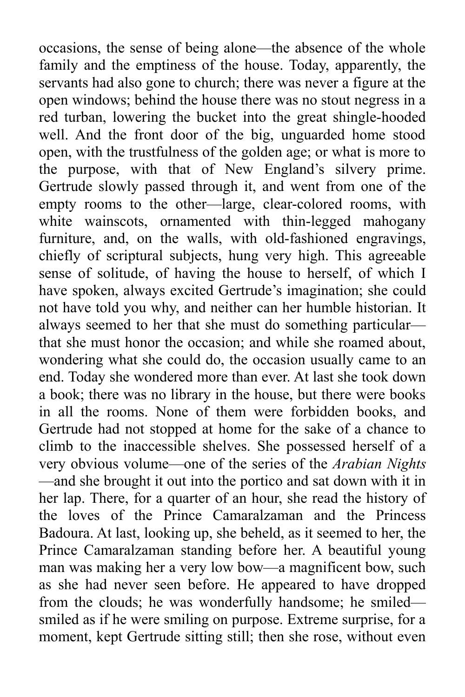occasions, the sense of being alone—the absence of the whole family and the emptiness of the house. Today, apparently, the servants had also gone to church; there was never a figure at the open windows; behind the house there was no stout negress in a red turban, lowering the bucket into the great shingle-hooded well. And the front door of the big, unguarded home stood open, with the trustfulness of the golden age; or what is more to the purpose, with that of New England's silvery prime. Gertrude slowly passed through it, and went from one of the empty rooms to the other—large, clear-colored rooms, with white wainscots, ornamented with thin-legged mahogany furniture, and, on the walls, with old-fashioned engravings, chiefly of scriptural subjects, hung very high. This agreeable sense of solitude, of having the house to herself, of which I have spoken, always excited Gertrude's imagination; she could not have told you why, and neither can her humble historian. It always seemed to her that she must do something particular that she must honor the occasion; and while she roamed about, wondering what she could do, the occasion usually came to an end. Today she wondered more than ever. At last she took down a book; there was no library in the house, but there were books in all the rooms. None of them were forbidden books, and Gertrude had not stopped at home for the sake of a chance to climb to the inaccessible shelves. She possessed herself of a very obvious volume—one of the series of the *Arabian Nights* —and she brought it out into the portico and sat down with it in her lap. There, for a quarter of an hour, she read the history of the loves of the Prince Camaralzaman and the Princess Badoura. At last, looking up, she beheld, as it seemed to her, the Prince Camaralzaman standing before her. A beautiful young man was making her a very low bow—a magnificent bow, such as she had never seen before. He appeared to have dropped from the clouds; he was wonderfully handsome; he smiled smiled as if he were smiling on purpose. Extreme surprise, for a moment, kept Gertrude sitting still; then she rose, without even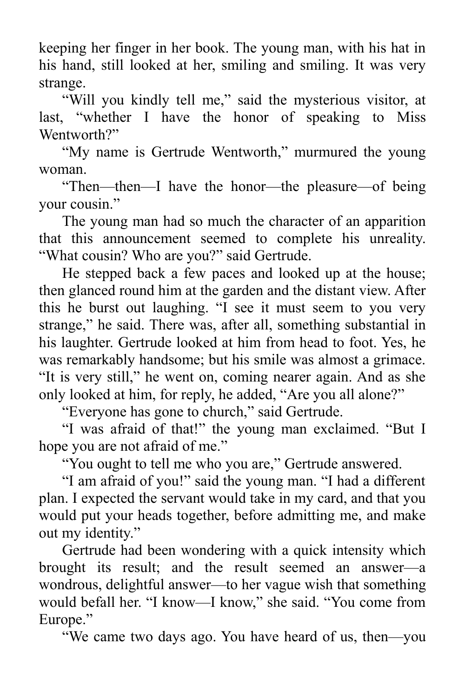keeping her finger in her book. The young man, with his hat in his hand, still looked at her, smiling and smiling. It was very strange.

"Will you kindly tell me," said the mysterious visitor, at last, "whether I have the honor of speaking to Miss Wentworth?"

"My name is Gertrude Wentworth," murmured the young woman.

"Then—then—I have the honor—the pleasure—of being your cousin."

The young man had so much the character of an apparition that this announcement seemed to complete his unreality. "What cousin? Who are you?" said Gertrude.

He stepped back a few paces and looked up at the house; then glanced round him at the garden and the distant view. After this he burst out laughing. "I see it must seem to you very strange," he said. There was, after all, something substantial in his laughter. Gertrude looked at him from head to foot. Yes, he was remarkably handsome; but his smile was almost a grimace. "It is very still," he went on, coming nearer again. And as she only looked at him, for reply, he added, "Are you all alone?"

"Everyone has gone to church," said Gertrude.

"I was afraid of that!" the young man exclaimed. "But I hope you are not afraid of me."

"You ought to tell me who you are," Gertrude answered.

"I am afraid of you!" said the young man. "I had a different plan. I expected the servant would take in my card, and that you would put your heads together, before admitting me, and make out my identity."

Gertrude had been wondering with a quick intensity which brought its result; and the result seemed an answer—a wondrous, delightful answer—to her vague wish that something would befall her. "I know—I know," she said. "You come from Europe."

"We came two days ago. You have heard of us, then—you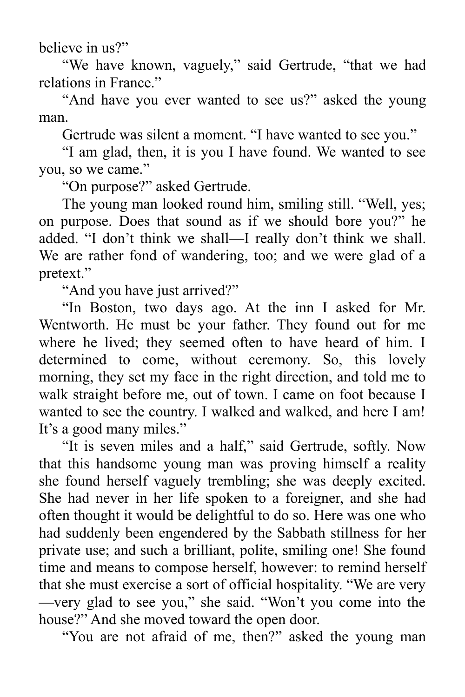believe in us?"

"We have known, vaguely," said Gertrude, "that we had relations in France."

"And have you ever wanted to see us?" asked the young man.

Gertrude was silent a moment. "I have wanted to see you."

"I am glad, then, it is you I have found. We wanted to see you, so we came."

"On purpose?" asked Gertrude.

The young man looked round him, smiling still. "Well, yes; on purpose. Does that sound as if we should bore you?" he added. "I don't think we shall—I really don't think we shall. We are rather fond of wandering, too; and we were glad of a pretext."

"And you have just arrived?"

"In Boston, two days ago. At the inn I asked for Mr. Wentworth. He must be your father. They found out for me where he lived; they seemed often to have heard of him. I determined to come, without ceremony. So, this lovely morning, they set my face in the right direction, and told me to walk straight before me, out of town. I came on foot because I wanted to see the country. I walked and walked, and here I am! It's a good many miles."

"It is seven miles and a half," said Gertrude, softly. Now that this handsome young man was proving himself a reality she found herself vaguely trembling; she was deeply excited. She had never in her life spoken to a foreigner, and she had often thought it would be delightful to do so. Here was one who had suddenly been engendered by the Sabbath stillness for her private use; and such a brilliant, polite, smiling one! She found time and means to compose herself, however: to remind herself that she must exercise a sort of official hospitality. "We are very —very glad to see you," she said. "Won't you come into the house?" And she moved toward the open door.

"You are not afraid of me, then?" asked the young man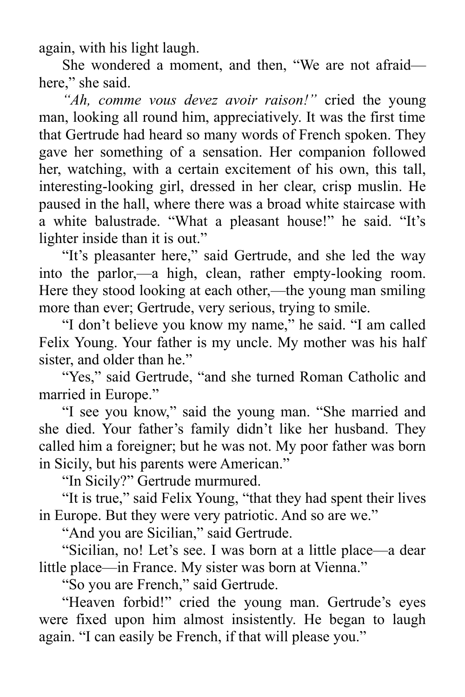again, with his light laugh.

She wondered a moment, and then, "We are not afraid here." she said.

*"Ah, comme vous devez avoir raison!"* cried the young man, looking all round him, appreciatively. It was the first time that Gertrude had heard so many words of French spoken. They gave her something of a sensation. Her companion followed her, watching, with a certain excitement of his own, this tall, interesting-looking girl, dressed in her clear, crisp muslin. He paused in the hall, where there was a broad white staircase with a white balustrade. "What a pleasant house!" he said. "It's lighter inside than it is out."

"It's pleasanter here," said Gertrude, and she led the way into the parlor,—a high, clean, rather empty-looking room. Here they stood looking at each other,—the young man smiling more than ever; Gertrude, very serious, trying to smile.

"I don't believe you know my name," he said. "I am called Felix Young. Your father is my uncle. My mother was his half sister, and older than he."

"Yes," said Gertrude, "and she turned Roman Catholic and married in Europe."

"I see you know," said the young man. "She married and she died. Your father's family didn't like her husband. They called him a foreigner; but he was not. My poor father was born in Sicily, but his parents were American."

"In Sicily?" Gertrude murmured.

"It is true," said Felix Young, "that they had spent their lives in Europe. But they were very patriotic. And so are we."

"And you are Sicilian," said Gertrude.

"Sicilian, no! Let's see. I was born at a little place—a dear little place—in France. My sister was born at Vienna."

"So you are French," said Gertrude.

"Heaven forbid!" cried the young man. Gertrude's eyes were fixed upon him almost insistently. He began to laugh again. "I can easily be French, if that will please you."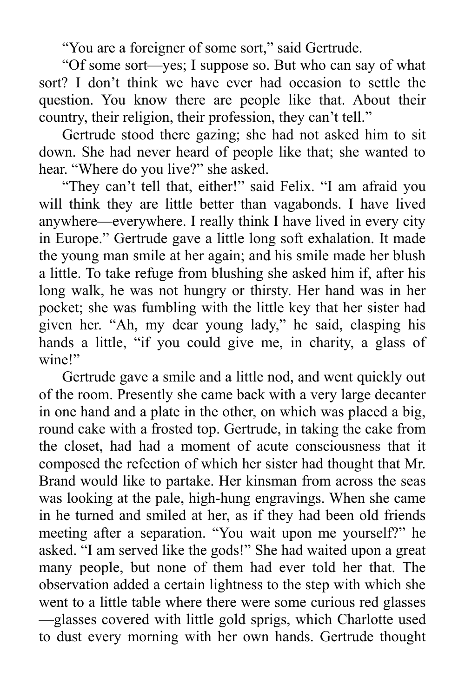"You are a foreigner of some sort," said Gertrude.

"Of some sort—yes; I suppose so. But who can say of what sort? I don't think we have ever had occasion to settle the question. You know there are people like that. About their country, their religion, their profession, they can't tell."

Gertrude stood there gazing; she had not asked him to sit down. She had never heard of people like that; she wanted to hear. "Where do you live?" she asked.

"They can't tell that, either!" said Felix. "I am afraid you will think they are little better than vagabonds. I have lived anywhere—everywhere. I really think I have lived in every city in Europe." Gertrude gave a little long soft exhalation. It made the young man smile at her again; and his smile made her blush a little. To take refuge from blushing she asked him if, after his long walk, he was not hungry or thirsty. Her hand was in her pocket; she was fumbling with the little key that her sister had given her. "Ah, my dear young lady," he said, clasping his hands a little, "if you could give me, in charity, a glass of wine!"

Gertrude gave a smile and a little nod, and went quickly out of the room. Presently she came back with a very large decanter in one hand and a plate in the other, on which was placed a big, round cake with a frosted top. Gertrude, in taking the cake from the closet, had had a moment of acute consciousness that it composed the refection of which her sister had thought that Mr. Brand would like to partake. Her kinsman from across the seas was looking at the pale, high-hung engravings. When she came in he turned and smiled at her, as if they had been old friends meeting after a separation. "You wait upon me yourself?" he asked. "I am served like the gods!" She had waited upon a great many people, but none of them had ever told her that. The observation added a certain lightness to the step with which she went to a little table where there were some curious red glasses —glasses covered with little gold sprigs, which Charlotte used to dust every morning with her own hands. Gertrude thought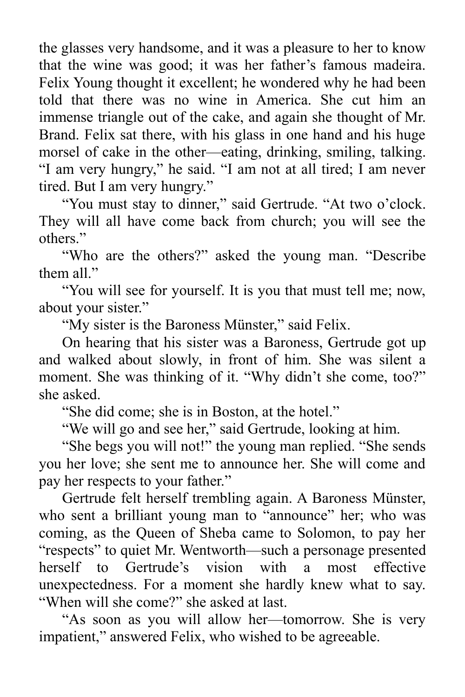the glasses very handsome, and it was a pleasure to her to know that the wine was good; it was her father's famous madeira. Felix Young thought it excellent; he wondered why he had been told that there was no wine in America. She cut him an immense triangle out of the cake, and again she thought of Mr. Brand. Felix sat there, with his glass in one hand and his huge morsel of cake in the other—eating, drinking, smiling, talking. "I am very hungry," he said. "I am not at all tired; I am never tired. But I am very hungry."

"You must stay to dinner," said Gertrude. "At two o'clock. They will all have come back from church; you will see the others."

"Who are the others?" asked the young man. "Describe them all."

"You will see for yourself. It is you that must tell me; now, about your sister."

"My sister is the Baroness Münster," said Felix.

On hearing that his sister was a Baroness, Gertrude got up and walked about slowly, in front of him. She was silent a moment. She was thinking of it. "Why didn't she come, too?" she asked.

"She did come; she is in Boston, at the hotel."

"We will go and see her," said Gertrude, looking at him.

"She begs you will not!" the young man replied. "She sends you her love; she sent me to announce her. She will come and pay her respects to your father."

Gertrude felt herself trembling again. A Baroness Münster, who sent a brilliant young man to "announce" her; who was coming, as the Queen of Sheba came to Solomon, to pay her "respects" to quiet Mr. Wentworth—such a personage presented herself to Gertrude's vision with a most effective unexpectedness. For a moment she hardly knew what to say. "When will she come?" she asked at last.

"As soon as you will allow her—tomorrow. She is very impatient," answered Felix, who wished to be agreeable.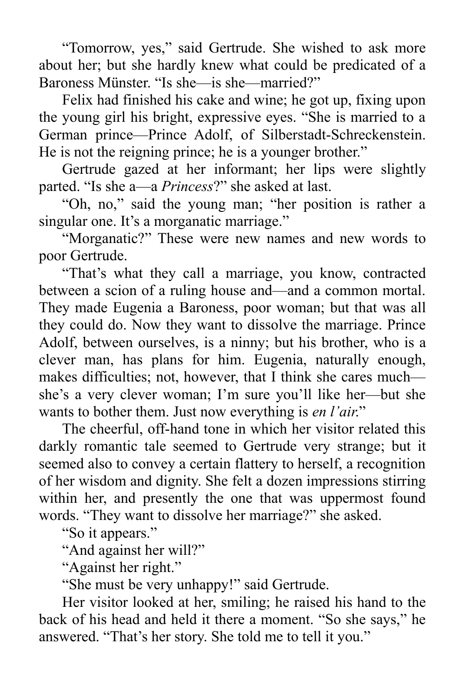"Tomorrow, yes," said Gertrude. She wished to ask more about her; but she hardly knew what could be predicated of a Baroness Münster. "Is she—is she—married?"

Felix had finished his cake and wine; he got up, fixing upon the young girl his bright, expressive eyes. "She is married to a German prince—Prince Adolf, of Silberstadt-Schreckenstein. He is not the reigning prince; he is a younger brother."

Gertrude gazed at her informant; her lips were slightly parted. "Is she a—a *Princess*?" she asked at last.

"Oh, no," said the young man; "her position is rather a singular one. It's a morganatic marriage."

"Morganatic?" These were new names and new words to poor Gertrude.

"That's what they call a marriage, you know, contracted between a scion of a ruling house and—and a common mortal. They made Eugenia a Baroness, poor woman; but that was all they could do. Now they want to dissolve the marriage. Prince Adolf, between ourselves, is a ninny; but his brother, who is a clever man, has plans for him. Eugenia, naturally enough, makes difficulties; not, however, that I think she cares much she's a very clever woman; I'm sure you'll like her—but she wants to bother them. Just now everything is *en l'air*."

The cheerful, off-hand tone in which her visitor related this darkly romantic tale seemed to Gertrude very strange; but it seemed also to convey a certain flattery to herself, a recognition of her wisdom and dignity. She felt a dozen impressions stirring within her, and presently the one that was uppermost found words. "They want to dissolve her marriage?" she asked.

"So it appears."

"And against her will?"

"Against her right."

"She must be very unhappy!" said Gertrude.

Her visitor looked at her, smiling; he raised his hand to the back of his head and held it there a moment. "So she says," he answered. "That's her story. She told me to tell it you."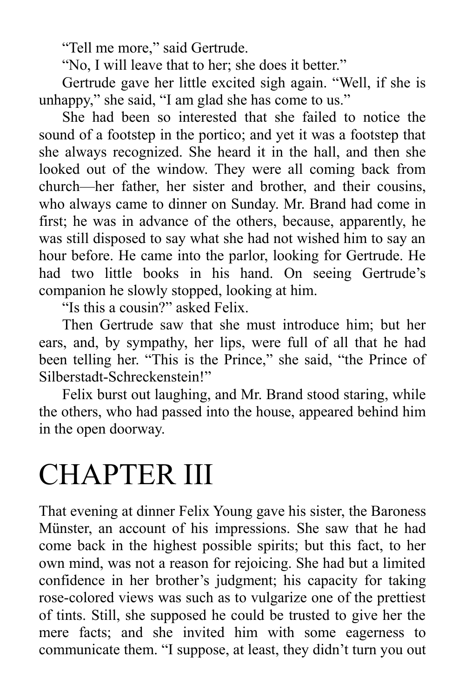"Tell me more," said Gertrude.

"No, I will leave that to her; she does it better."

Gertrude gave her little excited sigh again. "Well, if she is unhappy," she said, "I am glad she has come to us."

She had been so interested that she failed to notice the sound of a footstep in the portico; and yet it was a footstep that she always recognized. She heard it in the hall, and then she looked out of the window. They were all coming back from church—her father, her sister and brother, and their cousins, who always came to dinner on Sunday. Mr. Brand had come in first; he was in advance of the others, because, apparently, he was still disposed to say what she had not wished him to say an hour before. He came into the parlor, looking for Gertrude. He had two little books in his hand. On seeing Gertrude's companion he slowly stopped, looking at him.

"Is this a cousin?" asked Felix.

Then Gertrude saw that she must introduce him; but her ears, and, by sympathy, her lips, were full of all that he had been telling her. "This is the Prince," she said, "the Prince of Silberstadt-Schreckenstein!"

Felix burst out laughing, and Mr. Brand stood staring, while the others, who had passed into the house, appeared behind him in the open doorway.

## CHAPTER III

That evening at dinner Felix Young gave his sister, the Baroness Münster, an account of his impressions. She saw that he had come back in the highest possible spirits; but this fact, to her own mind, was not a reason for rejoicing. She had but a limited confidence in her brother's judgment; his capacity for taking rose-colored views was such as to vulgarize one of the prettiest of tints. Still, she supposed he could be trusted to give her the mere facts; and she invited him with some eagerness to communicate them. "I suppose, at least, they didn't turn you out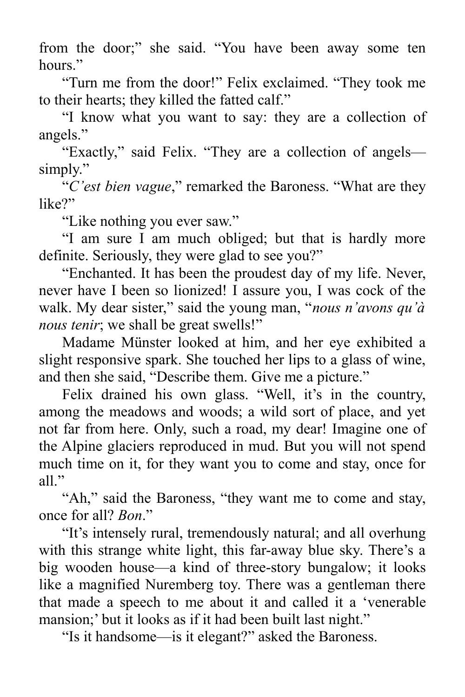from the door;" she said. "You have been away some ten hours"

"Turn me from the door!" Felix exclaimed. "They took me to their hearts; they killed the fatted calf."

"I know what you want to say: they are a collection of angels."

"Exactly," said Felix. "They are a collection of angels simply."

"*C'est bien vague*," remarked the Baroness. "What are they like?"

"Like nothing you ever saw."

"I am sure I am much obliged; but that is hardly more definite. Seriously, they were glad to see you?"

"Enchanted. It has been the proudest day of my life. Never, never have I been so lionized! I assure you, I was cock of the walk. My dear sister," said the young man, "*nous n'avons qu'à nous tenir*; we shall be great swells!"

Madame Münster looked at him, and her eye exhibited a slight responsive spark. She touched her lips to a glass of wine, and then she said, "Describe them. Give me a picture."

Felix drained his own glass. "Well, it's in the country, among the meadows and woods; a wild sort of place, and yet not far from here. Only, such a road, my dear! Imagine one of the Alpine glaciers reproduced in mud. But you will not spend much time on it, for they want you to come and stay, once for all."

"Ah," said the Baroness, "they want me to come and stay, once for all? *Bon*."

"It's intensely rural, tremendously natural; and all overhung with this strange white light, this far-away blue sky. There's a big wooden house—a kind of three-story bungalow; it looks like a magnified Nuremberg toy. There was a gentleman there that made a speech to me about it and called it a 'venerable mansion;' but it looks as if it had been built last night."

"Is it handsome—is it elegant?" asked the Baroness.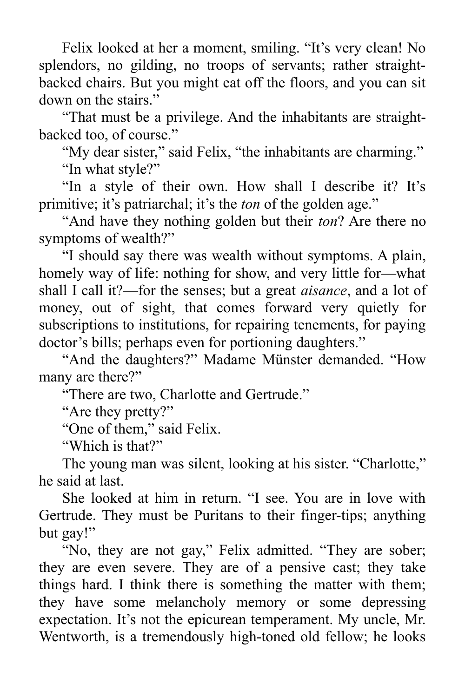Felix looked at her a moment, smiling. "It's very clean! No splendors, no gilding, no troops of servants; rather straightbacked chairs. But you might eat off the floors, and you can sit down on the stairs."

"That must be a privilege. And the inhabitants are straightbacked too, of course."

"My dear sister," said Felix, "the inhabitants are charming." "In what style?"

"In a style of their own. How shall I describe it? It's primitive; it's patriarchal; it's the *ton* of the golden age."

"And have they nothing golden but their *ton*? Are there no symptoms of wealth?"

"I should say there was wealth without symptoms. A plain, homely way of life: nothing for show, and very little for—what shall I call it?—for the senses; but a great *aisance*, and a lot of money, out of sight, that comes forward very quietly for subscriptions to institutions, for repairing tenements, for paying doctor's bills; perhaps even for portioning daughters."

"And the daughters?" Madame Münster demanded. "How many are there?"

"There are two, Charlotte and Gertrude."

"Are they pretty?"

"One of them," said Felix.

"Which is that?"

The young man was silent, looking at his sister. "Charlotte," he said at last.

She looked at him in return. "I see. You are in love with Gertrude. They must be Puritans to their finger-tips; anything but gay!"

"No, they are not gay," Felix admitted. "They are sober; they are even severe. They are of a pensive cast; they take things hard. I think there is something the matter with them; they have some melancholy memory or some depressing expectation. It's not the epicurean temperament. My uncle, Mr. Wentworth, is a tremendously high-toned old fellow; he looks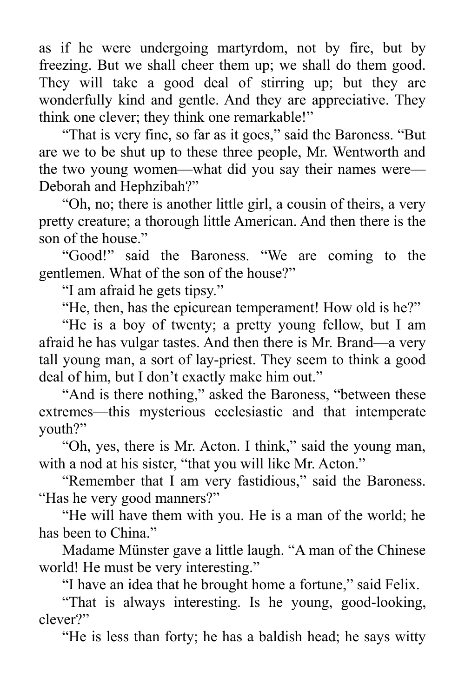as if he were undergoing martyrdom, not by fire, but by freezing. But we shall cheer them up; we shall do them good. They will take a good deal of stirring up; but they are wonderfully kind and gentle. And they are appreciative. They think one clever; they think one remarkable!"

"That is very fine, so far as it goes," said the Baroness. "But are we to be shut up to these three people, Mr. Wentworth and the two young women—what did you say their names were— Deborah and Hephzibah?"

"Oh, no; there is another little girl, a cousin of theirs, a very pretty creature; a thorough little American. And then there is the son of the house."

"Good!" said the Baroness. "We are coming to the gentlemen. What of the son of the house?"

"I am afraid he gets tipsy."

"He, then, has the epicurean temperament! How old is he?"

"He is a boy of twenty; a pretty young fellow, but I am afraid he has vulgar tastes. And then there is Mr. Brand—a very tall young man, a sort of lay-priest. They seem to think a good deal of him, but I don't exactly make him out."

"And is there nothing," asked the Baroness, "between these extremes—this mysterious ecclesiastic and that intemperate youth?"

"Oh, yes, there is Mr. Acton. I think," said the young man, with a nod at his sister, "that you will like Mr. Acton."

"Remember that I am very fastidious," said the Baroness. "Has he very good manners?"

"He will have them with you. He is a man of the world; he has been to China."

Madame Münster gave a little laugh. "A man of the Chinese world! He must be very interesting."

"I have an idea that he brought home a fortune," said Felix.

"That is always interesting. Is he young, good-looking, clever?"

"He is less than forty; he has a baldish head; he says witty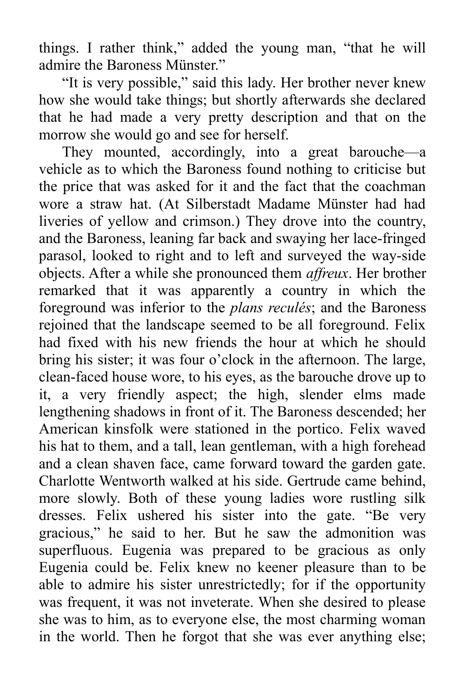things. I rather think," added the young man, "that he will admire the Baroness Münster."

"It is very possible," said this lady. Her brother never knew how she would take things; but shortly afterwards she declared that he had made a very pretty description and that on the morrow she would go and see for herself.

They mounted, accordingly, into a great barouche—a vehicle as to which the Baroness found nothing to criticise but the price that was asked for it and the fact that the coachman wore a straw hat. (At Silberstadt Madame Münster had had liveries of yellow and crimson.) They drove into the country, and the Baroness, leaning far back and swaying her lace-fringed parasol, looked to right and to left and surveyed the way-side objects. After a while she pronounced them *affreux*. Her brother remarked that it was apparently a country in which the foreground was inferior to the *plans reculés*; and the Baroness rejoined that the landscape seemed to be all foreground. Felix had fixed with his new friends the hour at which he should bring his sister; it was four o'clock in the afternoon. The large, clean-faced house wore, to his eyes, as the barouche drove up to it, a very friendly aspect; the high, slender elms made lengthening shadows in front of it. The Baroness descended; her American kinsfolk were stationed in the portico. Felix waved his hat to them, and a tall, lean gentleman, with a high forehead and a clean shaven face, came forward toward the garden gate. Charlotte Wentworth walked at his side. Gertrude came behind, more slowly. Both of these young ladies wore rustling silk dresses. Felix ushered his sister into the gate. "Be very gracious," he said to her. But he saw the admonition was superfluous. Eugenia was prepared to be gracious as only Eugenia could be. Felix knew no keener pleasure than to be able to admire his sister unrestrictedly; for if the opportunity was frequent, it was not inveterate. When she desired to please she was to him, as to everyone else, the most charming woman in the world. Then he forgot that she was ever anything else;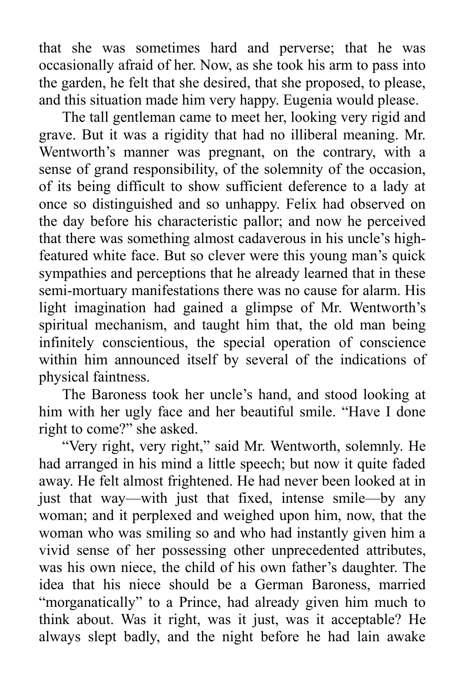that she was sometimes hard and perverse; that he was occasionally afraid of her. Now, as she took his arm to pass into the garden, he felt that she desired, that she proposed, to please, and this situation made him very happy. Eugenia would please.

The tall gentleman came to meet her, looking very rigid and grave. But it was a rigidity that had no illiberal meaning. Mr. Wentworth's manner was pregnant, on the contrary, with a sense of grand responsibility, of the solemnity of the occasion, of its being difficult to show sufficient deference to a lady at once so distinguished and so unhappy. Felix had observed on the day before his characteristic pallor; and now he perceived that there was something almost cadaverous in his uncle's highfeatured white face. But so clever were this young man's quick sympathies and perceptions that he already learned that in these semi-mortuary manifestations there was no cause for alarm. His light imagination had gained a glimpse of Mr. Wentworth's spiritual mechanism, and taught him that, the old man being infinitely conscientious, the special operation of conscience within him announced itself by several of the indications of physical faintness.

The Baroness took her uncle's hand, and stood looking at him with her ugly face and her beautiful smile. "Have I done right to come?" she asked.

"Very right, very right," said Mr. Wentworth, solemnly. He had arranged in his mind a little speech; but now it quite faded away. He felt almost frightened. He had never been looked at in just that way—with just that fixed, intense smile—by any woman; and it perplexed and weighed upon him, now, that the woman who was smiling so and who had instantly given him a vivid sense of her possessing other unprecedented attributes, was his own niece, the child of his own father's daughter. The idea that his niece should be a German Baroness, married "morganatically" to a Prince, had already given him much to think about. Was it right, was it just, was it acceptable? He always slept badly, and the night before he had lain awake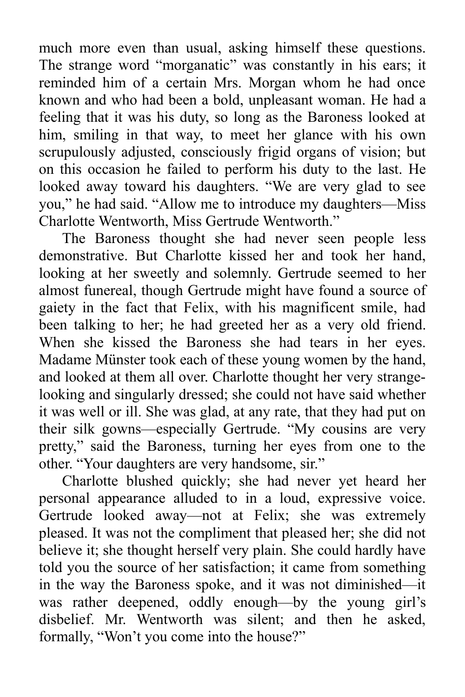much more even than usual, asking himself these questions. The strange word "morganatic" was constantly in his ears; it reminded him of a certain Mrs. Morgan whom he had once known and who had been a bold, unpleasant woman. He had a feeling that it was his duty, so long as the Baroness looked at him, smiling in that way, to meet her glance with his own scrupulously adjusted, consciously frigid organs of vision; but on this occasion he failed to perform his duty to the last. He looked away toward his daughters. "We are very glad to see you," he had said. "Allow me to introduce my daughters—Miss Charlotte Wentworth, Miss Gertrude Wentworth."

The Baroness thought she had never seen people less demonstrative. But Charlotte kissed her and took her hand, looking at her sweetly and solemnly. Gertrude seemed to her almost funereal, though Gertrude might have found a source of gaiety in the fact that Felix, with his magnificent smile, had been talking to her; he had greeted her as a very old friend. When she kissed the Baroness she had tears in her eyes. Madame Münster took each of these young women by the hand, and looked at them all over. Charlotte thought her very strangelooking and singularly dressed; she could not have said whether it was well or ill. She was glad, at any rate, that they had put on their silk gowns—especially Gertrude. "My cousins are very pretty," said the Baroness, turning her eyes from one to the other. "Your daughters are very handsome, sir."

Charlotte blushed quickly; she had never yet heard her personal appearance alluded to in a loud, expressive voice. Gertrude looked away—not at Felix; she was extremely pleased. It was not the compliment that pleased her; she did not believe it; she thought herself very plain. She could hardly have told you the source of her satisfaction; it came from something in the way the Baroness spoke, and it was not diminished—it was rather deepened, oddly enough—by the young girl's disbelief. Mr. Wentworth was silent; and then he asked, formally, "Won't you come into the house?"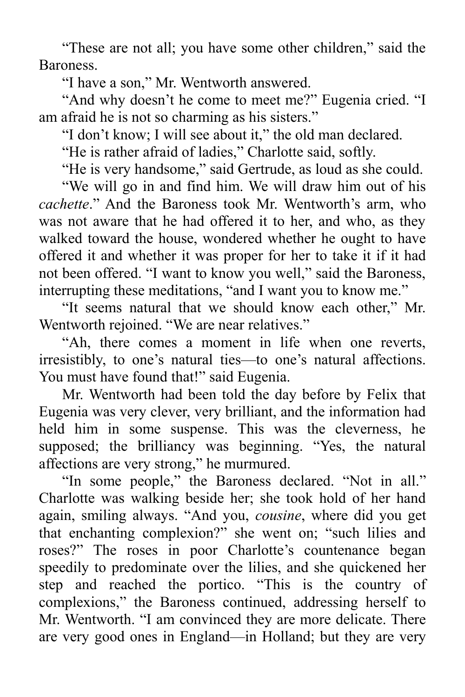"These are not all; you have some other children," said the Baroness.

"I have a son," Mr. Wentworth answered.

"And why doesn't he come to meet me?" Eugenia cried. "I am afraid he is not so charming as his sisters."

"I don't know; I will see about it," the old man declared.

"He is rather afraid of ladies," Charlotte said, softly.

"He is very handsome," said Gertrude, as loud as she could.

"We will go in and find him. We will draw him out of his *cachette*." And the Baroness took Mr. Wentworth's arm, who was not aware that he had offered it to her, and who, as they walked toward the house, wondered whether he ought to have offered it and whether it was proper for her to take it if it had not been offered. "I want to know you well," said the Baroness, interrupting these meditations, "and I want you to know me."

"It seems natural that we should know each other," Mr. Wentworth rejoined. "We are near relatives."

"Ah, there comes a moment in life when one reverts, irresistibly, to one's natural ties—to one's natural affections. You must have found that!" said Eugenia.

Mr. Wentworth had been told the day before by Felix that Eugenia was very clever, very brilliant, and the information had held him in some suspense. This was the cleverness, he supposed; the brilliancy was beginning. "Yes, the natural affections are very strong," he murmured.

"In some people," the Baroness declared. "Not in all." Charlotte was walking beside her; she took hold of her hand again, smiling always. "And you, *cousine*, where did you get that enchanting complexion?" she went on; "such lilies and roses?" The roses in poor Charlotte's countenance began speedily to predominate over the lilies, and she quickened her step and reached the portico. "This is the country of complexions," the Baroness continued, addressing herself to Mr. Wentworth. "I am convinced they are more delicate. There are very good ones in England—in Holland; but they are very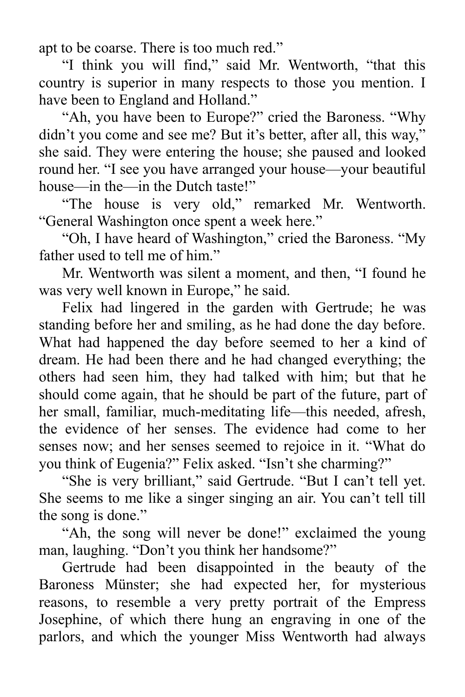apt to be coarse. There is too much red."

"I think you will find," said Mr. Wentworth, "that this country is superior in many respects to those you mention. I have been to England and Holland."

"Ah, you have been to Europe?" cried the Baroness. "Why didn't you come and see me? But it's better, after all, this way," she said. They were entering the house; she paused and looked round her. "I see you have arranged your house—your beautiful house—in the—in the Dutch taste!"

"The house is very old," remarked Mr. Wentworth. "General Washington once spent a week here."

"Oh, I have heard of Washington," cried the Baroness. "My father used to tell me of him."

Mr. Wentworth was silent a moment, and then, "I found he was very well known in Europe," he said.

Felix had lingered in the garden with Gertrude; he was standing before her and smiling, as he had done the day before. What had happened the day before seemed to her a kind of dream. He had been there and he had changed everything; the others had seen him, they had talked with him; but that he should come again, that he should be part of the future, part of her small, familiar, much-meditating life—this needed, afresh, the evidence of her senses. The evidence had come to her senses now; and her senses seemed to rejoice in it. "What do you think of Eugenia?" Felix asked. "Isn't she charming?"

"She is very brilliant," said Gertrude. "But I can't tell yet. She seems to me like a singer singing an air. You can't tell till the song is done."

"Ah, the song will never be done!" exclaimed the young man, laughing. "Don't you think her handsome?"

Gertrude had been disappointed in the beauty of the Baroness Münster; she had expected her, for mysterious reasons, to resemble a very pretty portrait of the Empress Josephine, of which there hung an engraving in one of the parlors, and which the younger Miss Wentworth had always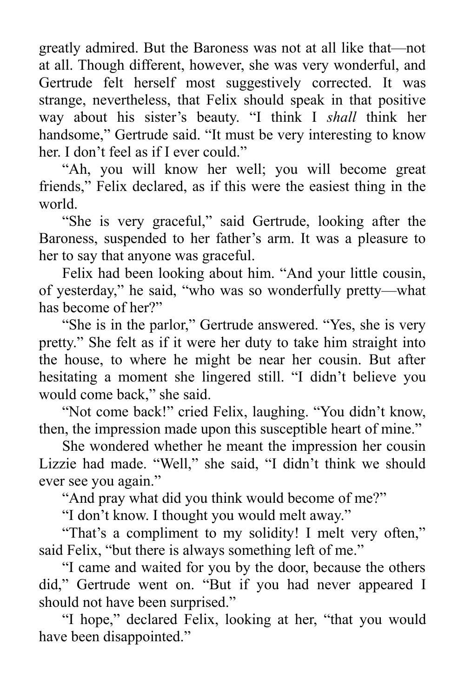greatly admired. But the Baroness was not at all like that—not at all. Though different, however, she was very wonderful, and Gertrude felt herself most suggestively corrected. It was strange, nevertheless, that Felix should speak in that positive way about his sister's beauty. "I think I *shall* think her handsome," Gertrude said. "It must be very interesting to know her. I don't feel as if I ever could."

"Ah, you will know her well; you will become great friends," Felix declared, as if this were the easiest thing in the world.

"She is very graceful," said Gertrude, looking after the Baroness, suspended to her father's arm. It was a pleasure to her to say that anyone was graceful.

Felix had been looking about him. "And your little cousin, of yesterday," he said, "who was so wonderfully pretty—what has become of her?"

"She is in the parlor," Gertrude answered. "Yes, she is very pretty." She felt as if it were her duty to take him straight into the house, to where he might be near her cousin. But after hesitating a moment she lingered still. "I didn't believe you would come back," she said.

"Not come back!" cried Felix, laughing. "You didn't know, then, the impression made upon this susceptible heart of mine."

She wondered whether he meant the impression her cousin Lizzie had made. "Well," she said, "I didn't think we should ever see you again."

"And pray what did you think would become of me?"

"I don't know. I thought you would melt away."

"That's a compliment to my solidity! I melt very often," said Felix, "but there is always something left of me."

"I came and waited for you by the door, because the others did," Gertrude went on. "But if you had never appeared I should not have been surprised."

"I hope," declared Felix, looking at her, "that you would have been disappointed."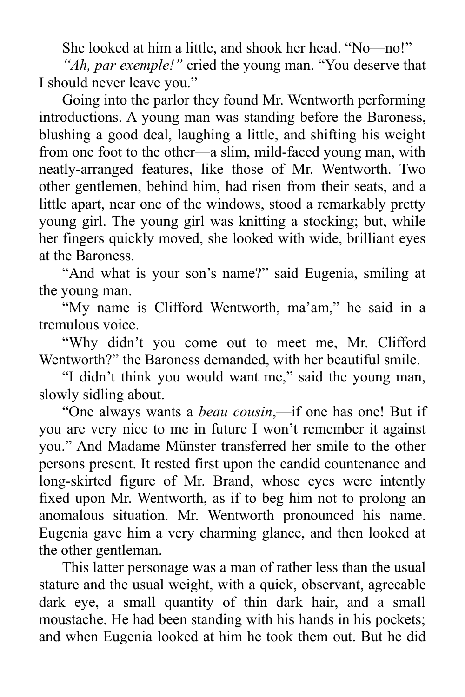She looked at him a little, and shook her head. "No—no!"

*"Ah, par exemple!"* cried the young man. "You deserve that I should never leave you."

Going into the parlor they found Mr. Wentworth performing introductions. A young man was standing before the Baroness, blushing a good deal, laughing a little, and shifting his weight from one foot to the other—a slim, mild-faced young man, with neatly-arranged features, like those of Mr. Wentworth. Two other gentlemen, behind him, had risen from their seats, and a little apart, near one of the windows, stood a remarkably pretty young girl. The young girl was knitting a stocking; but, while her fingers quickly moved, she looked with wide, brilliant eyes at the Baroness.

"And what is your son's name?" said Eugenia, smiling at the young man.

"My name is Clifford Wentworth, ma'am," he said in a tremulous voice.

"Why didn't you come out to meet me, Mr. Clifford Wentworth?" the Baroness demanded, with her beautiful smile.

"I didn't think you would want me," said the young man, slowly sidling about.

"One always wants a *beau cousin*,—if one has one! But if you are very nice to me in future I won't remember it against you." And Madame Münster transferred her smile to the other persons present. It rested first upon the candid countenance and long-skirted figure of Mr. Brand, whose eyes were intently fixed upon Mr. Wentworth, as if to beg him not to prolong an anomalous situation. Mr. Wentworth pronounced his name. Eugenia gave him a very charming glance, and then looked at the other gentleman.

This latter personage was a man of rather less than the usual stature and the usual weight, with a quick, observant, agreeable dark eye, a small quantity of thin dark hair, and a small moustache. He had been standing with his hands in his pockets; and when Eugenia looked at him he took them out. But he did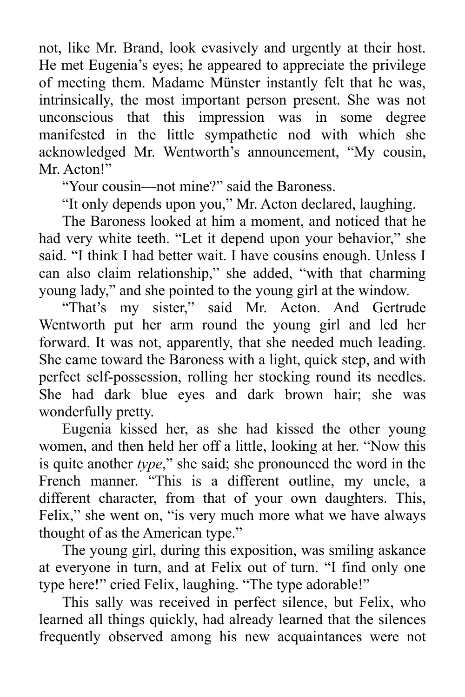not, like Mr. Brand, look evasively and urgently at their host. He met Eugenia's eyes; he appeared to appreciate the privilege of meeting them. Madame Münster instantly felt that he was, intrinsically, the most important person present. She was not unconscious that this impression was in some degree manifested in the little sympathetic nod with which she acknowledged Mr. Wentworth's announcement, "My cousin, Mr. Acton!"

"Your cousin—not mine?" said the Baroness.

"It only depends upon you," Mr. Acton declared, laughing.

The Baroness looked at him a moment, and noticed that he had very white teeth. "Let it depend upon your behavior," she said. "I think I had better wait. I have cousins enough. Unless I can also claim relationship," she added, "with that charming young lady," and she pointed to the young girl at the window.

"That's my sister," said Mr. Acton. And Gertrude Wentworth put her arm round the young girl and led her forward. It was not, apparently, that she needed much leading. She came toward the Baroness with a light, quick step, and with perfect self-possession, rolling her stocking round its needles. She had dark blue eyes and dark brown hair; she was wonderfully pretty.

Eugenia kissed her, as she had kissed the other young women, and then held her off a little, looking at her. "Now this is quite another *type*," she said; she pronounced the word in the French manner. "This is a different outline, my uncle, a different character, from that of your own daughters. This, Felix," she went on, "is very much more what we have always thought of as the American type."

The young girl, during this exposition, was smiling askance at everyone in turn, and at Felix out of turn. "I find only one type here!" cried Felix, laughing. "The type adorable!"

This sally was received in perfect silence, but Felix, who learned all things quickly, had already learned that the silences frequently observed among his new acquaintances were not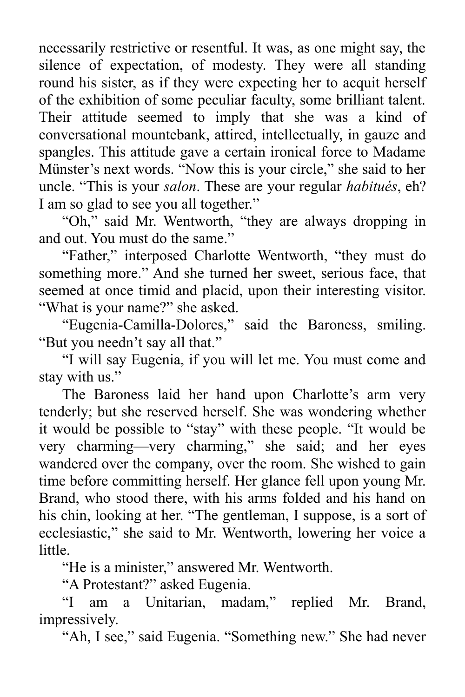necessarily restrictive or resentful. It was, as one might say, the silence of expectation, of modesty. They were all standing round his sister, as if they were expecting her to acquit herself of the exhibition of some peculiar faculty, some brilliant talent. Their attitude seemed to imply that she was a kind of conversational mountebank, attired, intellectually, in gauze and spangles. This attitude gave a certain ironical force to Madame Münster's next words. "Now this is your circle," she said to her uncle. "This is your *salon*. These are your regular *habitués*, eh? I am so glad to see you all together."

"Oh," said Mr. Wentworth, "they are always dropping in and out. You must do the same."

"Father," interposed Charlotte Wentworth, "they must do something more." And she turned her sweet, serious face, that seemed at once timid and placid, upon their interesting visitor. "What is your name?" she asked.

"Eugenia-Camilla-Dolores," said the Baroness, smiling. "But you needn't say all that."

"I will say Eugenia, if you will let me. You must come and stay with us."

The Baroness laid her hand upon Charlotte's arm very tenderly; but she reserved herself. She was wondering whether it would be possible to "stay" with these people. "It would be very charming—very charming," she said; and her eyes wandered over the company, over the room. She wished to gain time before committing herself. Her glance fell upon young Mr. Brand, who stood there, with his arms folded and his hand on his chin, looking at her. "The gentleman, I suppose, is a sort of ecclesiastic," she said to Mr. Wentworth, lowering her voice a little.

"He is a minister," answered Mr. Wentworth.

"A Protestant?" asked Eugenia.

"I am a Unitarian, madam," replied Mr. Brand, impressively.

"Ah, I see," said Eugenia. "Something new." She had never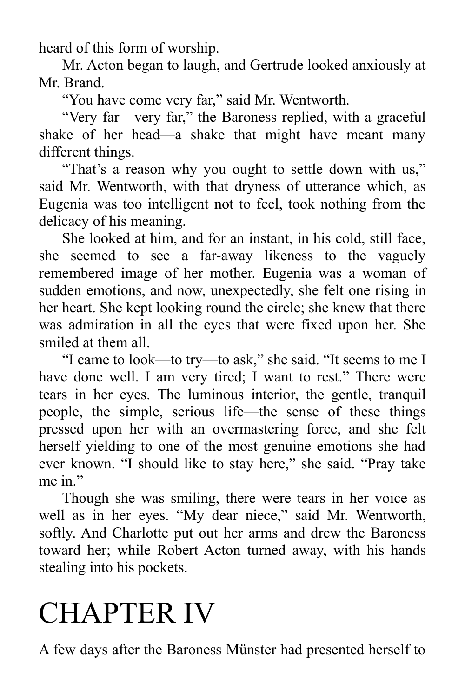heard of this form of worship.

Mr. Acton began to laugh, and Gertrude looked anxiously at Mr. Brand.

"You have come very far," said Mr. Wentworth.

"Very far—very far," the Baroness replied, with a graceful shake of her head—a shake that might have meant many different things.

"That's a reason why you ought to settle down with us," said Mr. Wentworth, with that dryness of utterance which, as Eugenia was too intelligent not to feel, took nothing from the delicacy of his meaning.

She looked at him, and for an instant, in his cold, still face, she seemed to see a far-away likeness to the vaguely remembered image of her mother. Eugenia was a woman of sudden emotions, and now, unexpectedly, she felt one rising in her heart. She kept looking round the circle; she knew that there was admiration in all the eyes that were fixed upon her. She smiled at them all.

"I came to look—to try—to ask," she said. "It seems to me I have done well. I am very tired; I want to rest." There were tears in her eyes. The luminous interior, the gentle, tranquil people, the simple, serious life—the sense of these things pressed upon her with an overmastering force, and she felt herself yielding to one of the most genuine emotions she had ever known. "I should like to stay here," she said. "Pray take me in "

Though she was smiling, there were tears in her voice as well as in her eyes. "My dear niece," said Mr. Wentworth, softly. And Charlotte put out her arms and drew the Baroness toward her; while Robert Acton turned away, with his hands stealing into his pockets.

## CHAPTER IV

A few days after the Baroness Münster had presented herself to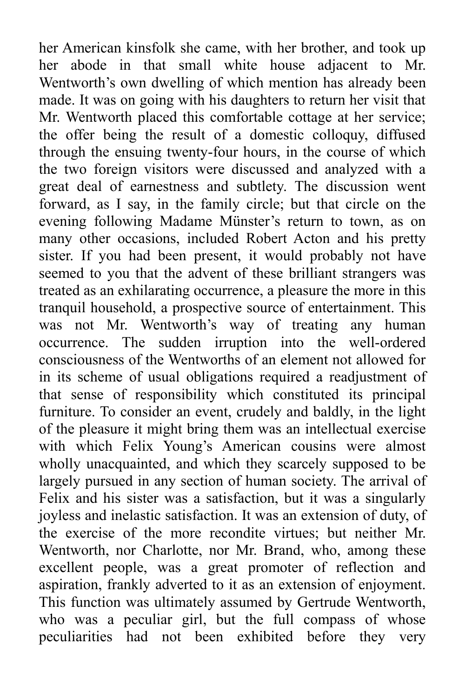her American kinsfolk she came, with her brother, and took up her abode in that small white house adjacent to Mr. Wentworth's own dwelling of which mention has already been made. It was on going with his daughters to return her visit that Mr. Wentworth placed this comfortable cottage at her service; the offer being the result of a domestic colloquy, diffused through the ensuing twenty-four hours, in the course of which the two foreign visitors were discussed and analyzed with a great deal of earnestness and subtlety. The discussion went forward, as I say, in the family circle; but that circle on the evening following Madame Münster's return to town, as on many other occasions, included Robert Acton and his pretty sister. If you had been present, it would probably not have seemed to you that the advent of these brilliant strangers was treated as an exhilarating occurrence, a pleasure the more in this tranquil household, a prospective source of entertainment. This was not Mr. Wentworth's way of treating any human occurrence. The sudden irruption into the well-ordered consciousness of the Wentworths of an element not allowed for in its scheme of usual obligations required a readjustment of that sense of responsibility which constituted its principal furniture. To consider an event, crudely and baldly, in the light of the pleasure it might bring them was an intellectual exercise with which Felix Young's American cousins were almost wholly unacquainted, and which they scarcely supposed to be largely pursued in any section of human society. The arrival of Felix and his sister was a satisfaction, but it was a singularly joyless and inelastic satisfaction. It was an extension of duty, of the exercise of the more recondite virtues; but neither Mr. Wentworth, nor Charlotte, nor Mr. Brand, who, among these excellent people, was a great promoter of reflection and aspiration, frankly adverted to it as an extension of enjoyment. This function was ultimately assumed by Gertrude Wentworth, who was a peculiar girl, but the full compass of whose peculiarities had not been exhibited before they very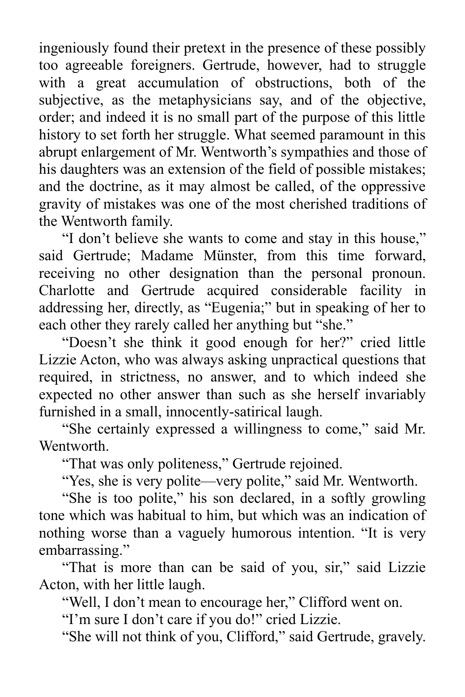ingeniously found their pretext in the presence of these possibly too agreeable foreigners. Gertrude, however, had to struggle with a great accumulation of obstructions, both of the subjective, as the metaphysicians say, and of the objective, order; and indeed it is no small part of the purpose of this little history to set forth her struggle. What seemed paramount in this abrupt enlargement of Mr. Wentworth's sympathies and those of his daughters was an extension of the field of possible mistakes; and the doctrine, as it may almost be called, of the oppressive gravity of mistakes was one of the most cherished traditions of the Wentworth family.

"I don't believe she wants to come and stay in this house," said Gertrude; Madame Münster, from this time forward, receiving no other designation than the personal pronoun. Charlotte and Gertrude acquired considerable facility in addressing her, directly, as "Eugenia;" but in speaking of her to each other they rarely called her anything but "she."

"Doesn't she think it good enough for her?" cried little Lizzie Acton, who was always asking unpractical questions that required, in strictness, no answer, and to which indeed she expected no other answer than such as she herself invariably furnished in a small, innocently-satirical laugh.

"She certainly expressed a willingness to come," said Mr. Wentworth.

"That was only politeness," Gertrude rejoined.

"Yes, she is very polite—very polite," said Mr. Wentworth.

"She is too polite," his son declared, in a softly growling tone which was habitual to him, but which was an indication of nothing worse than a vaguely humorous intention. "It is very embarrassing."

"That is more than can be said of you, sir," said Lizzie Acton, with her little laugh.

"Well, I don't mean to encourage her," Clifford went on.

"I'm sure I don't care if you do!" cried Lizzie.

"She will not think of you, Clifford," said Gertrude, gravely.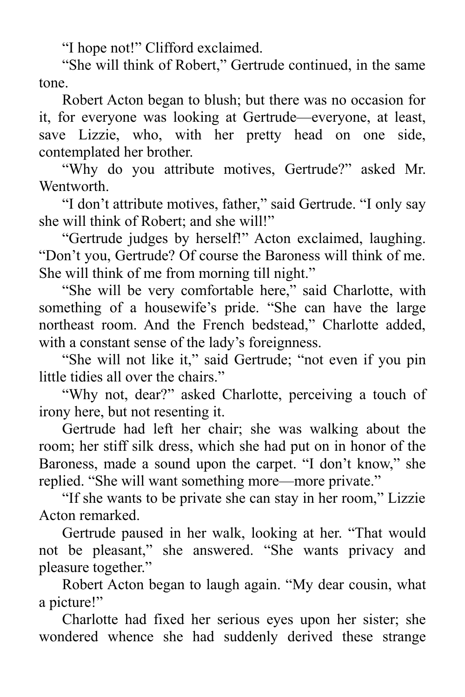"I hope not!" Clifford exclaimed.

"She will think of Robert," Gertrude continued, in the same tone.

Robert Acton began to blush; but there was no occasion for it, for everyone was looking at Gertrude—everyone, at least, save Lizzie, who, with her pretty head on one side, contemplated her brother.

"Why do you attribute motives, Gertrude?" asked Mr. Wentworth.

"I don't attribute motives, father," said Gertrude. "I only say she will think of Robert; and she will!"

"Gertrude judges by herself!" Acton exclaimed, laughing. "Don't you, Gertrude? Of course the Baroness will think of me. She will think of me from morning till night."

"She will be very comfortable here," said Charlotte, with something of a housewife's pride. "She can have the large northeast room. And the French bedstead," Charlotte added, with a constant sense of the lady's foreignness.

"She will not like it," said Gertrude; "not even if you pin little tidies all over the chairs."

"Why not, dear?" asked Charlotte, perceiving a touch of irony here, but not resenting it.

Gertrude had left her chair; she was walking about the room; her stiff silk dress, which she had put on in honor of the Baroness, made a sound upon the carpet. "I don't know," she replied. "She will want something more—more private."

"If she wants to be private she can stay in her room," Lizzie Acton remarked.

Gertrude paused in her walk, looking at her. "That would not be pleasant," she answered. "She wants privacy and pleasure together."

Robert Acton began to laugh again. "My dear cousin, what a picture!"

Charlotte had fixed her serious eyes upon her sister; she wondered whence she had suddenly derived these strange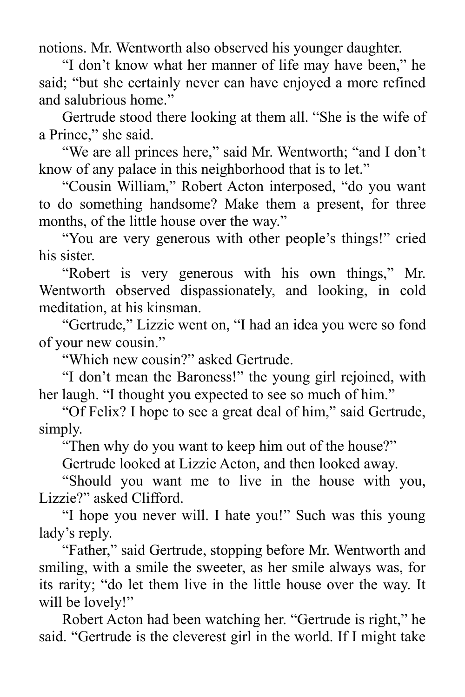notions. Mr. Wentworth also observed his younger daughter.

"I don't know what her manner of life may have been," he said; "but she certainly never can have enjoyed a more refined and salubrious home."

Gertrude stood there looking at them all. "She is the wife of a Prince," she said.

"We are all princes here," said Mr. Wentworth; "and I don't know of any palace in this neighborhood that is to let."

"Cousin William," Robert Acton interposed, "do you want to do something handsome? Make them a present, for three months, of the little house over the way."

"You are very generous with other people's things!" cried his sister.

"Robert is very generous with his own things," Mr. Wentworth observed dispassionately, and looking, in cold meditation, at his kinsman.

"Gertrude," Lizzie went on, "I had an idea you were so fond of your new cousin."

"Which new cousin?" asked Gertrude.

"I don't mean the Baroness!" the young girl rejoined, with her laugh. "I thought you expected to see so much of him."

"Of Felix? I hope to see a great deal of him," said Gertrude, simply.

"Then why do you want to keep him out of the house?"

Gertrude looked at Lizzie Acton, and then looked away.

"Should you want me to live in the house with you, Lizzie?" asked Clifford.

"I hope you never will. I hate you!" Such was this young lady's reply.

"Father," said Gertrude, stopping before Mr. Wentworth and smiling, with a smile the sweeter, as her smile always was, for its rarity; "do let them live in the little house over the way. It will be lovely!"

Robert Acton had been watching her. "Gertrude is right," he said. "Gertrude is the cleverest girl in the world. If I might take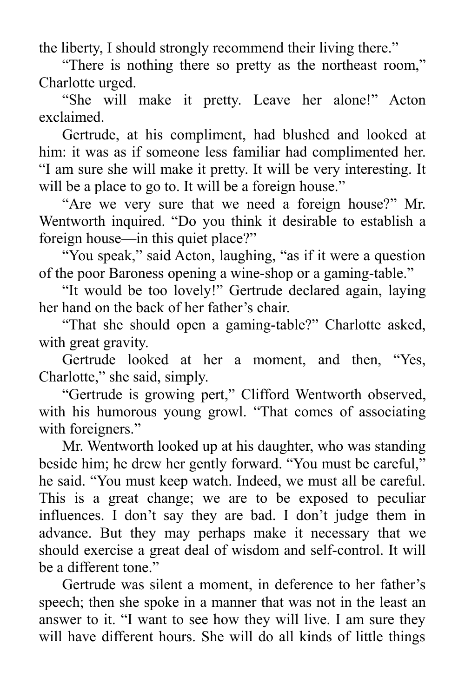the liberty, I should strongly recommend their living there."

"There is nothing there so pretty as the northeast room," Charlotte urged.

"She will make it pretty. Leave her alone!" Acton exclaimed.

Gertrude, at his compliment, had blushed and looked at him: it was as if someone less familiar had complimented her. "I am sure she will make it pretty. It will be very interesting. It will be a place to go to. It will be a foreign house."

"Are we very sure that we need a foreign house?" Mr. Wentworth inquired. "Do you think it desirable to establish a foreign house—in this quiet place?"

"You speak," said Acton, laughing, "as if it were a question of the poor Baroness opening a wine-shop or a gaming-table."

"It would be too lovely!" Gertrude declared again, laying her hand on the back of her father's chair.

"That she should open a gaming-table?" Charlotte asked, with great gravity.

Gertrude looked at her a moment, and then, "Yes, Charlotte," she said, simply.

"Gertrude is growing pert," Clifford Wentworth observed, with his humorous young growl. "That comes of associating with foreigners."

Mr. Wentworth looked up at his daughter, who was standing beside him; he drew her gently forward. "You must be careful," he said. "You must keep watch. Indeed, we must all be careful. This is a great change; we are to be exposed to peculiar influences. I don't say they are bad. I don't judge them in advance. But they may perhaps make it necessary that we should exercise a great deal of wisdom and self-control. It will be a different tone."

Gertrude was silent a moment, in deference to her father's speech; then she spoke in a manner that was not in the least an answer to it. "I want to see how they will live. I am sure they will have different hours. She will do all kinds of little things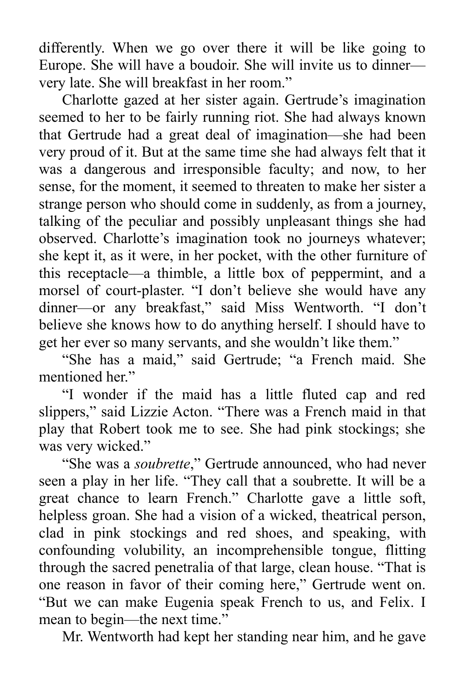differently. When we go over there it will be like going to Europe. She will have a boudoir. She will invite us to dinner very late. She will breakfast in her room."

Charlotte gazed at her sister again. Gertrude's imagination seemed to her to be fairly running riot. She had always known that Gertrude had a great deal of imagination—she had been very proud of it. But at the same time she had always felt that it was a dangerous and irresponsible faculty; and now, to her sense, for the moment, it seemed to threaten to make her sister a strange person who should come in suddenly, as from a journey, talking of the peculiar and possibly unpleasant things she had observed. Charlotte's imagination took no journeys whatever; she kept it, as it were, in her pocket, with the other furniture of this receptacle—a thimble, a little box of peppermint, and a morsel of court-plaster. "I don't believe she would have any dinner—or any breakfast," said Miss Wentworth. "I don't believe she knows how to do anything herself. I should have to get her ever so many servants, and she wouldn't like them."

"She has a maid," said Gertrude; "a French maid. She mentioned her."

"I wonder if the maid has a little fluted cap and red slippers," said Lizzie Acton. "There was a French maid in that play that Robert took me to see. She had pink stockings; she was very wicked."

"She was a *soubrette*," Gertrude announced, who had never seen a play in her life. "They call that a soubrette. It will be a great chance to learn French." Charlotte gave a little soft, helpless groan. She had a vision of a wicked, theatrical person, clad in pink stockings and red shoes, and speaking, with confounding volubility, an incomprehensible tongue, flitting through the sacred penetralia of that large, clean house. "That is one reason in favor of their coming here," Gertrude went on. "But we can make Eugenia speak French to us, and Felix. I mean to begin—the next time."

Mr. Wentworth had kept her standing near him, and he gave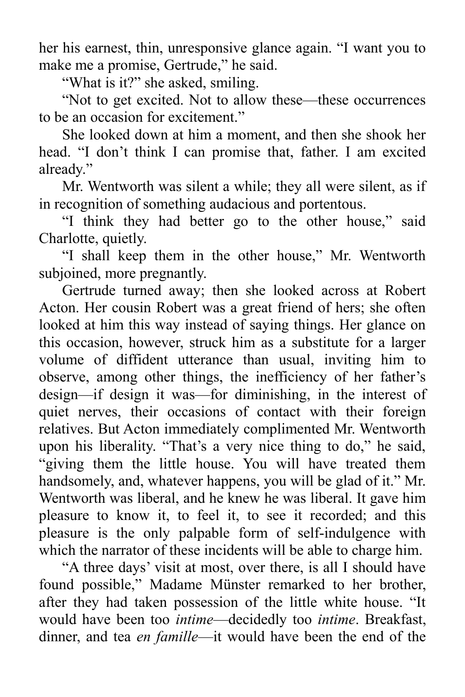her his earnest, thin, unresponsive glance again. "I want you to make me a promise, Gertrude," he said.

"What is it?" she asked, smiling.

"Not to get excited. Not to allow these—these occurrences to be an occasion for excitement."

She looked down at him a moment, and then she shook her head. "I don't think I can promise that, father. I am excited already."

Mr. Wentworth was silent a while; they all were silent, as if in recognition of something audacious and portentous.

"I think they had better go to the other house," said Charlotte, quietly.

"I shall keep them in the other house," Mr. Wentworth subjoined, more pregnantly.

Gertrude turned away; then she looked across at Robert Acton. Her cousin Robert was a great friend of hers; she often looked at him this way instead of saying things. Her glance on this occasion, however, struck him as a substitute for a larger volume of diffident utterance than usual, inviting him to observe, among other things, the inefficiency of her father's design—if design it was—for diminishing, in the interest of quiet nerves, their occasions of contact with their foreign relatives. But Acton immediately complimented Mr. Wentworth upon his liberality. "That's a very nice thing to do," he said, "giving them the little house. You will have treated them handsomely, and, whatever happens, you will be glad of it." Mr. Wentworth was liberal, and he knew he was liberal. It gave him pleasure to know it, to feel it, to see it recorded; and this pleasure is the only palpable form of self-indulgence with which the narrator of these incidents will be able to charge him.

"A three days' visit at most, over there, is all I should have found possible," Madame Münster remarked to her brother, after they had taken possession of the little white house. "It would have been too *intime*—decidedly too *intime*. Breakfast, dinner, and tea *en famille*—it would have been the end of the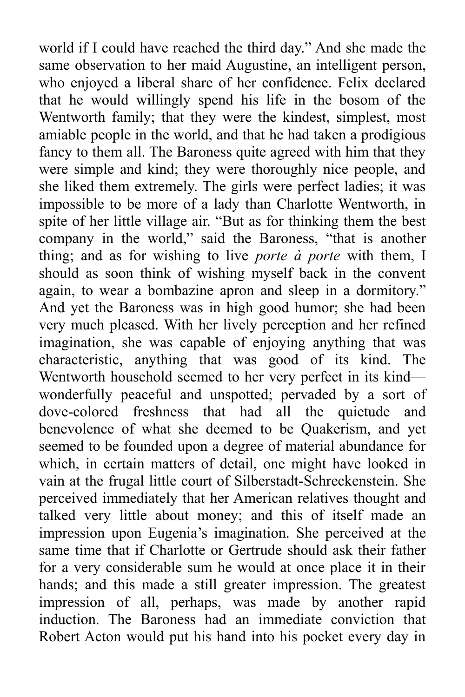world if I could have reached the third day." And she made the same observation to her maid Augustine, an intelligent person, who enjoyed a liberal share of her confidence. Felix declared that he would willingly spend his life in the bosom of the Wentworth family; that they were the kindest, simplest, most amiable people in the world, and that he had taken a prodigious fancy to them all. The Baroness quite agreed with him that they were simple and kind; they were thoroughly nice people, and she liked them extremely. The girls were perfect ladies; it was impossible to be more of a lady than Charlotte Wentworth, in spite of her little village air. "But as for thinking them the best company in the world," said the Baroness, "that is another thing; and as for wishing to live *porte à porte* with them, I should as soon think of wishing myself back in the convent again, to wear a bombazine apron and sleep in a dormitory." And yet the Baroness was in high good humor; she had been very much pleased. With her lively perception and her refined imagination, she was capable of enjoying anything that was characteristic, anything that was good of its kind. The Wentworth household seemed to her very perfect in its kind wonderfully peaceful and unspotted; pervaded by a sort of dove-colored freshness that had all the quietude and benevolence of what she deemed to be Quakerism, and yet seemed to be founded upon a degree of material abundance for which, in certain matters of detail, one might have looked in vain at the frugal little court of Silberstadt-Schreckenstein. She perceived immediately that her American relatives thought and talked very little about money; and this of itself made an impression upon Eugenia's imagination. She perceived at the same time that if Charlotte or Gertrude should ask their father for a very considerable sum he would at once place it in their hands; and this made a still greater impression. The greatest impression of all, perhaps, was made by another rapid induction. The Baroness had an immediate conviction that Robert Acton would put his hand into his pocket every day in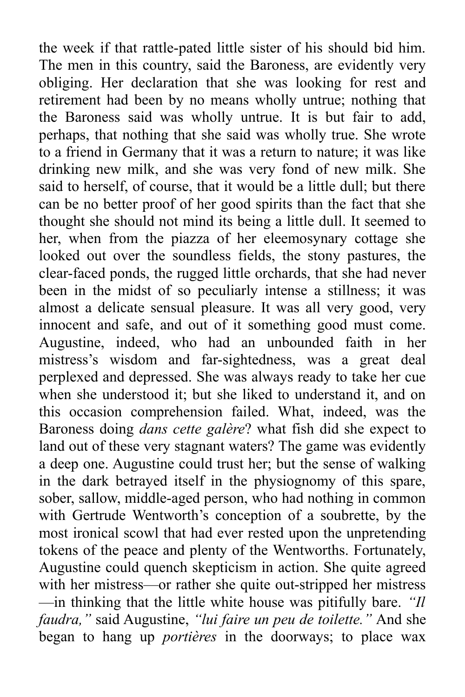the week if that rattle-pated little sister of his should bid him. The men in this country, said the Baroness, are evidently very obliging. Her declaration that she was looking for rest and retirement had been by no means wholly untrue; nothing that the Baroness said was wholly untrue. It is but fair to add, perhaps, that nothing that she said was wholly true. She wrote to a friend in Germany that it was a return to nature; it was like drinking new milk, and she was very fond of new milk. She said to herself, of course, that it would be a little dull; but there can be no better proof of her good spirits than the fact that she thought she should not mind its being a little dull. It seemed to her, when from the piazza of her eleemosynary cottage she looked out over the soundless fields, the stony pastures, the clear-faced ponds, the rugged little orchards, that she had never been in the midst of so peculiarly intense a stillness; it was almost a delicate sensual pleasure. It was all very good, very innocent and safe, and out of it something good must come. Augustine, indeed, who had an unbounded faith in her mistress's wisdom and far-sightedness, was a great deal perplexed and depressed. She was always ready to take her cue when she understood it; but she liked to understand it, and on this occasion comprehension failed. What, indeed, was the Baroness doing *dans cette galère*? what fish did she expect to land out of these very stagnant waters? The game was evidently a deep one. Augustine could trust her; but the sense of walking in the dark betrayed itself in the physiognomy of this spare, sober, sallow, middle-aged person, who had nothing in common with Gertrude Wentworth's conception of a soubrette, by the most ironical scowl that had ever rested upon the unpretending tokens of the peace and plenty of the Wentworths. Fortunately, Augustine could quench skepticism in action. She quite agreed with her mistress—or rather she quite out-stripped her mistress —in thinking that the little white house was pitifully bare. *"Il faudra,"* said Augustine, *"lui faire un peu de toilette."* And she began to hang up *portières* in the doorways; to place wax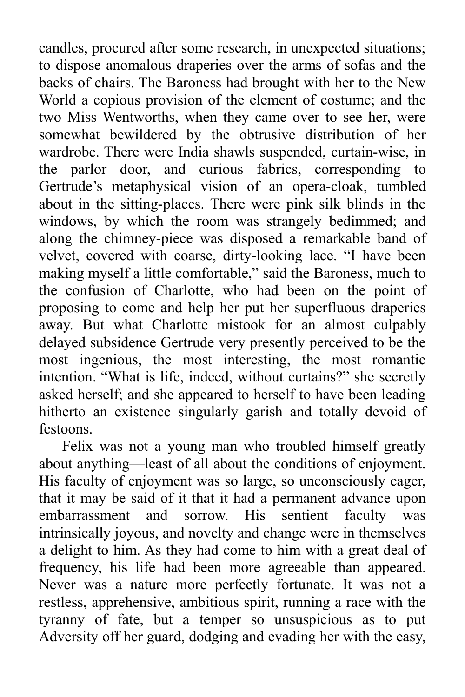candles, procured after some research, in unexpected situations; to dispose anomalous draperies over the arms of sofas and the backs of chairs. The Baroness had brought with her to the New World a copious provision of the element of costume; and the two Miss Wentworths, when they came over to see her, were somewhat bewildered by the obtrusive distribution of her wardrobe. There were India shawls suspended, curtain-wise, in the parlor door, and curious fabrics, corresponding to Gertrude's metaphysical vision of an opera-cloak, tumbled about in the sitting-places. There were pink silk blinds in the windows, by which the room was strangely bedimmed; and along the chimney-piece was disposed a remarkable band of velvet, covered with coarse, dirty-looking lace. "I have been making myself a little comfortable," said the Baroness, much to the confusion of Charlotte, who had been on the point of proposing to come and help her put her superfluous draperies away. But what Charlotte mistook for an almost culpably delayed subsidence Gertrude very presently perceived to be the most ingenious, the most interesting, the most romantic intention. "What is life, indeed, without curtains?" she secretly asked herself; and she appeared to herself to have been leading hitherto an existence singularly garish and totally devoid of festoons.

Felix was not a young man who troubled himself greatly about anything—least of all about the conditions of enjoyment. His faculty of enjoyment was so large, so unconsciously eager, that it may be said of it that it had a permanent advance upon embarrassment and sorrow. His sentient faculty was intrinsically joyous, and novelty and change were in themselves a delight to him. As they had come to him with a great deal of frequency, his life had been more agreeable than appeared. Never was a nature more perfectly fortunate. It was not a restless, apprehensive, ambitious spirit, running a race with the tyranny of fate, but a temper so unsuspicious as to put Adversity off her guard, dodging and evading her with the easy,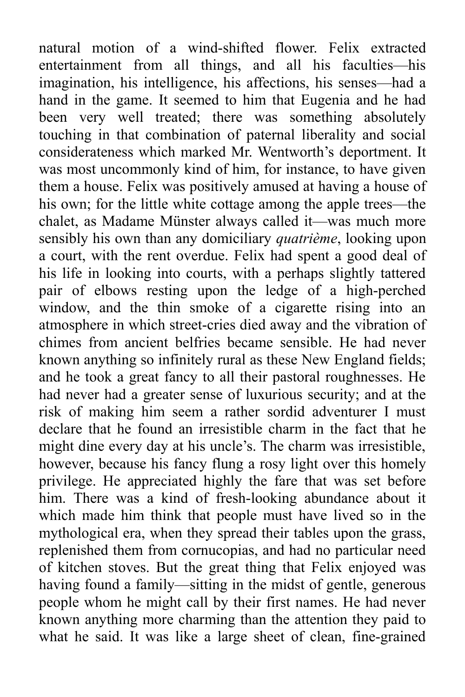natural motion of a wind-shifted flower. Felix extracted entertainment from all things, and all his faculties—his imagination, his intelligence, his affections, his senses—had a hand in the game. It seemed to him that Eugenia and he had been very well treated; there was something absolutely touching in that combination of paternal liberality and social considerateness which marked Mr. Wentworth's deportment. It was most uncommonly kind of him, for instance, to have given them a house. Felix was positively amused at having a house of his own; for the little white cottage among the apple trees—the chalet, as Madame Münster always called it—was much more sensibly his own than any domiciliary *quatrième*, looking upon a court, with the rent overdue. Felix had spent a good deal of his life in looking into courts, with a perhaps slightly tattered pair of elbows resting upon the ledge of a high-perched window, and the thin smoke of a cigarette rising into an atmosphere in which street-cries died away and the vibration of chimes from ancient belfries became sensible. He had never known anything so infinitely rural as these New England fields; and he took a great fancy to all their pastoral roughnesses. He had never had a greater sense of luxurious security; and at the risk of making him seem a rather sordid adventurer I must declare that he found an irresistible charm in the fact that he might dine every day at his uncle's. The charm was irresistible, however, because his fancy flung a rosy light over this homely privilege. He appreciated highly the fare that was set before him. There was a kind of fresh-looking abundance about it which made him think that people must have lived so in the mythological era, when they spread their tables upon the grass, replenished them from cornucopias, and had no particular need of kitchen stoves. But the great thing that Felix enjoyed was having found a family—sitting in the midst of gentle, generous people whom he might call by their first names. He had never known anything more charming than the attention they paid to what he said. It was like a large sheet of clean, fine-grained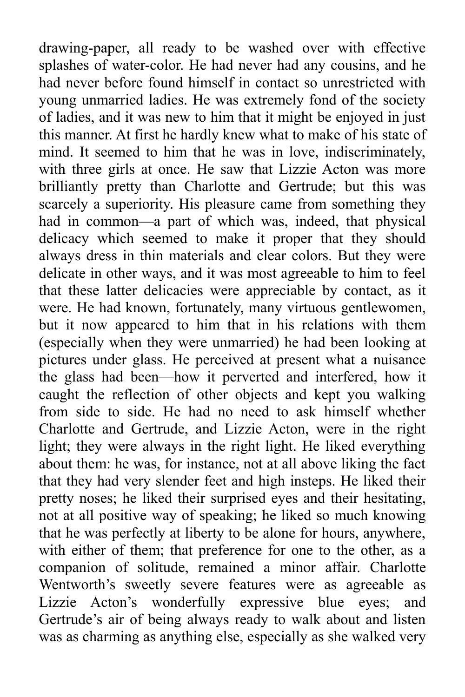drawing-paper, all ready to be washed over with effective splashes of water-color. He had never had any cousins, and he had never before found himself in contact so unrestricted with young unmarried ladies. He was extremely fond of the society of ladies, and it was new to him that it might be enjoyed in just this manner. At first he hardly knew what to make of his state of mind. It seemed to him that he was in love, indiscriminately, with three girls at once. He saw that Lizzie Acton was more brilliantly pretty than Charlotte and Gertrude; but this was scarcely a superiority. His pleasure came from something they had in common—a part of which was, indeed, that physical delicacy which seemed to make it proper that they should always dress in thin materials and clear colors. But they were delicate in other ways, and it was most agreeable to him to feel that these latter delicacies were appreciable by contact, as it were. He had known, fortunately, many virtuous gentlewomen, but it now appeared to him that in his relations with them (especially when they were unmarried) he had been looking at pictures under glass. He perceived at present what a nuisance the glass had been—how it perverted and interfered, how it caught the reflection of other objects and kept you walking from side to side. He had no need to ask himself whether Charlotte and Gertrude, and Lizzie Acton, were in the right light; they were always in the right light. He liked everything about them: he was, for instance, not at all above liking the fact that they had very slender feet and high insteps. He liked their pretty noses; he liked their surprised eyes and their hesitating, not at all positive way of speaking; he liked so much knowing that he was perfectly at liberty to be alone for hours, anywhere, with either of them; that preference for one to the other, as a companion of solitude, remained a minor affair. Charlotte Wentworth's sweetly severe features were as agreeable as Lizzie Acton's wonderfully expressive blue eyes; and Gertrude's air of being always ready to walk about and listen was as charming as anything else, especially as she walked very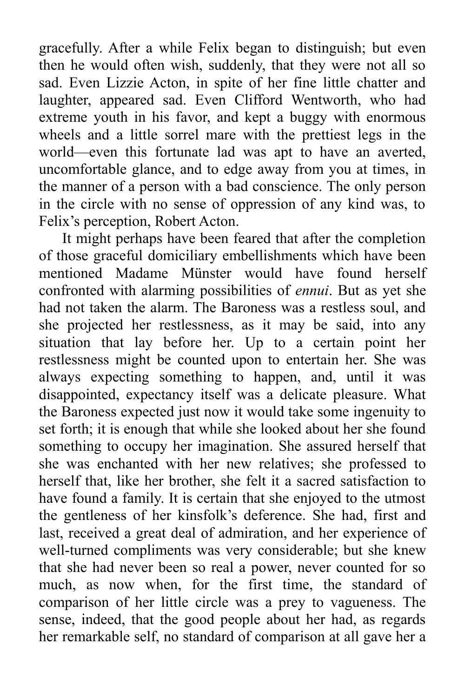gracefully. After a while Felix began to distinguish; but even then he would often wish, suddenly, that they were not all so sad. Even Lizzie Acton, in spite of her fine little chatter and laughter, appeared sad. Even Clifford Wentworth, who had extreme youth in his favor, and kept a buggy with enormous wheels and a little sorrel mare with the prettiest legs in the world—even this fortunate lad was apt to have an averted, uncomfortable glance, and to edge away from you at times, in the manner of a person with a bad conscience. The only person in the circle with no sense of oppression of any kind was, to Felix's perception, Robert Acton.

It might perhaps have been feared that after the completion of those graceful domiciliary embellishments which have been mentioned Madame Münster would have found herself confronted with alarming possibilities of *ennui*. But as yet she had not taken the alarm. The Baroness was a restless soul, and she projected her restlessness, as it may be said, into any situation that lay before her. Up to a certain point her restlessness might be counted upon to entertain her. She was always expecting something to happen, and, until it was disappointed, expectancy itself was a delicate pleasure. What the Baroness expected just now it would take some ingenuity to set forth; it is enough that while she looked about her she found something to occupy her imagination. She assured herself that she was enchanted with her new relatives; she professed to herself that, like her brother, she felt it a sacred satisfaction to have found a family. It is certain that she enjoyed to the utmost the gentleness of her kinsfolk's deference. She had, first and last, received a great deal of admiration, and her experience of well-turned compliments was very considerable; but she knew that she had never been so real a power, never counted for so much, as now when, for the first time, the standard of comparison of her little circle was a prey to vagueness. The sense, indeed, that the good people about her had, as regards her remarkable self, no standard of comparison at all gave her a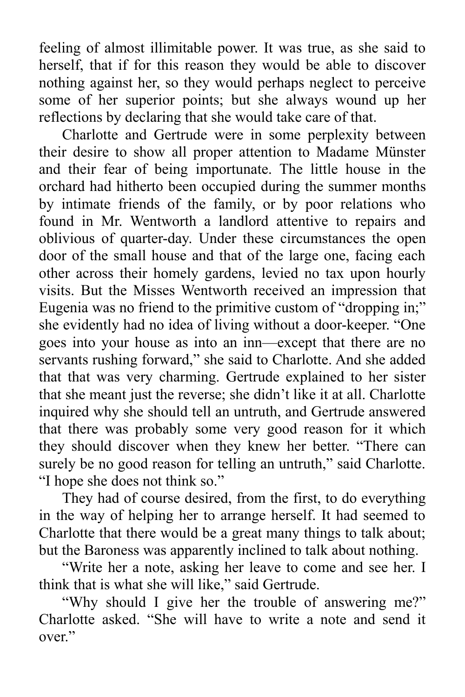feeling of almost illimitable power. It was true, as she said to herself, that if for this reason they would be able to discover nothing against her, so they would perhaps neglect to perceive some of her superior points; but she always wound up her reflections by declaring that she would take care of that.

Charlotte and Gertrude were in some perplexity between their desire to show all proper attention to Madame Münster and their fear of being importunate. The little house in the orchard had hitherto been occupied during the summer months by intimate friends of the family, or by poor relations who found in Mr. Wentworth a landlord attentive to repairs and oblivious of quarter-day. Under these circumstances the open door of the small house and that of the large one, facing each other across their homely gardens, levied no tax upon hourly visits. But the Misses Wentworth received an impression that Eugenia was no friend to the primitive custom of "dropping in;" she evidently had no idea of living without a door-keeper. "One goes into your house as into an inn—except that there are no servants rushing forward," she said to Charlotte. And she added that that was very charming. Gertrude explained to her sister that she meant just the reverse; she didn't like it at all. Charlotte inquired why she should tell an untruth, and Gertrude answered that there was probably some very good reason for it which they should discover when they knew her better. "There can surely be no good reason for telling an untruth," said Charlotte. "I hope she does not think so."

They had of course desired, from the first, to do everything in the way of helping her to arrange herself. It had seemed to Charlotte that there would be a great many things to talk about; but the Baroness was apparently inclined to talk about nothing.

"Write her a note, asking her leave to come and see her. I think that is what she will like," said Gertrude.

"Why should I give her the trouble of answering me?" Charlotte asked. "She will have to write a note and send it over."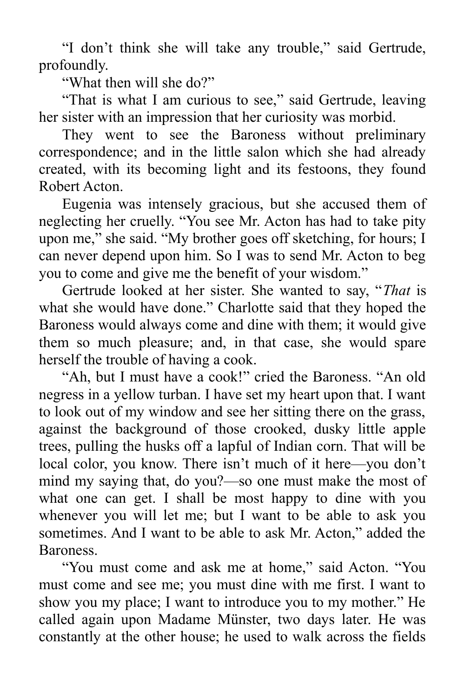"I don't think she will take any trouble," said Gertrude, profoundly.

"What then will she do?"

"That is what I am curious to see," said Gertrude, leaving her sister with an impression that her curiosity was morbid.

They went to see the Baroness without preliminary correspondence; and in the little salon which she had already created, with its becoming light and its festoons, they found Robert Acton.

Eugenia was intensely gracious, but she accused them of neglecting her cruelly. "You see Mr. Acton has had to take pity upon me," she said. "My brother goes off sketching, for hours; I can never depend upon him. So I was to send Mr. Acton to beg you to come and give me the benefit of your wisdom."

Gertrude looked at her sister. She wanted to say, "*That* is what she would have done." Charlotte said that they hoped the Baroness would always come and dine with them; it would give them so much pleasure; and, in that case, she would spare herself the trouble of having a cook.

"Ah, but I must have a cook!" cried the Baroness. "An old negress in a yellow turban. I have set my heart upon that. I want to look out of my window and see her sitting there on the grass, against the background of those crooked, dusky little apple trees, pulling the husks off a lapful of Indian corn. That will be local color, you know. There isn't much of it here—you don't mind my saying that, do you?—so one must make the most of what one can get. I shall be most happy to dine with you whenever you will let me; but I want to be able to ask you sometimes. And I want to be able to ask Mr. Acton," added the Baroness.

"You must come and ask me at home," said Acton. "You must come and see me; you must dine with me first. I want to show you my place; I want to introduce you to my mother." He called again upon Madame Münster, two days later. He was constantly at the other house; he used to walk across the fields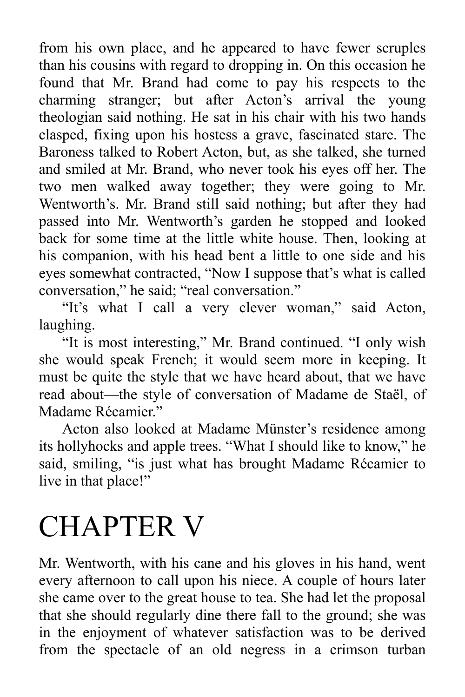from his own place, and he appeared to have fewer scruples than his cousins with regard to dropping in. On this occasion he found that Mr. Brand had come to pay his respects to the charming stranger; but after Acton's arrival the young theologian said nothing. He sat in his chair with his two hands clasped, fixing upon his hostess a grave, fascinated stare. The Baroness talked to Robert Acton, but, as she talked, she turned and smiled at Mr. Brand, who never took his eyes off her. The two men walked away together; they were going to Mr. Wentworth's. Mr. Brand still said nothing; but after they had passed into Mr. Wentworth's garden he stopped and looked back for some time at the little white house. Then, looking at his companion, with his head bent a little to one side and his eyes somewhat contracted, "Now I suppose that's what is called conversation," he said; "real conversation."

"It's what I call a very clever woman," said Acton, laughing.

"It is most interesting," Mr. Brand continued. "I only wish she would speak French; it would seem more in keeping. It must be quite the style that we have heard about, that we have read about—the style of conversation of Madame de Staël, of Madame Récamier"

Acton also looked at Madame Münster's residence among its hollyhocks and apple trees. "What I should like to know," he said, smiling, "is just what has brought Madame Récamier to live in that place!"

## CHAPTER V

Mr. Wentworth, with his cane and his gloves in his hand, went every afternoon to call upon his niece. A couple of hours later she came over to the great house to tea. She had let the proposal that she should regularly dine there fall to the ground; she was in the enjoyment of whatever satisfaction was to be derived from the spectacle of an old negress in a crimson turban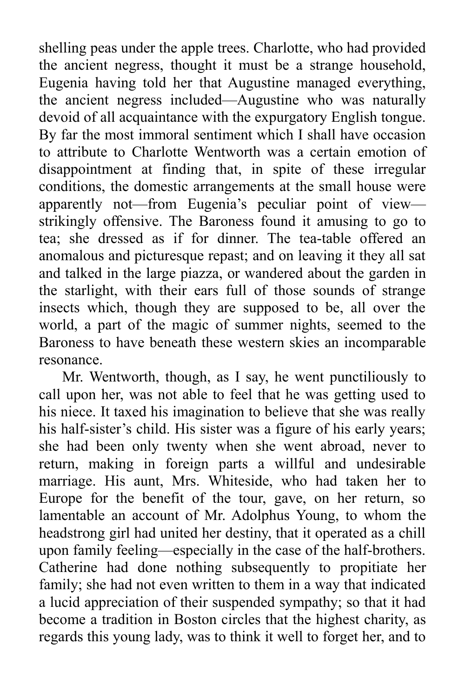shelling peas under the apple trees. Charlotte, who had provided the ancient negress, thought it must be a strange household, Eugenia having told her that Augustine managed everything, the ancient negress included—Augustine who was naturally devoid of all acquaintance with the expurgatory English tongue. By far the most immoral sentiment which I shall have occasion to attribute to Charlotte Wentworth was a certain emotion of disappointment at finding that, in spite of these irregular conditions, the domestic arrangements at the small house were apparently not—from Eugenia's peculiar point of view strikingly offensive. The Baroness found it amusing to go to tea; she dressed as if for dinner. The tea-table offered an anomalous and picturesque repast; and on leaving it they all sat and talked in the large piazza, or wandered about the garden in the starlight, with their ears full of those sounds of strange insects which, though they are supposed to be, all over the world, a part of the magic of summer nights, seemed to the Baroness to have beneath these western skies an incomparable resonance.

Mr. Wentworth, though, as I say, he went punctiliously to call upon her, was not able to feel that he was getting used to his niece. It taxed his imagination to believe that she was really his half-sister's child. His sister was a figure of his early years; she had been only twenty when she went abroad, never to return, making in foreign parts a willful and undesirable marriage. His aunt, Mrs. Whiteside, who had taken her to Europe for the benefit of the tour, gave, on her return, so lamentable an account of Mr. Adolphus Young, to whom the headstrong girl had united her destiny, that it operated as a chill upon family feeling—especially in the case of the half-brothers. Catherine had done nothing subsequently to propitiate her family; she had not even written to them in a way that indicated a lucid appreciation of their suspended sympathy; so that it had become a tradition in Boston circles that the highest charity, as regards this young lady, was to think it well to forget her, and to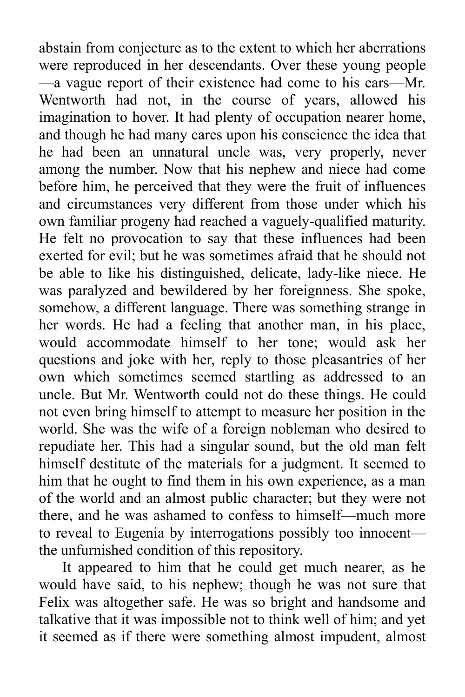abstain from conjecture as to the extent to which her aberrations were reproduced in her descendants. Over these young people —a vague report of their existence had come to his ears—Mr. Wentworth had not, in the course of years, allowed his imagination to hover. It had plenty of occupation nearer home, and though he had many cares upon his conscience the idea that he had been an unnatural uncle was, very properly, never among the number. Now that his nephew and niece had come before him, he perceived that they were the fruit of influences and circumstances very different from those under which his own familiar progeny had reached a vaguely-qualified maturity. He felt no provocation to say that these influences had been exerted for evil; but he was sometimes afraid that he should not be able to like his distinguished, delicate, lady-like niece. He was paralyzed and bewildered by her foreignness. She spoke, somehow, a different language. There was something strange in her words. He had a feeling that another man, in his place, would accommodate himself to her tone; would ask her questions and joke with her, reply to those pleasantries of her own which sometimes seemed startling as addressed to an uncle. But Mr. Wentworth could not do these things. He could not even bring himself to attempt to measure her position in the world. She was the wife of a foreign nobleman who desired to repudiate her. This had a singular sound, but the old man felt himself destitute of the materials for a judgment. It seemed to him that he ought to find them in his own experience, as a man of the world and an almost public character; but they were not there, and he was ashamed to confess to himself—much more to reveal to Eugenia by interrogations possibly too innocent the unfurnished condition of this repository.

It appeared to him that he could get much nearer, as he would have said, to his nephew; though he was not sure that Felix was altogether safe. He was so bright and handsome and talkative that it was impossible not to think well of him; and yet it seemed as if there were something almost impudent, almost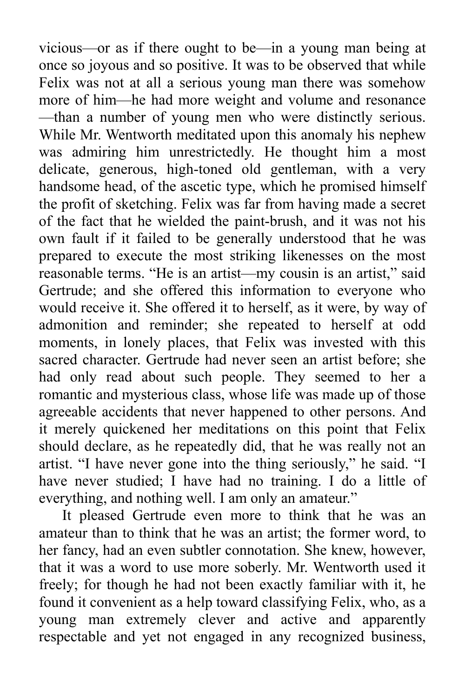vicious—or as if there ought to be—in a young man being at once so joyous and so positive. It was to be observed that while Felix was not at all a serious young man there was somehow more of him—he had more weight and volume and resonance —than a number of young men who were distinctly serious. While Mr. Wentworth meditated upon this anomaly his nephew was admiring him unrestrictedly. He thought him a most delicate, generous, high-toned old gentleman, with a very handsome head, of the ascetic type, which he promised himself the profit of sketching. Felix was far from having made a secret of the fact that he wielded the paint-brush, and it was not his own fault if it failed to be generally understood that he was prepared to execute the most striking likenesses on the most reasonable terms. "He is an artist—my cousin is an artist," said Gertrude; and she offered this information to everyone who would receive it. She offered it to herself, as it were, by way of admonition and reminder; she repeated to herself at odd moments, in lonely places, that Felix was invested with this sacred character. Gertrude had never seen an artist before; she had only read about such people. They seemed to her a romantic and mysterious class, whose life was made up of those agreeable accidents that never happened to other persons. And it merely quickened her meditations on this point that Felix should declare, as he repeatedly did, that he was really not an artist. "I have never gone into the thing seriously," he said. "I have never studied; I have had no training. I do a little of everything, and nothing well. I am only an amateur."

It pleased Gertrude even more to think that he was an amateur than to think that he was an artist; the former word, to her fancy, had an even subtler connotation. She knew, however, that it was a word to use more soberly. Mr. Wentworth used it freely; for though he had not been exactly familiar with it, he found it convenient as a help toward classifying Felix, who, as a young man extremely clever and active and apparently respectable and yet not engaged in any recognized business,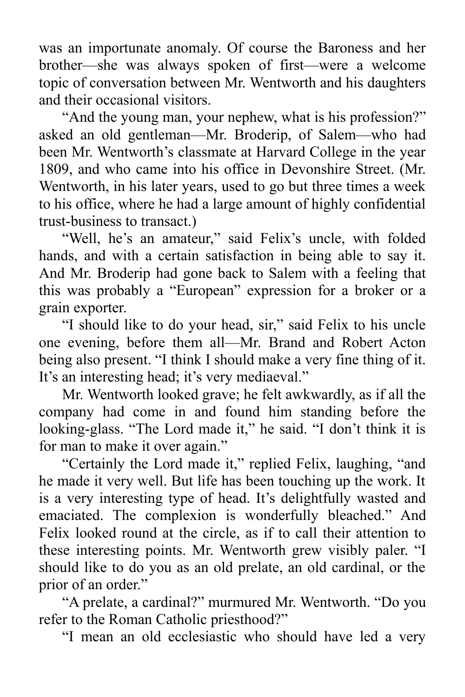was an importunate anomaly. Of course the Baroness and her brother—she was always spoken of first—were a welcome topic of conversation between Mr. Wentworth and his daughters and their occasional visitors.

"And the young man, your nephew, what is his profession?" asked an old gentleman—Mr. Broderip, of Salem—who had been Mr. Wentworth's classmate at Harvard College in the year 1809, and who came into his office in Devonshire Street. (Mr. Wentworth, in his later years, used to go but three times a week to his office, where he had a large amount of highly confidential trust-business to transact.)

"Well, he's an amateur," said Felix's uncle, with folded hands, and with a certain satisfaction in being able to say it. And Mr. Broderip had gone back to Salem with a feeling that this was probably a "European" expression for a broker or a grain exporter.

"I should like to do your head, sir," said Felix to his uncle one evening, before them all—Mr. Brand and Robert Acton being also present. "I think I should make a very fine thing of it. It's an interesting head; it's very mediaeval."

Mr. Wentworth looked grave; he felt awkwardly, as if all the company had come in and found him standing before the looking-glass. "The Lord made it," he said. "I don't think it is for man to make it over again."

"Certainly the Lord made it," replied Felix, laughing, "and he made it very well. But life has been touching up the work. It is a very interesting type of head. It's delightfully wasted and emaciated. The complexion is wonderfully bleached." And Felix looked round at the circle, as if to call their attention to these interesting points. Mr. Wentworth grew visibly paler. "I should like to do you as an old prelate, an old cardinal, or the prior of an order."

"A prelate, a cardinal?" murmured Mr. Wentworth. "Do you refer to the Roman Catholic priesthood?"

"I mean an old ecclesiastic who should have led a very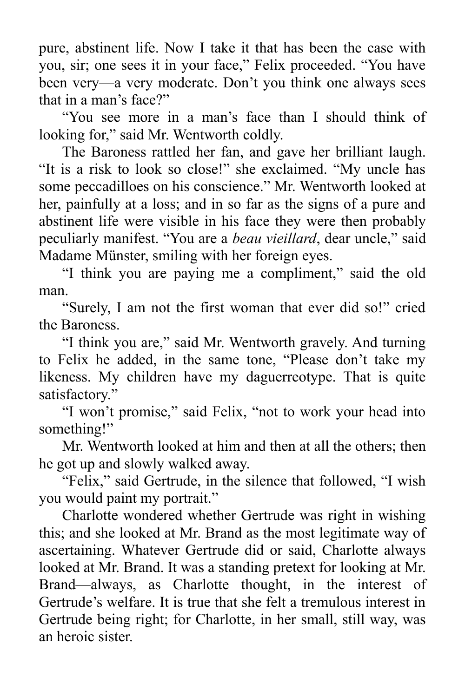pure, abstinent life. Now I take it that has been the case with you, sir; one sees it in your face," Felix proceeded. "You have been very—a very moderate. Don't you think one always sees that in a man's face?"

"You see more in a man's face than I should think of looking for," said Mr. Wentworth coldly.

The Baroness rattled her fan, and gave her brilliant laugh. "It is a risk to look so close!" she exclaimed. "My uncle has some peccadilloes on his conscience." Mr. Wentworth looked at her, painfully at a loss; and in so far as the signs of a pure and abstinent life were visible in his face they were then probably peculiarly manifest. "You are a *beau vieillard*, dear uncle," said Madame Münster, smiling with her foreign eyes.

"I think you are paying me a compliment," said the old man.

"Surely, I am not the first woman that ever did so!" cried the Baroness.

"I think you are," said Mr. Wentworth gravely. And turning to Felix he added, in the same tone, "Please don't take my likeness. My children have my daguerreotype. That is quite satisfactory."

"I won't promise," said Felix, "not to work your head into something!"

Mr. Wentworth looked at him and then at all the others; then he got up and slowly walked away.

"Felix," said Gertrude, in the silence that followed, "I wish you would paint my portrait."

Charlotte wondered whether Gertrude was right in wishing this; and she looked at Mr. Brand as the most legitimate way of ascertaining. Whatever Gertrude did or said, Charlotte always looked at Mr. Brand. It was a standing pretext for looking at Mr. Brand—always, as Charlotte thought, in the interest of Gertrude's welfare. It is true that she felt a tremulous interest in Gertrude being right; for Charlotte, in her small, still way, was an heroic sister.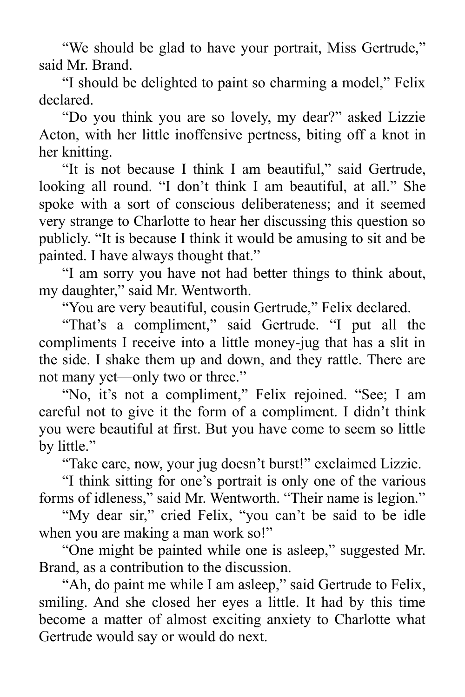"We should be glad to have your portrait, Miss Gertrude," said Mr. Brand.

"I should be delighted to paint so charming a model," Felix declared.

"Do you think you are so lovely, my dear?" asked Lizzie Acton, with her little inoffensive pertness, biting off a knot in her knitting.

"It is not because I think I am beautiful," said Gertrude, looking all round. "I don't think I am beautiful, at all." She spoke with a sort of conscious deliberateness; and it seemed very strange to Charlotte to hear her discussing this question so publicly. "It is because I think it would be amusing to sit and be painted. I have always thought that."

"I am sorry you have not had better things to think about, my daughter," said Mr. Wentworth.

"You are very beautiful, cousin Gertrude," Felix declared.

"That's a compliment," said Gertrude. "I put all the compliments I receive into a little money-jug that has a slit in the side. I shake them up and down, and they rattle. There are not many yet—only two or three."

"No, it's not a compliment," Felix rejoined. "See; I am careful not to give it the form of a compliment. I didn't think you were beautiful at first. But you have come to seem so little by little."

"Take care, now, your jug doesn't burst!" exclaimed Lizzie.

"I think sitting for one's portrait is only one of the various forms of idleness," said Mr. Wentworth. "Their name is legion."

"My dear sir," cried Felix, "you can't be said to be idle when you are making a man work so!"

"One might be painted while one is asleep," suggested Mr. Brand, as a contribution to the discussion.

"Ah, do paint me while I am asleep," said Gertrude to Felix, smiling. And she closed her eyes a little. It had by this time become a matter of almost exciting anxiety to Charlotte what Gertrude would say or would do next.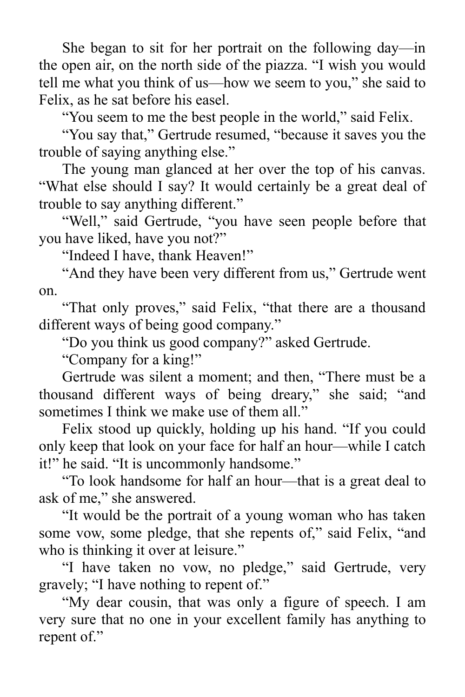She began to sit for her portrait on the following day—in the open air, on the north side of the piazza. "I wish you would tell me what you think of us—how we seem to you," she said to Felix, as he sat before his easel.

"You seem to me the best people in the world," said Felix.

"You say that," Gertrude resumed, "because it saves you the trouble of saying anything else."

The young man glanced at her over the top of his canvas. "What else should I say? It would certainly be a great deal of trouble to say anything different."

"Well," said Gertrude, "you have seen people before that you have liked, have you not?"

"Indeed I have, thank Heaven!"

"And they have been very different from us," Gertrude went on.

"That only proves," said Felix, "that there are a thousand different ways of being good company."

"Do you think us good company?" asked Gertrude.

"Company for a king!"

Gertrude was silent a moment; and then, "There must be a thousand different ways of being dreary," she said; "and sometimes I think we make use of them all."

Felix stood up quickly, holding up his hand. "If you could only keep that look on your face for half an hour—while I catch it!" he said. "It is uncommonly handsome."

"To look handsome for half an hour—that is a great deal to ask of me," she answered.

"It would be the portrait of a young woman who has taken some vow, some pledge, that she repents of," said Felix, "and who is thinking it over at leisure."

"I have taken no vow, no pledge," said Gertrude, very gravely; "I have nothing to repent of."

"My dear cousin, that was only a figure of speech. I am very sure that no one in your excellent family has anything to repent of."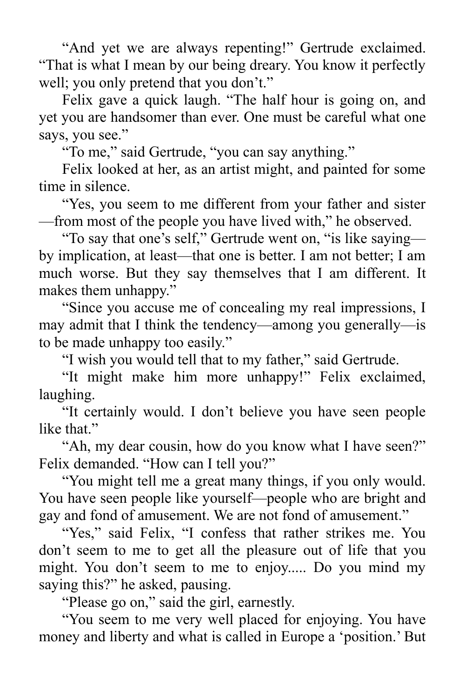"And yet we are always repenting!" Gertrude exclaimed. "That is what I mean by our being dreary. You know it perfectly well; you only pretend that you don't."

Felix gave a quick laugh. "The half hour is going on, and yet you are handsomer than ever. One must be careful what one says, you see."

"To me," said Gertrude, "you can say anything."

Felix looked at her, as an artist might, and painted for some time in silence.

"Yes, you seem to me different from your father and sister —from most of the people you have lived with," he observed.

"To say that one's self," Gertrude went on, "is like saying by implication, at least—that one is better. I am not better; I am much worse. But they say themselves that I am different. It makes them unhappy."

"Since you accuse me of concealing my real impressions, I may admit that I think the tendency—among you generally—is to be made unhappy too easily."

"I wish you would tell that to my father," said Gertrude.

"It might make him more unhappy!" Felix exclaimed, laughing.

"It certainly would. I don't believe you have seen people like that."

"Ah, my dear cousin, how do you know what I have seen?" Felix demanded. "How can I tell you?"

"You might tell me a great many things, if you only would. You have seen people like yourself—people who are bright and gay and fond of amusement. We are not fond of amusement."

"Yes," said Felix, "I confess that rather strikes me. You don't seem to me to get all the pleasure out of life that you might. You don't seem to me to enjoy..... Do you mind my saying this?" he asked, pausing.

"Please go on," said the girl, earnestly.

"You seem to me very well placed for enjoying. You have money and liberty and what is called in Europe a 'position.' But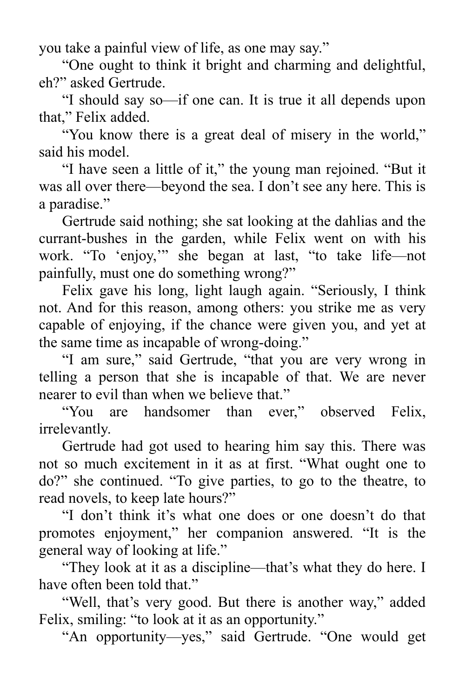you take a painful view of life, as one may say."

"One ought to think it bright and charming and delightful, eh?" asked Gertrude.

"I should say so—if one can. It is true it all depends upon that," Felix added.

"You know there is a great deal of misery in the world," said his model.

"I have seen a little of it," the young man rejoined. "But it was all over there—beyond the sea. I don't see any here. This is a paradise."

Gertrude said nothing; she sat looking at the dahlias and the currant-bushes in the garden, while Felix went on with his work. "To 'enjoy,'" she began at last, "to take life—not painfully, must one do something wrong?"

Felix gave his long, light laugh again. "Seriously, I think not. And for this reason, among others: you strike me as very capable of enjoying, if the chance were given you, and yet at the same time as incapable of wrong-doing."

"I am sure," said Gertrude, "that you are very wrong in telling a person that she is incapable of that. We are never nearer to evil than when we believe that."

"You are handsomer than ever," observed Felix, irrelevantly.

Gertrude had got used to hearing him say this. There was not so much excitement in it as at first. "What ought one to do?" she continued. "To give parties, to go to the theatre, to read novels, to keep late hours?"

"I don't think it's what one does or one doesn't do that promotes enjoyment," her companion answered. "It is the general way of looking at life."

"They look at it as a discipline—that's what they do here. I have often been told that."

"Well, that's very good. But there is another way," added Felix, smiling: "to look at it as an opportunity."

"An opportunity—yes," said Gertrude. "One would get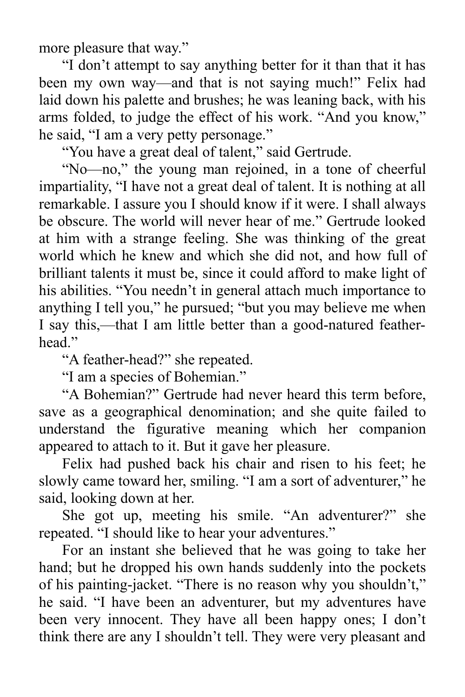more pleasure that way."

"I don't attempt to say anything better for it than that it has been my own way—and that is not saying much!" Felix had laid down his palette and brushes; he was leaning back, with his arms folded, to judge the effect of his work. "And you know," he said, "I am a very petty personage."

"You have a great deal of talent," said Gertrude.

"No—no," the young man rejoined, in a tone of cheerful impartiality, "I have not a great deal of talent. It is nothing at all remarkable. I assure you I should know if it were. I shall always be obscure. The world will never hear of me." Gertrude looked at him with a strange feeling. She was thinking of the great world which he knew and which she did not, and how full of brilliant talents it must be, since it could afford to make light of his abilities. "You needn't in general attach much importance to anything I tell you," he pursued; "but you may believe me when I say this,—that I am little better than a good-natured featherhead."

"A feather-head?" she repeated.

"I am a species of Bohemian."

"A Bohemian?" Gertrude had never heard this term before, save as a geographical denomination; and she quite failed to understand the figurative meaning which her companion appeared to attach to it. But it gave her pleasure.

Felix had pushed back his chair and risen to his feet; he slowly came toward her, smiling. "I am a sort of adventurer," he said, looking down at her.

She got up, meeting his smile. "An adventurer?" she repeated. "I should like to hear your adventures."

For an instant she believed that he was going to take her hand; but he dropped his own hands suddenly into the pockets of his painting-jacket. "There is no reason why you shouldn't," he said. "I have been an adventurer, but my adventures have been very innocent. They have all been happy ones; I don't think there are any I shouldn't tell. They were very pleasant and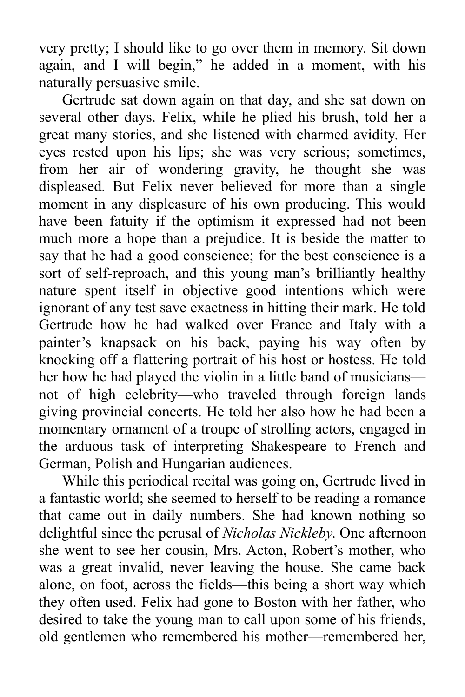very pretty; I should like to go over them in memory. Sit down again, and I will begin," he added in a moment, with his naturally persuasive smile.

Gertrude sat down again on that day, and she sat down on several other days. Felix, while he plied his brush, told her a great many stories, and she listened with charmed avidity. Her eyes rested upon his lips; she was very serious; sometimes, from her air of wondering gravity, he thought she was displeased. But Felix never believed for more than a single moment in any displeasure of his own producing. This would have been fatuity if the optimism it expressed had not been much more a hope than a prejudice. It is beside the matter to say that he had a good conscience; for the best conscience is a sort of self-reproach, and this young man's brilliantly healthy nature spent itself in objective good intentions which were ignorant of any test save exactness in hitting their mark. He told Gertrude how he had walked over France and Italy with a painter's knapsack on his back, paying his way often by knocking off a flattering portrait of his host or hostess. He told her how he had played the violin in a little band of musicians not of high celebrity—who traveled through foreign lands giving provincial concerts. He told her also how he had been a momentary ornament of a troupe of strolling actors, engaged in the arduous task of interpreting Shakespeare to French and German, Polish and Hungarian audiences.

While this periodical recital was going on, Gertrude lived in a fantastic world; she seemed to herself to be reading a romance that came out in daily numbers. She had known nothing so delightful since the perusal of *Nicholas Nickleby*. One afternoon she went to see her cousin, Mrs. Acton, Robert's mother, who was a great invalid, never leaving the house. She came back alone, on foot, across the fields—this being a short way which they often used. Felix had gone to Boston with her father, who desired to take the young man to call upon some of his friends, old gentlemen who remembered his mother—remembered her,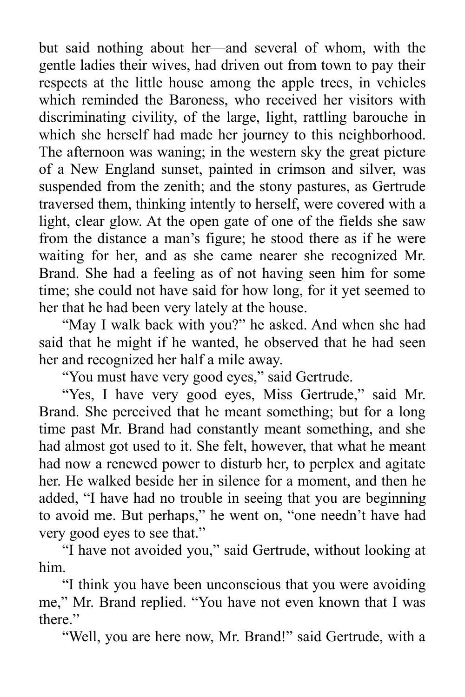but said nothing about her—and several of whom, with the gentle ladies their wives, had driven out from town to pay their respects at the little house among the apple trees, in vehicles which reminded the Baroness, who received her visitors with discriminating civility, of the large, light, rattling barouche in which she herself had made her journey to this neighborhood. The afternoon was waning; in the western sky the great picture of a New England sunset, painted in crimson and silver, was suspended from the zenith; and the stony pastures, as Gertrude traversed them, thinking intently to herself, were covered with a light, clear glow. At the open gate of one of the fields she saw from the distance a man's figure; he stood there as if he were waiting for her, and as she came nearer she recognized Mr. Brand. She had a feeling as of not having seen him for some time; she could not have said for how long, for it yet seemed to her that he had been very lately at the house.

"May I walk back with you?" he asked. And when she had said that he might if he wanted, he observed that he had seen her and recognized her half a mile away.

"You must have very good eyes," said Gertrude.

"Yes, I have very good eyes, Miss Gertrude," said Mr. Brand. She perceived that he meant something; but for a long time past Mr. Brand had constantly meant something, and she had almost got used to it. She felt, however, that what he meant had now a renewed power to disturb her, to perplex and agitate her. He walked beside her in silence for a moment, and then he added, "I have had no trouble in seeing that you are beginning to avoid me. But perhaps," he went on, "one needn't have had very good eyes to see that."

"I have not avoided you," said Gertrude, without looking at him.

"I think you have been unconscious that you were avoiding me," Mr. Brand replied. "You have not even known that I was there."

"Well, you are here now, Mr. Brand!" said Gertrude, with a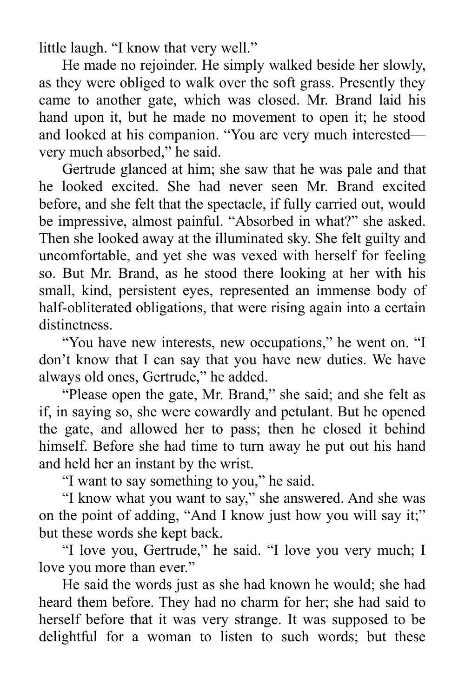little laugh. "I know that very well."

He made no rejoinder. He simply walked beside her slowly, as they were obliged to walk over the soft grass. Presently they came to another gate, which was closed. Mr. Brand laid his hand upon it, but he made no movement to open it; he stood and looked at his companion. "You are very much interested very much absorbed," he said.

Gertrude glanced at him; she saw that he was pale and that he looked excited. She had never seen Mr. Brand excited before, and she felt that the spectacle, if fully carried out, would be impressive, almost painful. "Absorbed in what?" she asked. Then she looked away at the illuminated sky. She felt guilty and uncomfortable, and yet she was vexed with herself for feeling so. But Mr. Brand, as he stood there looking at her with his small, kind, persistent eyes, represented an immense body of half-obliterated obligations, that were rising again into a certain distinctness.

"You have new interests, new occupations," he went on. "I don't know that I can say that you have new duties. We have always old ones, Gertrude," he added.

"Please open the gate, Mr. Brand," she said; and she felt as if, in saying so, she were cowardly and petulant. But he opened the gate, and allowed her to pass; then he closed it behind himself. Before she had time to turn away he put out his hand and held her an instant by the wrist.

"I want to say something to you," he said.

"I know what you want to say," she answered. And she was on the point of adding, "And I know just how you will say it;" but these words she kept back.

"I love you, Gertrude," he said. "I love you very much; I love you more than ever."

He said the words just as she had known he would; she had heard them before. They had no charm for her; she had said to herself before that it was very strange. It was supposed to be delightful for a woman to listen to such words; but these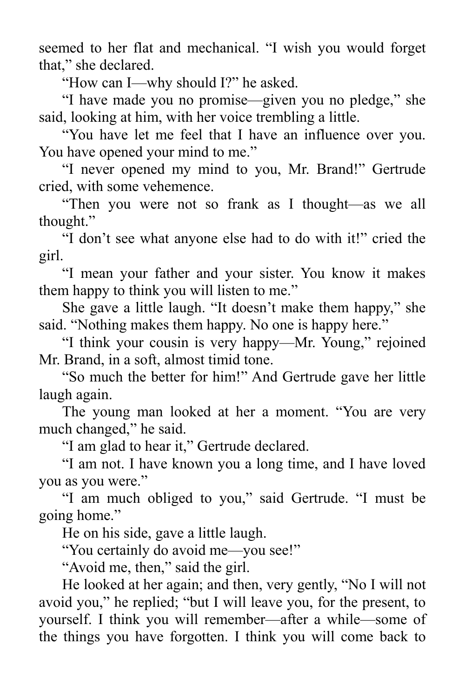seemed to her flat and mechanical. "I wish you would forget that," she declared.

"How can I—why should I?" he asked.

"I have made you no promise—given you no pledge," she said, looking at him, with her voice trembling a little.

"You have let me feel that I have an influence over you. You have opened your mind to me."

"I never opened my mind to you, Mr. Brand!" Gertrude cried, with some vehemence.

"Then you were not so frank as I thought—as we all thought."

"I don't see what anyone else had to do with it!" cried the girl.

"I mean your father and your sister. You know it makes them happy to think you will listen to me."

She gave a little laugh. "It doesn't make them happy," she said. "Nothing makes them happy. No one is happy here."

"I think your cousin is very happy—Mr. Young," rejoined Mr. Brand, in a soft, almost timid tone.

"So much the better for him!" And Gertrude gave her little laugh again.

The young man looked at her a moment. "You are very much changed," he said.

"I am glad to hear it," Gertrude declared.

"I am not. I have known you a long time, and I have loved you as you were."

"I am much obliged to you," said Gertrude. "I must be going home."

He on his side, gave a little laugh.

"You certainly do avoid me—you see!"

"Avoid me, then," said the girl.

He looked at her again; and then, very gently, "No I will not avoid you," he replied; "but I will leave you, for the present, to yourself. I think you will remember—after a while—some of the things you have forgotten. I think you will come back to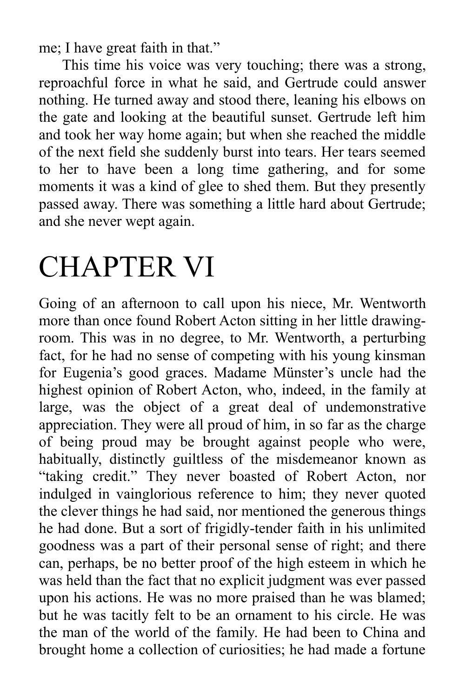me; I have great faith in that."

This time his voice was very touching; there was a strong, reproachful force in what he said, and Gertrude could answer nothing. He turned away and stood there, leaning his elbows on the gate and looking at the beautiful sunset. Gertrude left him and took her way home again; but when she reached the middle of the next field she suddenly burst into tears. Her tears seemed to her to have been a long time gathering, and for some moments it was a kind of glee to shed them. But they presently passed away. There was something a little hard about Gertrude; and she never wept again.

## CHAPTER VI

Going of an afternoon to call upon his niece, Mr. Wentworth more than once found Robert Acton sitting in her little drawingroom. This was in no degree, to Mr. Wentworth, a perturbing fact, for he had no sense of competing with his young kinsman for Eugenia's good graces. Madame Münster's uncle had the highest opinion of Robert Acton, who, indeed, in the family at large, was the object of a great deal of undemonstrative appreciation. They were all proud of him, in so far as the charge of being proud may be brought against people who were, habitually, distinctly guiltless of the misdemeanor known as "taking credit." They never boasted of Robert Acton, nor indulged in vainglorious reference to him; they never quoted the clever things he had said, nor mentioned the generous things he had done. But a sort of frigidly-tender faith in his unlimited goodness was a part of their personal sense of right; and there can, perhaps, be no better proof of the high esteem in which he was held than the fact that no explicit judgment was ever passed upon his actions. He was no more praised than he was blamed; but he was tacitly felt to be an ornament to his circle. He was the man of the world of the family. He had been to China and brought home a collection of curiosities; he had made a fortune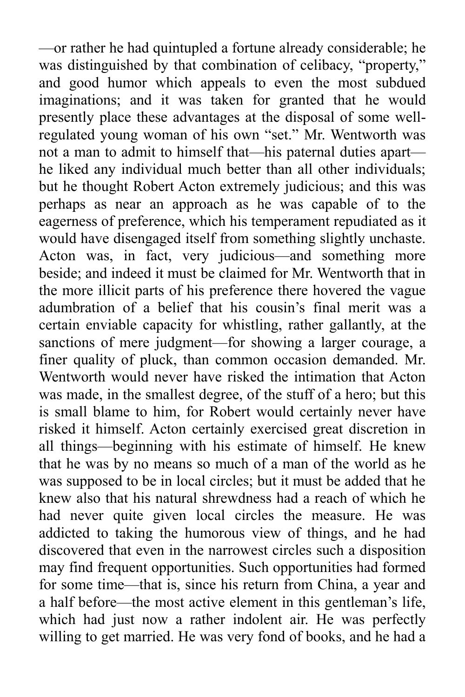—or rather he had quintupled a fortune already considerable; he was distinguished by that combination of celibacy, "property," and good humor which appeals to even the most subdued imaginations; and it was taken for granted that he would presently place these advantages at the disposal of some wellregulated young woman of his own "set." Mr. Wentworth was not a man to admit to himself that—his paternal duties apart he liked any individual much better than all other individuals; but he thought Robert Acton extremely judicious; and this was perhaps as near an approach as he was capable of to the eagerness of preference, which his temperament repudiated as it would have disengaged itself from something slightly unchaste. Acton was, in fact, very judicious—and something more beside; and indeed it must be claimed for Mr. Wentworth that in the more illicit parts of his preference there hovered the vague adumbration of a belief that his cousin's final merit was a certain enviable capacity for whistling, rather gallantly, at the sanctions of mere judgment—for showing a larger courage, a finer quality of pluck, than common occasion demanded. Mr. Wentworth would never have risked the intimation that Acton was made, in the smallest degree, of the stuff of a hero; but this is small blame to him, for Robert would certainly never have risked it himself. Acton certainly exercised great discretion in all things—beginning with his estimate of himself. He knew that he was by no means so much of a man of the world as he was supposed to be in local circles; but it must be added that he knew also that his natural shrewdness had a reach of which he had never quite given local circles the measure. He was addicted to taking the humorous view of things, and he had discovered that even in the narrowest circles such a disposition may find frequent opportunities. Such opportunities had formed for some time—that is, since his return from China, a year and a half before—the most active element in this gentleman's life, which had just now a rather indolent air. He was perfectly willing to get married. He was very fond of books, and he had a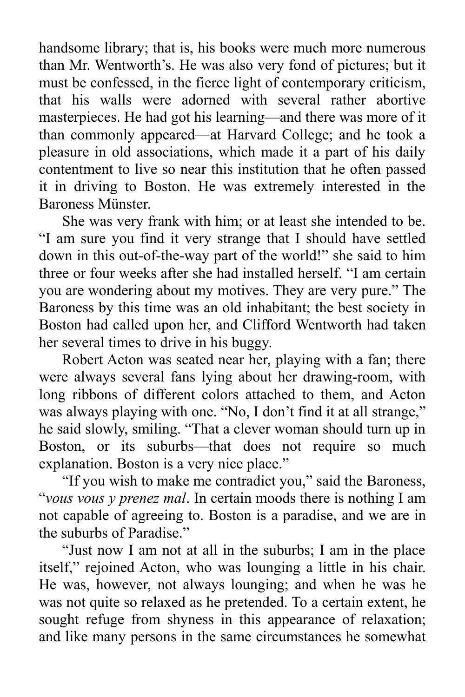handsome library; that is, his books were much more numerous than Mr. Wentworth's. He was also very fond of pictures; but it must be confessed, in the fierce light of contemporary criticism, that his walls were adorned with several rather abortive masterpieces. He had got his learning—and there was more of it than commonly appeared—at Harvard College; and he took a pleasure in old associations, which made it a part of his daily contentment to live so near this institution that he often passed it in driving to Boston. He was extremely interested in the Baroness Münster.

She was very frank with him; or at least she intended to be. "I am sure you find it very strange that I should have settled down in this out-of-the-way part of the world!" she said to him three or four weeks after she had installed herself. "I am certain you are wondering about my motives. They are very pure." The Baroness by this time was an old inhabitant; the best society in Boston had called upon her, and Clifford Wentworth had taken her several times to drive in his buggy.

Robert Acton was seated near her, playing with a fan; there were always several fans lying about her drawing-room, with long ribbons of different colors attached to them, and Acton was always playing with one. "No, I don't find it at all strange," he said slowly, smiling. "That a clever woman should turn up in Boston, or its suburbs—that does not require so much explanation. Boston is a very nice place."

"If you wish to make me contradict you," said the Baroness, "*vous vous y prenez mal*. In certain moods there is nothing I am not capable of agreeing to. Boston is a paradise, and we are in the suburbs of Paradise."

"Just now I am not at all in the suburbs; I am in the place itself," rejoined Acton, who was lounging a little in his chair. He was, however, not always lounging; and when he was he was not quite so relaxed as he pretended. To a certain extent, he sought refuge from shyness in this appearance of relaxation; and like many persons in the same circumstances he somewhat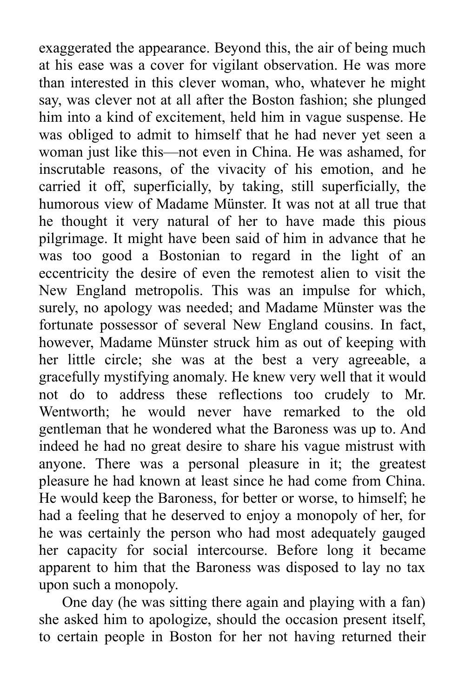exaggerated the appearance. Beyond this, the air of being much at his ease was a cover for vigilant observation. He was more than interested in this clever woman, who, whatever he might say, was clever not at all after the Boston fashion; she plunged him into a kind of excitement, held him in vague suspense. He was obliged to admit to himself that he had never yet seen a woman just like this—not even in China. He was ashamed, for inscrutable reasons, of the vivacity of his emotion, and he carried it off, superficially, by taking, still superficially, the humorous view of Madame Münster. It was not at all true that he thought it very natural of her to have made this pious pilgrimage. It might have been said of him in advance that he was too good a Bostonian to regard in the light of an eccentricity the desire of even the remotest alien to visit the New England metropolis. This was an impulse for which, surely, no apology was needed; and Madame Münster was the fortunate possessor of several New England cousins. In fact, however, Madame Münster struck him as out of keeping with her little circle; she was at the best a very agreeable, a gracefully mystifying anomaly. He knew very well that it would not do to address these reflections too crudely to Mr. Wentworth; he would never have remarked to the old gentleman that he wondered what the Baroness was up to. And indeed he had no great desire to share his vague mistrust with anyone. There was a personal pleasure in it; the greatest pleasure he had known at least since he had come from China. He would keep the Baroness, for better or worse, to himself; he had a feeling that he deserved to enjoy a monopoly of her, for he was certainly the person who had most adequately gauged her capacity for social intercourse. Before long it became apparent to him that the Baroness was disposed to lay no tax upon such a monopoly.

One day (he was sitting there again and playing with a fan) she asked him to apologize, should the occasion present itself, to certain people in Boston for her not having returned their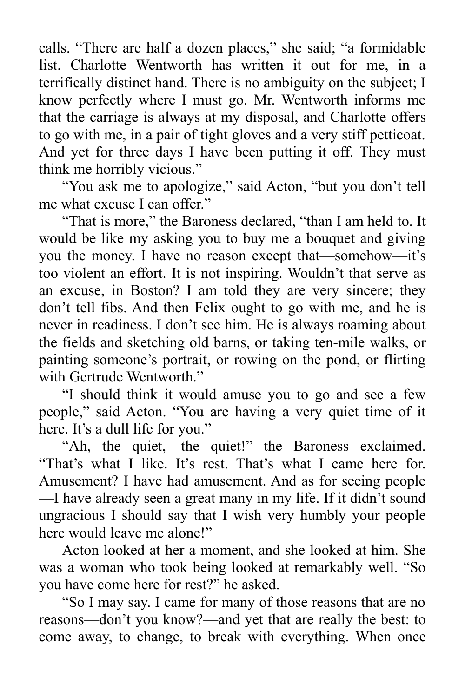calls. "There are half a dozen places," she said; "a formidable list. Charlotte Wentworth has written it out for me, in a terrifically distinct hand. There is no ambiguity on the subject; I know perfectly where I must go. Mr. Wentworth informs me that the carriage is always at my disposal, and Charlotte offers to go with me, in a pair of tight gloves and a very stiff petticoat. And yet for three days I have been putting it off. They must think me horribly vicious."

"You ask me to apologize," said Acton, "but you don't tell me what excuse I can offer."

"That is more," the Baroness declared, "than I am held to. It would be like my asking you to buy me a bouquet and giving you the money. I have no reason except that—somehow—it's too violent an effort. It is not inspiring. Wouldn't that serve as an excuse, in Boston? I am told they are very sincere; they don't tell fibs. And then Felix ought to go with me, and he is never in readiness. I don't see him. He is always roaming about the fields and sketching old barns, or taking ten-mile walks, or painting someone's portrait, or rowing on the pond, or flirting with Gertrude Wentworth."

"I should think it would amuse you to go and see a few people," said Acton. "You are having a very quiet time of it here. It's a dull life for you."

"Ah, the quiet,—the quiet!" the Baroness exclaimed. "That's what I like. It's rest. That's what I came here for. Amusement? I have had amusement. And as for seeing people —I have already seen a great many in my life. If it didn't sound ungracious I should say that I wish very humbly your people here would leave me alone!"

Acton looked at her a moment, and she looked at him. She was a woman who took being looked at remarkably well. "So you have come here for rest?" he asked.

"So I may say. I came for many of those reasons that are no reasons—don't you know?—and yet that are really the best: to come away, to change, to break with everything. When once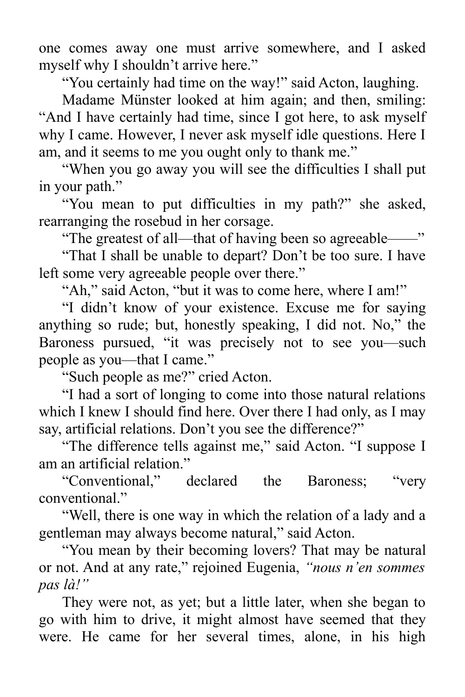one comes away one must arrive somewhere, and I asked myself why I shouldn't arrive here."

"You certainly had time on the way!" said Acton, laughing.

Madame Münster looked at him again; and then, smiling: "And I have certainly had time, since I got here, to ask myself why I came. However, I never ask myself idle questions. Here I am, and it seems to me you ought only to thank me."

"When you go away you will see the difficulties I shall put in your path."

"You mean to put difficulties in my path?" she asked, rearranging the rosebud in her corsage.

"The greatest of all—that of having been so agreeable——"

"That I shall be unable to depart? Don't be too sure. I have left some very agreeable people over there."

"Ah," said Acton, "but it was to come here, where I am!"

"I didn't know of your existence. Excuse me for saying anything so rude; but, honestly speaking, I did not. No," the Baroness pursued, "it was precisely not to see you—such people as you—that I came."

"Such people as me?" cried Acton.

"I had a sort of longing to come into those natural relations which I knew I should find here. Over there I had only, as I may say, artificial relations. Don't you see the difference?"

"The difference tells against me," said Acton. "I suppose I am an artificial relation."

"Conventional," declared the Baroness; "very conventional."

"Well, there is one way in which the relation of a lady and a gentleman may always become natural," said Acton.

"You mean by their becoming lovers? That may be natural or not. And at any rate," rejoined Eugenia, *"nous n'en sommes pas là!"*

They were not, as yet; but a little later, when she began to go with him to drive, it might almost have seemed that they were. He came for her several times, alone, in his high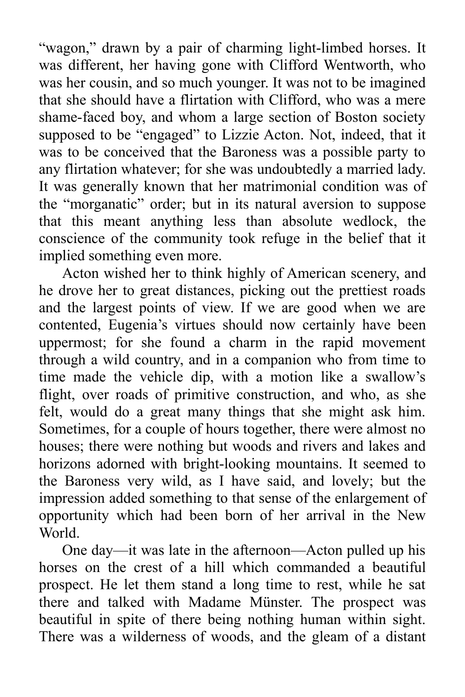"wagon," drawn by a pair of charming light-limbed horses. It was different, her having gone with Clifford Wentworth, who was her cousin, and so much younger. It was not to be imagined that she should have a flirtation with Clifford, who was a mere shame-faced boy, and whom a large section of Boston society supposed to be "engaged" to Lizzie Acton. Not, indeed, that it was to be conceived that the Baroness was a possible party to any flirtation whatever; for she was undoubtedly a married lady. It was generally known that her matrimonial condition was of the "morganatic" order; but in its natural aversion to suppose that this meant anything less than absolute wedlock, the conscience of the community took refuge in the belief that it implied something even more.

Acton wished her to think highly of American scenery, and he drove her to great distances, picking out the prettiest roads and the largest points of view. If we are good when we are contented, Eugenia's virtues should now certainly have been uppermost; for she found a charm in the rapid movement through a wild country, and in a companion who from time to time made the vehicle dip, with a motion like a swallow's flight, over roads of primitive construction, and who, as she felt, would do a great many things that she might ask him. Sometimes, for a couple of hours together, there were almost no houses; there were nothing but woods and rivers and lakes and horizons adorned with bright-looking mountains. It seemed to the Baroness very wild, as I have said, and lovely; but the impression added something to that sense of the enlargement of opportunity which had been born of her arrival in the New World.

One day—it was late in the afternoon—Acton pulled up his horses on the crest of a hill which commanded a beautiful prospect. He let them stand a long time to rest, while he sat there and talked with Madame Münster. The prospect was beautiful in spite of there being nothing human within sight. There was a wilderness of woods, and the gleam of a distant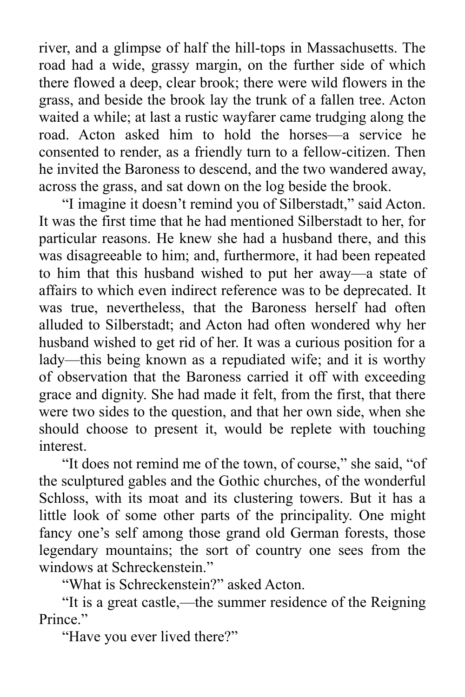river, and a glimpse of half the hill-tops in Massachusetts. The road had a wide, grassy margin, on the further side of which there flowed a deep, clear brook; there were wild flowers in the grass, and beside the brook lay the trunk of a fallen tree. Acton waited a while; at last a rustic wayfarer came trudging along the road. Acton asked him to hold the horses—a service he consented to render, as a friendly turn to a fellow-citizen. Then he invited the Baroness to descend, and the two wandered away, across the grass, and sat down on the log beside the brook.

"I imagine it doesn't remind you of Silberstadt," said Acton. It was the first time that he had mentioned Silberstadt to her, for particular reasons. He knew she had a husband there, and this was disagreeable to him; and, furthermore, it had been repeated to him that this husband wished to put her away—a state of affairs to which even indirect reference was to be deprecated. It was true, nevertheless, that the Baroness herself had often alluded to Silberstadt; and Acton had often wondered why her husband wished to get rid of her. It was a curious position for a lady—this being known as a repudiated wife; and it is worthy of observation that the Baroness carried it off with exceeding grace and dignity. She had made it felt, from the first, that there were two sides to the question, and that her own side, when she should choose to present it, would be replete with touching interest.

"It does not remind me of the town, of course," she said, "of the sculptured gables and the Gothic churches, of the wonderful Schloss, with its moat and its clustering towers. But it has a little look of some other parts of the principality. One might fancy one's self among those grand old German forests, those legendary mountains; the sort of country one sees from the windows at Schreckenstein."

"What is Schreckenstein?" asked Acton.

"It is a great castle,—the summer residence of the Reigning Prince."

"Have you ever lived there?"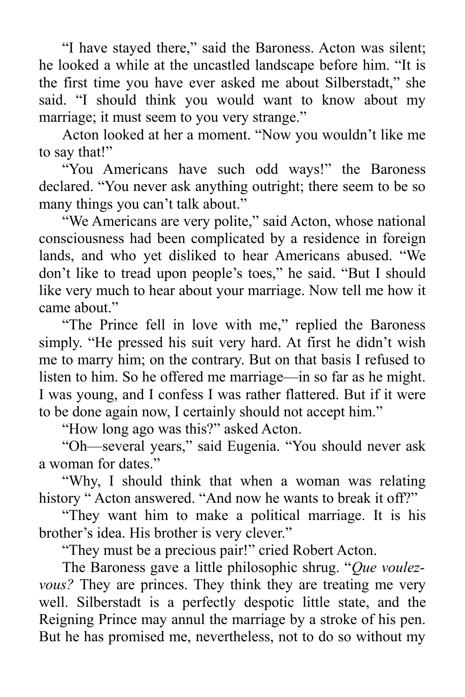"I have stayed there," said the Baroness. Acton was silent; he looked a while at the uncastled landscape before him. "It is the first time you have ever asked me about Silberstadt," she said. "I should think you would want to know about my marriage; it must seem to you very strange."

Acton looked at her a moment. "Now you wouldn't like me to say that!"

"You Americans have such odd ways!" the Baroness declared. "You never ask anything outright; there seem to be so many things you can't talk about."

"We Americans are very polite," said Acton, whose national consciousness had been complicated by a residence in foreign lands, and who yet disliked to hear Americans abused. "We don't like to tread upon people's toes," he said. "But I should like very much to hear about your marriage. Now tell me how it came about."

"The Prince fell in love with me," replied the Baroness simply. "He pressed his suit very hard. At first he didn't wish me to marry him; on the contrary. But on that basis I refused to listen to him. So he offered me marriage—in so far as he might. I was young, and I confess I was rather flattered. But if it were to be done again now, I certainly should not accept him."

"How long ago was this?" asked Acton.

"Oh—several years," said Eugenia. "You should never ask a woman for dates."

"Why, I should think that when a woman was relating history " Acton answered. "And now he wants to break it off?"

"They want him to make a political marriage. It is his brother's idea. His brother is very clever."

"They must be a precious pair!" cried Robert Acton.

The Baroness gave a little philosophic shrug. "*Que voulezvous?* They are princes. They think they are treating me very well. Silberstadt is a perfectly despotic little state, and the Reigning Prince may annul the marriage by a stroke of his pen. But he has promised me, nevertheless, not to do so without my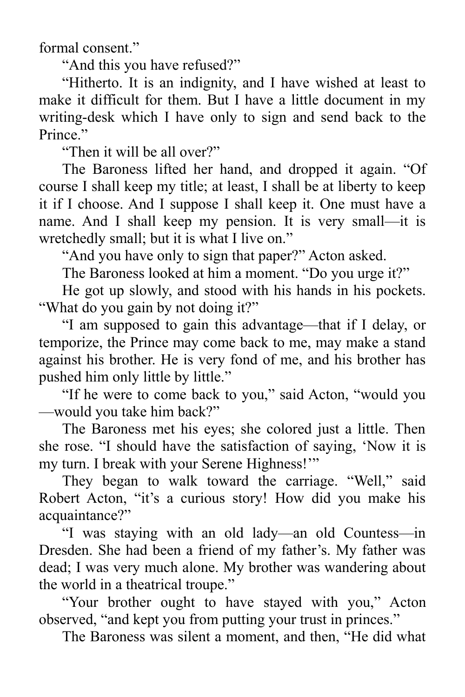formal consent."

"And this you have refused?"

"Hitherto. It is an indignity, and I have wished at least to make it difficult for them. But I have a little document in my writing-desk which I have only to sign and send back to the Prince."

"Then it will be all over?"

The Baroness lifted her hand, and dropped it again. "Of course I shall keep my title; at least, I shall be at liberty to keep it if I choose. And I suppose I shall keep it. One must have a name. And I shall keep my pension. It is very small—it is wretchedly small; but it is what I live on."

"And you have only to sign that paper?" Acton asked.

The Baroness looked at him a moment. "Do you urge it?"

He got up slowly, and stood with his hands in his pockets. "What do you gain by not doing it?"

"I am supposed to gain this advantage—that if I delay, or temporize, the Prince may come back to me, may make a stand against his brother. He is very fond of me, and his brother has pushed him only little by little."

"If he were to come back to you," said Acton, "would you —would you take him back?"

The Baroness met his eyes; she colored just a little. Then she rose. "I should have the satisfaction of saying, 'Now it is my turn. I break with your Serene Highness!'"

They began to walk toward the carriage. "Well," said Robert Acton, "it's a curious story! How did you make his acquaintance?"

"I was staying with an old lady—an old Countess—in Dresden. She had been a friend of my father's. My father was dead; I was very much alone. My brother was wandering about the world in a theatrical troupe."

"Your brother ought to have stayed with you," Acton observed, "and kept you from putting your trust in princes."

The Baroness was silent a moment, and then, "He did what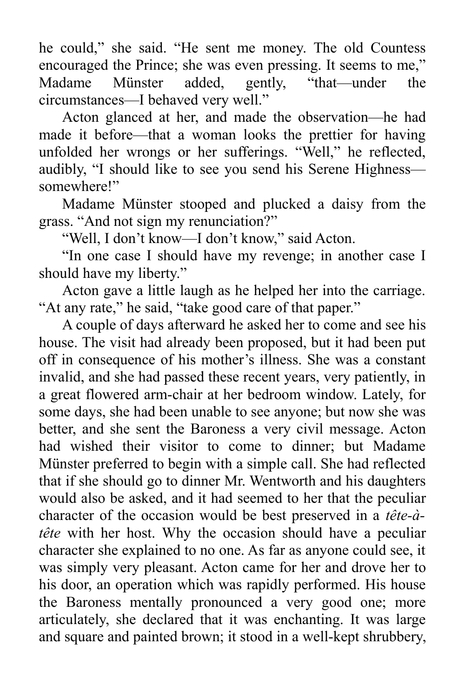he could," she said. "He sent me money. The old Countess encouraged the Prince; she was even pressing. It seems to me," Madame Münster added, gently, "that—under the circumstances—I behaved very well."

Acton glanced at her, and made the observation—he had made it before—that a woman looks the prettier for having unfolded her wrongs or her sufferings. "Well," he reflected, audibly, "I should like to see you send his Serene Highness somewhere!"

Madame Münster stooped and plucked a daisy from the grass. "And not sign my renunciation?"

"Well, I don't know—I don't know," said Acton.

"In one case I should have my revenge; in another case I should have my liberty."

Acton gave a little laugh as he helped her into the carriage. "At any rate," he said, "take good care of that paper."

A couple of days afterward he asked her to come and see his house. The visit had already been proposed, but it had been put off in consequence of his mother's illness. She was a constant invalid, and she had passed these recent years, very patiently, in a great flowered arm-chair at her bedroom window. Lately, for some days, she had been unable to see anyone; but now she was better, and she sent the Baroness a very civil message. Acton had wished their visitor to come to dinner; but Madame Münster preferred to begin with a simple call. She had reflected that if she should go to dinner Mr. Wentworth and his daughters would also be asked, and it had seemed to her that the peculiar character of the occasion would be best preserved in a *tête-àtête* with her host. Why the occasion should have a peculiar character she explained to no one. As far as anyone could see, it was simply very pleasant. Acton came for her and drove her to his door, an operation which was rapidly performed. His house the Baroness mentally pronounced a very good one; more articulately, she declared that it was enchanting. It was large and square and painted brown; it stood in a well-kept shrubbery,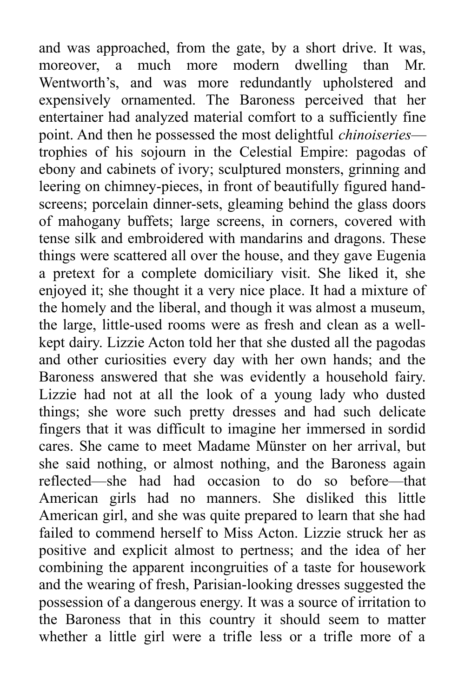and was approached, from the gate, by a short drive. It was, moreover, a much more modern dwelling than Mr. Wentworth's, and was more redundantly upholstered and expensively ornamented. The Baroness perceived that her entertainer had analyzed material comfort to a sufficiently fine point. And then he possessed the most delightful *chinoiseries* trophies of his sojourn in the Celestial Empire: pagodas of ebony and cabinets of ivory; sculptured monsters, grinning and leering on chimney-pieces, in front of beautifully figured handscreens; porcelain dinner-sets, gleaming behind the glass doors of mahogany buffets; large screens, in corners, covered with tense silk and embroidered with mandarins and dragons. These things were scattered all over the house, and they gave Eugenia a pretext for a complete domiciliary visit. She liked it, she enjoyed it; she thought it a very nice place. It had a mixture of the homely and the liberal, and though it was almost a museum, the large, little-used rooms were as fresh and clean as a wellkept dairy. Lizzie Acton told her that she dusted all the pagodas and other curiosities every day with her own hands; and the Baroness answered that she was evidently a household fairy. Lizzie had not at all the look of a young lady who dusted things; she wore such pretty dresses and had such delicate fingers that it was difficult to imagine her immersed in sordid cares. She came to meet Madame Münster on her arrival, but she said nothing, or almost nothing, and the Baroness again reflected—she had had occasion to do so before—that American girls had no manners. She disliked this little American girl, and she was quite prepared to learn that she had failed to commend herself to Miss Acton. Lizzie struck her as positive and explicit almost to pertness; and the idea of her combining the apparent incongruities of a taste for housework and the wearing of fresh, Parisian-looking dresses suggested the possession of a dangerous energy. It was a source of irritation to the Baroness that in this country it should seem to matter whether a little girl were a trifle less or a trifle more of a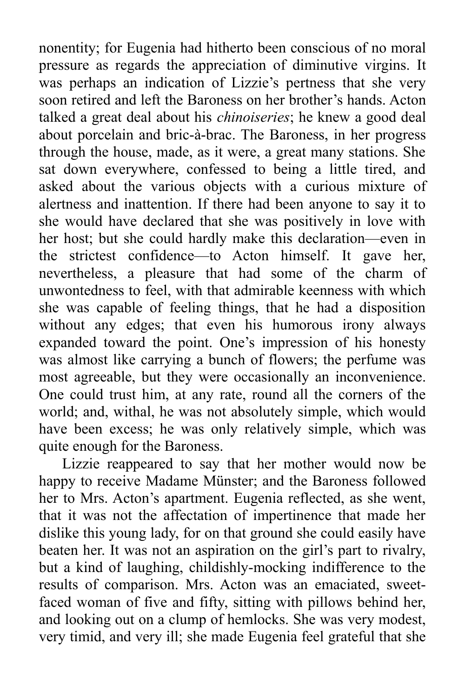nonentity; for Eugenia had hitherto been conscious of no moral pressure as regards the appreciation of diminutive virgins. It was perhaps an indication of Lizzie's pertness that she very soon retired and left the Baroness on her brother's hands. Acton talked a great deal about his *chinoiseries*; he knew a good deal about porcelain and bric-à-brac. The Baroness, in her progress through the house, made, as it were, a great many stations. She sat down everywhere, confessed to being a little tired, and asked about the various objects with a curious mixture of alertness and inattention. If there had been anyone to say it to she would have declared that she was positively in love with her host; but she could hardly make this declaration—even in the strictest confidence—to Acton himself. It gave her, nevertheless, a pleasure that had some of the charm of unwontedness to feel, with that admirable keenness with which she was capable of feeling things, that he had a disposition without any edges; that even his humorous irony always expanded toward the point. One's impression of his honesty was almost like carrying a bunch of flowers; the perfume was most agreeable, but they were occasionally an inconvenience. One could trust him, at any rate, round all the corners of the world; and, withal, he was not absolutely simple, which would have been excess; he was only relatively simple, which was quite enough for the Baroness.

Lizzie reappeared to say that her mother would now be happy to receive Madame Münster; and the Baroness followed her to Mrs. Acton's apartment. Eugenia reflected, as she went, that it was not the affectation of impertinence that made her dislike this young lady, for on that ground she could easily have beaten her. It was not an aspiration on the girl's part to rivalry, but a kind of laughing, childishly-mocking indifference to the results of comparison. Mrs. Acton was an emaciated, sweetfaced woman of five and fifty, sitting with pillows behind her, and looking out on a clump of hemlocks. She was very modest, very timid, and very ill; she made Eugenia feel grateful that she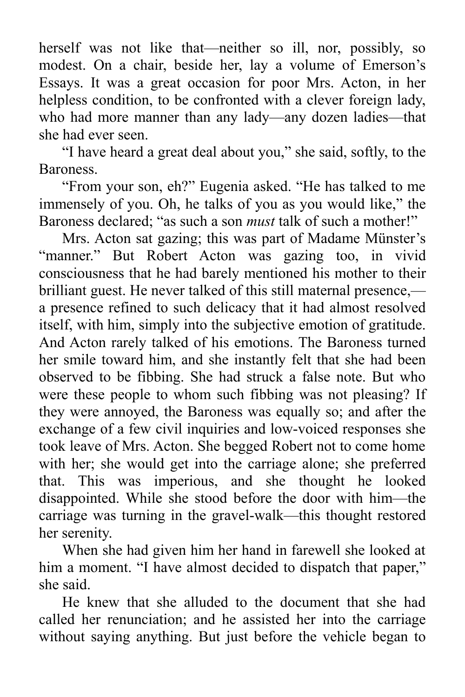herself was not like that—neither so ill, nor, possibly, so modest. On a chair, beside her, lay a volume of Emerson's Essays. It was a great occasion for poor Mrs. Acton, in her helpless condition, to be confronted with a clever foreign lady, who had more manner than any lady—any dozen ladies—that she had ever seen.

"I have heard a great deal about you," she said, softly, to the Baroness.

"From your son, eh?" Eugenia asked. "He has talked to me immensely of you. Oh, he talks of you as you would like," the Baroness declared; "as such a son *must* talk of such a mother!"

Mrs. Acton sat gazing; this was part of Madame Münster's "manner." But Robert Acton was gazing too, in vivid consciousness that he had barely mentioned his mother to their brilliant guest. He never talked of this still maternal presence, a presence refined to such delicacy that it had almost resolved itself, with him, simply into the subjective emotion of gratitude. And Acton rarely talked of his emotions. The Baroness turned her smile toward him, and she instantly felt that she had been observed to be fibbing. She had struck a false note. But who were these people to whom such fibbing was not pleasing? If they were annoyed, the Baroness was equally so; and after the exchange of a few civil inquiries and low-voiced responses she took leave of Mrs. Acton. She begged Robert not to come home with her; she would get into the carriage alone; she preferred that. This was imperious, and she thought he looked disappointed. While she stood before the door with him—the carriage was turning in the gravel-walk—this thought restored her serenity.

When she had given him her hand in farewell she looked at him a moment. "I have almost decided to dispatch that paper," she said.

He knew that she alluded to the document that she had called her renunciation; and he assisted her into the carriage without saying anything. But just before the vehicle began to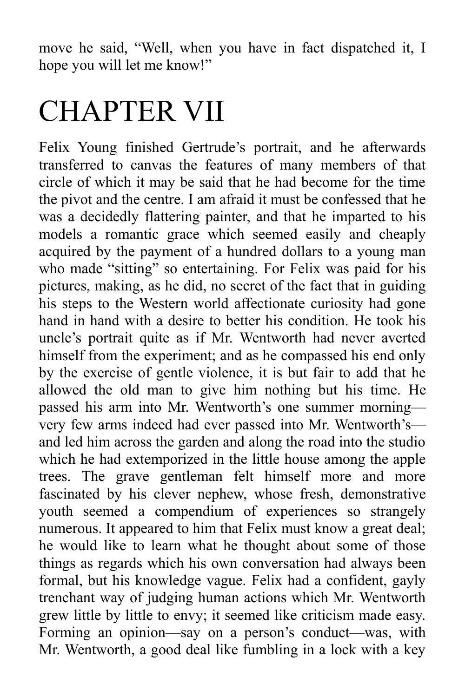move he said, "Well, when you have in fact dispatched it, I hope you will let me know!"

## CHAPTER VII

Felix Young finished Gertrude's portrait, and he afterwards transferred to canvas the features of many members of that circle of which it may be said that he had become for the time the pivot and the centre. I am afraid it must be confessed that he was a decidedly flattering painter, and that he imparted to his models a romantic grace which seemed easily and cheaply acquired by the payment of a hundred dollars to a young man who made "sitting" so entertaining. For Felix was paid for his pictures, making, as he did, no secret of the fact that in guiding his steps to the Western world affectionate curiosity had gone hand in hand with a desire to better his condition. He took his uncle's portrait quite as if Mr. Wentworth had never averted himself from the experiment; and as he compassed his end only by the exercise of gentle violence, it is but fair to add that he allowed the old man to give him nothing but his time. He passed his arm into Mr. Wentworth's one summer morning very few arms indeed had ever passed into Mr. Wentworth's and led him across the garden and along the road into the studio which he had extemporized in the little house among the apple trees. The grave gentleman felt himself more and more fascinated by his clever nephew, whose fresh, demonstrative youth seemed a compendium of experiences so strangely numerous. It appeared to him that Felix must know a great deal; he would like to learn what he thought about some of those things as regards which his own conversation had always been formal, but his knowledge vague. Felix had a confident, gayly trenchant way of judging human actions which Mr. Wentworth grew little by little to envy; it seemed like criticism made easy. Forming an opinion—say on a person's conduct—was, with Mr. Wentworth, a good deal like fumbling in a lock with a key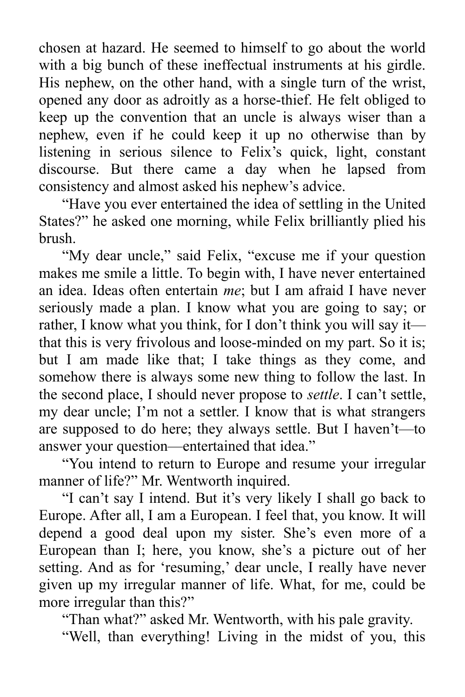chosen at hazard. He seemed to himself to go about the world with a big bunch of these ineffectual instruments at his girdle. His nephew, on the other hand, with a single turn of the wrist, opened any door as adroitly as a horse-thief. He felt obliged to keep up the convention that an uncle is always wiser than a nephew, even if he could keep it up no otherwise than by listening in serious silence to Felix's quick, light, constant discourse. But there came a day when he lapsed from consistency and almost asked his nephew's advice.

"Have you ever entertained the idea of settling in the United States?" he asked one morning, while Felix brilliantly plied his brush.

"My dear uncle," said Felix, "excuse me if your question makes me smile a little. To begin with, I have never entertained an idea. Ideas often entertain *me*; but I am afraid I have never seriously made a plan. I know what you are going to say; or rather, I know what you think, for I don't think you will say it that this is very frivolous and loose-minded on my part. So it is; but I am made like that; I take things as they come, and somehow there is always some new thing to follow the last. In the second place, I should never propose to *settle*. I can't settle, my dear uncle; I'm not a settler. I know that is what strangers are supposed to do here; they always settle. But I haven't—to answer your question—entertained that idea."

"You intend to return to Europe and resume your irregular manner of life?" Mr. Wentworth inquired.

"I can't say I intend. But it's very likely I shall go back to Europe. After all, I am a European. I feel that, you know. It will depend a good deal upon my sister. She's even more of a European than I; here, you know, she's a picture out of her setting. And as for 'resuming,' dear uncle, I really have never given up my irregular manner of life. What, for me, could be more irregular than this?"

"Than what?" asked Mr. Wentworth, with his pale gravity.

"Well, than everything! Living in the midst of you, this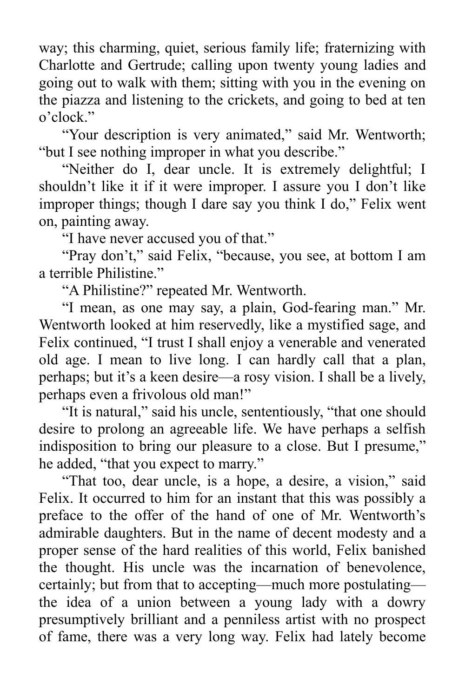way; this charming, quiet, serious family life; fraternizing with Charlotte and Gertrude; calling upon twenty young ladies and going out to walk with them; sitting with you in the evening on the piazza and listening to the crickets, and going to bed at ten o'clock."

"Your description is very animated," said Mr. Wentworth; "but I see nothing improper in what you describe."

"Neither do I, dear uncle. It is extremely delightful; I shouldn't like it if it were improper. I assure you I don't like improper things; though I dare say you think I do," Felix went on, painting away.

"I have never accused you of that."

"Pray don't," said Felix, "because, you see, at bottom I am a terrible Philistine."

"A Philistine?" repeated Mr. Wentworth.

"I mean, as one may say, a plain, God-fearing man." Mr. Wentworth looked at him reservedly, like a mystified sage, and Felix continued, "I trust I shall enjoy a venerable and venerated old age. I mean to live long. I can hardly call that a plan, perhaps; but it's a keen desire—a rosy vision. I shall be a lively, perhaps even a frivolous old man!"

"It is natural," said his uncle, sententiously, "that one should desire to prolong an agreeable life. We have perhaps a selfish indisposition to bring our pleasure to a close. But I presume," he added, "that you expect to marry."

"That too, dear uncle, is a hope, a desire, a vision," said Felix. It occurred to him for an instant that this was possibly a preface to the offer of the hand of one of Mr. Wentworth's admirable daughters. But in the name of decent modesty and a proper sense of the hard realities of this world, Felix banished the thought. His uncle was the incarnation of benevolence, certainly; but from that to accepting—much more postulating the idea of a union between a young lady with a dowry presumptively brilliant and a penniless artist with no prospect of fame, there was a very long way. Felix had lately become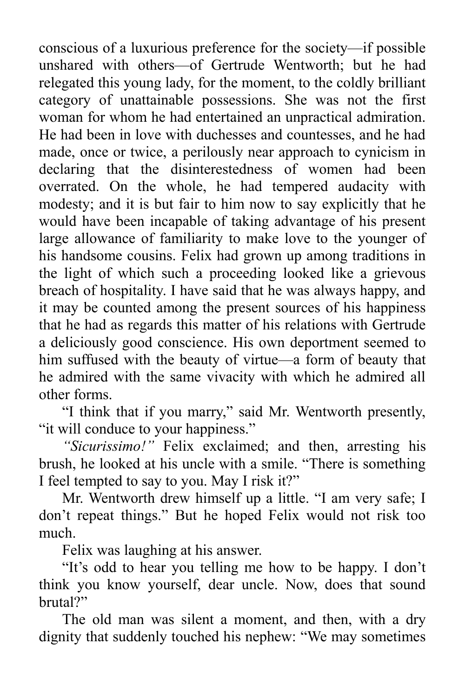conscious of a luxurious preference for the society—if possible unshared with others—of Gertrude Wentworth; but he had relegated this young lady, for the moment, to the coldly brilliant category of unattainable possessions. She was not the first woman for whom he had entertained an unpractical admiration. He had been in love with duchesses and countesses, and he had made, once or twice, a perilously near approach to cynicism in declaring that the disinterestedness of women had been overrated. On the whole, he had tempered audacity with modesty; and it is but fair to him now to say explicitly that he would have been incapable of taking advantage of his present large allowance of familiarity to make love to the younger of his handsome cousins. Felix had grown up among traditions in the light of which such a proceeding looked like a grievous breach of hospitality. I have said that he was always happy, and it may be counted among the present sources of his happiness that he had as regards this matter of his relations with Gertrude a deliciously good conscience. His own deportment seemed to him suffused with the beauty of virtue—a form of beauty that he admired with the same vivacity with which he admired all other forms.

"I think that if you marry," said Mr. Wentworth presently, "it will conduce to your happiness."

*"Sicurissimo!"* Felix exclaimed; and then, arresting his brush, he looked at his uncle with a smile. "There is something I feel tempted to say to you. May I risk it?"

Mr. Wentworth drew himself up a little. "I am very safe; I don't repeat things." But he hoped Felix would not risk too much.

Felix was laughing at his answer.

"It's odd to hear you telling me how to be happy. I don't think you know yourself, dear uncle. Now, does that sound brutal?"

The old man was silent a moment, and then, with a dry dignity that suddenly touched his nephew: "We may sometimes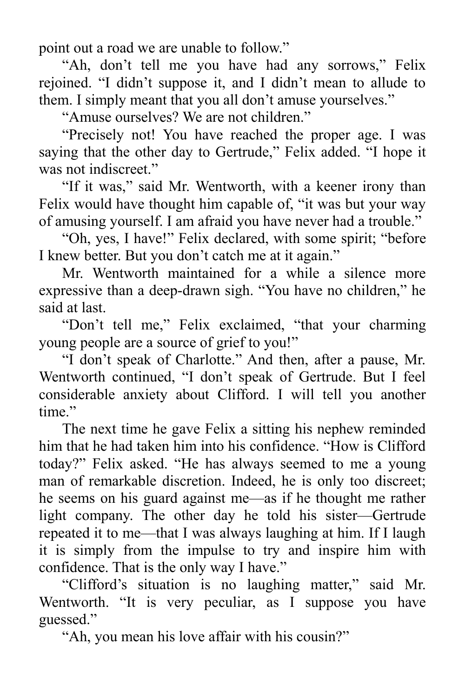point out a road we are unable to follow."

"Ah, don't tell me you have had any sorrows," Felix rejoined. "I didn't suppose it, and I didn't mean to allude to them. I simply meant that you all don't amuse yourselves."

"Amuse ourselves? We are not children."

"Precisely not! You have reached the proper age. I was saying that the other day to Gertrude," Felix added. "I hope it was not indiscreet."

"If it was," said Mr. Wentworth, with a keener irony than Felix would have thought him capable of, "it was but your way of amusing yourself. I am afraid you have never had a trouble."

"Oh, yes, I have!" Felix declared, with some spirit; "before I knew better. But you don't catch me at it again."

Mr. Wentworth maintained for a while a silence more expressive than a deep-drawn sigh. "You have no children," he said at last.

"Don't tell me," Felix exclaimed, "that your charming young people are a source of grief to you!"

"I don't speak of Charlotte." And then, after a pause, Mr. Wentworth continued, "I don't speak of Gertrude. But I feel considerable anxiety about Clifford. I will tell you another time"

The next time he gave Felix a sitting his nephew reminded him that he had taken him into his confidence. "How is Clifford today?" Felix asked. "He has always seemed to me a young man of remarkable discretion. Indeed, he is only too discreet; he seems on his guard against me—as if he thought me rather light company. The other day he told his sister—Gertrude repeated it to me—that I was always laughing at him. If I laugh it is simply from the impulse to try and inspire him with confidence. That is the only way I have."

"Clifford's situation is no laughing matter," said Mr. Wentworth. "It is very peculiar, as I suppose you have guessed."

"Ah, you mean his love affair with his cousin?"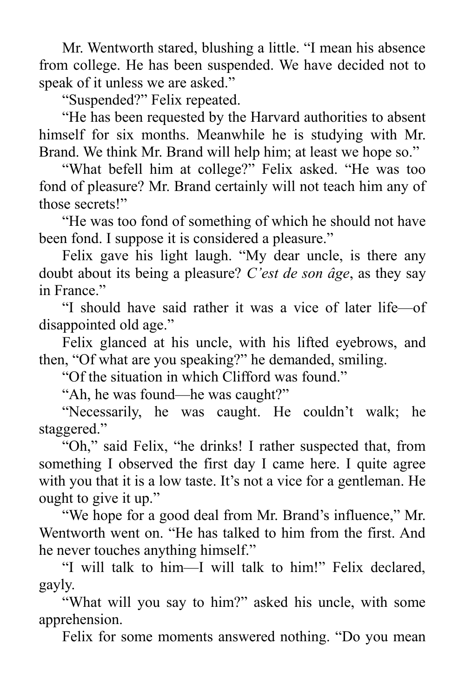Mr. Wentworth stared, blushing a little. "I mean his absence from college. He has been suspended. We have decided not to speak of it unless we are asked."

"Suspended?" Felix repeated.

"He has been requested by the Harvard authorities to absent himself for six months. Meanwhile he is studying with Mr. Brand. We think Mr. Brand will help him; at least we hope so."

"What befell him at college?" Felix asked. "He was too fond of pleasure? Mr. Brand certainly will not teach him any of those secrets!"

"He was too fond of something of which he should not have been fond. I suppose it is considered a pleasure."

Felix gave his light laugh. "My dear uncle, is there any doubt about its being a pleasure? *C'est de son âge*, as they say in France."

"I should have said rather it was a vice of later life—of disappointed old age."

Felix glanced at his uncle, with his lifted eyebrows, and then, "Of what are you speaking?" he demanded, smiling.

"Of the situation in which Clifford was found."

"Ah, he was found—he was caught?"

"Necessarily, he was caught. He couldn't walk; he staggered."

"Oh," said Felix, "he drinks! I rather suspected that, from something I observed the first day I came here. I quite agree with you that it is a low taste. It's not a vice for a gentleman. He ought to give it up."

"We hope for a good deal from Mr. Brand's influence," Mr. Wentworth went on. "He has talked to him from the first. And he never touches anything himself."

"I will talk to him—I will talk to him!" Felix declared, gayly.

"What will you say to him?" asked his uncle, with some apprehension.

Felix for some moments answered nothing. "Do you mean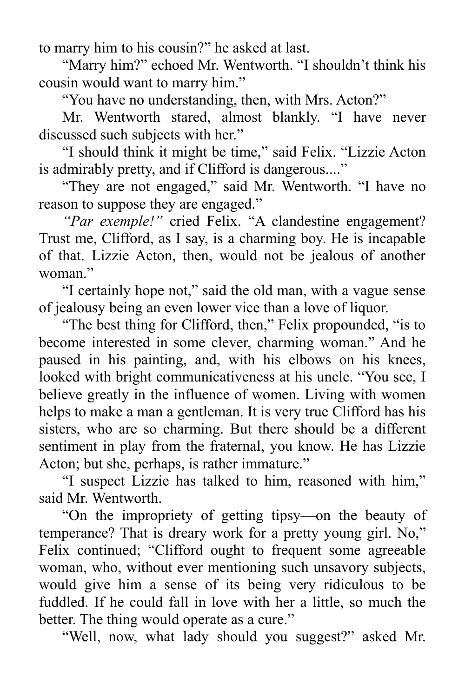to marry him to his cousin?" he asked at last.

"Marry him?" echoed Mr. Wentworth. "I shouldn't think his cousin would want to marry him."

"You have no understanding, then, with Mrs. Acton?"

Mr. Wentworth stared, almost blankly. "I have never discussed such subjects with her."

"I should think it might be time," said Felix. "Lizzie Acton is admirably pretty, and if Clifford is dangerous...."

"They are not engaged," said Mr. Wentworth. "I have no reason to suppose they are engaged."

*"Par exemple!"* cried Felix. "A clandestine engagement? Trust me, Clifford, as I say, is a charming boy. He is incapable of that. Lizzie Acton, then, would not be jealous of another woman."

"I certainly hope not," said the old man, with a vague sense of jealousy being an even lower vice than a love of liquor.

"The best thing for Clifford, then," Felix propounded, "is to become interested in some clever, charming woman." And he paused in his painting, and, with his elbows on his knees, looked with bright communicativeness at his uncle. "You see, I believe greatly in the influence of women. Living with women helps to make a man a gentleman. It is very true Clifford has his sisters, who are so charming. But there should be a different sentiment in play from the fraternal, you know. He has Lizzie Acton; but she, perhaps, is rather immature."

"I suspect Lizzie has talked to him, reasoned with him," said Mr. Wentworth.

"On the impropriety of getting tipsy—on the beauty of temperance? That is dreary work for a pretty young girl. No," Felix continued; "Clifford ought to frequent some agreeable woman, who, without ever mentioning such unsavory subjects, would give him a sense of its being very ridiculous to be fuddled. If he could fall in love with her a little, so much the better. The thing would operate as a cure."

"Well, now, what lady should you suggest?" asked Mr.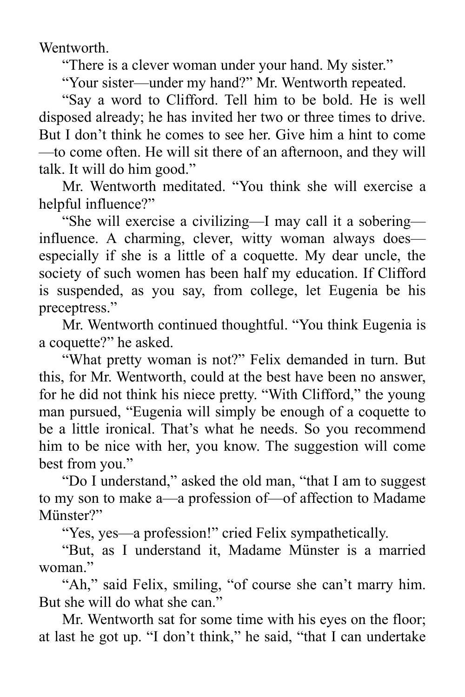Wentworth.

"There is a clever woman under your hand. My sister."

"Your sister—under my hand?" Mr. Wentworth repeated.

"Say a word to Clifford. Tell him to be bold. He is well disposed already; he has invited her two or three times to drive. But I don't think he comes to see her. Give him a hint to come —to come often. He will sit there of an afternoon, and they will talk. It will do him good."

Mr. Wentworth meditated. "You think she will exercise a helpful influence?"

"She will exercise a civilizing—I may call it a sobering influence. A charming, clever, witty woman always does especially if she is a little of a coquette. My dear uncle, the society of such women has been half my education. If Clifford is suspended, as you say, from college, let Eugenia be his preceptress."

Mr. Wentworth continued thoughtful. "You think Eugenia is a coquette?" he asked.

"What pretty woman is not?" Felix demanded in turn. But this, for Mr. Wentworth, could at the best have been no answer, for he did not think his niece pretty. "With Clifford," the young man pursued, "Eugenia will simply be enough of a coquette to be a little ironical. That's what he needs. So you recommend him to be nice with her, you know. The suggestion will come best from you."

"Do I understand," asked the old man, "that I am to suggest to my son to make a—a profession of—of affection to Madame Münster?"

"Yes, yes—a profession!" cried Felix sympathetically.

"But, as I understand it, Madame Münster is a married woman."

"Ah," said Felix, smiling, "of course she can't marry him. But she will do what she can."

Mr. Wentworth sat for some time with his eyes on the floor; at last he got up. "I don't think," he said, "that I can undertake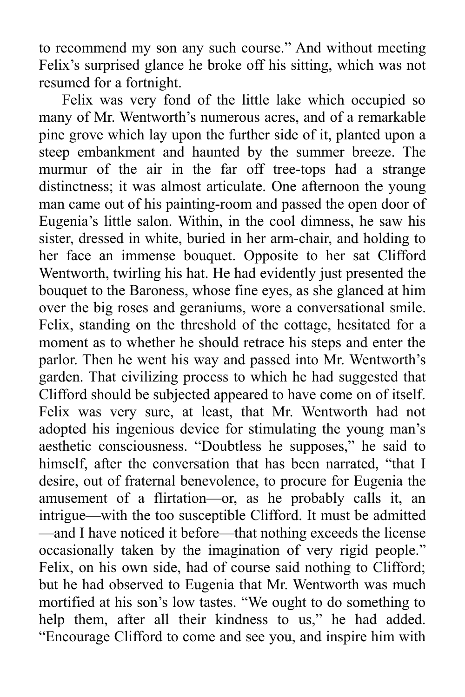to recommend my son any such course." And without meeting Felix's surprised glance he broke off his sitting, which was not resumed for a fortnight.

Felix was very fond of the little lake which occupied so many of Mr. Wentworth's numerous acres, and of a remarkable pine grove which lay upon the further side of it, planted upon a steep embankment and haunted by the summer breeze. The murmur of the air in the far off tree-tops had a strange distinctness; it was almost articulate. One afternoon the young man came out of his painting-room and passed the open door of Eugenia's little salon. Within, in the cool dimness, he saw his sister, dressed in white, buried in her arm-chair, and holding to her face an immense bouquet. Opposite to her sat Clifford Wentworth, twirling his hat. He had evidently just presented the bouquet to the Baroness, whose fine eyes, as she glanced at him over the big roses and geraniums, wore a conversational smile. Felix, standing on the threshold of the cottage, hesitated for a moment as to whether he should retrace his steps and enter the parlor. Then he went his way and passed into Mr. Wentworth's garden. That civilizing process to which he had suggested that Clifford should be subjected appeared to have come on of itself. Felix was very sure, at least, that Mr. Wentworth had not adopted his ingenious device for stimulating the young man's aesthetic consciousness. "Doubtless he supposes," he said to himself, after the conversation that has been narrated, "that I desire, out of fraternal benevolence, to procure for Eugenia the amusement of a flirtation—or, as he probably calls it, an intrigue—with the too susceptible Clifford. It must be admitted —and I have noticed it before—that nothing exceeds the license occasionally taken by the imagination of very rigid people." Felix, on his own side, had of course said nothing to Clifford; but he had observed to Eugenia that Mr. Wentworth was much mortified at his son's low tastes. "We ought to do something to help them, after all their kindness to us," he had added. "Encourage Clifford to come and see you, and inspire him with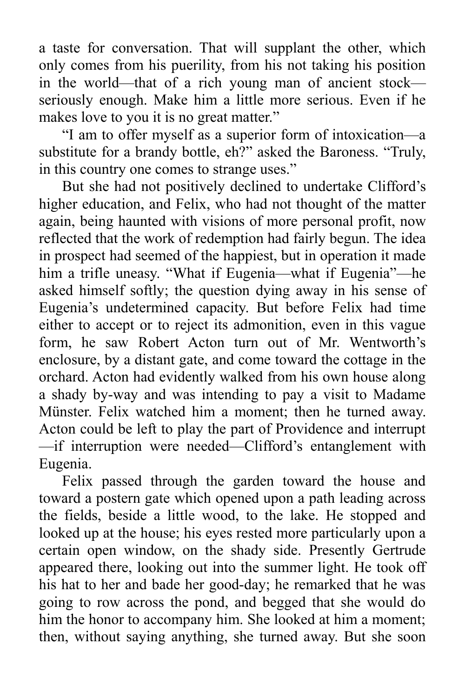a taste for conversation. That will supplant the other, which only comes from his puerility, from his not taking his position in the world—that of a rich young man of ancient stock seriously enough. Make him a little more serious. Even if he makes love to you it is no great matter."

"I am to offer myself as a superior form of intoxication—a substitute for a brandy bottle, eh?" asked the Baroness. "Truly, in this country one comes to strange uses."

But she had not positively declined to undertake Clifford's higher education, and Felix, who had not thought of the matter again, being haunted with visions of more personal profit, now reflected that the work of redemption had fairly begun. The idea in prospect had seemed of the happiest, but in operation it made him a trifle uneasy. "What if Eugenia—what if Eugenia"—he asked himself softly; the question dying away in his sense of Eugenia's undetermined capacity. But before Felix had time either to accept or to reject its admonition, even in this vague form, he saw Robert Acton turn out of Mr. Wentworth's enclosure, by a distant gate, and come toward the cottage in the orchard. Acton had evidently walked from his own house along a shady by-way and was intending to pay a visit to Madame Münster. Felix watched him a moment; then he turned away. Acton could be left to play the part of Providence and interrupt —if interruption were needed—Clifford's entanglement with Eugenia.

Felix passed through the garden toward the house and toward a postern gate which opened upon a path leading across the fields, beside a little wood, to the lake. He stopped and looked up at the house; his eyes rested more particularly upon a certain open window, on the shady side. Presently Gertrude appeared there, looking out into the summer light. He took off his hat to her and bade her good-day; he remarked that he was going to row across the pond, and begged that she would do him the honor to accompany him. She looked at him a moment; then, without saying anything, she turned away. But she soon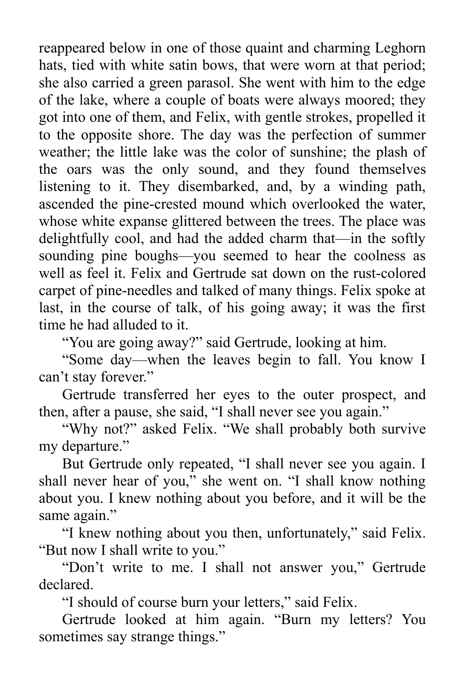reappeared below in one of those quaint and charming Leghorn hats, tied with white satin bows, that were worn at that period; she also carried a green parasol. She went with him to the edge of the lake, where a couple of boats were always moored; they got into one of them, and Felix, with gentle strokes, propelled it to the opposite shore. The day was the perfection of summer weather; the little lake was the color of sunshine; the plash of the oars was the only sound, and they found themselves listening to it. They disembarked, and, by a winding path, ascended the pine-crested mound which overlooked the water, whose white expanse glittered between the trees. The place was delightfully cool, and had the added charm that—in the softly sounding pine boughs—you seemed to hear the coolness as well as feel it. Felix and Gertrude sat down on the rust-colored carpet of pine-needles and talked of many things. Felix spoke at last, in the course of talk, of his going away; it was the first time he had alluded to it.

"You are going away?" said Gertrude, looking at him.

"Some day—when the leaves begin to fall. You know I can't stay forever."

Gertrude transferred her eyes to the outer prospect, and then, after a pause, she said, "I shall never see you again."

"Why not?" asked Felix. "We shall probably both survive my departure."

But Gertrude only repeated, "I shall never see you again. I shall never hear of you," she went on. "I shall know nothing about you. I knew nothing about you before, and it will be the same again."

"I knew nothing about you then, unfortunately," said Felix. "But now I shall write to you."

"Don't write to me. I shall not answer you," Gertrude declared.

"I should of course burn your letters," said Felix.

Gertrude looked at him again. "Burn my letters? You sometimes say strange things."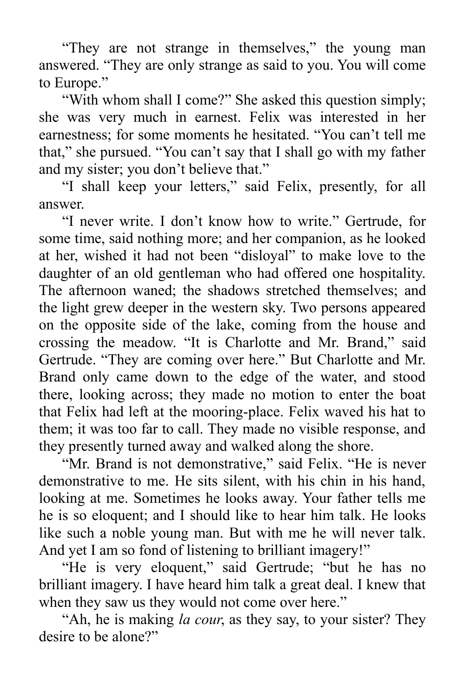"They are not strange in themselves," the young man answered. "They are only strange as said to you. You will come to Europe."

"With whom shall I come?" She asked this question simply; she was very much in earnest. Felix was interested in her earnestness; for some moments he hesitated. "You can't tell me that," she pursued. "You can't say that I shall go with my father and my sister; you don't believe that."

"I shall keep your letters," said Felix, presently, for all answer.

"I never write. I don't know how to write." Gertrude, for some time, said nothing more; and her companion, as he looked at her, wished it had not been "disloyal" to make love to the daughter of an old gentleman who had offered one hospitality. The afternoon waned; the shadows stretched themselves; and the light grew deeper in the western sky. Two persons appeared on the opposite side of the lake, coming from the house and crossing the meadow. "It is Charlotte and Mr. Brand," said Gertrude. "They are coming over here." But Charlotte and Mr. Brand only came down to the edge of the water, and stood there, looking across; they made no motion to enter the boat that Felix had left at the mooring-place. Felix waved his hat to them; it was too far to call. They made no visible response, and they presently turned away and walked along the shore.

"Mr. Brand is not demonstrative," said Felix. "He is never demonstrative to me. He sits silent, with his chin in his hand, looking at me. Sometimes he looks away. Your father tells me he is so eloquent; and I should like to hear him talk. He looks like such a noble young man. But with me he will never talk. And yet I am so fond of listening to brilliant imagery!"

"He is very eloquent," said Gertrude; "but he has no brilliant imagery. I have heard him talk a great deal. I knew that when they saw us they would not come over here."

"Ah, he is making *la cour*, as they say, to your sister? They desire to be alone?"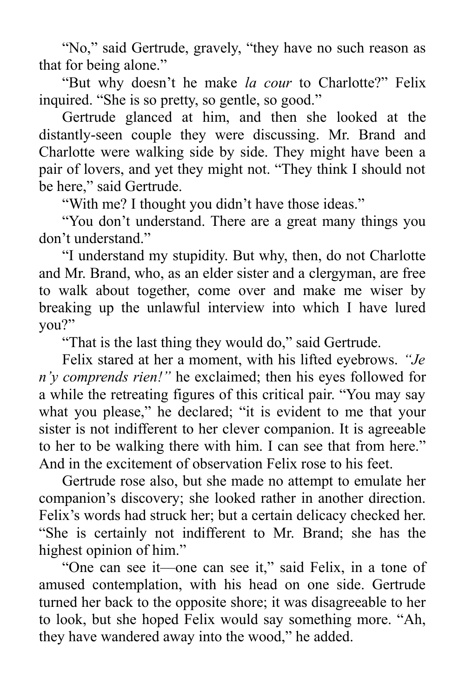"No," said Gertrude, gravely, "they have no such reason as that for being alone."

"But why doesn't he make *la cour* to Charlotte?" Felix inquired. "She is so pretty, so gentle, so good."

Gertrude glanced at him, and then she looked at the distantly-seen couple they were discussing. Mr. Brand and Charlotte were walking side by side. They might have been a pair of lovers, and yet they might not. "They think I should not be here," said Gertrude.

"With me? I thought you didn't have those ideas."

"You don't understand. There are a great many things you don't understand."

"I understand my stupidity. But why, then, do not Charlotte and Mr. Brand, who, as an elder sister and a clergyman, are free to walk about together, come over and make me wiser by breaking up the unlawful interview into which I have lured you?"

"That is the last thing they would do," said Gertrude.

Felix stared at her a moment, with his lifted eyebrows. *"Je n'y comprends rien!"* he exclaimed; then his eyes followed for a while the retreating figures of this critical pair. "You may say what you please," he declared; "it is evident to me that your sister is not indifferent to her clever companion. It is agreeable to her to be walking there with him. I can see that from here." And in the excitement of observation Felix rose to his feet.

Gertrude rose also, but she made no attempt to emulate her companion's discovery; she looked rather in another direction. Felix's words had struck her; but a certain delicacy checked her. "She is certainly not indifferent to Mr. Brand; she has the highest opinion of him."

"One can see it—one can see it," said Felix, in a tone of amused contemplation, with his head on one side. Gertrude turned her back to the opposite shore; it was disagreeable to her to look, but she hoped Felix would say something more. "Ah, they have wandered away into the wood," he added.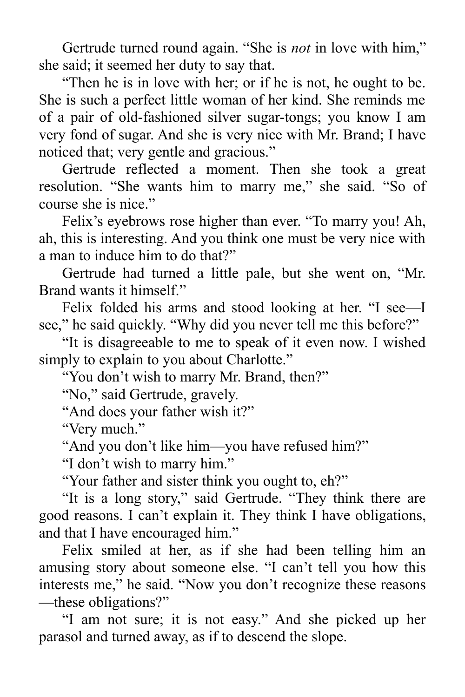Gertrude turned round again. "She is *not* in love with him," she said; it seemed her duty to say that.

"Then he is in love with her; or if he is not, he ought to be. She is such a perfect little woman of her kind. She reminds me of a pair of old-fashioned silver sugar-tongs; you know I am very fond of sugar. And she is very nice with Mr. Brand; I have noticed that; very gentle and gracious."

Gertrude reflected a moment. Then she took a great resolution. "She wants him to marry me," she said. "So of course she is nice."

Felix's eyebrows rose higher than ever. "To marry you! Ah, ah, this is interesting. And you think one must be very nice with a man to induce him to do that?"

Gertrude had turned a little pale, but she went on, "Mr. Brand wants it himself."

Felix folded his arms and stood looking at her. "I see—I see," he said quickly. "Why did you never tell me this before?"

"It is disagreeable to me to speak of it even now. I wished simply to explain to you about Charlotte."

"You don't wish to marry Mr. Brand, then?"

"No," said Gertrude, gravely.

"And does your father wish it?"

"Very much."

"And you don't like him—you have refused him?"

"I don't wish to marry him."

"Your father and sister think you ought to, eh?"

"It is a long story," said Gertrude. "They think there are good reasons. I can't explain it. They think I have obligations, and that I have encouraged him."

Felix smiled at her, as if she had been telling him an amusing story about someone else. "I can't tell you how this interests me," he said. "Now you don't recognize these reasons —these obligations?"

"I am not sure; it is not easy." And she picked up her parasol and turned away, as if to descend the slope.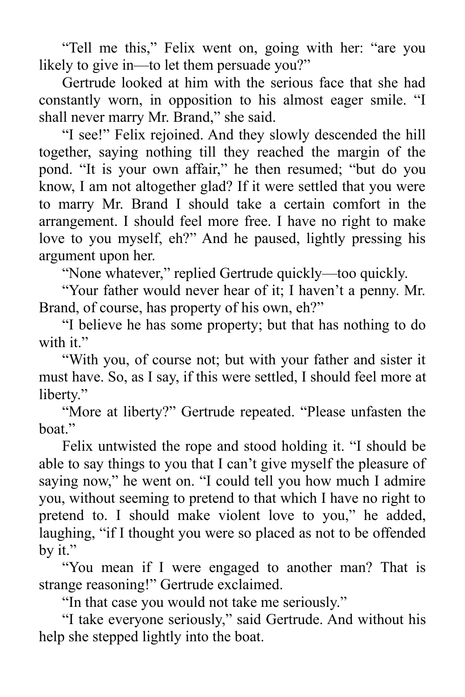"Tell me this," Felix went on, going with her: "are you likely to give in—to let them persuade you?"

Gertrude looked at him with the serious face that she had constantly worn, in opposition to his almost eager smile. "I shall never marry Mr. Brand," she said.

"I see!" Felix rejoined. And they slowly descended the hill together, saying nothing till they reached the margin of the pond. "It is your own affair," he then resumed; "but do you know, I am not altogether glad? If it were settled that you were to marry Mr. Brand I should take a certain comfort in the arrangement. I should feel more free. I have no right to make love to you myself, eh?" And he paused, lightly pressing his argument upon her.

"None whatever," replied Gertrude quickly—too quickly.

"Your father would never hear of it; I haven't a penny. Mr. Brand, of course, has property of his own, eh?"

"I believe he has some property; but that has nothing to do with it."

"With you, of course not; but with your father and sister it must have. So, as I say, if this were settled, I should feel more at liberty."

"More at liberty?" Gertrude repeated. "Please unfasten the boat."

Felix untwisted the rope and stood holding it. "I should be able to say things to you that I can't give myself the pleasure of saying now," he went on. "I could tell you how much I admire you, without seeming to pretend to that which I have no right to pretend to. I should make violent love to you," he added, laughing, "if I thought you were so placed as not to be offended by it."

"You mean if I were engaged to another man? That is strange reasoning!" Gertrude exclaimed.

"In that case you would not take me seriously."

"I take everyone seriously," said Gertrude. And without his help she stepped lightly into the boat.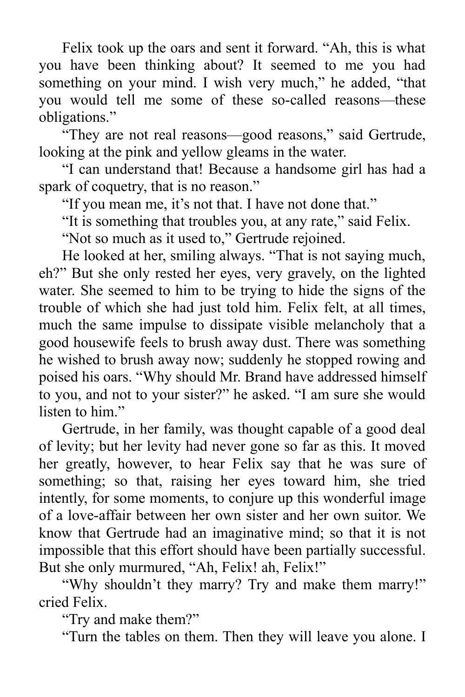Felix took up the oars and sent it forward. "Ah, this is what you have been thinking about? It seemed to me you had something on your mind. I wish very much," he added, "that you would tell me some of these so-called reasons—these obligations."

"They are not real reasons—good reasons," said Gertrude, looking at the pink and yellow gleams in the water.

"I can understand that! Because a handsome girl has had a spark of coquetry, that is no reason."

"If you mean me, it's not that. I have not done that."

"It is something that troubles you, at any rate," said Felix.

"Not so much as it used to," Gertrude rejoined.

He looked at her, smiling always. "That is not saying much, eh?" But she only rested her eyes, very gravely, on the lighted water. She seemed to him to be trying to hide the signs of the trouble of which she had just told him. Felix felt, at all times, much the same impulse to dissipate visible melancholy that a good housewife feels to brush away dust. There was something he wished to brush away now; suddenly he stopped rowing and poised his oars. "Why should Mr. Brand have addressed himself to you, and not to your sister?" he asked. "I am sure she would listen to him."

Gertrude, in her family, was thought capable of a good deal of levity; but her levity had never gone so far as this. It moved her greatly, however, to hear Felix say that he was sure of something; so that, raising her eyes toward him, she tried intently, for some moments, to conjure up this wonderful image of a love-affair between her own sister and her own suitor. We know that Gertrude had an imaginative mind; so that it is not impossible that this effort should have been partially successful. But she only murmured, "Ah, Felix! ah, Felix!"

"Why shouldn't they marry? Try and make them marry!" cried Felix.

"Try and make them?"

"Turn the tables on them. Then they will leave you alone. I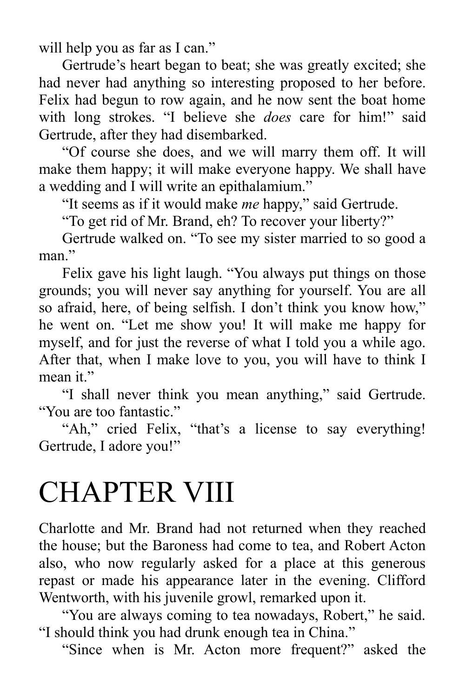will help you as far as I can."

Gertrude's heart began to beat; she was greatly excited; she had never had anything so interesting proposed to her before. Felix had begun to row again, and he now sent the boat home with long strokes. "I believe she *does* care for him!" said Gertrude, after they had disembarked.

"Of course she does, and we will marry them off. It will make them happy; it will make everyone happy. We shall have a wedding and I will write an epithalamium."

"It seems as if it would make *me* happy," said Gertrude.

"To get rid of Mr. Brand, eh? To recover your liberty?"

Gertrude walked on. "To see my sister married to so good a man"

Felix gave his light laugh. "You always put things on those grounds; you will never say anything for yourself. You are all so afraid, here, of being selfish. I don't think you know how," he went on. "Let me show you! It will make me happy for myself, and for just the reverse of what I told you a while ago. After that, when I make love to you, you will have to think I mean it."

"I shall never think you mean anything," said Gertrude. "You are too fantastic."

"Ah," cried Felix, "that's a license to say everything! Gertrude, I adore you!"

## CHAPTER VIII

Charlotte and Mr. Brand had not returned when they reached the house; but the Baroness had come to tea, and Robert Acton also, who now regularly asked for a place at this generous repast or made his appearance later in the evening. Clifford Wentworth, with his juvenile growl, remarked upon it.

"You are always coming to tea nowadays, Robert," he said. "I should think you had drunk enough tea in China."

"Since when is Mr. Acton more frequent?" asked the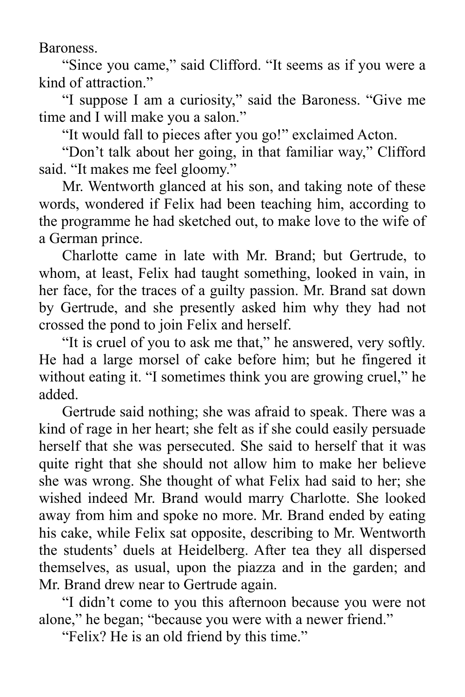Baroness.

"Since you came," said Clifford. "It seems as if you were a kind of attraction."

"I suppose I am a curiosity," said the Baroness. "Give me time and I will make you a salon."

"It would fall to pieces after you go!" exclaimed Acton.

"Don't talk about her going, in that familiar way," Clifford said. "It makes me feel gloomy."

Mr. Wentworth glanced at his son, and taking note of these words, wondered if Felix had been teaching him, according to the programme he had sketched out, to make love to the wife of a German prince.

Charlotte came in late with Mr. Brand; but Gertrude, to whom, at least, Felix had taught something, looked in vain, in her face, for the traces of a guilty passion. Mr. Brand sat down by Gertrude, and she presently asked him why they had not crossed the pond to join Felix and herself.

"It is cruel of you to ask me that," he answered, very softly. He had a large morsel of cake before him; but he fingered it without eating it. "I sometimes think you are growing cruel," he added.

Gertrude said nothing; she was afraid to speak. There was a kind of rage in her heart; she felt as if she could easily persuade herself that she was persecuted. She said to herself that it was quite right that she should not allow him to make her believe she was wrong. She thought of what Felix had said to her; she wished indeed Mr. Brand would marry Charlotte. She looked away from him and spoke no more. Mr. Brand ended by eating his cake, while Felix sat opposite, describing to Mr. Wentworth the students' duels at Heidelberg. After tea they all dispersed themselves, as usual, upon the piazza and in the garden; and Mr. Brand drew near to Gertrude again.

"I didn't come to you this afternoon because you were not alone," he began; "because you were with a newer friend."

"Felix? He is an old friend by this time."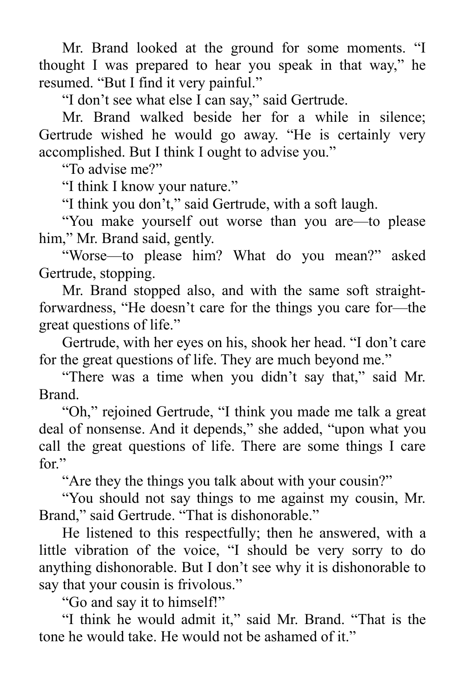Mr. Brand looked at the ground for some moments. "I thought I was prepared to hear you speak in that way," he resumed. "But I find it very painful."

"I don't see what else I can say," said Gertrude.

Mr. Brand walked beside her for a while in silence; Gertrude wished he would go away. "He is certainly very accomplished. But I think I ought to advise you."

"To advise me?"

"I think I know your nature."

"I think you don't," said Gertrude, with a soft laugh.

"You make yourself out worse than you are—to please him," Mr. Brand said, gently.

"Worse—to please him? What do you mean?" asked Gertrude, stopping.

Mr. Brand stopped also, and with the same soft straightforwardness, "He doesn't care for the things you care for—the great questions of life."

Gertrude, with her eyes on his, shook her head. "I don't care for the great questions of life. They are much beyond me."

"There was a time when you didn't say that," said Mr. Brand.

"Oh," rejoined Gertrude, "I think you made me talk a great deal of nonsense. And it depends," she added, "upon what you call the great questions of life. There are some things I care for."

"Are they the things you talk about with your cousin?"

"You should not say things to me against my cousin, Mr. Brand," said Gertrude. "That is dishonorable."

He listened to this respectfully; then he answered, with a little vibration of the voice, "I should be very sorry to do anything dishonorable. But I don't see why it is dishonorable to say that your cousin is frivolous."

"Go and say it to himself!"

"I think he would admit it," said Mr. Brand. "That is the tone he would take. He would not be ashamed of it."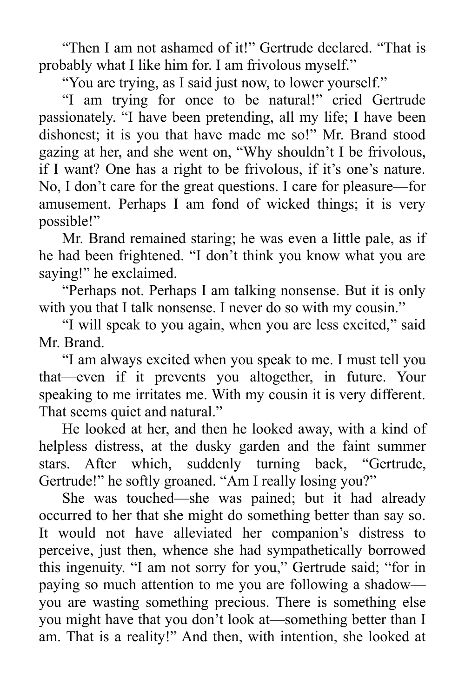"Then I am not ashamed of it!" Gertrude declared. "That is probably what I like him for. I am frivolous myself."

"You are trying, as I said just now, to lower yourself."

"I am trying for once to be natural!" cried Gertrude passionately. "I have been pretending, all my life; I have been dishonest; it is you that have made me so!" Mr. Brand stood gazing at her, and she went on, "Why shouldn't I be frivolous, if I want? One has a right to be frivolous, if it's one's nature. No, I don't care for the great questions. I care for pleasure—for amusement. Perhaps I am fond of wicked things; it is very possible!"

Mr. Brand remained staring; he was even a little pale, as if he had been frightened. "I don't think you know what you are saying!" he exclaimed.

"Perhaps not. Perhaps I am talking nonsense. But it is only with you that I talk nonsense. I never do so with my cousin."

"I will speak to you again, when you are less excited," said Mr. Brand.

"I am always excited when you speak to me. I must tell you that—even if it prevents you altogether, in future. Your speaking to me irritates me. With my cousin it is very different. That seems quiet and natural."

He looked at her, and then he looked away, with a kind of helpless distress, at the dusky garden and the faint summer stars. After which, suddenly turning back, "Gertrude, Gertrude!" he softly groaned. "Am I really losing you?"

She was touched—she was pained; but it had already occurred to her that she might do something better than say so. It would not have alleviated her companion's distress to perceive, just then, whence she had sympathetically borrowed this ingenuity. "I am not sorry for you," Gertrude said; "for in paying so much attention to me you are following a shadow you are wasting something precious. There is something else you might have that you don't look at—something better than I am. That is a reality!" And then, with intention, she looked at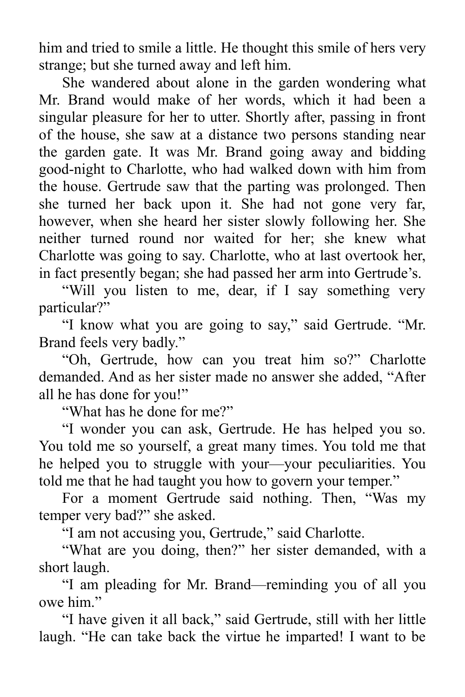him and tried to smile a little. He thought this smile of hers very strange; but she turned away and left him.

She wandered about alone in the garden wondering what Mr. Brand would make of her words, which it had been a singular pleasure for her to utter. Shortly after, passing in front of the house, she saw at a distance two persons standing near the garden gate. It was Mr. Brand going away and bidding good-night to Charlotte, who had walked down with him from the house. Gertrude saw that the parting was prolonged. Then she turned her back upon it. She had not gone very far, however, when she heard her sister slowly following her. She neither turned round nor waited for her; she knew what Charlotte was going to say. Charlotte, who at last overtook her, in fact presently began; she had passed her arm into Gertrude's.

"Will you listen to me, dear, if I say something very particular?"

"I know what you are going to say," said Gertrude. "Mr. Brand feels very badly."

"Oh, Gertrude, how can you treat him so?" Charlotte demanded. And as her sister made no answer she added, "After all he has done for you!"

"What has he done for me?"

"I wonder you can ask, Gertrude. He has helped you so. You told me so yourself, a great many times. You told me that he helped you to struggle with your—your peculiarities. You told me that he had taught you how to govern your temper."

For a moment Gertrude said nothing. Then, "Was my temper very bad?" she asked.

"I am not accusing you, Gertrude," said Charlotte.

"What are you doing, then?" her sister demanded, with a short laugh.

"I am pleading for Mr. Brand—reminding you of all you owe him."

"I have given it all back," said Gertrude, still with her little laugh. "He can take back the virtue he imparted! I want to be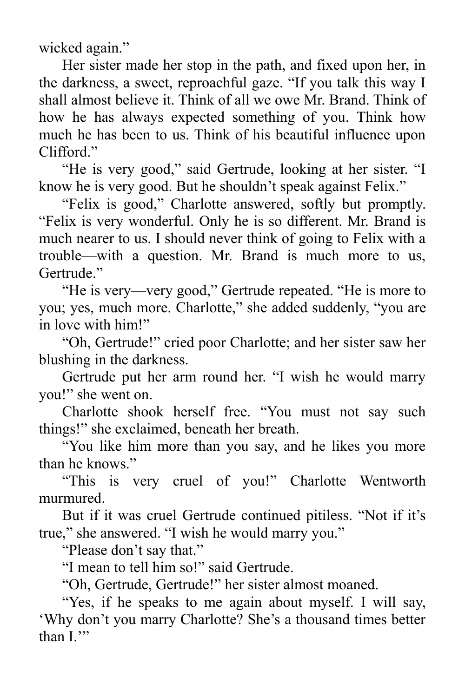wicked again."

Her sister made her stop in the path, and fixed upon her, in the darkness, a sweet, reproachful gaze. "If you talk this way I shall almost believe it. Think of all we owe Mr. Brand. Think of how he has always expected something of you. Think how much he has been to us. Think of his beautiful influence upon Clifford."

"He is very good," said Gertrude, looking at her sister. "I know he is very good. But he shouldn't speak against Felix."

"Felix is good," Charlotte answered, softly but promptly. "Felix is very wonderful. Only he is so different. Mr. Brand is much nearer to us. I should never think of going to Felix with a trouble—with a question. Mr. Brand is much more to us, Gertrude."

"He is very—very good," Gertrude repeated. "He is more to you; yes, much more. Charlotte," she added suddenly, "you are in love with him!"

"Oh, Gertrude!" cried poor Charlotte; and her sister saw her blushing in the darkness.

Gertrude put her arm round her. "I wish he would marry you!" she went on.

Charlotte shook herself free. "You must not say such things!" she exclaimed, beneath her breath.

"You like him more than you say, and he likes you more than he knows."

"This is very cruel of you!" Charlotte Wentworth murmured.

But if it was cruel Gertrude continued pitiless. "Not if it's true," she answered. "I wish he would marry you."

"Please don't say that."

"I mean to tell him so!" said Gertrude.

"Oh, Gertrude, Gertrude!" her sister almost moaned.

"Yes, if he speaks to me again about myself. I will say, 'Why don't you marry Charlotte? She's a thousand times better than I."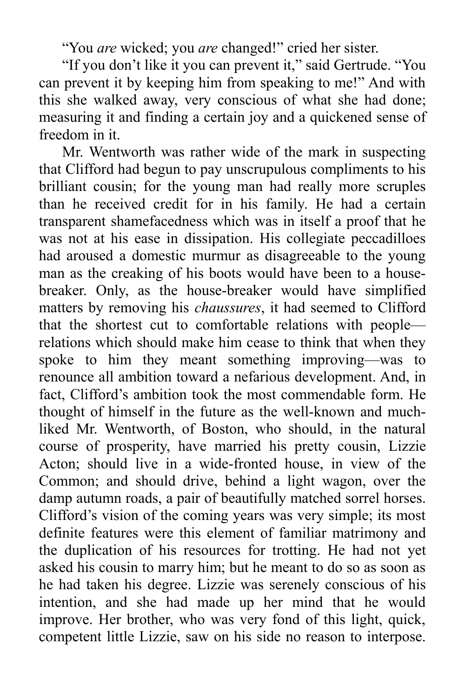"You *are* wicked; you *are* changed!" cried her sister.

"If you don't like it you can prevent it," said Gertrude. "You can prevent it by keeping him from speaking to me!" And with this she walked away, very conscious of what she had done; measuring it and finding a certain joy and a quickened sense of freedom in it.

Mr. Wentworth was rather wide of the mark in suspecting that Clifford had begun to pay unscrupulous compliments to his brilliant cousin; for the young man had really more scruples than he received credit for in his family. He had a certain transparent shamefacedness which was in itself a proof that he was not at his ease in dissipation. His collegiate peccadilloes had aroused a domestic murmur as disagreeable to the young man as the creaking of his boots would have been to a housebreaker. Only, as the house-breaker would have simplified matters by removing his *chaussures*, it had seemed to Clifford that the shortest cut to comfortable relations with people relations which should make him cease to think that when they spoke to him they meant something improving—was to renounce all ambition toward a nefarious development. And, in fact, Clifford's ambition took the most commendable form. He thought of himself in the future as the well-known and muchliked Mr. Wentworth, of Boston, who should, in the natural course of prosperity, have married his pretty cousin, Lizzie Acton; should live in a wide-fronted house, in view of the Common; and should drive, behind a light wagon, over the damp autumn roads, a pair of beautifully matched sorrel horses. Clifford's vision of the coming years was very simple; its most definite features were this element of familiar matrimony and the duplication of his resources for trotting. He had not yet asked his cousin to marry him; but he meant to do so as soon as he had taken his degree. Lizzie was serenely conscious of his intention, and she had made up her mind that he would improve. Her brother, who was very fond of this light, quick, competent little Lizzie, saw on his side no reason to interpose.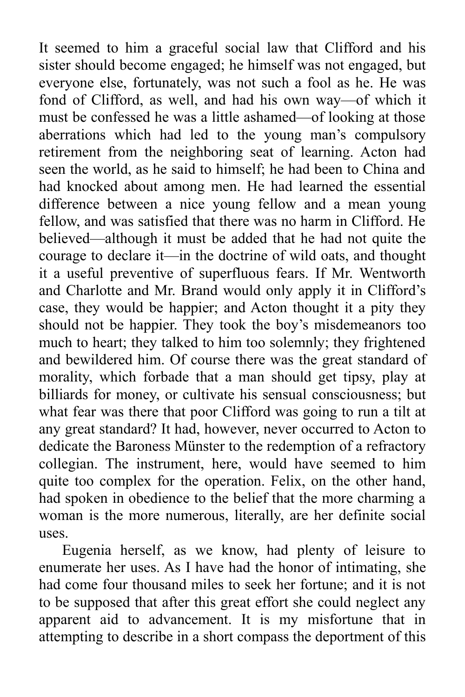It seemed to him a graceful social law that Clifford and his sister should become engaged; he himself was not engaged, but everyone else, fortunately, was not such a fool as he. He was fond of Clifford, as well, and had his own way—of which it must be confessed he was a little ashamed—of looking at those aberrations which had led to the young man's compulsory retirement from the neighboring seat of learning. Acton had seen the world, as he said to himself; he had been to China and had knocked about among men. He had learned the essential difference between a nice young fellow and a mean young fellow, and was satisfied that there was no harm in Clifford. He believed—although it must be added that he had not quite the courage to declare it—in the doctrine of wild oats, and thought it a useful preventive of superfluous fears. If Mr. Wentworth and Charlotte and Mr. Brand would only apply it in Clifford's case, they would be happier; and Acton thought it a pity they should not be happier. They took the boy's misdemeanors too much to heart; they talked to him too solemnly; they frightened and bewildered him. Of course there was the great standard of morality, which forbade that a man should get tipsy, play at billiards for money, or cultivate his sensual consciousness; but what fear was there that poor Clifford was going to run a tilt at any great standard? It had, however, never occurred to Acton to dedicate the Baroness Münster to the redemption of a refractory collegian. The instrument, here, would have seemed to him quite too complex for the operation. Felix, on the other hand, had spoken in obedience to the belief that the more charming a woman is the more numerous, literally, are her definite social uses.

Eugenia herself, as we know, had plenty of leisure to enumerate her uses. As I have had the honor of intimating, she had come four thousand miles to seek her fortune; and it is not to be supposed that after this great effort she could neglect any apparent aid to advancement. It is my misfortune that in attempting to describe in a short compass the deportment of this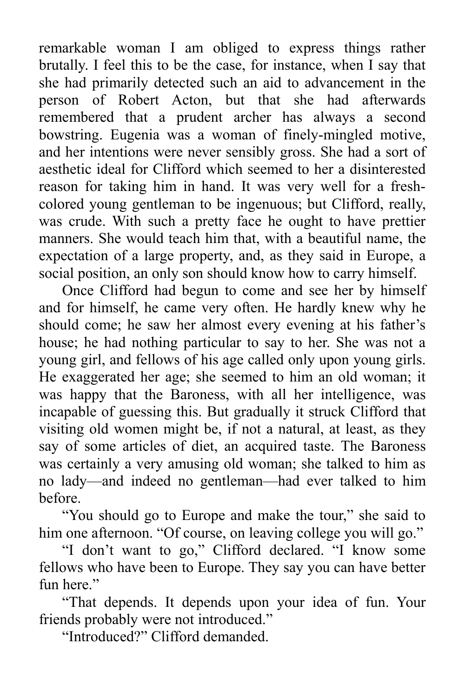remarkable woman I am obliged to express things rather brutally. I feel this to be the case, for instance, when I say that she had primarily detected such an aid to advancement in the person of Robert Acton, but that she had afterwards remembered that a prudent archer has always a second bowstring. Eugenia was a woman of finely-mingled motive, and her intentions were never sensibly gross. She had a sort of aesthetic ideal for Clifford which seemed to her a disinterested reason for taking him in hand. It was very well for a freshcolored young gentleman to be ingenuous; but Clifford, really, was crude. With such a pretty face he ought to have prettier manners. She would teach him that, with a beautiful name, the expectation of a large property, and, as they said in Europe, a social position, an only son should know how to carry himself.

Once Clifford had begun to come and see her by himself and for himself, he came very often. He hardly knew why he should come; he saw her almost every evening at his father's house; he had nothing particular to say to her. She was not a young girl, and fellows of his age called only upon young girls. He exaggerated her age; she seemed to him an old woman; it was happy that the Baroness, with all her intelligence, was incapable of guessing this. But gradually it struck Clifford that visiting old women might be, if not a natural, at least, as they say of some articles of diet, an acquired taste. The Baroness was certainly a very amusing old woman; she talked to him as no lady—and indeed no gentleman—had ever talked to him before.

"You should go to Europe and make the tour," she said to him one afternoon. "Of course, on leaving college you will go."

"I don't want to go," Clifford declared. "I know some fellows who have been to Europe. They say you can have better fun here."

"That depends. It depends upon your idea of fun. Your friends probably were not introduced."

"Introduced?" Clifford demanded.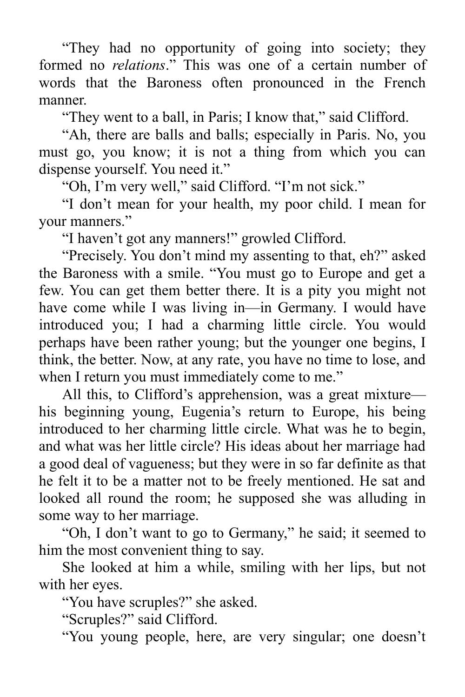"They had no opportunity of going into society; they formed no *relations*." This was one of a certain number of words that the Baroness often pronounced in the French manner.

"They went to a ball, in Paris; I know that," said Clifford.

"Ah, there are balls and balls; especially in Paris. No, you must go, you know; it is not a thing from which you can dispense yourself. You need it."

"Oh, I'm very well," said Clifford. "I'm not sick."

"I don't mean for your health, my poor child. I mean for your manners."

"I haven't got any manners!" growled Clifford.

"Precisely. You don't mind my assenting to that, eh?" asked the Baroness with a smile. "You must go to Europe and get a few. You can get them better there. It is a pity you might not have come while I was living in—in Germany. I would have introduced you; I had a charming little circle. You would perhaps have been rather young; but the younger one begins, I think, the better. Now, at any rate, you have no time to lose, and when I return you must immediately come to me."

All this, to Clifford's apprehension, was a great mixture his beginning young, Eugenia's return to Europe, his being introduced to her charming little circle. What was he to begin, and what was her little circle? His ideas about her marriage had a good deal of vagueness; but they were in so far definite as that he felt it to be a matter not to be freely mentioned. He sat and looked all round the room; he supposed she was alluding in some way to her marriage.

"Oh, I don't want to go to Germany," he said; it seemed to him the most convenient thing to say.

She looked at him a while, smiling with her lips, but not with her eyes.

"You have scruples?" she asked.

"Scruples?" said Clifford.

"You young people, here, are very singular; one doesn't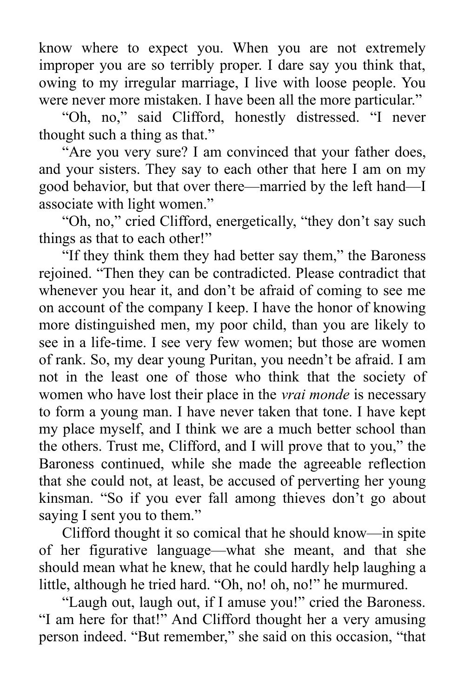know where to expect you. When you are not extremely improper you are so terribly proper. I dare say you think that, owing to my irregular marriage, I live with loose people. You were never more mistaken. I have been all the more particular."

"Oh, no," said Clifford, honestly distressed. "I never thought such a thing as that."

"Are you very sure? I am convinced that your father does, and your sisters. They say to each other that here I am on my good behavior, but that over there—married by the left hand—I associate with light women."

"Oh, no," cried Clifford, energetically, "they don't say such things as that to each other!"

"If they think them they had better say them," the Baroness rejoined. "Then they can be contradicted. Please contradict that whenever you hear it, and don't be afraid of coming to see me on account of the company I keep. I have the honor of knowing more distinguished men, my poor child, than you are likely to see in a life-time. I see very few women; but those are women of rank. So, my dear young Puritan, you needn't be afraid. I am not in the least one of those who think that the society of women who have lost their place in the *vrai monde* is necessary to form a young man. I have never taken that tone. I have kept my place myself, and I think we are a much better school than the others. Trust me, Clifford, and I will prove that to you," the Baroness continued, while she made the agreeable reflection that she could not, at least, be accused of perverting her young kinsman. "So if you ever fall among thieves don't go about saying I sent you to them."

Clifford thought it so comical that he should know—in spite of her figurative language—what she meant, and that she should mean what he knew, that he could hardly help laughing a little, although he tried hard. "Oh, no! oh, no!" he murmured.

"Laugh out, laugh out, if I amuse you!" cried the Baroness. "I am here for that!" And Clifford thought her a very amusing person indeed. "But remember," she said on this occasion, "that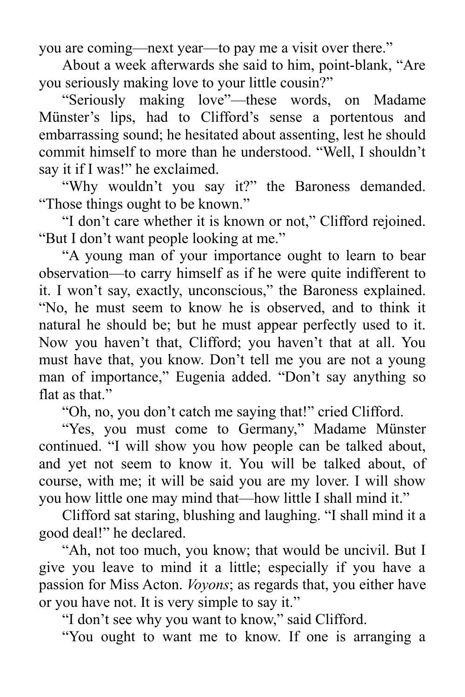you are coming—next year—to pay me a visit over there."

About a week afterwards she said to him, point-blank, "Are you seriously making love to your little cousin?"

"Seriously making love"—these words, on Madame Münster's lips, had to Clifford's sense a portentous and embarrassing sound; he hesitated about assenting, lest he should commit himself to more than he understood. "Well, I shouldn't say it if I was!" he exclaimed.

"Why wouldn't you say it?" the Baroness demanded. "Those things ought to be known."

"I don't care whether it is known or not," Clifford rejoined. "But I don't want people looking at me."

"A young man of your importance ought to learn to bear observation—to carry himself as if he were quite indifferent to it. I won't say, exactly, unconscious," the Baroness explained. "No, he must seem to know he is observed, and to think it natural he should be; but he must appear perfectly used to it. Now you haven't that, Clifford; you haven't that at all. You must have that, you know. Don't tell me you are not a young man of importance," Eugenia added. "Don't say anything so flat as that."

"Oh, no, you don't catch me saying that!" cried Clifford.

"Yes, you must come to Germany," Madame Münster continued. "I will show you how people can be talked about, and yet not seem to know it. You will be talked about, of course, with me; it will be said you are my lover. I will show you how little one may mind that—how little I shall mind it."

Clifford sat staring, blushing and laughing. "I shall mind it a good deal!" he declared.

"Ah, not too much, you know; that would be uncivil. But I give you leave to mind it a little; especially if you have a passion for Miss Acton. *Voyons*; as regards that, you either have or you have not. It is very simple to say it."

"I don't see why you want to know," said Clifford.

"You ought to want me to know. If one is arranging a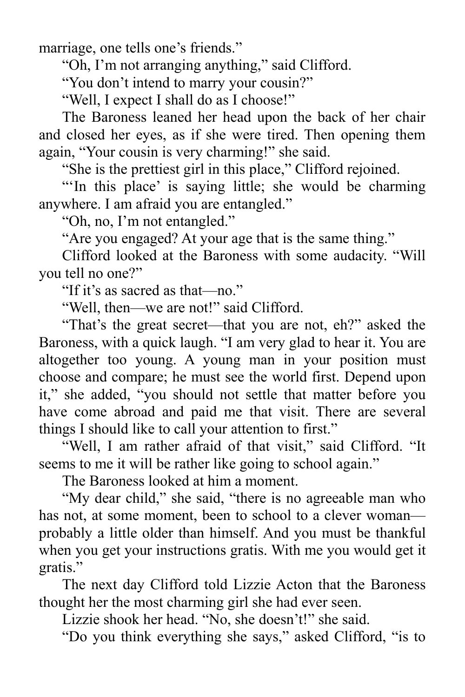marriage, one tells one's friends."

"Oh, I'm not arranging anything," said Clifford.

"You don't intend to marry your cousin?"

"Well, I expect I shall do as I choose!"

The Baroness leaned her head upon the back of her chair and closed her eyes, as if she were tired. Then opening them again, "Your cousin is very charming!" she said.

"She is the prettiest girl in this place," Clifford rejoined.

"In this place' is saying little; she would be charming anywhere. I am afraid you are entangled."

"Oh, no, I'm not entangled."

"Are you engaged? At your age that is the same thing."

Clifford looked at the Baroness with some audacity. "Will you tell no one?"

"If it's as sacred as that—no."

"Well, then—we are not!" said Clifford.

"That's the great secret—that you are not, eh?" asked the Baroness, with a quick laugh. "I am very glad to hear it. You are altogether too young. A young man in your position must choose and compare; he must see the world first. Depend upon it," she added, "you should not settle that matter before you have come abroad and paid me that visit. There are several things I should like to call your attention to first."

"Well, I am rather afraid of that visit," said Clifford. "It seems to me it will be rather like going to school again."

The Baroness looked at him a moment.

"My dear child," she said, "there is no agreeable man who has not, at some moment, been to school to a clever woman probably a little older than himself. And you must be thankful when you get your instructions gratis. With me you would get it gratis."

The next day Clifford told Lizzie Acton that the Baroness thought her the most charming girl she had ever seen.

Lizzie shook her head. "No, she doesn't!" she said.

"Do you think everything she says," asked Clifford, "is to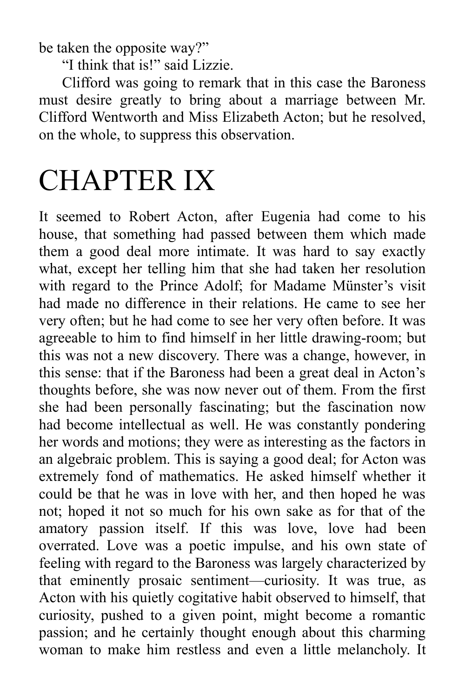be taken the opposite way?"

"I think that is!" said Lizzie.

Clifford was going to remark that in this case the Baroness must desire greatly to bring about a marriage between Mr. Clifford Wentworth and Miss Elizabeth Acton; but he resolved, on the whole, to suppress this observation.

## CHAPTER IX

It seemed to Robert Acton, after Eugenia had come to his house, that something had passed between them which made them a good deal more intimate. It was hard to say exactly what, except her telling him that she had taken her resolution with regard to the Prince Adolf; for Madame Münster's visit had made no difference in their relations. He came to see her very often; but he had come to see her very often before. It was agreeable to him to find himself in her little drawing-room; but this was not a new discovery. There was a change, however, in this sense: that if the Baroness had been a great deal in Acton's thoughts before, she was now never out of them. From the first she had been personally fascinating; but the fascination now had become intellectual as well. He was constantly pondering her words and motions; they were as interesting as the factors in an algebraic problem. This is saying a good deal; for Acton was extremely fond of mathematics. He asked himself whether it could be that he was in love with her, and then hoped he was not; hoped it not so much for his own sake as for that of the amatory passion itself. If this was love, love had been overrated. Love was a poetic impulse, and his own state of feeling with regard to the Baroness was largely characterized by that eminently prosaic sentiment—curiosity. It was true, as Acton with his quietly cogitative habit observed to himself, that curiosity, pushed to a given point, might become a romantic passion; and he certainly thought enough about this charming woman to make him restless and even a little melancholy. It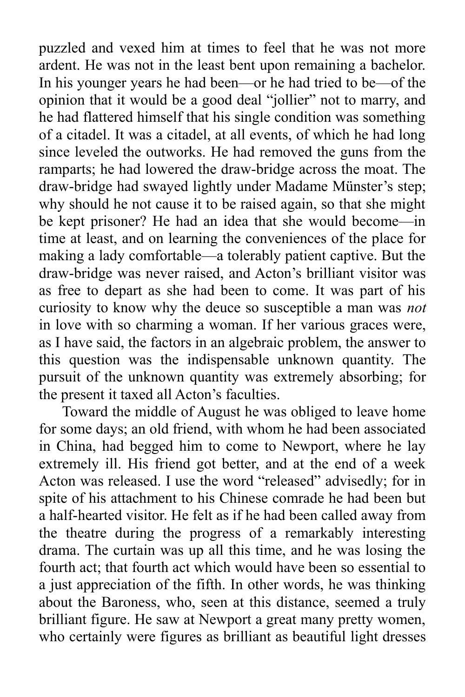puzzled and vexed him at times to feel that he was not more ardent. He was not in the least bent upon remaining a bachelor. In his younger years he had been—or he had tried to be—of the opinion that it would be a good deal "jollier" not to marry, and he had flattered himself that his single condition was something of a citadel. It was a citadel, at all events, of which he had long since leveled the outworks. He had removed the guns from the ramparts; he had lowered the draw-bridge across the moat. The draw-bridge had swayed lightly under Madame Münster's step; why should he not cause it to be raised again, so that she might be kept prisoner? He had an idea that she would become—in time at least, and on learning the conveniences of the place for making a lady comfortable—a tolerably patient captive. But the draw-bridge was never raised, and Acton's brilliant visitor was as free to depart as she had been to come. It was part of his curiosity to know why the deuce so susceptible a man was *not* in love with so charming a woman. If her various graces were, as I have said, the factors in an algebraic problem, the answer to this question was the indispensable unknown quantity. The pursuit of the unknown quantity was extremely absorbing; for the present it taxed all Acton's faculties.

Toward the middle of August he was obliged to leave home for some days; an old friend, with whom he had been associated in China, had begged him to come to Newport, where he lay extremely ill. His friend got better, and at the end of a week Acton was released. I use the word "released" advisedly; for in spite of his attachment to his Chinese comrade he had been but a half-hearted visitor. He felt as if he had been called away from the theatre during the progress of a remarkably interesting drama. The curtain was up all this time, and he was losing the fourth act; that fourth act which would have been so essential to a just appreciation of the fifth. In other words, he was thinking about the Baroness, who, seen at this distance, seemed a truly brilliant figure. He saw at Newport a great many pretty women, who certainly were figures as brilliant as beautiful light dresses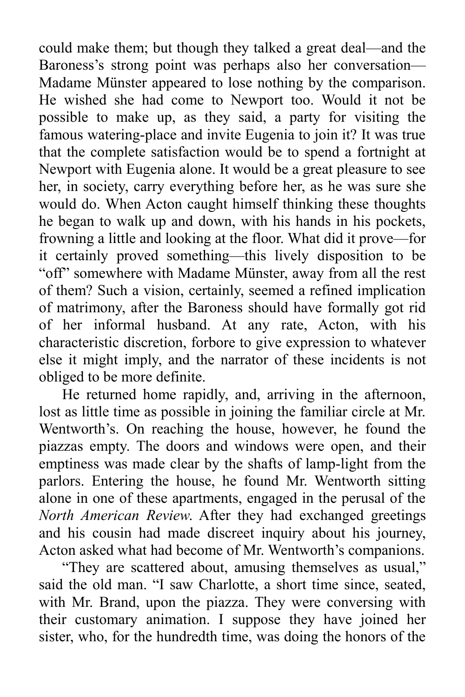could make them; but though they talked a great deal—and the Baroness's strong point was perhaps also her conversation— Madame Münster appeared to lose nothing by the comparison. He wished she had come to Newport too. Would it not be possible to make up, as they said, a party for visiting the famous watering-place and invite Eugenia to join it? It was true that the complete satisfaction would be to spend a fortnight at Newport with Eugenia alone. It would be a great pleasure to see her, in society, carry everything before her, as he was sure she would do. When Acton caught himself thinking these thoughts he began to walk up and down, with his hands in his pockets, frowning a little and looking at the floor. What did it prove—for it certainly proved something—this lively disposition to be "off" somewhere with Madame Münster, away from all the rest of them? Such a vision, certainly, seemed a refined implication of matrimony, after the Baroness should have formally got rid of her informal husband. At any rate, Acton, with his characteristic discretion, forbore to give expression to whatever else it might imply, and the narrator of these incidents is not obliged to be more definite.

He returned home rapidly, and, arriving in the afternoon, lost as little time as possible in joining the familiar circle at Mr. Wentworth's. On reaching the house, however, he found the piazzas empty. The doors and windows were open, and their emptiness was made clear by the shafts of lamp-light from the parlors. Entering the house, he found Mr. Wentworth sitting alone in one of these apartments, engaged in the perusal of the *North American Review*. After they had exchanged greetings and his cousin had made discreet inquiry about his journey, Acton asked what had become of Mr. Wentworth's companions.

"They are scattered about, amusing themselves as usual," said the old man. "I saw Charlotte, a short time since, seated, with Mr. Brand, upon the piazza. They were conversing with their customary animation. I suppose they have joined her sister, who, for the hundredth time, was doing the honors of the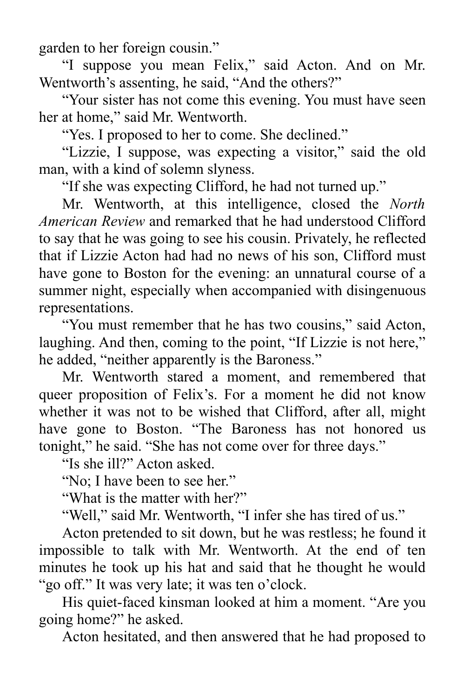garden to her foreign cousin."

"I suppose you mean Felix," said Acton. And on Mr. Wentworth's assenting, he said, "And the others?"

"Your sister has not come this evening. You must have seen her at home," said Mr. Wentworth.

"Yes. I proposed to her to come. She declined."

"Lizzie, I suppose, was expecting a visitor," said the old man, with a kind of solemn slyness.

"If she was expecting Clifford, he had not turned up."

Mr. Wentworth, at this intelligence, closed the *North American Review* and remarked that he had understood Clifford to say that he was going to see his cousin. Privately, he reflected that if Lizzie Acton had had no news of his son, Clifford must have gone to Boston for the evening: an unnatural course of a summer night, especially when accompanied with disingenuous representations.

"You must remember that he has two cousins," said Acton, laughing. And then, coming to the point, "If Lizzie is not here," he added, "neither apparently is the Baroness."

Mr. Wentworth stared a moment, and remembered that queer proposition of Felix's. For a moment he did not know whether it was not to be wished that Clifford, after all, might have gone to Boston. "The Baroness has not honored us tonight," he said. "She has not come over for three days."

"Is she ill?" Acton asked.

"No; I have been to see her."

"What is the matter with her?"

"Well," said Mr. Wentworth, "I infer she has tired of us."

Acton pretended to sit down, but he was restless; he found it impossible to talk with Mr. Wentworth. At the end of ten minutes he took up his hat and said that he thought he would "go off." It was very late; it was ten o'clock.

His quiet-faced kinsman looked at him a moment. "Are you going home?" he asked.

Acton hesitated, and then answered that he had proposed to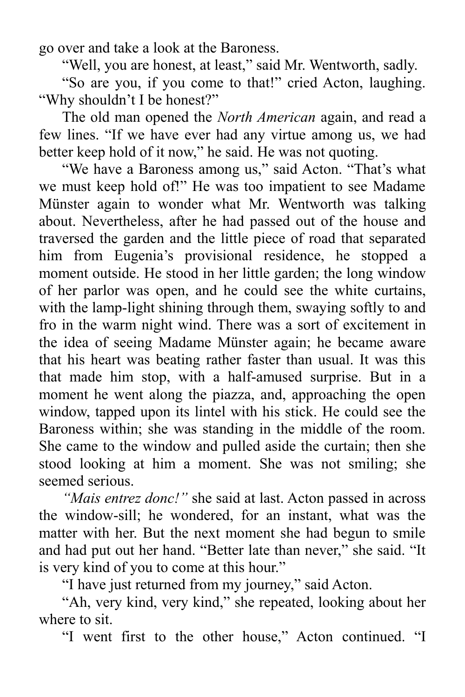go over and take a look at the Baroness.

"Well, you are honest, at least," said Mr. Wentworth, sadly.

"So are you, if you come to that!" cried Acton, laughing. "Why shouldn't I be honest?"

The old man opened the *North American* again, and read a few lines. "If we have ever had any virtue among us, we had better keep hold of it now," he said. He was not quoting.

"We have a Baroness among us," said Acton. "That's what we must keep hold of!" He was too impatient to see Madame Münster again to wonder what Mr. Wentworth was talking about. Nevertheless, after he had passed out of the house and traversed the garden and the little piece of road that separated him from Eugenia's provisional residence, he stopped a moment outside. He stood in her little garden; the long window of her parlor was open, and he could see the white curtains, with the lamp-light shining through them, swaying softly to and fro in the warm night wind. There was a sort of excitement in the idea of seeing Madame Münster again; he became aware that his heart was beating rather faster than usual. It was this that made him stop, with a half-amused surprise. But in a moment he went along the piazza, and, approaching the open window, tapped upon its lintel with his stick. He could see the Baroness within; she was standing in the middle of the room. She came to the window and pulled aside the curtain; then she stood looking at him a moment. She was not smiling; she seemed serious.

*"Mais entrez donc!"* she said at last. Acton passed in across the window-sill; he wondered, for an instant, what was the matter with her. But the next moment she had begun to smile and had put out her hand. "Better late than never," she said. "It is very kind of you to come at this hour."

"I have just returned from my journey," said Acton.

"Ah, very kind, very kind," she repeated, looking about her where to sit.

"I went first to the other house," Acton continued. "I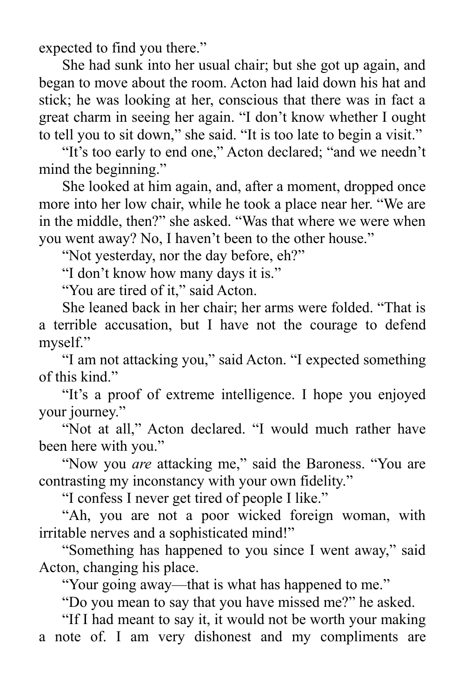expected to find you there."

She had sunk into her usual chair; but she got up again, and began to move about the room. Acton had laid down his hat and stick; he was looking at her, conscious that there was in fact a great charm in seeing her again. "I don't know whether I ought to tell you to sit down," she said. "It is too late to begin a visit."

"It's too early to end one," Acton declared; "and we needn't mind the beginning."

She looked at him again, and, after a moment, dropped once more into her low chair, while he took a place near her. "We are in the middle, then?" she asked. "Was that where we were when you went away? No, I haven't been to the other house."

"Not yesterday, nor the day before, eh?"

"I don't know how many days it is."

"You are tired of it," said Acton.

She leaned back in her chair; her arms were folded. "That is a terrible accusation, but I have not the courage to defend myself."

"I am not attacking you," said Acton. "I expected something of this kind."

"It's a proof of extreme intelligence. I hope you enjoyed your journey."

"Not at all," Acton declared. "I would much rather have been here with you."

"Now you *are* attacking me," said the Baroness. "You are contrasting my inconstancy with your own fidelity."

"I confess I never get tired of people I like."

"Ah, you are not a poor wicked foreign woman, with irritable nerves and a sophisticated mind!"

"Something has happened to you since I went away," said Acton, changing his place.

"Your going away—that is what has happened to me."

"Do you mean to say that you have missed me?" he asked.

"If I had meant to say it, it would not be worth your making a note of. I am very dishonest and my compliments are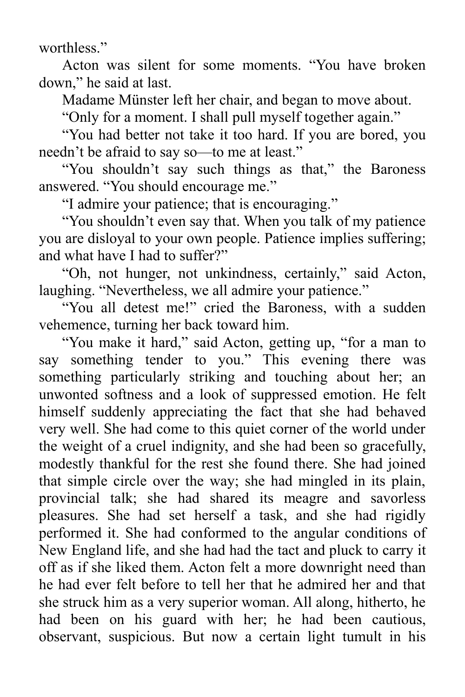worthless."

Acton was silent for some moments. "You have broken down," he said at last.

Madame Münster left her chair, and began to move about.

"Only for a moment. I shall pull myself together again."

"You had better not take it too hard. If you are bored, you needn't be afraid to say so—to me at least."

"You shouldn't say such things as that," the Baroness answered. "You should encourage me."

"I admire your patience; that is encouraging."

"You shouldn't even say that. When you talk of my patience you are disloyal to your own people. Patience implies suffering; and what have I had to suffer?"

"Oh, not hunger, not unkindness, certainly," said Acton, laughing. "Nevertheless, we all admire your patience."

"You all detest me!" cried the Baroness, with a sudden vehemence, turning her back toward him.

"You make it hard," said Acton, getting up, "for a man to say something tender to you." This evening there was something particularly striking and touching about her; an unwonted softness and a look of suppressed emotion. He felt himself suddenly appreciating the fact that she had behaved very well. She had come to this quiet corner of the world under the weight of a cruel indignity, and she had been so gracefully, modestly thankful for the rest she found there. She had joined that simple circle over the way; she had mingled in its plain, provincial talk; she had shared its meagre and savorless pleasures. She had set herself a task, and she had rigidly performed it. She had conformed to the angular conditions of New England life, and she had had the tact and pluck to carry it off as if she liked them. Acton felt a more downright need than he had ever felt before to tell her that he admired her and that she struck him as a very superior woman. All along, hitherto, he had been on his guard with her; he had been cautious, observant, suspicious. But now a certain light tumult in his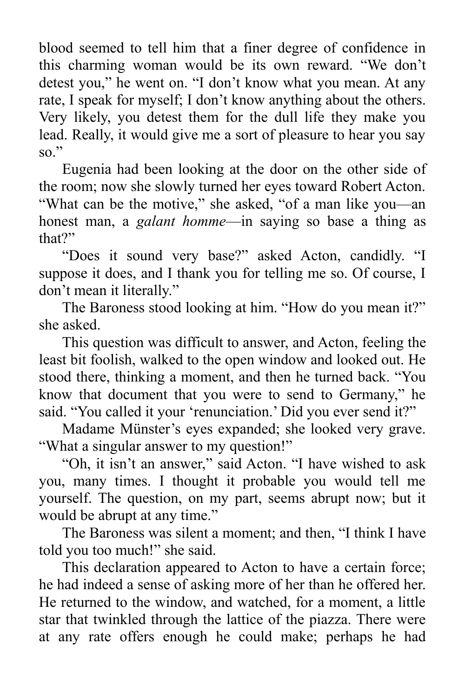blood seemed to tell him that a finer degree of confidence in this charming woman would be its own reward. "We don't detest you," he went on. "I don't know what you mean. At any rate, I speak for myself; I don't know anything about the others. Very likely, you detest them for the dull life they make you lead. Really, it would give me a sort of pleasure to hear you say so."

Eugenia had been looking at the door on the other side of the room; now she slowly turned her eyes toward Robert Acton. "What can be the motive," she asked, "of a man like you—an honest man, a *galant homme*—in saying so base a thing as that?"

"Does it sound very base?" asked Acton, candidly. "I suppose it does, and I thank you for telling me so. Of course, I don't mean it literally."

The Baroness stood looking at him. "How do you mean it?" she asked.

This question was difficult to answer, and Acton, feeling the least bit foolish, walked to the open window and looked out. He stood there, thinking a moment, and then he turned back. "You know that document that you were to send to Germany," he said. "You called it your 'renunciation.' Did you ever send it?"

Madame Münster's eyes expanded; she looked very grave. "What a singular answer to my question!"

"Oh, it isn't an answer," said Acton. "I have wished to ask you, many times. I thought it probable you would tell me yourself. The question, on my part, seems abrupt now; but it would be abrupt at any time."

The Baroness was silent a moment; and then, "I think I have told you too much!" she said.

This declaration appeared to Acton to have a certain force; he had indeed a sense of asking more of her than he offered her. He returned to the window, and watched, for a moment, a little star that twinkled through the lattice of the piazza. There were at any rate offers enough he could make; perhaps he had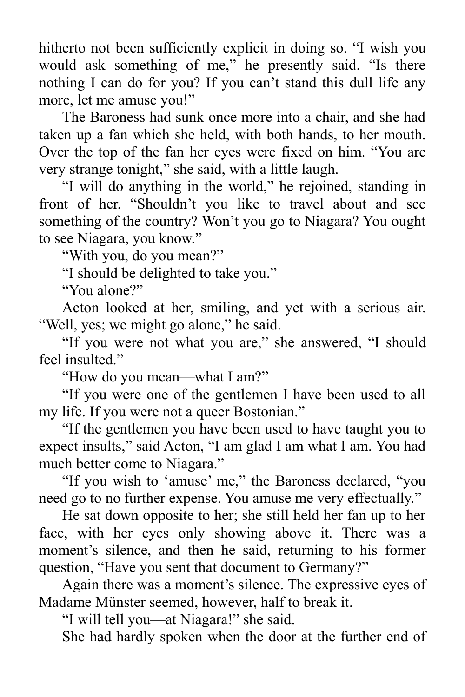hitherto not been sufficiently explicit in doing so. "I wish you would ask something of me," he presently said. "Is there nothing I can do for you? If you can't stand this dull life any more, let me amuse you!"

The Baroness had sunk once more into a chair, and she had taken up a fan which she held, with both hands, to her mouth. Over the top of the fan her eyes were fixed on him. "You are very strange tonight," she said, with a little laugh.

"I will do anything in the world," he rejoined, standing in front of her. "Shouldn't you like to travel about and see something of the country? Won't you go to Niagara? You ought to see Niagara, you know."

"With you, do you mean?"

"I should be delighted to take you."

"You alone?"

Acton looked at her, smiling, and yet with a serious air. "Well, yes; we might go alone," he said.

"If you were not what you are," she answered, "I should feel insulted."

"How do you mean—what I am?"

"If you were one of the gentlemen I have been used to all my life. If you were not a queer Bostonian."

"If the gentlemen you have been used to have taught you to expect insults," said Acton, "I am glad I am what I am. You had much better come to Niagara."

"If you wish to 'amuse' me," the Baroness declared, "you need go to no further expense. You amuse me very effectually."

He sat down opposite to her; she still held her fan up to her face, with her eyes only showing above it. There was a moment's silence, and then he said, returning to his former question, "Have you sent that document to Germany?"

Again there was a moment's silence. The expressive eyes of Madame Münster seemed, however, half to break it.

"I will tell you—at Niagara!" she said.

She had hardly spoken when the door at the further end of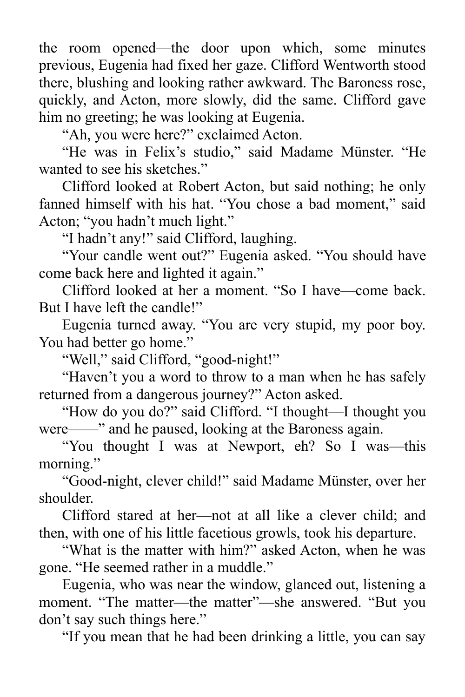the room opened—the door upon which, some minutes previous, Eugenia had fixed her gaze. Clifford Wentworth stood there, blushing and looking rather awkward. The Baroness rose, quickly, and Acton, more slowly, did the same. Clifford gave him no greeting; he was looking at Eugenia.

"Ah, you were here?" exclaimed Acton.

"He was in Felix's studio," said Madame Münster. "He wanted to see his sketches."

Clifford looked at Robert Acton, but said nothing; he only fanned himself with his hat. "You chose a bad moment," said Acton; "you hadn't much light."

"I hadn't any!" said Clifford, laughing.

"Your candle went out?" Eugenia asked. "You should have come back here and lighted it again."

Clifford looked at her a moment. "So I have—come back. But I have left the candle!"

Eugenia turned away. "You are very stupid, my poor boy. You had better go home."

"Well," said Clifford, "good-night!"

"Haven't you a word to throw to a man when he has safely returned from a dangerous journey?" Acton asked.

"How do you do?" said Clifford. "I thought—I thought you were——" and he paused, looking at the Baroness again.

"You thought I was at Newport, eh? So I was—this morning."

"Good-night, clever child!" said Madame Münster, over her shoulder.

Clifford stared at her—not at all like a clever child; and then, with one of his little facetious growls, took his departure.

"What is the matter with him?" asked Acton, when he was gone. "He seemed rather in a muddle."

Eugenia, who was near the window, glanced out, listening a moment. "The matter—the matter"—she answered. "But you don't say such things here."

"If you mean that he had been drinking a little, you can say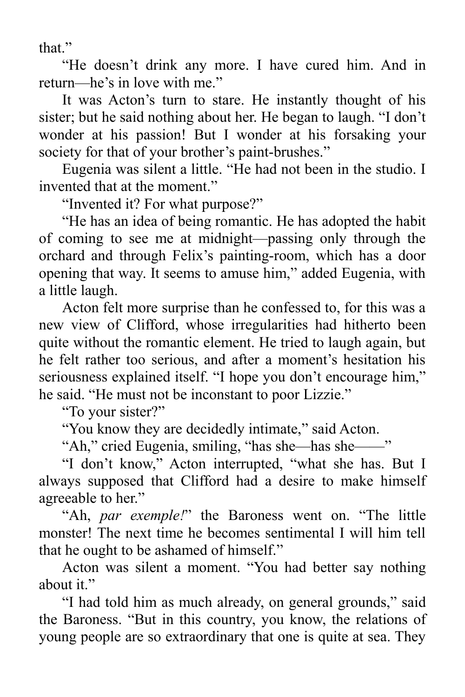that."

"He doesn't drink any more. I have cured him. And in return—he's in love with me."

It was Acton's turn to stare. He instantly thought of his sister; but he said nothing about her. He began to laugh. "I don't wonder at his passion! But I wonder at his forsaking your society for that of your brother's paint-brushes."

Eugenia was silent a little. "He had not been in the studio. I invented that at the moment."

"Invented it? For what purpose?"

"He has an idea of being romantic. He has adopted the habit of coming to see me at midnight—passing only through the orchard and through Felix's painting-room, which has a door opening that way. It seems to amuse him," added Eugenia, with a little laugh.

Acton felt more surprise than he confessed to, for this was a new view of Clifford, whose irregularities had hitherto been quite without the romantic element. He tried to laugh again, but he felt rather too serious, and after a moment's hesitation his seriousness explained itself. "I hope you don't encourage him," he said. "He must not be inconstant to poor Lizzie."

"To your sister?"

"You know they are decidedly intimate," said Acton.

"Ah," cried Eugenia, smiling, "has she—has she——"

"I don't know," Acton interrupted, "what she has. But I always supposed that Clifford had a desire to make himself agreeable to her."

"Ah, *par exemple!*" the Baroness went on. "The little monster! The next time he becomes sentimental I will him tell that he ought to be ashamed of himself."

Acton was silent a moment. "You had better say nothing about it."

"I had told him as much already, on general grounds," said the Baroness. "But in this country, you know, the relations of young people are so extraordinary that one is quite at sea. They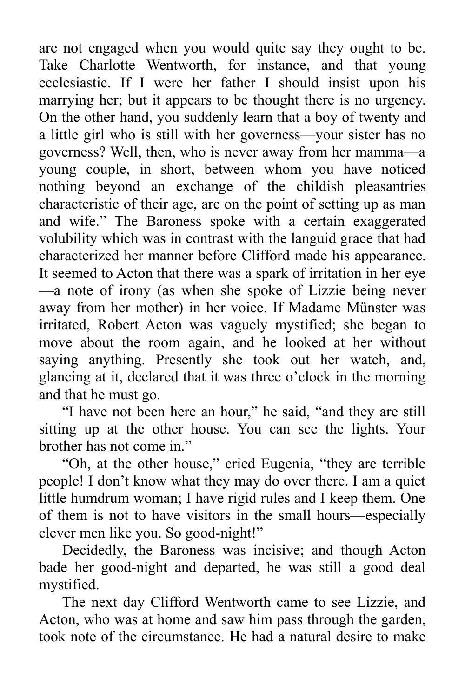are not engaged when you would quite say they ought to be. Take Charlotte Wentworth, for instance, and that young ecclesiastic. If I were her father I should insist upon his marrying her; but it appears to be thought there is no urgency. On the other hand, you suddenly learn that a boy of twenty and a little girl who is still with her governess—your sister has no governess? Well, then, who is never away from her mamma—a young couple, in short, between whom you have noticed nothing beyond an exchange of the childish pleasantries characteristic of their age, are on the point of setting up as man and wife." The Baroness spoke with a certain exaggerated volubility which was in contrast with the languid grace that had characterized her manner before Clifford made his appearance. It seemed to Acton that there was a spark of irritation in her eye —a note of irony (as when she spoke of Lizzie being never away from her mother) in her voice. If Madame Münster was irritated, Robert Acton was vaguely mystified; she began to move about the room again, and he looked at her without saying anything. Presently she took out her watch, and, glancing at it, declared that it was three o'clock in the morning and that he must go.

"I have not been here an hour," he said, "and they are still sitting up at the other house. You can see the lights. Your brother has not come in."

"Oh, at the other house," cried Eugenia, "they are terrible people! I don't know what they may do over there. I am a quiet little humdrum woman; I have rigid rules and I keep them. One of them is not to have visitors in the small hours—especially clever men like you. So good-night!"

Decidedly, the Baroness was incisive; and though Acton bade her good-night and departed, he was still a good deal mystified.

The next day Clifford Wentworth came to see Lizzie, and Acton, who was at home and saw him pass through the garden, took note of the circumstance. He had a natural desire to make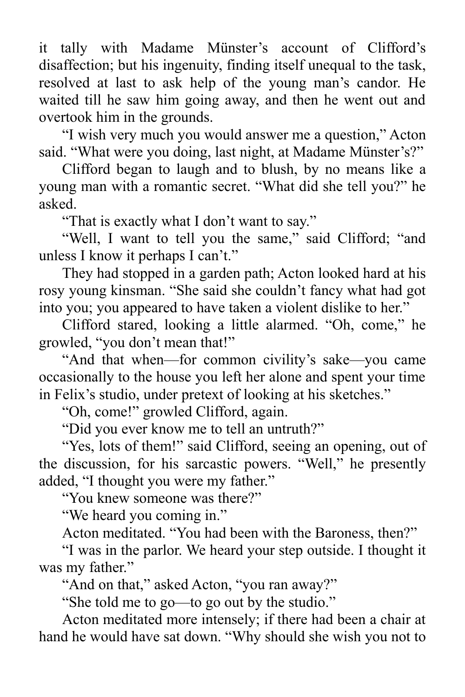it tally with Madame Münster's account of Clifford's disaffection; but his ingenuity, finding itself unequal to the task, resolved at last to ask help of the young man's candor. He waited till he saw him going away, and then he went out and overtook him in the grounds.

"I wish very much you would answer me a question," Acton said. "What were you doing, last night, at Madame Münster's?"

Clifford began to laugh and to blush, by no means like a young man with a romantic secret. "What did she tell you?" he asked.

"That is exactly what I don't want to say."

"Well, I want to tell you the same," said Clifford; "and unless I know it perhaps I can't."

They had stopped in a garden path; Acton looked hard at his rosy young kinsman. "She said she couldn't fancy what had got into you; you appeared to have taken a violent dislike to her."

Clifford stared, looking a little alarmed. "Oh, come," he growled, "you don't mean that!"

"And that when—for common civility's sake—you came occasionally to the house you left her alone and spent your time in Felix's studio, under pretext of looking at his sketches."

"Oh, come!" growled Clifford, again.

"Did you ever know me to tell an untruth?"

"Yes, lots of them!" said Clifford, seeing an opening, out of the discussion, for his sarcastic powers. "Well," he presently added, "I thought you were my father."

"You knew someone was there?"

"We heard you coming in."

Acton meditated. "You had been with the Baroness, then?"

"I was in the parlor. We heard your step outside. I thought it was my father."

"And on that," asked Acton, "you ran away?"

"She told me to go—to go out by the studio."

Acton meditated more intensely; if there had been a chair at hand he would have sat down. "Why should she wish you not to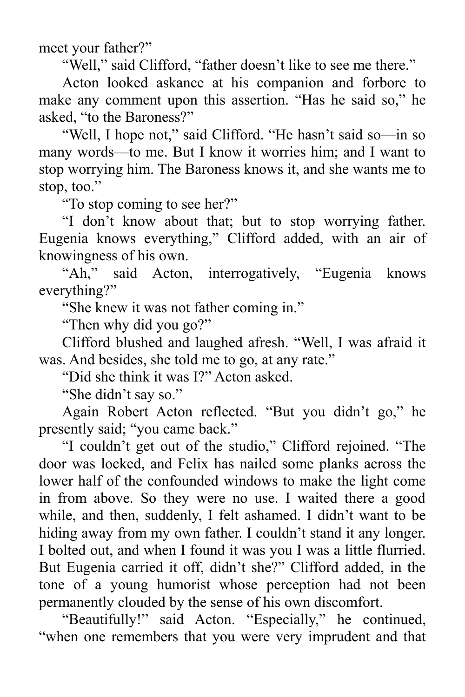meet your father?"

"Well," said Clifford, "father doesn't like to see me there."

Acton looked askance at his companion and forbore to make any comment upon this assertion. "Has he said so," he asked, "to the Baroness?"

"Well, I hope not," said Clifford. "He hasn't said so—in so many words—to me. But I know it worries him; and I want to stop worrying him. The Baroness knows it, and she wants me to stop, too."

"To stop coming to see her?"

"I don't know about that; but to stop worrying father. Eugenia knows everything," Clifford added, with an air of knowingness of his own.

"Ah," said Acton, interrogatively, "Eugenia knows everything?"

"She knew it was not father coming in."

"Then why did you go?"

Clifford blushed and laughed afresh. "Well, I was afraid it was. And besides, she told me to go, at any rate."

"Did she think it was I?" Acton asked.

"She didn't say so."

Again Robert Acton reflected. "But you didn't go," he presently said; "you came back."

"I couldn't get out of the studio," Clifford rejoined. "The door was locked, and Felix has nailed some planks across the lower half of the confounded windows to make the light come in from above. So they were no use. I waited there a good while, and then, suddenly, I felt ashamed. I didn't want to be hiding away from my own father. I couldn't stand it any longer. I bolted out, and when I found it was you I was a little flurried. But Eugenia carried it off, didn't she?" Clifford added, in the tone of a young humorist whose perception had not been permanently clouded by the sense of his own discomfort.

"Beautifully!" said Acton. "Especially," he continued, "when one remembers that you were very imprudent and that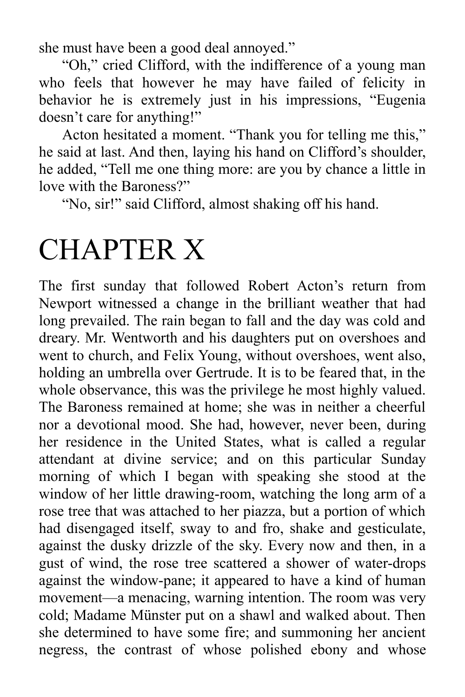she must have been a good deal annoyed."

"Oh," cried Clifford, with the indifference of a young man who feels that however he may have failed of felicity in behavior he is extremely just in his impressions, "Eugenia doesn't care for anything!"

Acton hesitated a moment. "Thank you for telling me this," he said at last. And then, laying his hand on Clifford's shoulder, he added, "Tell me one thing more: are you by chance a little in love with the Baroness?"

"No, sir!" said Clifford, almost shaking off his hand.

## CHAPTER X

The first sunday that followed Robert Acton's return from Newport witnessed a change in the brilliant weather that had long prevailed. The rain began to fall and the day was cold and dreary. Mr. Wentworth and his daughters put on overshoes and went to church, and Felix Young, without overshoes, went also, holding an umbrella over Gertrude. It is to be feared that, in the whole observance, this was the privilege he most highly valued. The Baroness remained at home; she was in neither a cheerful nor a devotional mood. She had, however, never been, during her residence in the United States, what is called a regular attendant at divine service; and on this particular Sunday morning of which I began with speaking she stood at the window of her little drawing-room, watching the long arm of a rose tree that was attached to her piazza, but a portion of which had disengaged itself, sway to and fro, shake and gesticulate, against the dusky drizzle of the sky. Every now and then, in a gust of wind, the rose tree scattered a shower of water-drops against the window-pane; it appeared to have a kind of human movement—a menacing, warning intention. The room was very cold; Madame Münster put on a shawl and walked about. Then she determined to have some fire; and summoning her ancient negress, the contrast of whose polished ebony and whose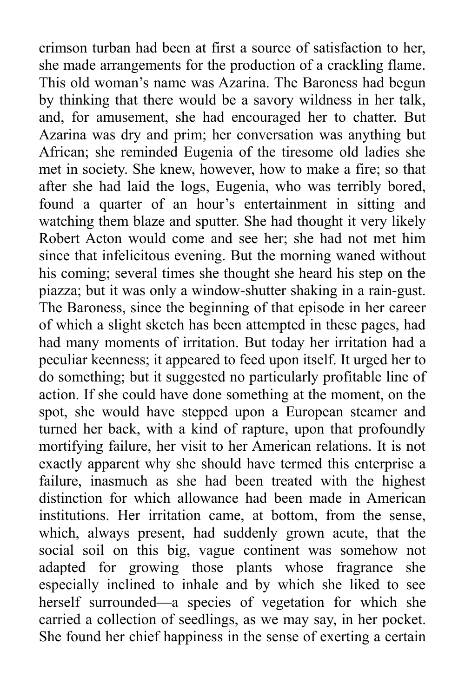crimson turban had been at first a source of satisfaction to her, she made arrangements for the production of a crackling flame. This old woman's name was Azarina. The Baroness had begun by thinking that there would be a savory wildness in her talk, and, for amusement, she had encouraged her to chatter. But Azarina was dry and prim; her conversation was anything but African; she reminded Eugenia of the tiresome old ladies she met in society. She knew, however, how to make a fire; so that after she had laid the logs, Eugenia, who was terribly bored, found a quarter of an hour's entertainment in sitting and watching them blaze and sputter. She had thought it very likely Robert Acton would come and see her; she had not met him since that infelicitous evening. But the morning waned without his coming; several times she thought she heard his step on the piazza; but it was only a window-shutter shaking in a rain-gust. The Baroness, since the beginning of that episode in her career of which a slight sketch has been attempted in these pages, had had many moments of irritation. But today her irritation had a peculiar keenness; it appeared to feed upon itself. It urged her to do something; but it suggested no particularly profitable line of action. If she could have done something at the moment, on the spot, she would have stepped upon a European steamer and turned her back, with a kind of rapture, upon that profoundly mortifying failure, her visit to her American relations. It is not exactly apparent why she should have termed this enterprise a failure, inasmuch as she had been treated with the highest distinction for which allowance had been made in American institutions. Her irritation came, at bottom, from the sense, which, always present, had suddenly grown acute, that the social soil on this big, vague continent was somehow not adapted for growing those plants whose fragrance she especially inclined to inhale and by which she liked to see herself surrounded—a species of vegetation for which she carried a collection of seedlings, as we may say, in her pocket. She found her chief happiness in the sense of exerting a certain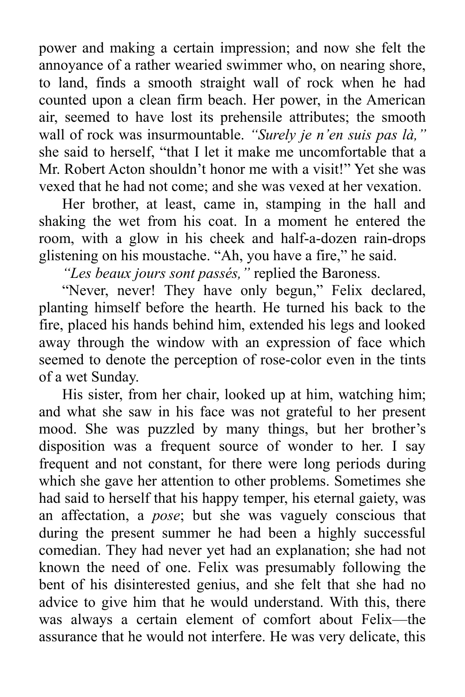power and making a certain impression; and now she felt the annoyance of a rather wearied swimmer who, on nearing shore, to land, finds a smooth straight wall of rock when he had counted upon a clean firm beach. Her power, in the American air, seemed to have lost its prehensile attributes; the smooth wall of rock was insurmountable. *"Surely je n'en suis pas là,"* she said to herself, "that I let it make me uncomfortable that a Mr. Robert Acton shouldn't honor me with a visit!" Yet she was vexed that he had not come; and she was vexed at her vexation.

Her brother, at least, came in, stamping in the hall and shaking the wet from his coat. In a moment he entered the room, with a glow in his cheek and half-a-dozen rain-drops glistening on his moustache. "Ah, you have a fire," he said.

*"Les beaux jours sont passés,"* replied the Baroness.

"Never, never! They have only begun," Felix declared, planting himself before the hearth. He turned his back to the fire, placed his hands behind him, extended his legs and looked away through the window with an expression of face which seemed to denote the perception of rose-color even in the tints of a wet Sunday.

His sister, from her chair, looked up at him, watching him; and what she saw in his face was not grateful to her present mood. She was puzzled by many things, but her brother's disposition was a frequent source of wonder to her. I say frequent and not constant, for there were long periods during which she gave her attention to other problems. Sometimes she had said to herself that his happy temper, his eternal gaiety, was an affectation, a *pose*; but she was vaguely conscious that during the present summer he had been a highly successful comedian. They had never yet had an explanation; she had not known the need of one. Felix was presumably following the bent of his disinterested genius, and she felt that she had no advice to give him that he would understand. With this, there was always a certain element of comfort about Felix—the assurance that he would not interfere. He was very delicate, this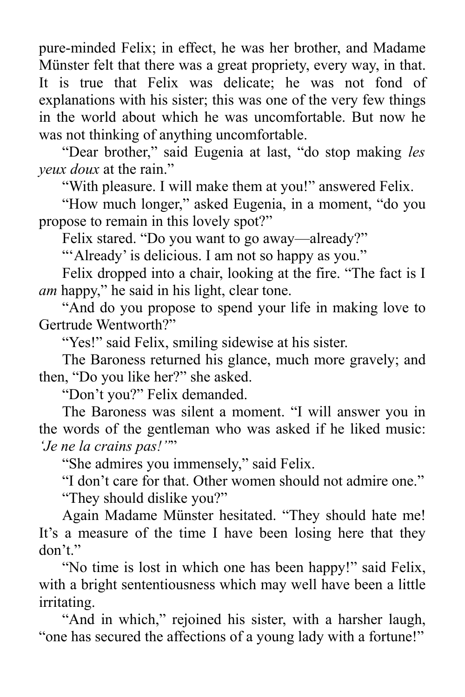pure-minded Felix; in effect, he was her brother, and Madame Münster felt that there was a great propriety, every way, in that. It is true that Felix was delicate; he was not fond of explanations with his sister; this was one of the very few things in the world about which he was uncomfortable. But now he was not thinking of anything uncomfortable.

"Dear brother," said Eugenia at last, "do stop making *les yeux doux* at the rain."

"With pleasure. I will make them at you!" answered Felix.

"How much longer," asked Eugenia, in a moment, "do you propose to remain in this lovely spot?"

Felix stared. "Do you want to go away—already?"

"'Already' is delicious. I am not so happy as you."

Felix dropped into a chair, looking at the fire. "The fact is I *am* happy," he said in his light, clear tone.

"And do you propose to spend your life in making love to Gertrude Wentworth?"

"Yes!" said Felix, smiling sidewise at his sister.

The Baroness returned his glance, much more gravely; and then, "Do you like her?" she asked.

"Don't you?" Felix demanded.

The Baroness was silent a moment. "I will answer you in the words of the gentleman who was asked if he liked music: *'Je ne la crains pas!''*"

"She admires you immensely," said Felix.

"I don't care for that. Other women should not admire one." "They should dislike you?"

Again Madame Münster hesitated. "They should hate me! It's a measure of the time I have been losing here that they don't."

"No time is lost in which one has been happy!" said Felix, with a bright sententiousness which may well have been a little irritating.

"And in which," rejoined his sister, with a harsher laugh, "one has secured the affections of a young lady with a fortune!"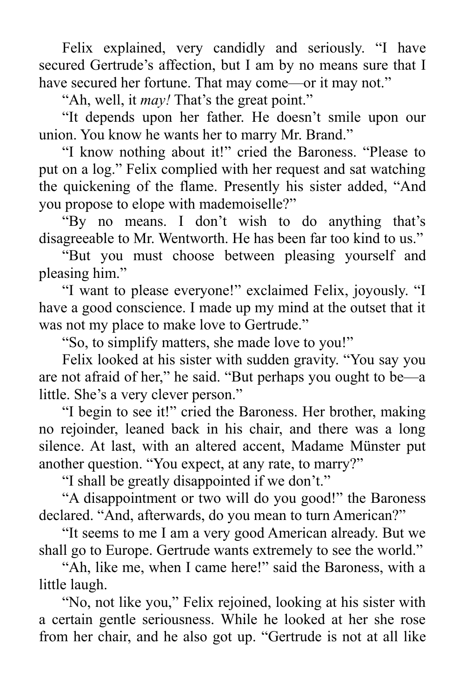Felix explained, very candidly and seriously. "I have secured Gertrude's affection, but I am by no means sure that I have secured her fortune. That may come—or it may not."

"Ah, well, it *may!* That's the great point."

"It depends upon her father. He doesn't smile upon our union. You know he wants her to marry Mr. Brand."

"I know nothing about it!" cried the Baroness. "Please to put on a log." Felix complied with her request and sat watching the quickening of the flame. Presently his sister added, "And you propose to elope with mademoiselle?"

"By no means. I don't wish to do anything that's disagreeable to Mr. Wentworth. He has been far too kind to us."

"But you must choose between pleasing yourself and pleasing him."

"I want to please everyone!" exclaimed Felix, joyously. "I have a good conscience. I made up my mind at the outset that it was not my place to make love to Gertrude."

"So, to simplify matters, she made love to you!"

Felix looked at his sister with sudden gravity. "You say you are not afraid of her," he said. "But perhaps you ought to be—a little. She's a very clever person."

"I begin to see it!" cried the Baroness. Her brother, making no rejoinder, leaned back in his chair, and there was a long silence. At last, with an altered accent, Madame Münster put another question. "You expect, at any rate, to marry?"

"I shall be greatly disappointed if we don't."

"A disappointment or two will do you good!" the Baroness declared. "And, afterwards, do you mean to turn American?"

"It seems to me I am a very good American already. But we shall go to Europe. Gertrude wants extremely to see the world."

"Ah, like me, when I came here!" said the Baroness, with a little laugh.

"No, not like you," Felix rejoined, looking at his sister with a certain gentle seriousness. While he looked at her she rose from her chair, and he also got up. "Gertrude is not at all like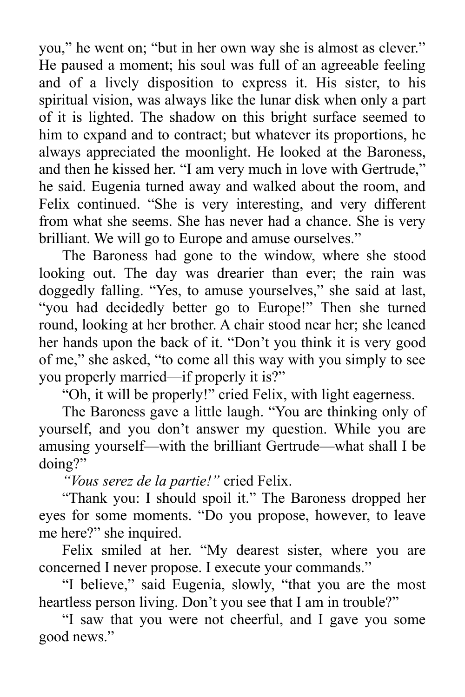you," he went on; "but in her own way she is almost as clever." He paused a moment; his soul was full of an agreeable feeling and of a lively disposition to express it. His sister, to his spiritual vision, was always like the lunar disk when only a part of it is lighted. The shadow on this bright surface seemed to him to expand and to contract; but whatever its proportions, he always appreciated the moonlight. He looked at the Baroness, and then he kissed her. "I am very much in love with Gertrude," he said. Eugenia turned away and walked about the room, and Felix continued. "She is very interesting, and very different from what she seems. She has never had a chance. She is very brilliant. We will go to Europe and amuse ourselves."

The Baroness had gone to the window, where she stood looking out. The day was drearier than ever; the rain was doggedly falling. "Yes, to amuse yourselves," she said at last, "you had decidedly better go to Europe!" Then she turned round, looking at her brother. A chair stood near her; she leaned her hands upon the back of it. "Don't you think it is very good of me," she asked, "to come all this way with you simply to see you properly married—if properly it is?"

"Oh, it will be properly!" cried Felix, with light eagerness.

The Baroness gave a little laugh. "You are thinking only of yourself, and you don't answer my question. While you are amusing yourself—with the brilliant Gertrude—what shall I be doing?"

*"Vous serez de la partie!"* cried Felix.

"Thank you: I should spoil it." The Baroness dropped her eyes for some moments. "Do you propose, however, to leave me here?" she inquired.

Felix smiled at her. "My dearest sister, where you are concerned I never propose. I execute your commands."

"I believe," said Eugenia, slowly, "that you are the most heartless person living. Don't you see that I am in trouble?"

"I saw that you were not cheerful, and I gave you some good news."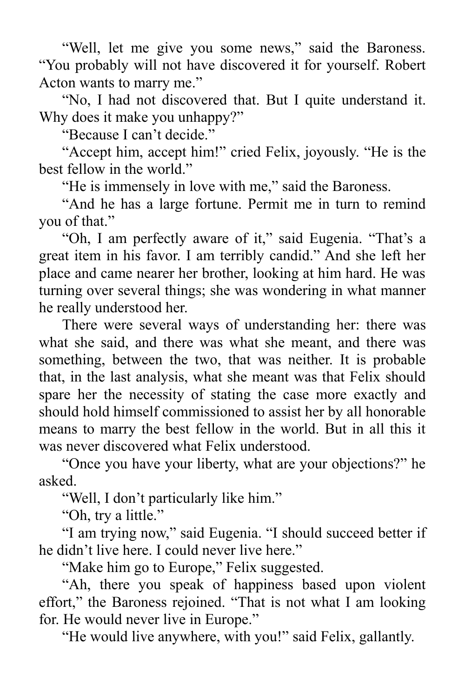"Well, let me give you some news," said the Baroness. "You probably will not have discovered it for yourself. Robert Acton wants to marry me."

"No, I had not discovered that. But I quite understand it. Why does it make you unhappy?"

"Because I can't decide."

"Accept him, accept him!" cried Felix, joyously. "He is the best fellow in the world."

"He is immensely in love with me," said the Baroness.

"And he has a large fortune. Permit me in turn to remind you of that."

"Oh, I am perfectly aware of it," said Eugenia. "That's a great item in his favor. I am terribly candid." And she left her place and came nearer her brother, looking at him hard. He was turning over several things; she was wondering in what manner he really understood her.

There were several ways of understanding her: there was what she said, and there was what she meant, and there was something, between the two, that was neither. It is probable that, in the last analysis, what she meant was that Felix should spare her the necessity of stating the case more exactly and should hold himself commissioned to assist her by all honorable means to marry the best fellow in the world. But in all this it was never discovered what Felix understood.

"Once you have your liberty, what are your objections?" he asked.

"Well, I don't particularly like him."

"Oh, try a little."

"I am trying now," said Eugenia. "I should succeed better if he didn't live here. I could never live here."

"Make him go to Europe," Felix suggested.

"Ah, there you speak of happiness based upon violent effort," the Baroness rejoined. "That is not what I am looking for. He would never live in Europe."

"He would live anywhere, with you!" said Felix, gallantly.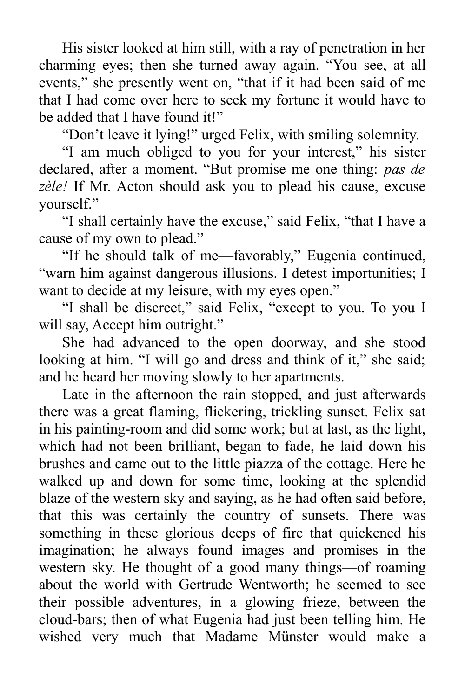His sister looked at him still, with a ray of penetration in her charming eyes; then she turned away again. "You see, at all events," she presently went on, "that if it had been said of me that I had come over here to seek my fortune it would have to be added that I have found it!"

"Don't leave it lying!" urged Felix, with smiling solemnity.

"I am much obliged to you for your interest," his sister declared, after a moment. "But promise me one thing: *pas de zèle!* If Mr. Acton should ask you to plead his cause, excuse yourself."

"I shall certainly have the excuse," said Felix, "that I have a cause of my own to plead."

"If he should talk of me—favorably," Eugenia continued, "warn him against dangerous illusions. I detest importunities; I want to decide at my leisure, with my eyes open."

"I shall be discreet," said Felix, "except to you. To you I will say, Accept him outright."

She had advanced to the open doorway, and she stood looking at him. "I will go and dress and think of it," she said; and he heard her moving slowly to her apartments.

Late in the afternoon the rain stopped, and just afterwards there was a great flaming, flickering, trickling sunset. Felix sat in his painting-room and did some work; but at last, as the light, which had not been brilliant, began to fade, he laid down his brushes and came out to the little piazza of the cottage. Here he walked up and down for some time, looking at the splendid blaze of the western sky and saying, as he had often said before, that this was certainly the country of sunsets. There was something in these glorious deeps of fire that quickened his imagination; he always found images and promises in the western sky. He thought of a good many things—of roaming about the world with Gertrude Wentworth; he seemed to see their possible adventures, in a glowing frieze, between the cloud-bars; then of what Eugenia had just been telling him. He wished very much that Madame Münster would make a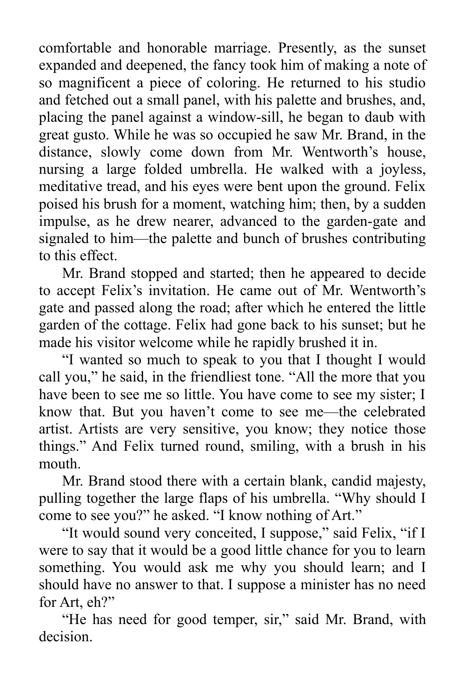comfortable and honorable marriage. Presently, as the sunset expanded and deepened, the fancy took him of making a note of so magnificent a piece of coloring. He returned to his studio and fetched out a small panel, with his palette and brushes, and, placing the panel against a window-sill, he began to daub with great gusto. While he was so occupied he saw Mr. Brand, in the distance, slowly come down from Mr. Wentworth's house, nursing a large folded umbrella. He walked with a joyless, meditative tread, and his eyes were bent upon the ground. Felix poised his brush for a moment, watching him; then, by a sudden impulse, as he drew nearer, advanced to the garden-gate and signaled to him—the palette and bunch of brushes contributing to this effect.

Mr. Brand stopped and started; then he appeared to decide to accept Felix's invitation. He came out of Mr. Wentworth's gate and passed along the road; after which he entered the little garden of the cottage. Felix had gone back to his sunset; but he made his visitor welcome while he rapidly brushed it in.

"I wanted so much to speak to you that I thought I would call you," he said, in the friendliest tone. "All the more that you have been to see me so little. You have come to see my sister; I know that. But you haven't come to see me—the celebrated artist. Artists are very sensitive, you know; they notice those things." And Felix turned round, smiling, with a brush in his mouth.

Mr. Brand stood there with a certain blank, candid majesty, pulling together the large flaps of his umbrella. "Why should I come to see you?" he asked. "I know nothing of Art."

"It would sound very conceited, I suppose," said Felix, "if I were to say that it would be a good little chance for you to learn something. You would ask me why you should learn; and I should have no answer to that. I suppose a minister has no need for Art, eh?"

"He has need for good temper, sir," said Mr. Brand, with decision.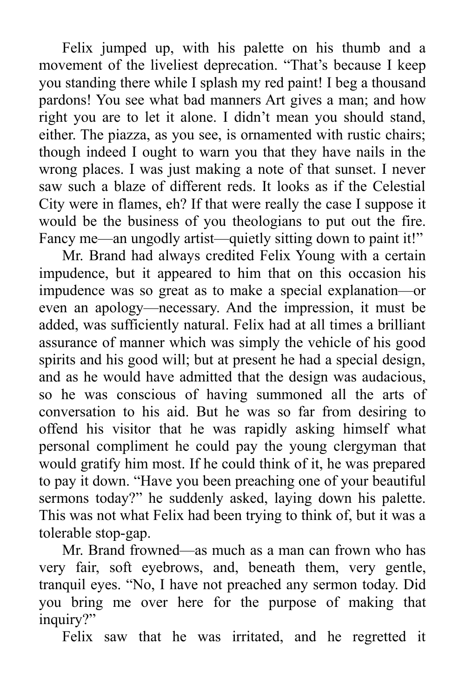Felix jumped up, with his palette on his thumb and a movement of the liveliest deprecation. "That's because I keep you standing there while I splash my red paint! I beg a thousand pardons! You see what bad manners Art gives a man; and how right you are to let it alone. I didn't mean you should stand, either. The piazza, as you see, is ornamented with rustic chairs; though indeed I ought to warn you that they have nails in the wrong places. I was just making a note of that sunset. I never saw such a blaze of different reds. It looks as if the Celestial City were in flames, eh? If that were really the case I suppose it would be the business of you theologians to put out the fire. Fancy me—an ungodly artist—quietly sitting down to paint it!"

Mr. Brand had always credited Felix Young with a certain impudence, but it appeared to him that on this occasion his impudence was so great as to make a special explanation—or even an apology—necessary. And the impression, it must be added, was sufficiently natural. Felix had at all times a brilliant assurance of manner which was simply the vehicle of his good spirits and his good will; but at present he had a special design, and as he would have admitted that the design was audacious, so he was conscious of having summoned all the arts of conversation to his aid. But he was so far from desiring to offend his visitor that he was rapidly asking himself what personal compliment he could pay the young clergyman that would gratify him most. If he could think of it, he was prepared to pay it down. "Have you been preaching one of your beautiful sermons today?" he suddenly asked, laying down his palette. This was not what Felix had been trying to think of, but it was a tolerable stop-gap.

Mr. Brand frowned—as much as a man can frown who has very fair, soft eyebrows, and, beneath them, very gentle, tranquil eyes. "No, I have not preached any sermon today. Did you bring me over here for the purpose of making that inquiry?"

Felix saw that he was irritated, and he regretted it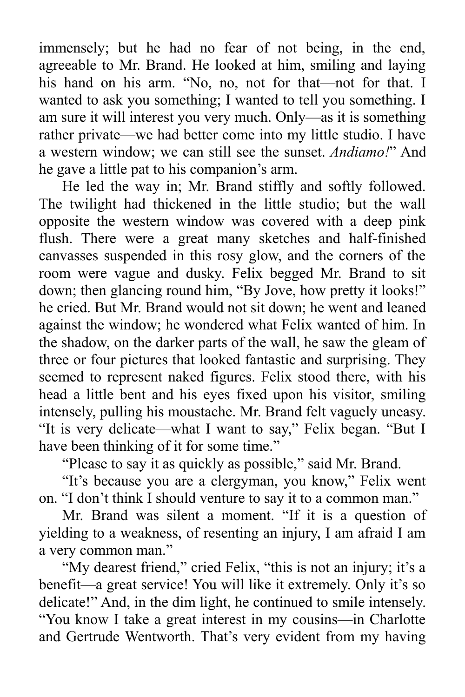immensely; but he had no fear of not being, in the end, agreeable to Mr. Brand. He looked at him, smiling and laying his hand on his arm. "No, no, not for that—not for that. I wanted to ask you something; I wanted to tell you something. I am sure it will interest you very much. Only—as it is something rather private—we had better come into my little studio. I have a western window; we can still see the sunset. *Andiamo!*" And he gave a little pat to his companion's arm.

He led the way in; Mr. Brand stiffly and softly followed. The twilight had thickened in the little studio; but the wall opposite the western window was covered with a deep pink flush. There were a great many sketches and half-finished canvasses suspended in this rosy glow, and the corners of the room were vague and dusky. Felix begged Mr. Brand to sit down; then glancing round him, "By Jove, how pretty it looks!" he cried. But Mr. Brand would not sit down; he went and leaned against the window; he wondered what Felix wanted of him. In the shadow, on the darker parts of the wall, he saw the gleam of three or four pictures that looked fantastic and surprising. They seemed to represent naked figures. Felix stood there, with his head a little bent and his eyes fixed upon his visitor, smiling intensely, pulling his moustache. Mr. Brand felt vaguely uneasy. "It is very delicate—what I want to say," Felix began. "But I have been thinking of it for some time."

"Please to say it as quickly as possible," said Mr. Brand.

"It's because you are a clergyman, you know," Felix went on. "I don't think I should venture to say it to a common man."

Mr. Brand was silent a moment. "If it is a question of yielding to a weakness, of resenting an injury, I am afraid I am a very common man."

"My dearest friend," cried Felix, "this is not an injury; it's a benefit—a great service! You will like it extremely. Only it's so delicate!" And, in the dim light, he continued to smile intensely. "You know I take a great interest in my cousins—in Charlotte and Gertrude Wentworth. That's very evident from my having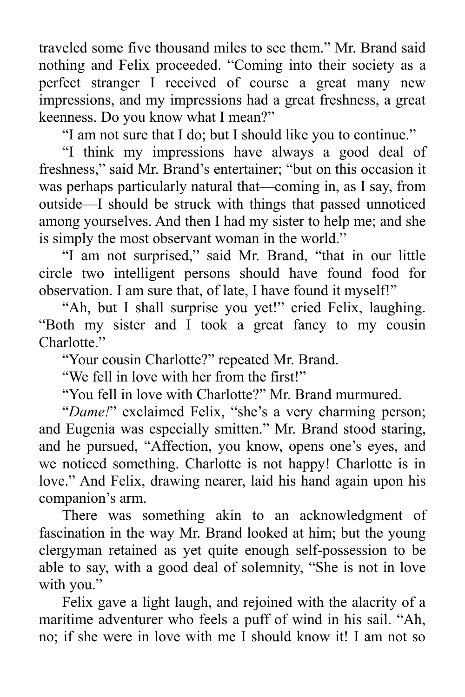traveled some five thousand miles to see them." Mr. Brand said nothing and Felix proceeded. "Coming into their society as a perfect stranger I received of course a great many new impressions, and my impressions had a great freshness, a great keenness. Do you know what I mean?"

"I am not sure that I do; but I should like you to continue."

"I think my impressions have always a good deal of freshness," said Mr. Brand's entertainer; "but on this occasion it was perhaps particularly natural that—coming in, as I say, from outside—I should be struck with things that passed unnoticed among yourselves. And then I had my sister to help me; and she is simply the most observant woman in the world."

"I am not surprised," said Mr. Brand, "that in our little circle two intelligent persons should have found food for observation. I am sure that, of late, I have found it myself!"

"Ah, but I shall surprise you yet!" cried Felix, laughing. "Both my sister and I took a great fancy to my cousin Charlotte."

"Your cousin Charlotte?" repeated Mr. Brand.

"We fell in love with her from the first!"

"You fell in love with Charlotte?" Mr. Brand murmured.

"*Dame!*" exclaimed Felix, "she's a very charming person; and Eugenia was especially smitten." Mr. Brand stood staring, and he pursued, "Affection, you know, opens one's eyes, and we noticed something. Charlotte is not happy! Charlotte is in love." And Felix, drawing nearer, laid his hand again upon his companion's arm.

There was something akin to an acknowledgment of fascination in the way Mr. Brand looked at him; but the young clergyman retained as yet quite enough self-possession to be able to say, with a good deal of solemnity, "She is not in love with you."

Felix gave a light laugh, and rejoined with the alacrity of a maritime adventurer who feels a puff of wind in his sail. "Ah, no; if she were in love with me I should know it! I am not so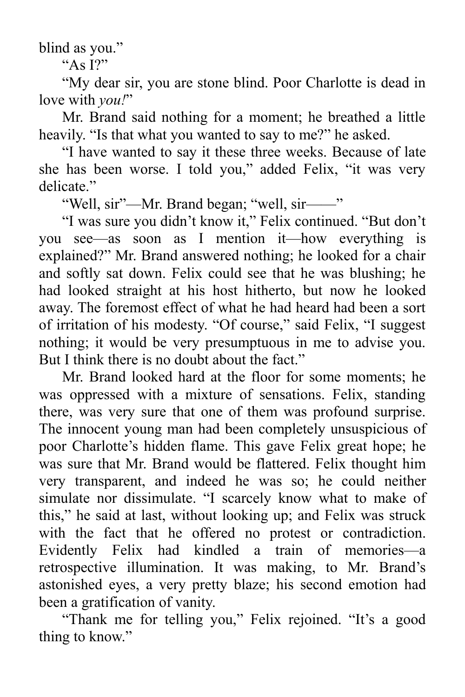blind as you."

" $A_S$  I?"

"My dear sir, you are stone blind. Poor Charlotte is dead in love with *you!*"

Mr. Brand said nothing for a moment; he breathed a little heavily. "Is that what you wanted to say to me?" he asked.

"I have wanted to say it these three weeks. Because of late she has been worse. I told you," added Felix, "it was very delicate."

"Well, sir"—Mr. Brand began; "well, sir——"

"I was sure you didn't know it," Felix continued. "But don't you see—as soon as I mention it—how everything is explained?" Mr. Brand answered nothing; he looked for a chair and softly sat down. Felix could see that he was blushing; he had looked straight at his host hitherto, but now he looked away. The foremost effect of what he had heard had been a sort of irritation of his modesty. "Of course," said Felix, "I suggest nothing; it would be very presumptuous in me to advise you. But I think there is no doubt about the fact."

Mr. Brand looked hard at the floor for some moments; he was oppressed with a mixture of sensations. Felix, standing there, was very sure that one of them was profound surprise. The innocent young man had been completely unsuspicious of poor Charlotte's hidden flame. This gave Felix great hope; he was sure that Mr. Brand would be flattered. Felix thought him very transparent, and indeed he was so; he could neither simulate nor dissimulate. "I scarcely know what to make of this," he said at last, without looking up; and Felix was struck with the fact that he offered no protest or contradiction. Evidently Felix had kindled a train of memories—a retrospective illumination. It was making, to Mr. Brand's astonished eyes, a very pretty blaze; his second emotion had been a gratification of vanity.

"Thank me for telling you," Felix rejoined. "It's a good thing to know."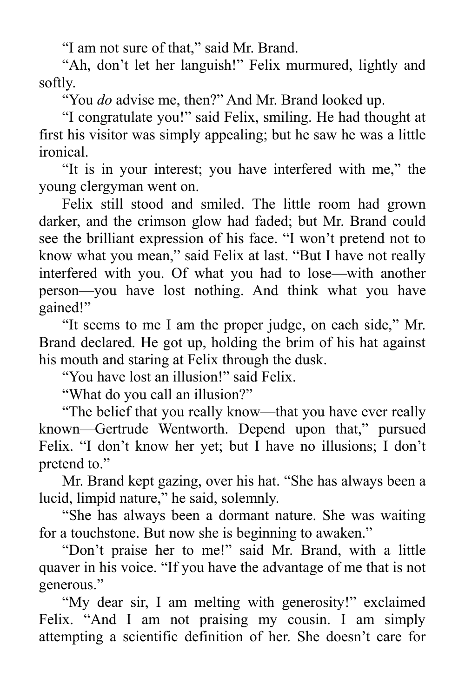"I am not sure of that," said Mr. Brand.

"Ah, don't let her languish!" Felix murmured, lightly and softly.

"You *do* advise me, then?" And Mr. Brand looked up.

"I congratulate you!" said Felix, smiling. He had thought at first his visitor was simply appealing; but he saw he was a little ironical.

"It is in your interest; you have interfered with me," the young clergyman went on.

Felix still stood and smiled. The little room had grown darker, and the crimson glow had faded; but Mr. Brand could see the brilliant expression of his face. "I won't pretend not to know what you mean," said Felix at last. "But I have not really interfered with you. Of what you had to lose—with another person—you have lost nothing. And think what you have gained!"

"It seems to me I am the proper judge, on each side," Mr. Brand declared. He got up, holding the brim of his hat against his mouth and staring at Felix through the dusk.

"You have lost an illusion!" said Felix.

"What do you call an illusion?"

"The belief that you really know—that you have ever really known—Gertrude Wentworth. Depend upon that," pursued Felix. "I don't know her yet; but I have no illusions; I don't pretend to."

Mr. Brand kept gazing, over his hat. "She has always been a lucid, limpid nature," he said, solemnly.

"She has always been a dormant nature. She was waiting for a touchstone. But now she is beginning to awaken."

"Don't praise her to me!" said Mr. Brand, with a little quaver in his voice. "If you have the advantage of me that is not generous."

"My dear sir, I am melting with generosity!" exclaimed Felix. "And I am not praising my cousin. I am simply attempting a scientific definition of her. She doesn't care for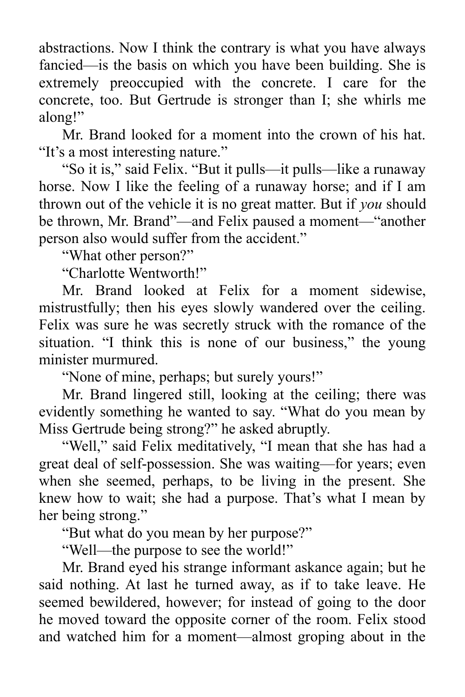abstractions. Now I think the contrary is what you have always fancied—is the basis on which you have been building. She is extremely preoccupied with the concrete. I care for the concrete, too. But Gertrude is stronger than I; she whirls me along!"

Mr. Brand looked for a moment into the crown of his hat. "It's a most interesting nature."

"So it is," said Felix. "But it pulls—it pulls—like a runaway horse. Now I like the feeling of a runaway horse; and if I am thrown out of the vehicle it is no great matter. But if *you* should be thrown, Mr. Brand"—and Felix paused a moment—"another person also would suffer from the accident."

"What other person?"

"Charlotte Wentworth!"

Mr. Brand looked at Felix for a moment sidewise, mistrustfully; then his eyes slowly wandered over the ceiling. Felix was sure he was secretly struck with the romance of the situation. "I think this is none of our business," the young minister murmured.

"None of mine, perhaps; but surely yours!"

Mr. Brand lingered still, looking at the ceiling; there was evidently something he wanted to say. "What do you mean by Miss Gertrude being strong?" he asked abruptly.

"Well," said Felix meditatively, "I mean that she has had a great deal of self-possession. She was waiting—for years; even when she seemed, perhaps, to be living in the present. She knew how to wait; she had a purpose. That's what I mean by her being strong."

"But what do you mean by her purpose?"

"Well—the purpose to see the world!"

Mr. Brand eyed his strange informant askance again; but he said nothing. At last he turned away, as if to take leave. He seemed bewildered, however; for instead of going to the door he moved toward the opposite corner of the room. Felix stood and watched him for a moment—almost groping about in the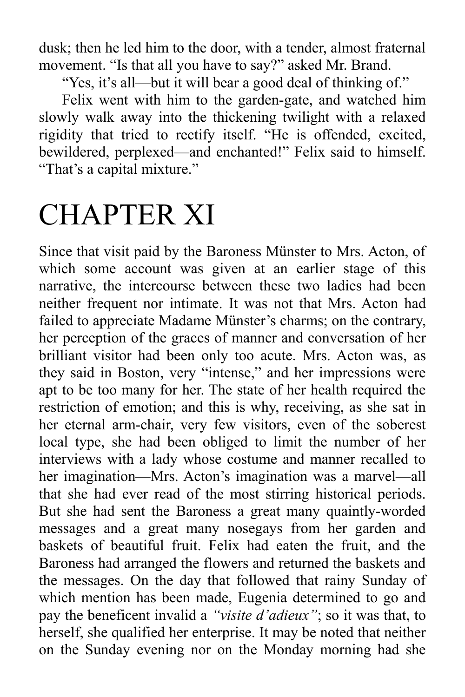dusk; then he led him to the door, with a tender, almost fraternal movement. "Is that all you have to say?" asked Mr. Brand.

"Yes, it's all—but it will bear a good deal of thinking of."

Felix went with him to the garden-gate, and watched him slowly walk away into the thickening twilight with a relaxed rigidity that tried to rectify itself. "He is offended, excited, bewildered, perplexed—and enchanted!" Felix said to himself. "That's a capital mixture."

## CHAPTER XI

Since that visit paid by the Baroness Münster to Mrs. Acton, of which some account was given at an earlier stage of this narrative, the intercourse between these two ladies had been neither frequent nor intimate. It was not that Mrs. Acton had failed to appreciate Madame Münster's charms; on the contrary, her perception of the graces of manner and conversation of her brilliant visitor had been only too acute. Mrs. Acton was, as they said in Boston, very "intense," and her impressions were apt to be too many for her. The state of her health required the restriction of emotion; and this is why, receiving, as she sat in her eternal arm-chair, very few visitors, even of the soberest local type, she had been obliged to limit the number of her interviews with a lady whose costume and manner recalled to her imagination—Mrs. Acton's imagination was a marvel—all that she had ever read of the most stirring historical periods. But she had sent the Baroness a great many quaintly-worded messages and a great many nosegays from her garden and baskets of beautiful fruit. Felix had eaten the fruit, and the Baroness had arranged the flowers and returned the baskets and the messages. On the day that followed that rainy Sunday of which mention has been made, Eugenia determined to go and pay the beneficent invalid a *"visite d'adieux"*; so it was that, to herself, she qualified her enterprise. It may be noted that neither on the Sunday evening nor on the Monday morning had she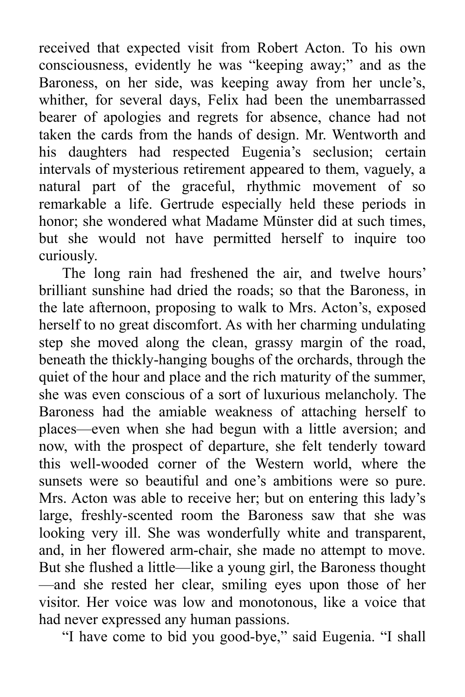received that expected visit from Robert Acton. To his own consciousness, evidently he was "keeping away;" and as the Baroness, on her side, was keeping away from her uncle's, whither, for several days, Felix had been the unembarrassed bearer of apologies and regrets for absence, chance had not taken the cards from the hands of design. Mr. Wentworth and his daughters had respected Eugenia's seclusion; certain intervals of mysterious retirement appeared to them, vaguely, a natural part of the graceful, rhythmic movement of so remarkable a life. Gertrude especially held these periods in honor; she wondered what Madame Münster did at such times, but she would not have permitted herself to inquire too curiously.

The long rain had freshened the air, and twelve hours' brilliant sunshine had dried the roads; so that the Baroness, in the late afternoon, proposing to walk to Mrs. Acton's, exposed herself to no great discomfort. As with her charming undulating step she moved along the clean, grassy margin of the road, beneath the thickly-hanging boughs of the orchards, through the quiet of the hour and place and the rich maturity of the summer, she was even conscious of a sort of luxurious melancholy. The Baroness had the amiable weakness of attaching herself to places—even when she had begun with a little aversion; and now, with the prospect of departure, she felt tenderly toward this well-wooded corner of the Western world, where the sunsets were so beautiful and one's ambitions were so pure. Mrs. Acton was able to receive her; but on entering this lady's large, freshly-scented room the Baroness saw that she was looking very ill. She was wonderfully white and transparent, and, in her flowered arm-chair, she made no attempt to move. But she flushed a little—like a young girl, the Baroness thought —and she rested her clear, smiling eyes upon those of her visitor. Her voice was low and monotonous, like a voice that had never expressed any human passions.

"I have come to bid you good-bye," said Eugenia. "I shall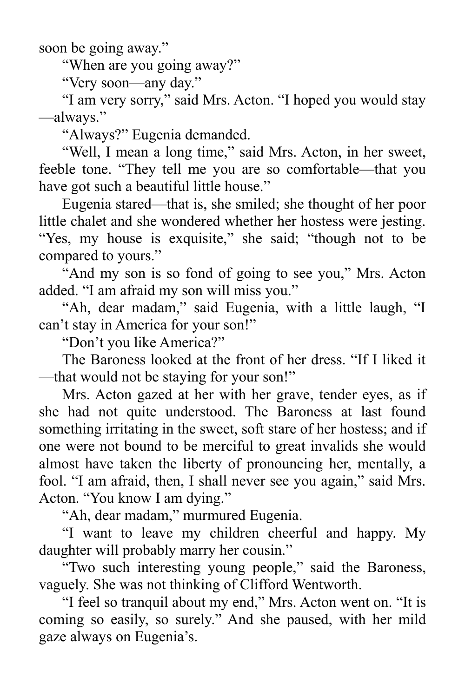soon be going away."

"When are you going away?"

"Very soon—any day."

"I am very sorry," said Mrs. Acton. "I hoped you would stay —always."

"Always?" Eugenia demanded.

"Well, I mean a long time," said Mrs. Acton, in her sweet, feeble tone. "They tell me you are so comfortable—that you have got such a beautiful little house."

Eugenia stared—that is, she smiled; she thought of her poor little chalet and she wondered whether her hostess were jesting. "Yes, my house is exquisite," she said; "though not to be compared to yours."

"And my son is so fond of going to see you," Mrs. Acton added. "I am afraid my son will miss you."

"Ah, dear madam," said Eugenia, with a little laugh, "I can't stay in America for your son!"

"Don't you like America?"

The Baroness looked at the front of her dress. "If I liked it —that would not be staying for your son!"

Mrs. Acton gazed at her with her grave, tender eyes, as if she had not quite understood. The Baroness at last found something irritating in the sweet, soft stare of her hostess; and if one were not bound to be merciful to great invalids she would almost have taken the liberty of pronouncing her, mentally, a fool. "I am afraid, then, I shall never see you again," said Mrs. Acton. "You know I am dying."

"Ah, dear madam," murmured Eugenia.

"I want to leave my children cheerful and happy. My daughter will probably marry her cousin."

"Two such interesting young people," said the Baroness, vaguely. She was not thinking of Clifford Wentworth.

"I feel so tranquil about my end," Mrs. Acton went on. "It is coming so easily, so surely." And she paused, with her mild gaze always on Eugenia's.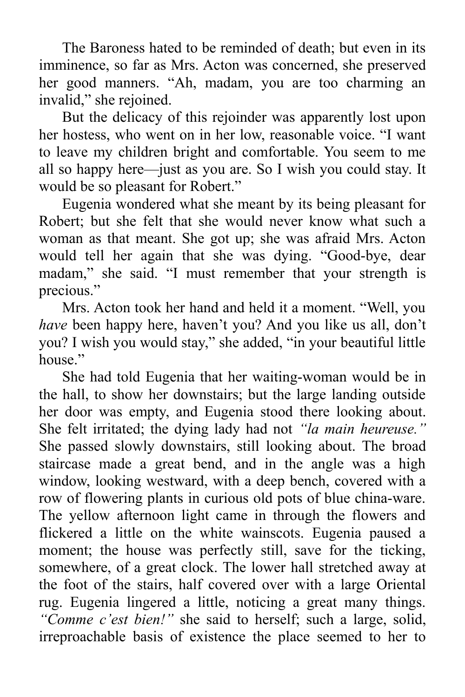The Baroness hated to be reminded of death; but even in its imminence, so far as Mrs. Acton was concerned, she preserved her good manners. "Ah, madam, you are too charming an invalid," she rejoined.

But the delicacy of this rejoinder was apparently lost upon her hostess, who went on in her low, reasonable voice. "I want to leave my children bright and comfortable. You seem to me all so happy here—just as you are. So I wish you could stay. It would be so pleasant for Robert."

Eugenia wondered what she meant by its being pleasant for Robert; but she felt that she would never know what such a woman as that meant. She got up; she was afraid Mrs. Acton would tell her again that she was dying. "Good-bye, dear madam," she said. "I must remember that your strength is precious."

Mrs. Acton took her hand and held it a moment. "Well, you *have* been happy here, haven't you? And you like us all, don't you? I wish you would stay," she added, "in your beautiful little house"

She had told Eugenia that her waiting-woman would be in the hall, to show her downstairs; but the large landing outside her door was empty, and Eugenia stood there looking about. She felt irritated; the dying lady had not *"la main heureuse."* She passed slowly downstairs, still looking about. The broad staircase made a great bend, and in the angle was a high window, looking westward, with a deep bench, covered with a row of flowering plants in curious old pots of blue china-ware. The yellow afternoon light came in through the flowers and flickered a little on the white wainscots. Eugenia paused a moment; the house was perfectly still, save for the ticking, somewhere, of a great clock. The lower hall stretched away at the foot of the stairs, half covered over with a large Oriental rug. Eugenia lingered a little, noticing a great many things. *"Comme c'est bien!"* she said to herself; such a large, solid, irreproachable basis of existence the place seemed to her to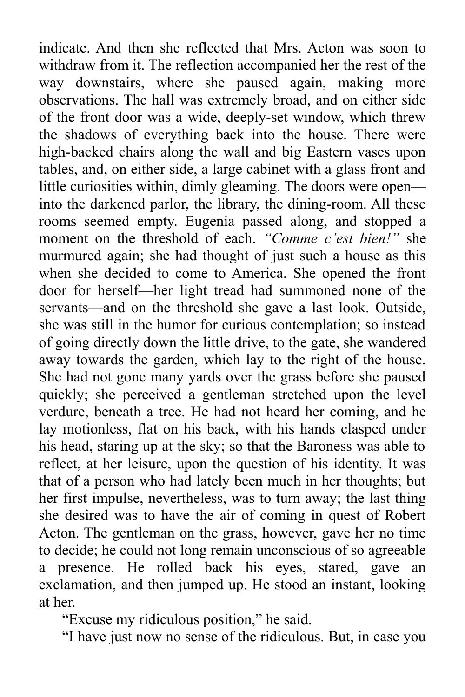indicate. And then she reflected that Mrs. Acton was soon to withdraw from it. The reflection accompanied her the rest of the way downstairs, where she paused again, making more observations. The hall was extremely broad, and on either side of the front door was a wide, deeply-set window, which threw the shadows of everything back into the house. There were high-backed chairs along the wall and big Eastern vases upon tables, and, on either side, a large cabinet with a glass front and little curiosities within, dimly gleaming. The doors were open into the darkened parlor, the library, the dining-room. All these rooms seemed empty. Eugenia passed along, and stopped a moment on the threshold of each. *"Comme c'est bien!"* she murmured again; she had thought of just such a house as this when she decided to come to America. She opened the front door for herself—her light tread had summoned none of the servants—and on the threshold she gave a last look. Outside, she was still in the humor for curious contemplation; so instead of going directly down the little drive, to the gate, she wandered away towards the garden, which lay to the right of the house. She had not gone many yards over the grass before she paused quickly; she perceived a gentleman stretched upon the level verdure, beneath a tree. He had not heard her coming, and he lay motionless, flat on his back, with his hands clasped under his head, staring up at the sky; so that the Baroness was able to reflect, at her leisure, upon the question of his identity. It was that of a person who had lately been much in her thoughts; but her first impulse, nevertheless, was to turn away; the last thing she desired was to have the air of coming in quest of Robert Acton. The gentleman on the grass, however, gave her no time to decide; he could not long remain unconscious of so agreeable a presence. He rolled back his eyes, stared, gave an exclamation, and then jumped up. He stood an instant, looking at her.

"Excuse my ridiculous position," he said.

"I have just now no sense of the ridiculous. But, in case you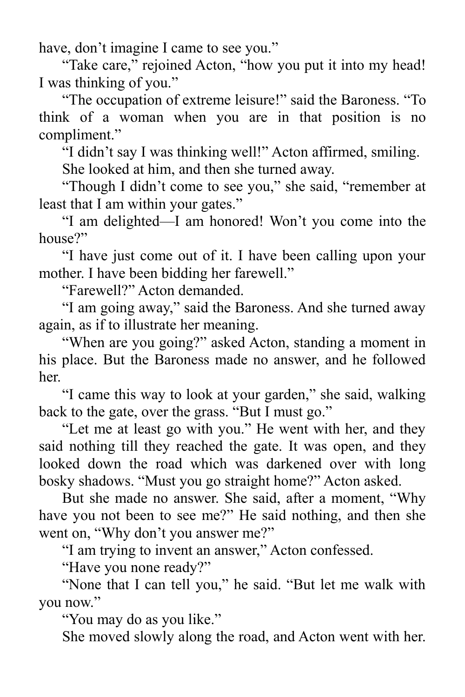have, don't imagine I came to see you."

"Take care," rejoined Acton, "how you put it into my head! I was thinking of you."

"The occupation of extreme leisure!" said the Baroness. "To think of a woman when you are in that position is no compliment."

"I didn't say I was thinking well!" Acton affirmed, smiling.

She looked at him, and then she turned away.

"Though I didn't come to see you," she said, "remember at least that I am within your gates."

"I am delighted—I am honored! Won't you come into the house?"

"I have just come out of it. I have been calling upon your mother. I have been bidding her farewell."

"Farewell?" Acton demanded.

"I am going away," said the Baroness. And she turned away again, as if to illustrate her meaning.

"When are you going?" asked Acton, standing a moment in his place. But the Baroness made no answer, and he followed her.

"I came this way to look at your garden," she said, walking back to the gate, over the grass. "But I must go."

"Let me at least go with you." He went with her, and they said nothing till they reached the gate. It was open, and they looked down the road which was darkened over with long bosky shadows. "Must you go straight home?" Acton asked.

But she made no answer. She said, after a moment, "Why have you not been to see me?" He said nothing, and then she went on, "Why don't you answer me?"

"I am trying to invent an answer," Acton confessed.

"Have you none ready?"

"None that I can tell you," he said. "But let me walk with you now."

"You may do as you like."

She moved slowly along the road, and Acton went with her.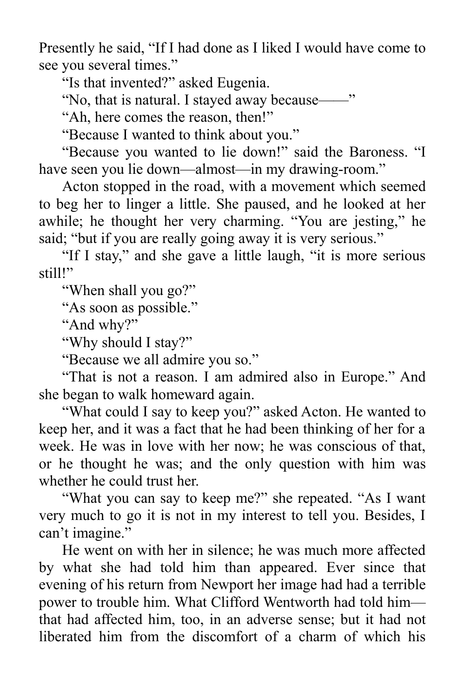Presently he said, "If I had done as I liked I would have come to see you several times."

"Is that invented?" asked Eugenia.

"No, that is natural. I stayed away because——"

"Ah, here comes the reason, then!"

"Because I wanted to think about you."

"Because you wanted to lie down!" said the Baroness. "I have seen you lie down—almost—in my drawing-room."

Acton stopped in the road, with a movement which seemed to beg her to linger a little. She paused, and he looked at her awhile; he thought her very charming. "You are jesting," he said; "but if you are really going away it is very serious."

"If I stay," and she gave a little laugh, "it is more serious still!"

"When shall you go?"

"As soon as possible."

"And why?"

"Why should I stay?"

"Because we all admire you so."

"That is not a reason. I am admired also in Europe." And she began to walk homeward again.

"What could I say to keep you?" asked Acton. He wanted to keep her, and it was a fact that he had been thinking of her for a week. He was in love with her now; he was conscious of that, or he thought he was; and the only question with him was whether he could trust her.

"What you can say to keep me?" she repeated. "As I want very much to go it is not in my interest to tell you. Besides, I can't imagine."

He went on with her in silence; he was much more affected by what she had told him than appeared. Ever since that evening of his return from Newport her image had had a terrible power to trouble him. What Clifford Wentworth had told him that had affected him, too, in an adverse sense; but it had not liberated him from the discomfort of a charm of which his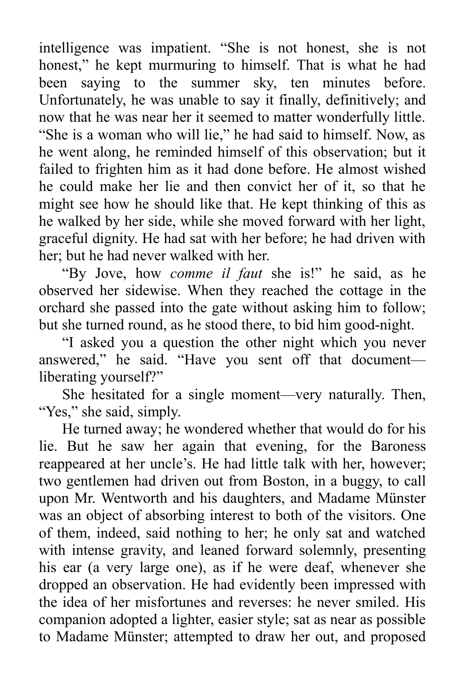intelligence was impatient. "She is not honest, she is not honest," he kept murmuring to himself. That is what he had been saying to the summer sky, ten minutes before. Unfortunately, he was unable to say it finally, definitively; and now that he was near her it seemed to matter wonderfully little. "She is a woman who will lie," he had said to himself. Now, as he went along, he reminded himself of this observation; but it failed to frighten him as it had done before. He almost wished he could make her lie and then convict her of it, so that he might see how he should like that. He kept thinking of this as he walked by her side, while she moved forward with her light, graceful dignity. He had sat with her before; he had driven with her; but he had never walked with her.

"By Jove, how *comme il faut* she is!" he said, as he observed her sidewise. When they reached the cottage in the orchard she passed into the gate without asking him to follow; but she turned round, as he stood there, to bid him good-night.

"I asked you a question the other night which you never answered," he said. "Have you sent off that document liberating yourself?"

She hesitated for a single moment—very naturally. Then, "Yes," she said, simply.

He turned away; he wondered whether that would do for his lie. But he saw her again that evening, for the Baroness reappeared at her uncle's. He had little talk with her, however; two gentlemen had driven out from Boston, in a buggy, to call upon Mr. Wentworth and his daughters, and Madame Münster was an object of absorbing interest to both of the visitors. One of them, indeed, said nothing to her; he only sat and watched with intense gravity, and leaned forward solemnly, presenting his ear (a very large one), as if he were deaf, whenever she dropped an observation. He had evidently been impressed with the idea of her misfortunes and reverses: he never smiled. His companion adopted a lighter, easier style; sat as near as possible to Madame Münster; attempted to draw her out, and proposed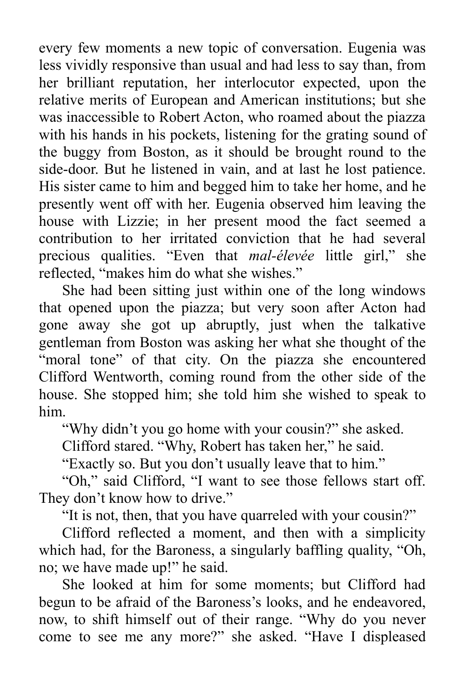every few moments a new topic of conversation. Eugenia was less vividly responsive than usual and had less to say than, from her brilliant reputation, her interlocutor expected, upon the relative merits of European and American institutions; but she was inaccessible to Robert Acton, who roamed about the piazza with his hands in his pockets, listening for the grating sound of the buggy from Boston, as it should be brought round to the side-door. But he listened in vain, and at last he lost patience. His sister came to him and begged him to take her home, and he presently went off with her. Eugenia observed him leaving the house with Lizzie; in her present mood the fact seemed a contribution to her irritated conviction that he had several precious qualities. "Even that *mal-élevée* little girl," she reflected, "makes him do what she wishes."

She had been sitting just within one of the long windows that opened upon the piazza; but very soon after Acton had gone away she got up abruptly, just when the talkative gentleman from Boston was asking her what she thought of the "moral tone" of that city. On the piazza she encountered Clifford Wentworth, coming round from the other side of the house. She stopped him; she told him she wished to speak to him.

"Why didn't you go home with your cousin?" she asked.

Clifford stared. "Why, Robert has taken her," he said.

"Exactly so. But you don't usually leave that to him."

"Oh," said Clifford, "I want to see those fellows start off. They don't know how to drive."

"It is not, then, that you have quarreled with your cousin?"

Clifford reflected a moment, and then with a simplicity which had, for the Baroness, a singularly baffling quality, "Oh, no; we have made up!" he said.

She looked at him for some moments; but Clifford had begun to be afraid of the Baroness's looks, and he endeavored, now, to shift himself out of their range. "Why do you never come to see me any more?" she asked. "Have I displeased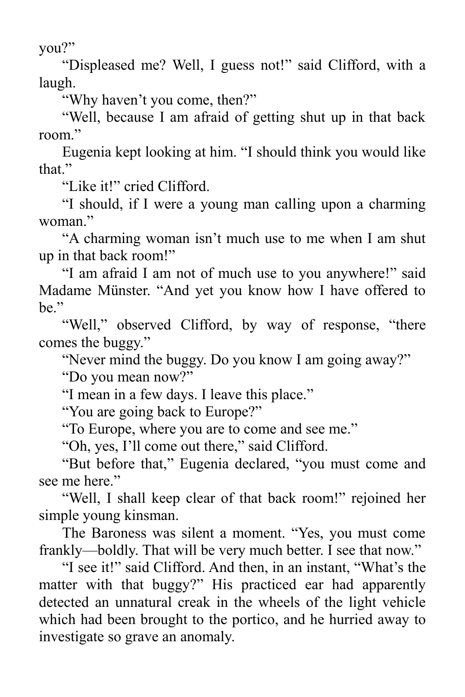you?"

"Displeased me? Well, I guess not!" said Clifford, with a laugh.

"Why haven't you come, then?"

"Well, because I am afraid of getting shut up in that back room."

Eugenia kept looking at him. "I should think you would like that."

"Like it!" cried Clifford.

"I should, if I were a young man calling upon a charming woman."

"A charming woman isn't much use to me when I am shut up in that back room!"

"I am afraid I am not of much use to you anywhere!" said Madame Münster. "And yet you know how I have offered to be."

"Well," observed Clifford, by way of response, "there" comes the buggy."

"Never mind the buggy. Do you know I am going away?"

"Do you mean now?"

"I mean in a few days. I leave this place."

"You are going back to Europe?"

"To Europe, where you are to come and see me."

"Oh, yes, I'll come out there," said Clifford.

"But before that," Eugenia declared, "you must come and see me here."

"Well, I shall keep clear of that back room!" rejoined her simple young kinsman.

The Baroness was silent a moment. "Yes, you must come frankly—boldly. That will be very much better. I see that now."

"I see it!" said Clifford. And then, in an instant, "What's the matter with that buggy?" His practiced ear had apparently detected an unnatural creak in the wheels of the light vehicle which had been brought to the portico, and he hurried away to investigate so grave an anomaly.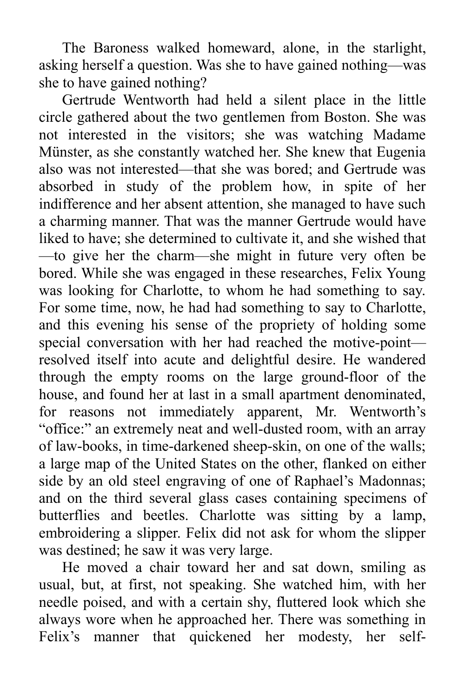The Baroness walked homeward, alone, in the starlight, asking herself a question. Was she to have gained nothing—was she to have gained nothing?

Gertrude Wentworth had held a silent place in the little circle gathered about the two gentlemen from Boston. She was not interested in the visitors; she was watching Madame Münster, as she constantly watched her. She knew that Eugenia also was not interested—that she was bored; and Gertrude was absorbed in study of the problem how, in spite of her indifference and her absent attention, she managed to have such a charming manner. That was the manner Gertrude would have liked to have; she determined to cultivate it, and she wished that —to give her the charm—she might in future very often be bored. While she was engaged in these researches, Felix Young was looking for Charlotte, to whom he had something to say. For some time, now, he had had something to say to Charlotte, and this evening his sense of the propriety of holding some special conversation with her had reached the motive-point resolved itself into acute and delightful desire. He wandered through the empty rooms on the large ground-floor of the house, and found her at last in a small apartment denominated, for reasons not immediately apparent, Mr. Wentworth's "office:" an extremely neat and well-dusted room, with an array of law-books, in time-darkened sheep-skin, on one of the walls; a large map of the United States on the other, flanked on either side by an old steel engraving of one of Raphael's Madonnas; and on the third several glass cases containing specimens of butterflies and beetles. Charlotte was sitting by a lamp, embroidering a slipper. Felix did not ask for whom the slipper was destined; he saw it was very large.

He moved a chair toward her and sat down, smiling as usual, but, at first, not speaking. She watched him, with her needle poised, and with a certain shy, fluttered look which she always wore when he approached her. There was something in Felix's manner that quickened her modesty, her self-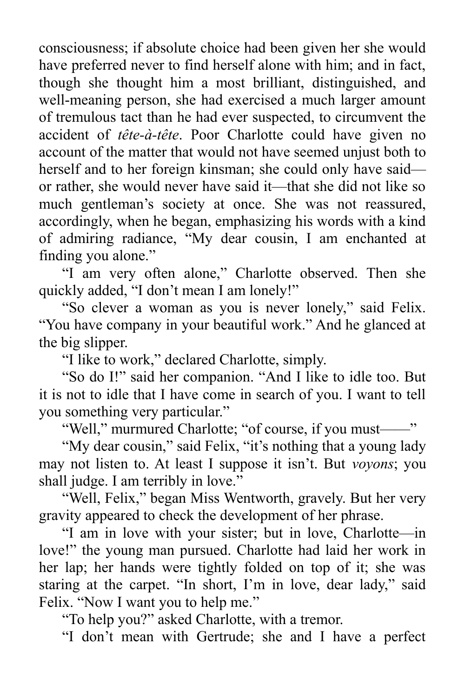consciousness; if absolute choice had been given her she would have preferred never to find herself alone with him; and in fact, though she thought him a most brilliant, distinguished, and well-meaning person, she had exercised a much larger amount of tremulous tact than he had ever suspected, to circumvent the accident of *tête-à-tête*. Poor Charlotte could have given no account of the matter that would not have seemed unjust both to herself and to her foreign kinsman; she could only have said or rather, she would never have said it—that she did not like so much gentleman's society at once. She was not reassured, accordingly, when he began, emphasizing his words with a kind of admiring radiance, "My dear cousin, I am enchanted at finding you alone."

"I am very often alone," Charlotte observed. Then she quickly added, "I don't mean I am lonely!"

"So clever a woman as you is never lonely," said Felix. "You have company in your beautiful work." And he glanced at the big slipper.

"I like to work," declared Charlotte, simply.

"So do I!" said her companion. "And I like to idle too. But it is not to idle that I have come in search of you. I want to tell you something very particular."

"Well," murmured Charlotte; "of course, if you must——"

"My dear cousin," said Felix, "it's nothing that a young lady may not listen to. At least I suppose it isn't. But *voyons*; you shall judge. I am terribly in love."

"Well, Felix," began Miss Wentworth, gravely. But her very gravity appeared to check the development of her phrase.

"I am in love with your sister; but in love, Charlotte—in love!" the young man pursued. Charlotte had laid her work in her lap; her hands were tightly folded on top of it; she was staring at the carpet. "In short, I'm in love, dear lady," said Felix. "Now I want you to help me."

"To help you?" asked Charlotte, with a tremor.

"I don't mean with Gertrude; she and I have a perfect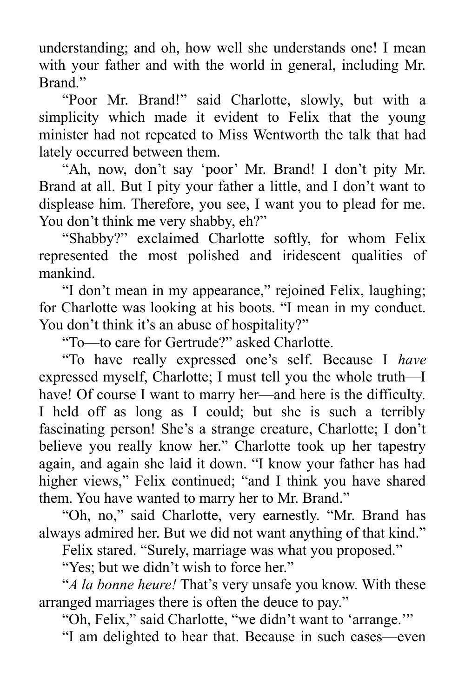understanding; and oh, how well she understands one! I mean with your father and with the world in general, including Mr. Brand."

"Poor Mr. Brand!" said Charlotte, slowly, but with a simplicity which made it evident to Felix that the young minister had not repeated to Miss Wentworth the talk that had lately occurred between them.

"Ah, now, don't say 'poor' Mr. Brand! I don't pity Mr. Brand at all. But I pity your father a little, and I don't want to displease him. Therefore, you see, I want you to plead for me. You don't think me very shabby, eh?"

"Shabby?" exclaimed Charlotte softly, for whom Felix represented the most polished and iridescent qualities of mankind.

"I don't mean in my appearance," rejoined Felix, laughing; for Charlotte was looking at his boots. "I mean in my conduct. You don't think it's an abuse of hospitality?"

"To—to care for Gertrude?" asked Charlotte.

"To have really expressed one's self. Because I *have* expressed myself, Charlotte; I must tell you the whole truth—I have! Of course I want to marry her—and here is the difficulty. I held off as long as I could; but she is such a terribly fascinating person! She's a strange creature, Charlotte; I don't believe you really know her." Charlotte took up her tapestry again, and again she laid it down. "I know your father has had higher views," Felix continued; "and I think you have shared them. You have wanted to marry her to Mr. Brand."

"Oh, no," said Charlotte, very earnestly. "Mr. Brand has always admired her. But we did not want anything of that kind."

Felix stared. "Surely, marriage was what you proposed."

"Yes; but we didn't wish to force her."

"*A la bonne heure!* That's very unsafe you know. With these arranged marriages there is often the deuce to pay."

"Oh, Felix," said Charlotte, "we didn't want to 'arrange.'"

"I am delighted to hear that. Because in such cases—even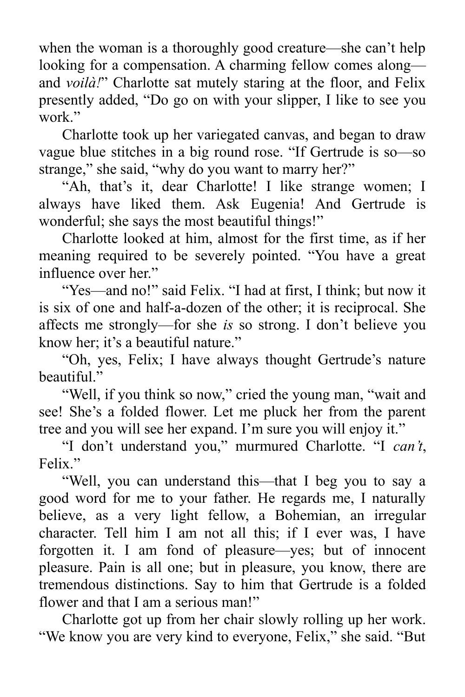when the woman is a thoroughly good creature—she can't help looking for a compensation. A charming fellow comes along and *voilà!*" Charlotte sat mutely staring at the floor, and Felix presently added, "Do go on with your slipper, I like to see you work"

Charlotte took up her variegated canvas, and began to draw vague blue stitches in a big round rose. "If Gertrude is so—so strange," she said, "why do you want to marry her?"

"Ah, that's it, dear Charlotte! I like strange women; I always have liked them. Ask Eugenia! And Gertrude is wonderful; she says the most beautiful things!"

Charlotte looked at him, almost for the first time, as if her meaning required to be severely pointed. "You have a great influence over her."

"Yes—and no!" said Felix. "I had at first, I think; but now it is six of one and half-a-dozen of the other; it is reciprocal. She affects me strongly—for she *is* so strong. I don't believe you know her; it's a beautiful nature."

"Oh, yes, Felix; I have always thought Gertrude's nature beautiful."

"Well, if you think so now," cried the young man, "wait and see! She's a folded flower. Let me pluck her from the parent tree and you will see her expand. I'm sure you will enjoy it."

"I don't understand you," murmured Charlotte. "I *can't*, Felix."

"Well, you can understand this—that I beg you to say a good word for me to your father. He regards me, I naturally believe, as a very light fellow, a Bohemian, an irregular character. Tell him I am not all this; if I ever was, I have forgotten it. I am fond of pleasure—yes; but of innocent pleasure. Pain is all one; but in pleasure, you know, there are tremendous distinctions. Say to him that Gertrude is a folded flower and that I am a serious man!"

Charlotte got up from her chair slowly rolling up her work. "We know you are very kind to everyone, Felix," she said. "But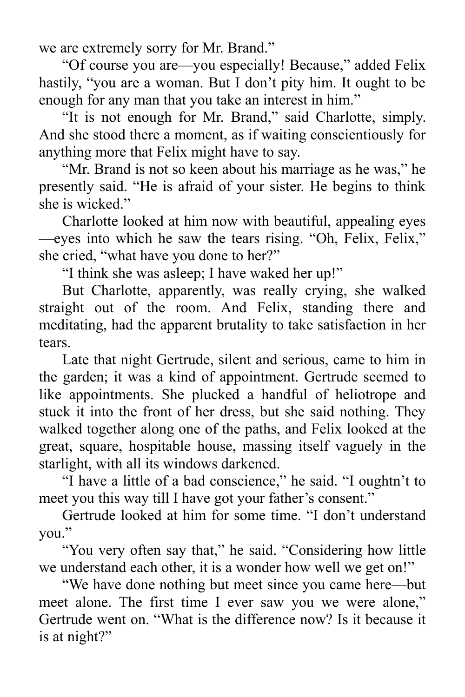we are extremely sorry for Mr. Brand."

"Of course you are—you especially! Because," added Felix hastily, "you are a woman. But I don't pity him. It ought to be enough for any man that you take an interest in him."

"It is not enough for Mr. Brand," said Charlotte, simply. And she stood there a moment, as if waiting conscientiously for anything more that Felix might have to say.

"Mr. Brand is not so keen about his marriage as he was," he presently said. "He is afraid of your sister. He begins to think she is wicked."

Charlotte looked at him now with beautiful, appealing eyes —eyes into which he saw the tears rising. "Oh, Felix, Felix," she cried, "what have you done to her?"

"I think she was asleep; I have waked her up!"

But Charlotte, apparently, was really crying, she walked straight out of the room. And Felix, standing there and meditating, had the apparent brutality to take satisfaction in her tears.

Late that night Gertrude, silent and serious, came to him in the garden; it was a kind of appointment. Gertrude seemed to like appointments. She plucked a handful of heliotrope and stuck it into the front of her dress, but she said nothing. They walked together along one of the paths, and Felix looked at the great, square, hospitable house, massing itself vaguely in the starlight, with all its windows darkened.

"I have a little of a bad conscience," he said. "I oughtn't to meet you this way till I have got your father's consent."

Gertrude looked at him for some time. "I don't understand you."

"You very often say that," he said. "Considering how little we understand each other, it is a wonder how well we get on!"

"We have done nothing but meet since you came here—but meet alone. The first time I ever saw you we were alone," Gertrude went on. "What is the difference now? Is it because it is at night?"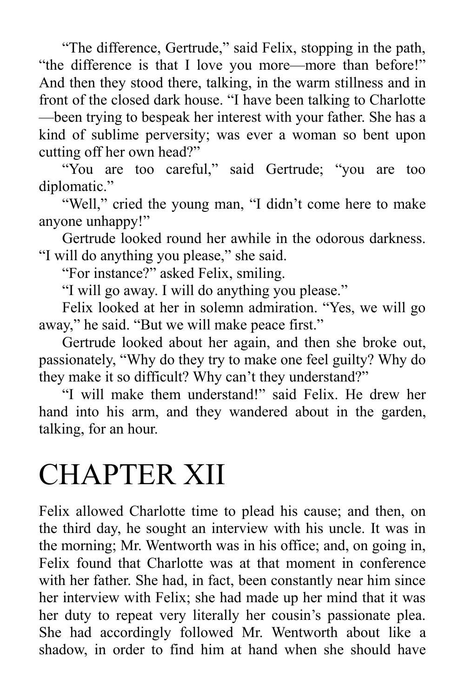"The difference, Gertrude," said Felix, stopping in the path, "the difference is that I love you more—more than before!" And then they stood there, talking, in the warm stillness and in front of the closed dark house. "I have been talking to Charlotte —been trying to bespeak her interest with your father. She has a kind of sublime perversity; was ever a woman so bent upon cutting off her own head?"

"You are too careful," said Gertrude; "you are too diplomatic."

"Well," cried the young man, "I didn't come here to make anyone unhappy!"

Gertrude looked round her awhile in the odorous darkness. "I will do anything you please," she said.

"For instance?" asked Felix, smiling.

"I will go away. I will do anything you please."

Felix looked at her in solemn admiration. "Yes, we will go away," he said. "But we will make peace first."

Gertrude looked about her again, and then she broke out, passionately, "Why do they try to make one feel guilty? Why do they make it so difficult? Why can't they understand?"

"I will make them understand!" said Felix. He drew her hand into his arm, and they wandered about in the garden, talking, for an hour.

## CHAPTER XII

Felix allowed Charlotte time to plead his cause; and then, on the third day, he sought an interview with his uncle. It was in the morning; Mr. Wentworth was in his office; and, on going in, Felix found that Charlotte was at that moment in conference with her father. She had, in fact, been constantly near him since her interview with Felix; she had made up her mind that it was her duty to repeat very literally her cousin's passionate plea. She had accordingly followed Mr. Wentworth about like a shadow, in order to find him at hand when she should have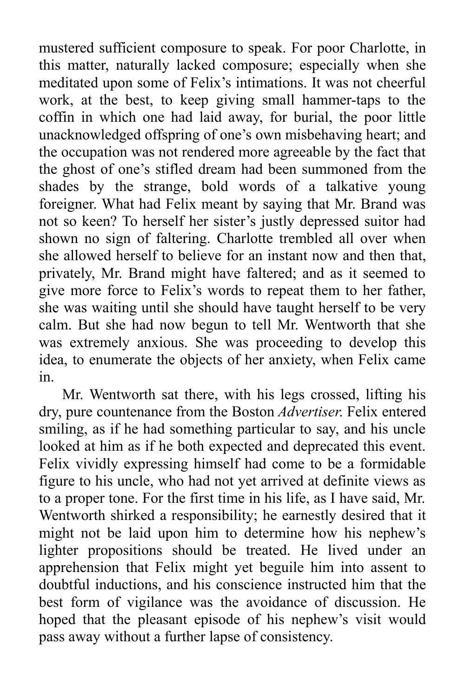mustered sufficient composure to speak. For poor Charlotte, in this matter, naturally lacked composure; especially when she meditated upon some of Felix's intimations. It was not cheerful work, at the best, to keep giving small hammer-taps to the coffin in which one had laid away, for burial, the poor little unacknowledged offspring of one's own misbehaving heart; and the occupation was not rendered more agreeable by the fact that the ghost of one's stifled dream had been summoned from the shades by the strange, bold words of a talkative young foreigner. What had Felix meant by saying that Mr. Brand was not so keen? To herself her sister's justly depressed suitor had shown no sign of faltering. Charlotte trembled all over when she allowed herself to believe for an instant now and then that, privately, Mr. Brand might have faltered; and as it seemed to give more force to Felix's words to repeat them to her father, she was waiting until she should have taught herself to be very calm. But she had now begun to tell Mr. Wentworth that she was extremely anxious. She was proceeding to develop this idea, to enumerate the objects of her anxiety, when Felix came in.

Mr. Wentworth sat there, with his legs crossed, lifting his dry, pure countenance from the Boston *Advertiser*. Felix entered smiling, as if he had something particular to say, and his uncle looked at him as if he both expected and deprecated this event. Felix vividly expressing himself had come to be a formidable figure to his uncle, who had not yet arrived at definite views as to a proper tone. For the first time in his life, as I have said, Mr. Wentworth shirked a responsibility; he earnestly desired that it might not be laid upon him to determine how his nephew's lighter propositions should be treated. He lived under an apprehension that Felix might yet beguile him into assent to doubtful inductions, and his conscience instructed him that the best form of vigilance was the avoidance of discussion. He hoped that the pleasant episode of his nephew's visit would pass away without a further lapse of consistency.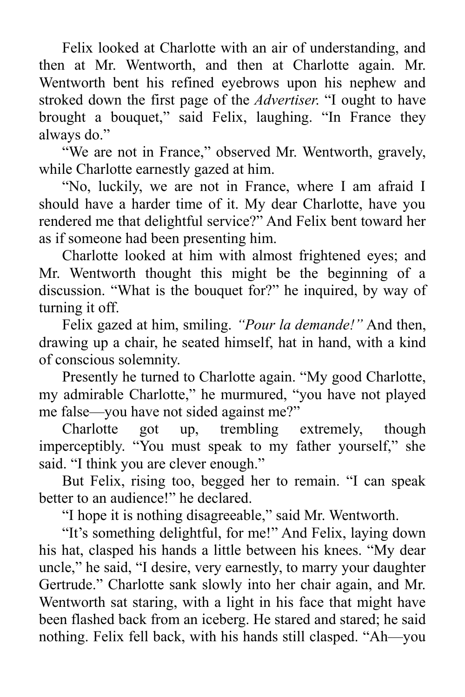Felix looked at Charlotte with an air of understanding, and then at Mr. Wentworth, and then at Charlotte again. Mr. Wentworth bent his refined eyebrows upon his nephew and stroked down the first page of the *Advertiser*. "I ought to have brought a bouquet," said Felix, laughing. "In France they always do."

"We are not in France," observed Mr. Wentworth, gravely, while Charlotte earnestly gazed at him.

"No, luckily, we are not in France, where I am afraid I should have a harder time of it. My dear Charlotte, have you rendered me that delightful service?" And Felix bent toward her as if someone had been presenting him.

Charlotte looked at him with almost frightened eyes; and Mr. Wentworth thought this might be the beginning of a discussion. "What is the bouquet for?" he inquired, by way of turning it off.

Felix gazed at him, smiling. *"Pour la demande!"* And then, drawing up a chair, he seated himself, hat in hand, with a kind of conscious solemnity.

Presently he turned to Charlotte again. "My good Charlotte, my admirable Charlotte," he murmured, "you have not played me false—you have not sided against me?"

Charlotte got up, trembling extremely, though imperceptibly. "You must speak to my father yourself," she said. "I think you are clever enough."

But Felix, rising too, begged her to remain. "I can speak better to an audience!" he declared.

"I hope it is nothing disagreeable," said Mr. Wentworth.

"It's something delightful, for me!" And Felix, laying down his hat, clasped his hands a little between his knees. "My dear uncle," he said, "I desire, very earnestly, to marry your daughter Gertrude." Charlotte sank slowly into her chair again, and Mr. Wentworth sat staring, with a light in his face that might have been flashed back from an iceberg. He stared and stared; he said nothing. Felix fell back, with his hands still clasped. "Ah—you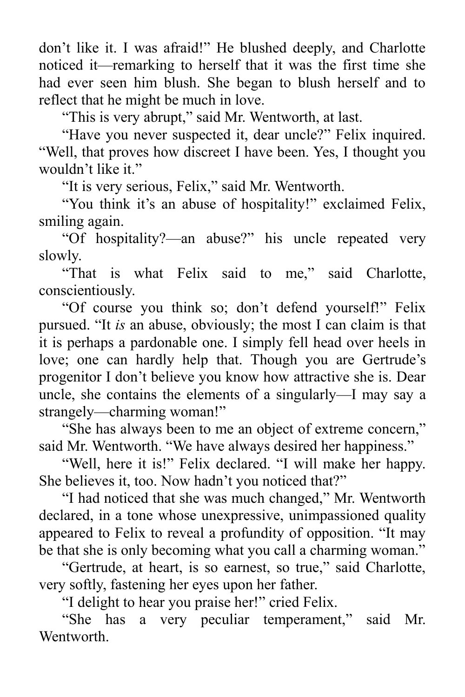don't like it. I was afraid!" He blushed deeply, and Charlotte noticed it—remarking to herself that it was the first time she had ever seen him blush. She began to blush herself and to reflect that he might be much in love.

"This is very abrupt," said Mr. Wentworth, at last.

"Have you never suspected it, dear uncle?" Felix inquired. "Well, that proves how discreet I have been. Yes, I thought you wouldn't like it."

"It is very serious, Felix," said Mr. Wentworth.

"You think it's an abuse of hospitality!" exclaimed Felix, smiling again.

"Of hospitality?—an abuse?" his uncle repeated very slowly.

"That is what Felix said to me," said Charlotte, conscientiously.

"Of course you think so; don't defend yourself!" Felix pursued. "It *is* an abuse, obviously; the most I can claim is that it is perhaps a pardonable one. I simply fell head over heels in love; one can hardly help that. Though you are Gertrude's progenitor I don't believe you know how attractive she is. Dear uncle, she contains the elements of a singularly—I may say a strangely—charming woman!"

"She has always been to me an object of extreme concern," said Mr. Wentworth. "We have always desired her happiness."

"Well, here it is!" Felix declared. "I will make her happy. She believes it, too. Now hadn't you noticed that?"

"I had noticed that she was much changed," Mr. Wentworth declared, in a tone whose unexpressive, unimpassioned quality appeared to Felix to reveal a profundity of opposition. "It may be that she is only becoming what you call a charming woman."

"Gertrude, at heart, is so earnest, so true," said Charlotte, very softly, fastening her eyes upon her father.

"I delight to hear you praise her!" cried Felix.

"She has a very peculiar temperament," said Mr. Wentworth.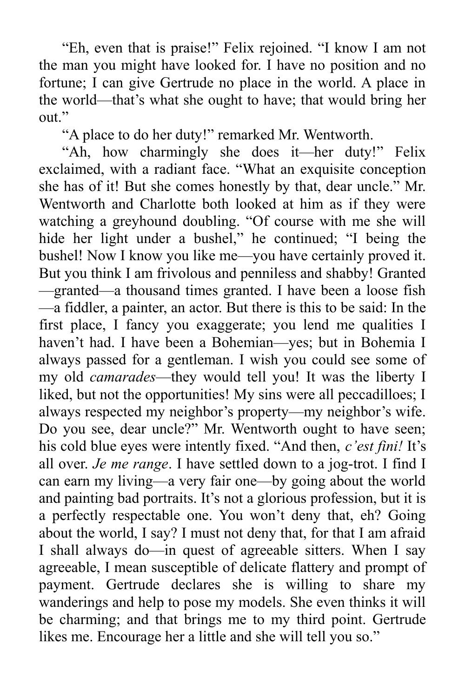"Eh, even that is praise!" Felix rejoined. "I know I am not the man you might have looked for. I have no position and no fortune; I can give Gertrude no place in the world. A place in the world—that's what she ought to have; that would bring her out."

"A place to do her duty!" remarked Mr. Wentworth.

"Ah, how charmingly she does it—her duty!" Felix exclaimed, with a radiant face. "What an exquisite conception she has of it! But she comes honestly by that, dear uncle." Mr. Wentworth and Charlotte both looked at him as if they were watching a greyhound doubling. "Of course with me she will hide her light under a bushel," he continued; "I being the bushel! Now I know you like me—you have certainly proved it. But you think I am frivolous and penniless and shabby! Granted —granted—a thousand times granted. I have been a loose fish —a fiddler, a painter, an actor. But there is this to be said: In the first place, I fancy you exaggerate; you lend me qualities I haven't had. I have been a Bohemian—yes; but in Bohemia I always passed for a gentleman. I wish you could see some of my old *camarades*—they would tell you! It was the liberty I liked, but not the opportunities! My sins were all peccadilloes; I always respected my neighbor's property—my neighbor's wife. Do you see, dear uncle?" Mr. Wentworth ought to have seen; his cold blue eyes were intently fixed. "And then, *c'est fini!* It's all over. *Je me range*. I have settled down to a jog-trot. I find I can earn my living—a very fair one—by going about the world and painting bad portraits. It's not a glorious profession, but it is a perfectly respectable one. You won't deny that, eh? Going about the world, I say? I must not deny that, for that I am afraid I shall always do—in quest of agreeable sitters. When I say agreeable, I mean susceptible of delicate flattery and prompt of payment. Gertrude declares she is willing to share my wanderings and help to pose my models. She even thinks it will be charming; and that brings me to my third point. Gertrude likes me. Encourage her a little and she will tell you so."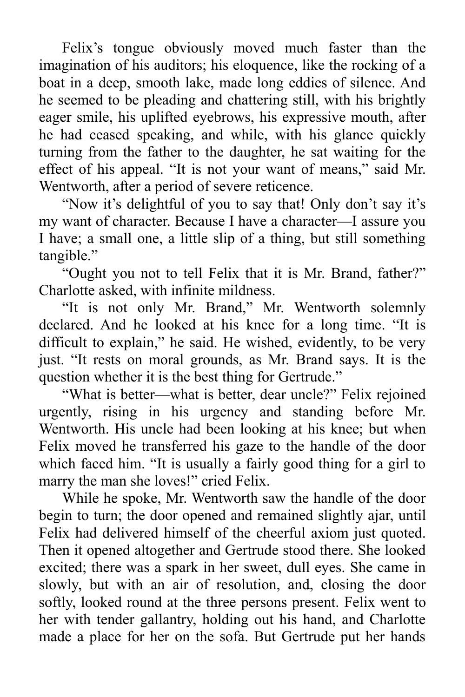Felix's tongue obviously moved much faster than the imagination of his auditors; his eloquence, like the rocking of a boat in a deep, smooth lake, made long eddies of silence. And he seemed to be pleading and chattering still, with his brightly eager smile, his uplifted eyebrows, his expressive mouth, after he had ceased speaking, and while, with his glance quickly turning from the father to the daughter, he sat waiting for the effect of his appeal. "It is not your want of means," said Mr. Wentworth, after a period of severe reticence.

"Now it's delightful of you to say that! Only don't say it's my want of character. Because I have a character—I assure you I have; a small one, a little slip of a thing, but still something tangible."

"Ought you not to tell Felix that it is Mr. Brand, father?" Charlotte asked, with infinite mildness.

"It is not only Mr. Brand," Mr. Wentworth solemnly declared. And he looked at his knee for a long time. "It is difficult to explain," he said. He wished, evidently, to be very just. "It rests on moral grounds, as Mr. Brand says. It is the question whether it is the best thing for Gertrude."

"What is better—what is better, dear uncle?" Felix rejoined urgently, rising in his urgency and standing before Mr. Wentworth. His uncle had been looking at his knee; but when Felix moved he transferred his gaze to the handle of the door which faced him. "It is usually a fairly good thing for a girl to marry the man she loves!" cried Felix.

While he spoke, Mr. Wentworth saw the handle of the door begin to turn; the door opened and remained slightly ajar, until Felix had delivered himself of the cheerful axiom just quoted. Then it opened altogether and Gertrude stood there. She looked excited; there was a spark in her sweet, dull eyes. She came in slowly, but with an air of resolution, and, closing the door softly, looked round at the three persons present. Felix went to her with tender gallantry, holding out his hand, and Charlotte made a place for her on the sofa. But Gertrude put her hands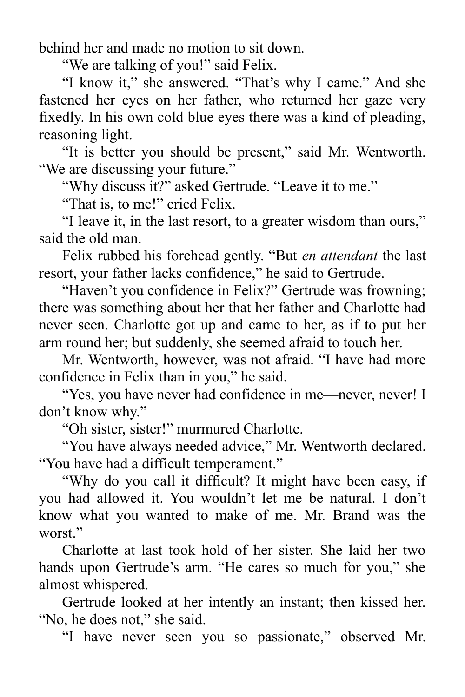behind her and made no motion to sit down.

"We are talking of you!" said Felix.

"I know it," she answered. "That's why I came." And she fastened her eyes on her father, who returned her gaze very fixedly. In his own cold blue eyes there was a kind of pleading, reasoning light.

"It is better you should be present," said Mr. Wentworth. "We are discussing your future."

"Why discuss it?" asked Gertrude. "Leave it to me."

"That is, to me!" cried Felix.

"I leave it, in the last resort, to a greater wisdom than ours," said the old man.

Felix rubbed his forehead gently. "But *en attendant* the last resort, your father lacks confidence," he said to Gertrude.

"Haven't you confidence in Felix?" Gertrude was frowning; there was something about her that her father and Charlotte had never seen. Charlotte got up and came to her, as if to put her arm round her; but suddenly, she seemed afraid to touch her.

Mr. Wentworth, however, was not afraid. "I have had more confidence in Felix than in you," he said.

"Yes, you have never had confidence in me—never, never! I don't know why."

"Oh sister, sister!" murmured Charlotte.

"You have always needed advice," Mr. Wentworth declared. "You have had a difficult temperament."

"Why do you call it difficult? It might have been easy, if you had allowed it. You wouldn't let me be natural. I don't know what you wanted to make of me. Mr. Brand was the worst."

Charlotte at last took hold of her sister. She laid her two hands upon Gertrude's arm. "He cares so much for you," she almost whispered.

Gertrude looked at her intently an instant; then kissed her. "No, he does not," she said.

"I have never seen you so passionate," observed Mr.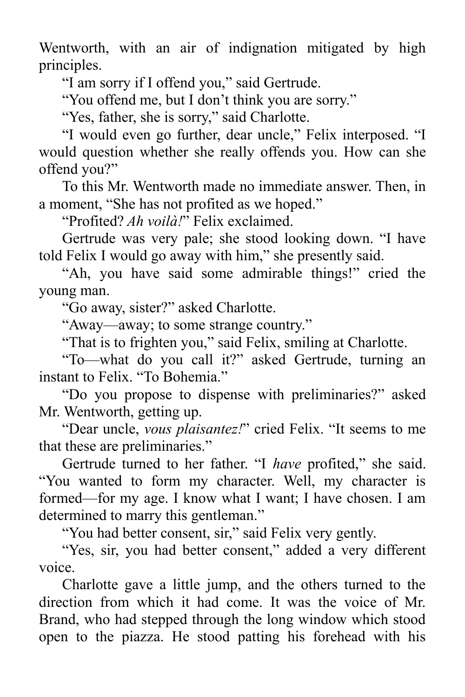Wentworth, with an air of indignation mitigated by high principles.

"I am sorry if I offend you," said Gertrude.

"You offend me, but I don't think you are sorry."

"Yes, father, she is sorry," said Charlotte.

"I would even go further, dear uncle," Felix interposed. "I would question whether she really offends you. How can she offend you?"

To this Mr. Wentworth made no immediate answer. Then, in a moment, "She has not profited as we hoped."

"Profited? *Ah voilà!*" Felix exclaimed.

Gertrude was very pale; she stood looking down. "I have told Felix I would go away with him," she presently said.

"Ah, you have said some admirable things!" cried the young man.

"Go away, sister?" asked Charlotte.

"Away—away; to some strange country."

"That is to frighten you," said Felix, smiling at Charlotte.

"To—what do you call it?" asked Gertrude, turning an instant to Felix. "To Bohemia."

"Do you propose to dispense with preliminaries?" asked Mr. Wentworth, getting up.

"Dear uncle, *vous plaisantez!*" cried Felix. "It seems to me that these are preliminaries."

Gertrude turned to her father. "I *have* profited," she said. "You wanted to form my character. Well, my character is formed—for my age. I know what I want; I have chosen. I am determined to marry this gentleman."

"You had better consent, sir," said Felix very gently.

"Yes, sir, you had better consent," added a very different voice.

Charlotte gave a little jump, and the others turned to the direction from which it had come. It was the voice of Mr. Brand, who had stepped through the long window which stood open to the piazza. He stood patting his forehead with his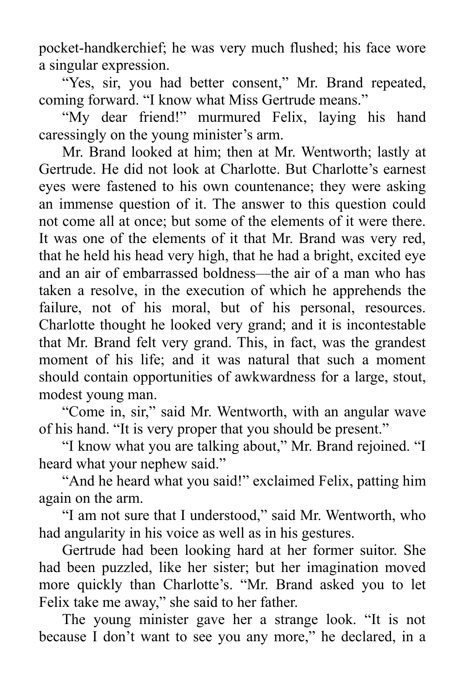pocket-handkerchief; he was very much flushed; his face wore a singular expression.

"Yes, sir, you had better consent," Mr. Brand repeated, coming forward. "I know what Miss Gertrude means."

"My dear friend!" murmured Felix, laying his hand caressingly on the young minister's arm.

Mr. Brand looked at him; then at Mr. Wentworth; lastly at Gertrude. He did not look at Charlotte. But Charlotte's earnest eyes were fastened to his own countenance; they were asking an immense question of it. The answer to this question could not come all at once; but some of the elements of it were there. It was one of the elements of it that Mr. Brand was very red, that he held his head very high, that he had a bright, excited eye and an air of embarrassed boldness—the air of a man who has taken a resolve, in the execution of which he apprehends the failure, not of his moral, but of his personal, resources. Charlotte thought he looked very grand; and it is incontestable that Mr. Brand felt very grand. This, in fact, was the grandest moment of his life; and it was natural that such a moment should contain opportunities of awkwardness for a large, stout, modest young man.

"Come in, sir," said Mr. Wentworth, with an angular wave of his hand. "It is very proper that you should be present."

"I know what you are talking about," Mr. Brand rejoined. "I heard what your nephew said."

"And he heard what you said!" exclaimed Felix, patting him again on the arm.

"I am not sure that I understood," said Mr. Wentworth, who had angularity in his voice as well as in his gestures.

Gertrude had been looking hard at her former suitor. She had been puzzled, like her sister; but her imagination moved more quickly than Charlotte's. "Mr. Brand asked you to let Felix take me away," she said to her father.

The young minister gave her a strange look. "It is not because I don't want to see you any more," he declared, in a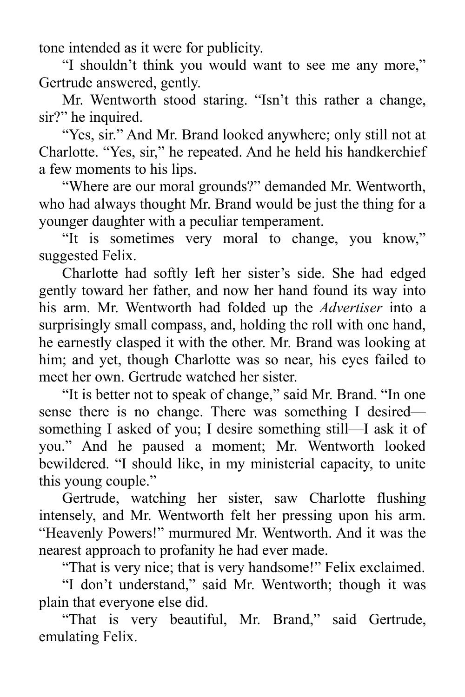tone intended as it were for publicity.

"I shouldn't think you would want to see me any more," Gertrude answered, gently.

Mr. Wentworth stood staring. "Isn't this rather a change, sir?" he inquired.

"Yes, sir." And Mr. Brand looked anywhere; only still not at Charlotte. "Yes, sir," he repeated. And he held his handkerchief a few moments to his lips.

"Where are our moral grounds?" demanded Mr. Wentworth, who had always thought Mr. Brand would be just the thing for a younger daughter with a peculiar temperament.

"It is sometimes very moral to change, you know," suggested Felix.

Charlotte had softly left her sister's side. She had edged gently toward her father, and now her hand found its way into his arm. Mr. Wentworth had folded up the *Advertiser* into a surprisingly small compass, and, holding the roll with one hand, he earnestly clasped it with the other. Mr. Brand was looking at him; and yet, though Charlotte was so near, his eyes failed to meet her own. Gertrude watched her sister.

"It is better not to speak of change," said Mr. Brand. "In one sense there is no change. There was something I desired something I asked of you; I desire something still—I ask it of you." And he paused a moment; Mr. Wentworth looked bewildered. "I should like, in my ministerial capacity, to unite this young couple."

Gertrude, watching her sister, saw Charlotte flushing intensely, and Mr. Wentworth felt her pressing upon his arm. "Heavenly Powers!" murmured Mr. Wentworth. And it was the nearest approach to profanity he had ever made.

"That is very nice; that is very handsome!" Felix exclaimed.

"I don't understand," said Mr. Wentworth; though it was plain that everyone else did.

"That is very beautiful, Mr. Brand," said Gertrude, emulating Felix.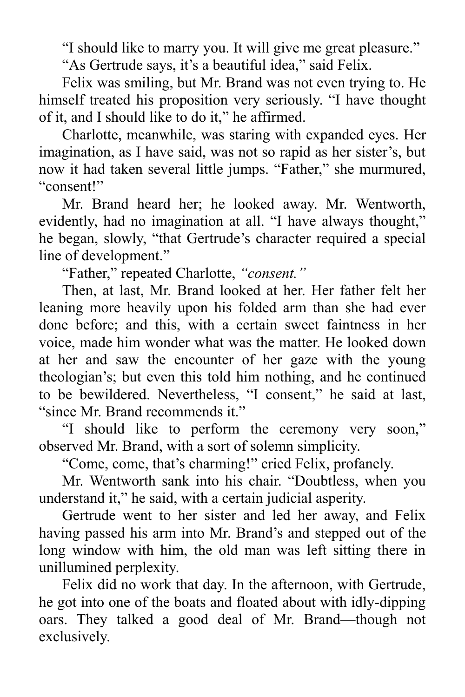"I should like to marry you. It will give me great pleasure."

"As Gertrude says, it's a beautiful idea," said Felix.

Felix was smiling, but Mr. Brand was not even trying to. He himself treated his proposition very seriously. "I have thought of it, and I should like to do it," he affirmed.

Charlotte, meanwhile, was staring with expanded eyes. Her imagination, as I have said, was not so rapid as her sister's, but now it had taken several little jumps. "Father," she murmured, "consent!"

Mr. Brand heard her; he looked away. Mr. Wentworth, evidently, had no imagination at all. "I have always thought," he began, slowly, "that Gertrude's character required a special line of development."

"Father," repeated Charlotte, *"consent."*

Then, at last, Mr. Brand looked at her. Her father felt her leaning more heavily upon his folded arm than she had ever done before; and this, with a certain sweet faintness in her voice, made him wonder what was the matter. He looked down at her and saw the encounter of her gaze with the young theologian's; but even this told him nothing, and he continued to be bewildered. Nevertheless, "I consent," he said at last, "since Mr. Brand recommends it."

"I should like to perform the ceremony very soon," observed Mr. Brand, with a sort of solemn simplicity.

"Come, come, that's charming!" cried Felix, profanely.

Mr. Wentworth sank into his chair. "Doubtless, when you understand it," he said, with a certain judicial asperity.

Gertrude went to her sister and led her away, and Felix having passed his arm into Mr. Brand's and stepped out of the long window with him, the old man was left sitting there in unillumined perplexity.

Felix did no work that day. In the afternoon, with Gertrude, he got into one of the boats and floated about with idly-dipping oars. They talked a good deal of Mr. Brand—though not exclusively.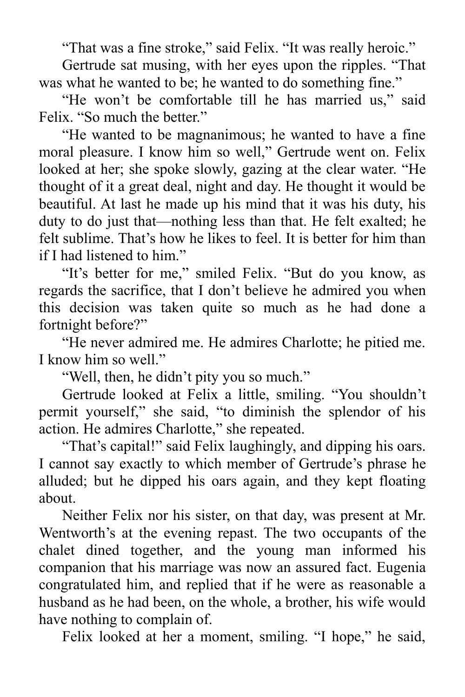"That was a fine stroke," said Felix. "It was really heroic."

Gertrude sat musing, with her eyes upon the ripples. "That was what he wanted to be; he wanted to do something fine."

"He won't be comfortable till he has married us," said Felix. "So much the better."

"He wanted to be magnanimous; he wanted to have a fine moral pleasure. I know him so well," Gertrude went on. Felix looked at her; she spoke slowly, gazing at the clear water. "He thought of it a great deal, night and day. He thought it would be beautiful. At last he made up his mind that it was his duty, his duty to do just that—nothing less than that. He felt exalted; he felt sublime. That's how he likes to feel. It is better for him than if I had listened to him."

"It's better for me," smiled Felix. "But do you know, as regards the sacrifice, that I don't believe he admired you when this decision was taken quite so much as he had done a fortnight before?"

"He never admired me. He admires Charlotte; he pitied me. I know him so well."

"Well, then, he didn't pity you so much."

Gertrude looked at Felix a little, smiling. "You shouldn't permit yourself," she said, "to diminish the splendor of his action. He admires Charlotte," she repeated.

"That's capital!" said Felix laughingly, and dipping his oars. I cannot say exactly to which member of Gertrude's phrase he alluded; but he dipped his oars again, and they kept floating about.

Neither Felix nor his sister, on that day, was present at Mr. Wentworth's at the evening repast. The two occupants of the chalet dined together, and the young man informed his companion that his marriage was now an assured fact. Eugenia congratulated him, and replied that if he were as reasonable a husband as he had been, on the whole, a brother, his wife would have nothing to complain of.

Felix looked at her a moment, smiling. "I hope," he said,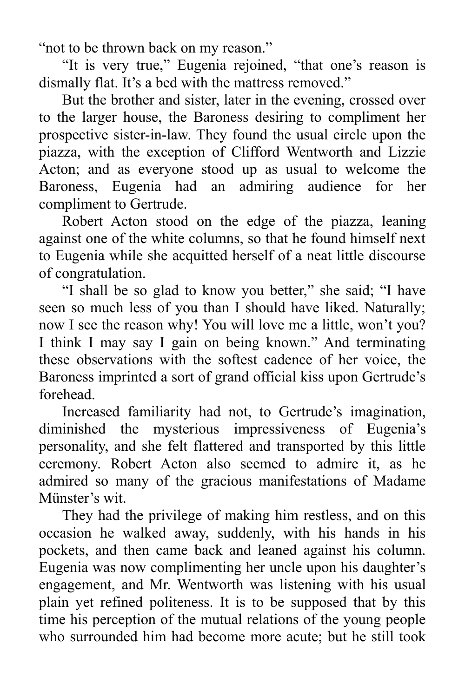"not to be thrown back on my reason."

"It is very true," Eugenia rejoined, "that one's reason is dismally flat. It's a bed with the mattress removed."

But the brother and sister, later in the evening, crossed over to the larger house, the Baroness desiring to compliment her prospective sister-in-law. They found the usual circle upon the piazza, with the exception of Clifford Wentworth and Lizzie Acton; and as everyone stood up as usual to welcome the Baroness, Eugenia had an admiring audience for her compliment to Gertrude.

Robert Acton stood on the edge of the piazza, leaning against one of the white columns, so that he found himself next to Eugenia while she acquitted herself of a neat little discourse of congratulation.

"I shall be so glad to know you better," she said; "I have seen so much less of you than I should have liked. Naturally; now I see the reason why! You will love me a little, won't you? I think I may say I gain on being known." And terminating these observations with the softest cadence of her voice, the Baroness imprinted a sort of grand official kiss upon Gertrude's forehead.

Increased familiarity had not, to Gertrude's imagination, diminished the mysterious impressiveness of Eugenia's personality, and she felt flattered and transported by this little ceremony. Robert Acton also seemed to admire it, as he admired so many of the gracious manifestations of Madame Münster's wit.

They had the privilege of making him restless, and on this occasion he walked away, suddenly, with his hands in his pockets, and then came back and leaned against his column. Eugenia was now complimenting her uncle upon his daughter's engagement, and Mr. Wentworth was listening with his usual plain yet refined politeness. It is to be supposed that by this time his perception of the mutual relations of the young people who surrounded him had become more acute; but he still took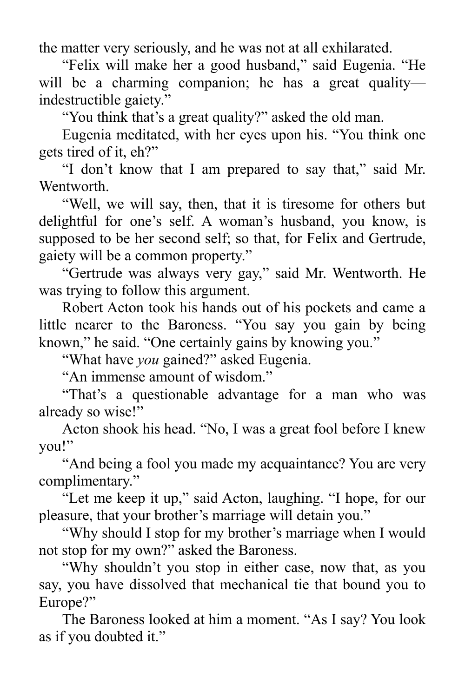the matter very seriously, and he was not at all exhilarated.

"Felix will make her a good husband," said Eugenia. "He will be a charming companion; he has a great quality indestructible gaiety."

"You think that's a great quality?" asked the old man.

Eugenia meditated, with her eyes upon his. "You think one gets tired of it, eh?"

"I don't know that I am prepared to say that," said Mr. Wentworth.

"Well, we will say, then, that it is tiresome for others but delightful for one's self. A woman's husband, you know, is supposed to be her second self; so that, for Felix and Gertrude, gaiety will be a common property."

"Gertrude was always very gay," said Mr. Wentworth. He was trying to follow this argument.

Robert Acton took his hands out of his pockets and came a little nearer to the Baroness. "You say you gain by being known," he said. "One certainly gains by knowing you."

"What have *you* gained?" asked Eugenia.

"An immense amount of wisdom."

"That's a questionable advantage for a man who was already so wise!"

Acton shook his head. "No, I was a great fool before I knew you!"

"And being a fool you made my acquaintance? You are very complimentary."

"Let me keep it up," said Acton, laughing. "I hope, for our pleasure, that your brother's marriage will detain you."

"Why should I stop for my brother's marriage when I would not stop for my own?" asked the Baroness.

"Why shouldn't you stop in either case, now that, as you say, you have dissolved that mechanical tie that bound you to Europe?"

The Baroness looked at him a moment. "As I say? You look as if you doubted it."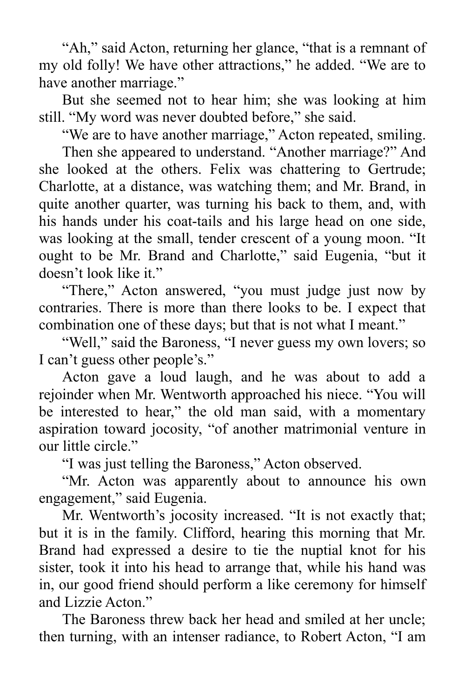"Ah," said Acton, returning her glance, "that is a remnant of my old folly! We have other attractions," he added. "We are to have another marriage."

But she seemed not to hear him; she was looking at him still. "My word was never doubted before," she said.

"We are to have another marriage," Acton repeated, smiling.

Then she appeared to understand. "Another marriage?" And she looked at the others. Felix was chattering to Gertrude; Charlotte, at a distance, was watching them; and Mr. Brand, in quite another quarter, was turning his back to them, and, with his hands under his coat-tails and his large head on one side, was looking at the small, tender crescent of a young moon. "It ought to be Mr. Brand and Charlotte," said Eugenia, "but it doesn't look like it."

"There," Acton answered, "you must judge just now by contraries. There is more than there looks to be. I expect that combination one of these days; but that is not what I meant."

"Well," said the Baroness, "I never guess my own lovers; so I can't guess other people's."

Acton gave a loud laugh, and he was about to add a rejoinder when Mr. Wentworth approached his niece. "You will be interested to hear," the old man said, with a momentary aspiration toward jocosity, "of another matrimonial venture in our little circle."

"I was just telling the Baroness," Acton observed.

"Mr. Acton was apparently about to announce his own engagement," said Eugenia.

Mr. Wentworth's jocosity increased. "It is not exactly that; but it is in the family. Clifford, hearing this morning that Mr. Brand had expressed a desire to tie the nuptial knot for his sister, took it into his head to arrange that, while his hand was in, our good friend should perform a like ceremony for himself and Lizzie Acton<sup>"</sup>

The Baroness threw back her head and smiled at her uncle; then turning, with an intenser radiance, to Robert Acton, "I am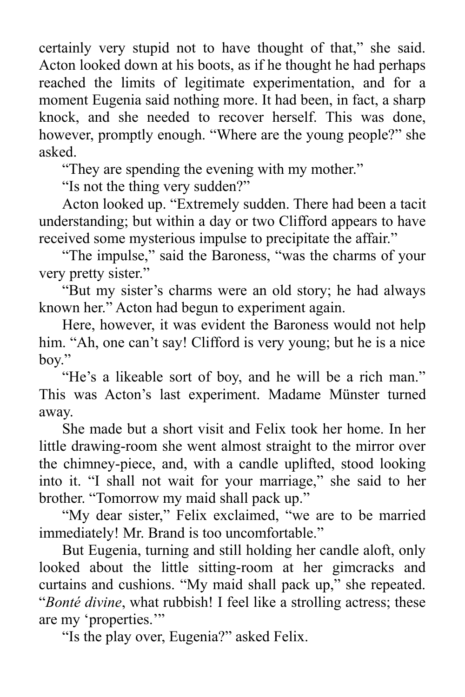certainly very stupid not to have thought of that," she said. Acton looked down at his boots, as if he thought he had perhaps reached the limits of legitimate experimentation, and for a moment Eugenia said nothing more. It had been, in fact, a sharp knock, and she needed to recover herself. This was done, however, promptly enough. "Where are the young people?" she asked.

"They are spending the evening with my mother."

"Is not the thing very sudden?"

Acton looked up. "Extremely sudden. There had been a tacit understanding; but within a day or two Clifford appears to have received some mysterious impulse to precipitate the affair."

"The impulse," said the Baroness, "was the charms of your very pretty sister."

"But my sister's charms were an old story; he had always known her." Acton had begun to experiment again.

Here, however, it was evident the Baroness would not help him. "Ah, one can't say! Clifford is very young; but he is a nice boy."

"He's a likeable sort of boy, and he will be a rich man." This was Acton's last experiment. Madame Münster turned away.

She made but a short visit and Felix took her home. In her little drawing-room she went almost straight to the mirror over the chimney-piece, and, with a candle uplifted, stood looking into it. "I shall not wait for your marriage," she said to her brother. "Tomorrow my maid shall pack up."

"My dear sister," Felix exclaimed, "we are to be married immediately! Mr. Brand is too uncomfortable."

But Eugenia, turning and still holding her candle aloft, only looked about the little sitting-room at her gimcracks and curtains and cushions. "My maid shall pack up," she repeated. "*Bonté divine*, what rubbish! I feel like a strolling actress; these are my 'properties."

"Is the play over, Eugenia?" asked Felix.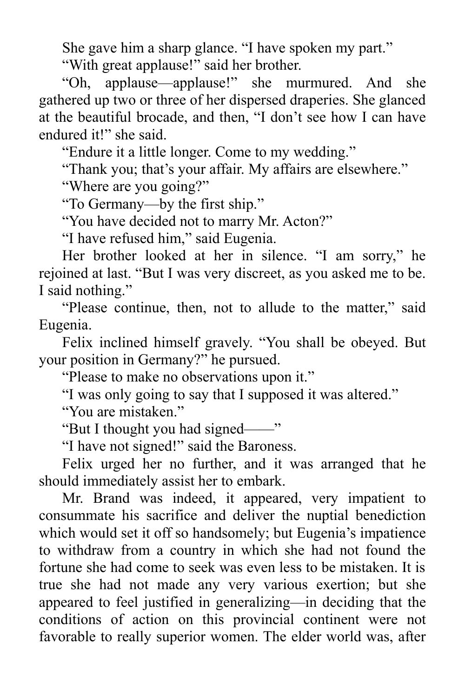She gave him a sharp glance. "I have spoken my part."

"With great applause!" said her brother.

"Oh, applause—applause!" she murmured. And she gathered up two or three of her dispersed draperies. She glanced at the beautiful brocade, and then, "I don't see how I can have endured it!" she said.

"Endure it a little longer. Come to my wedding."

"Thank you; that's your affair. My affairs are elsewhere."

"Where are you going?"

"To Germany—by the first ship."

"You have decided not to marry Mr. Acton?"

"I have refused him," said Eugenia.

Her brother looked at her in silence. "I am sorry," he rejoined at last. "But I was very discreet, as you asked me to be. I said nothing."

"Please continue, then, not to allude to the matter," said Eugenia.

Felix inclined himself gravely. "You shall be obeyed. But your position in Germany?" he pursued.

"Please to make no observations upon it."

"I was only going to say that I supposed it was altered."

"You are mistaken."

"But I thought you had signed——"

"I have not signed!" said the Baroness.

Felix urged her no further, and it was arranged that he should immediately assist her to embark.

Mr. Brand was indeed, it appeared, very impatient to consummate his sacrifice and deliver the nuptial benediction which would set it off so handsomely; but Eugenia's impatience to withdraw from a country in which she had not found the fortune she had come to seek was even less to be mistaken. It is true she had not made any very various exertion; but she appeared to feel justified in generalizing—in deciding that the conditions of action on this provincial continent were not favorable to really superior women. The elder world was, after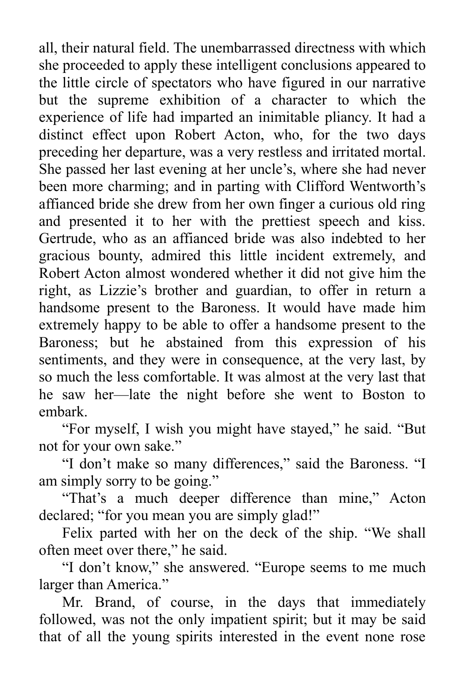all, their natural field. The unembarrassed directness with which she proceeded to apply these intelligent conclusions appeared to the little circle of spectators who have figured in our narrative but the supreme exhibition of a character to which the experience of life had imparted an inimitable pliancy. It had a distinct effect upon Robert Acton, who, for the two days preceding her departure, was a very restless and irritated mortal. She passed her last evening at her uncle's, where she had never been more charming; and in parting with Clifford Wentworth's affianced bride she drew from her own finger a curious old ring and presented it to her with the prettiest speech and kiss. Gertrude, who as an affianced bride was also indebted to her gracious bounty, admired this little incident extremely, and Robert Acton almost wondered whether it did not give him the right, as Lizzie's brother and guardian, to offer in return a handsome present to the Baroness. It would have made him extremely happy to be able to offer a handsome present to the Baroness; but he abstained from this expression of his sentiments, and they were in consequence, at the very last, by so much the less comfortable. It was almost at the very last that he saw her—late the night before she went to Boston to embark.

"For myself, I wish you might have stayed," he said. "But not for your own sake."

"I don't make so many differences," said the Baroness. "I am simply sorry to be going."

"That's a much deeper difference than mine," Acton declared; "for you mean you are simply glad!"

Felix parted with her on the deck of the ship. "We shall often meet over there," he said.

"I don't know," she answered. "Europe seems to me much larger than America."

Mr. Brand, of course, in the days that immediately followed, was not the only impatient spirit; but it may be said that of all the young spirits interested in the event none rose